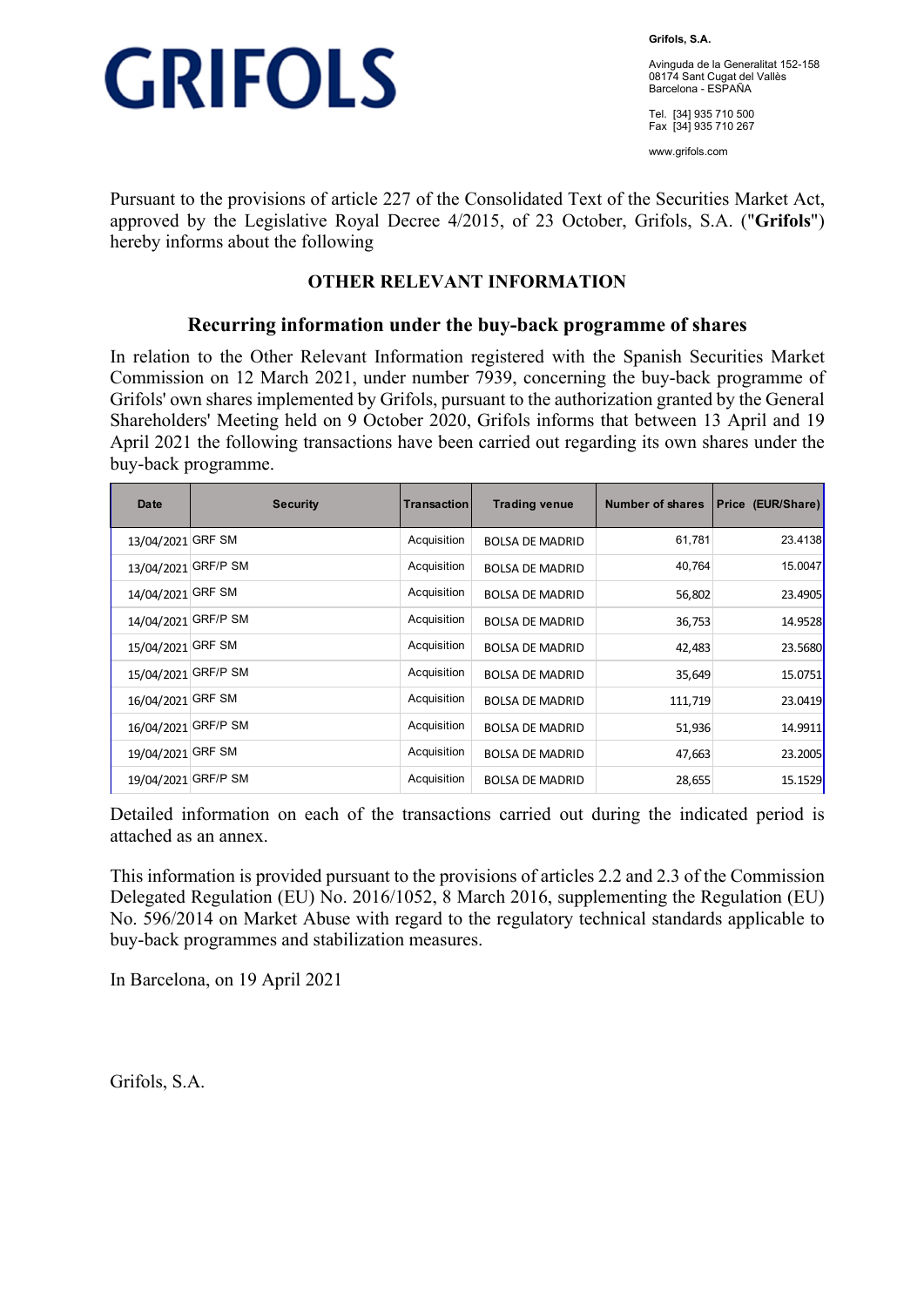

**Grifols, S.A.** 

Avinguda de la Generalitat 152-158 08174 Sant Cugat del Vallès Barcelona - ESPAÑA

Tel. [34] 935 710 500 Fax [34] 935 710 267

www.grifols.com

Pursuant to the provisions of article 227 of the Consolidated Text of the Securities Market Act, approved by the Legislative Royal Decree 4/2015, of 23 October, Grifols, S.A. ("**Grifols**") hereby informs about the following

## **OTHER RELEVANT INFORMATION**

## **Recurring information under the buy-back programme of shares**

In relation to the Other Relevant Information registered with the Spanish Securities Market Commission on 12 March 2021, under number 7939, concerning the buy-back programme of Grifols' own shares implemented by Grifols, pursuant to the authorization granted by the General Shareholders' Meeting held on 9 October 2020, Grifols informs that between 13 April and 19 April 2021 the following transactions have been carried out regarding its own shares under the buy-back programme.

| Date                | <b>Security</b> | Transaction | <b>Trading venue</b>   | Number of shares | Price (EUR/Share) |
|---------------------|-----------------|-------------|------------------------|------------------|-------------------|
| 13/04/2021          | <b>GRF SM</b>   | Acquisition | <b>BOLSA DE MADRID</b> | 61,781           | 23.4138           |
| 13/04/2021          | <b>GRF/P SM</b> | Acquisition | <b>BOLSA DE MADRID</b> | 40,764           | 15.0047           |
| 14/04/2021          | <b>GRF SM</b>   | Acquisition | <b>BOLSA DE MADRID</b> | 56,802           | 23.4905           |
| 14/04/2021 GRF/P SM |                 | Acquisition | <b>BOLSA DE MADRID</b> | 36,753           | 14.9528           |
| 15/04/2021          | GRF SM          | Acquisition | <b>BOLSA DE MADRID</b> | 42,483           | 23.5680           |
| 15/04/2021 GRF/P SM |                 | Acquisition | <b>BOLSA DE MADRID</b> | 35,649           | 15.0751           |
| 16/04/2021 GRF SM   |                 | Acquisition | <b>BOLSA DE MADRID</b> | 111,719          | 23.0419           |
| 16/04/2021          | <b>GRF/P SM</b> | Acquisition | <b>BOLSA DE MADRID</b> | 51,936           | 14.9911           |
| 19/04/2021          | <b>GRF SM</b>   | Acquisition | <b>BOLSA DE MADRID</b> | 47,663           | 23.2005           |
| 19/04/2021          | <b>GRF/P SM</b> | Acquisition | <b>BOLSA DE MADRID</b> | 28,655           | 15.1529           |

Detailed information on each of the transactions carried out during the indicated period is attached as an annex.

This information is provided pursuant to the provisions of articles 2.2 and 2.3 of the Commission Delegated Regulation (EU) No. 2016/1052, 8 March 2016, supplementing the Regulation (EU) No. 596/2014 on Market Abuse with regard to the regulatory technical standards applicable to buy-back programmes and stabilization measures.

In Barcelona, on 19 April 2021

Grifols, S.A.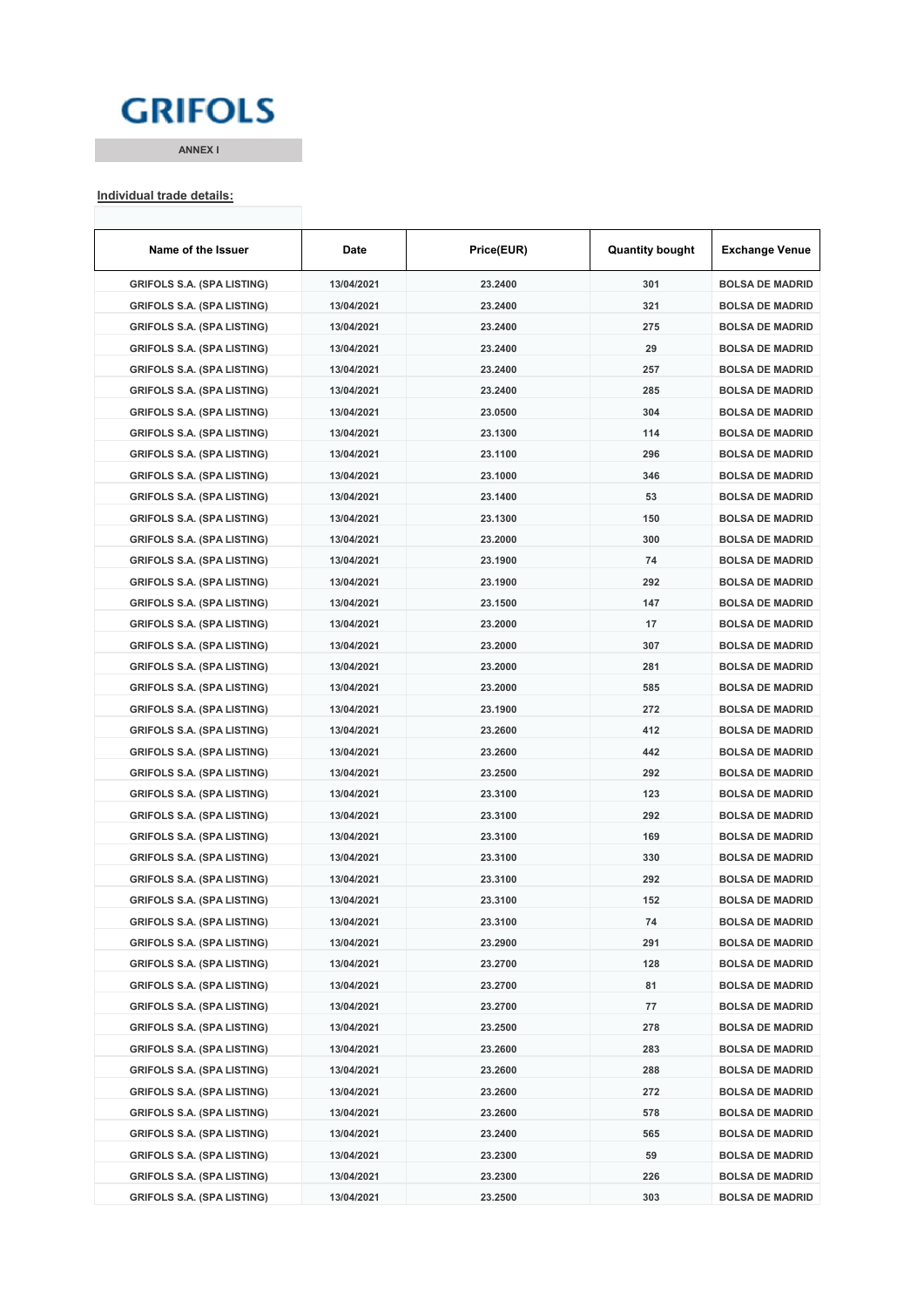## **GRIFOLS**

**ANNEX I**

#### **Individual trade details:**

| Name of the Issuer                                                     | Date       | Price(EUR) | <b>Quantity bought</b> | <b>Exchange Venue</b>                            |
|------------------------------------------------------------------------|------------|------------|------------------------|--------------------------------------------------|
| <b>GRIFOLS S.A. (SPA LISTING)</b>                                      | 13/04/2021 | 23.2400    | 301                    | <b>BOLSA DE MADRID</b>                           |
| <b>GRIFOLS S.A. (SPA LISTING)</b>                                      | 13/04/2021 | 23.2400    | 321                    | <b>BOLSA DE MADRID</b>                           |
| <b>GRIFOLS S.A. (SPA LISTING)</b>                                      | 13/04/2021 | 23.2400    | 275                    | <b>BOLSA DE MADRID</b>                           |
| <b>GRIFOLS S.A. (SPA LISTING)</b>                                      | 13/04/2021 | 23.2400    | 29                     | <b>BOLSA DE MADRID</b>                           |
| <b>GRIFOLS S.A. (SPA LISTING)</b>                                      | 13/04/2021 | 23.2400    | 257                    | <b>BOLSA DE MADRID</b>                           |
| <b>GRIFOLS S.A. (SPA LISTING)</b>                                      | 13/04/2021 | 23.2400    | 285                    | <b>BOLSA DE MADRID</b>                           |
| <b>GRIFOLS S.A. (SPA LISTING)</b>                                      | 13/04/2021 | 23.0500    | 304                    | <b>BOLSA DE MADRID</b>                           |
| <b>GRIFOLS S.A. (SPA LISTING)</b>                                      | 13/04/2021 | 23.1300    | 114                    | <b>BOLSA DE MADRID</b>                           |
| <b>GRIFOLS S.A. (SPA LISTING)</b>                                      | 13/04/2021 | 23.1100    | 296                    | <b>BOLSA DE MADRID</b>                           |
| <b>GRIFOLS S.A. (SPA LISTING)</b>                                      | 13/04/2021 | 23.1000    | 346                    | <b>BOLSA DE MADRID</b>                           |
| <b>GRIFOLS S.A. (SPA LISTING)</b>                                      | 13/04/2021 | 23.1400    | 53                     | <b>BOLSA DE MADRID</b>                           |
| <b>GRIFOLS S.A. (SPA LISTING)</b>                                      | 13/04/2021 | 23.1300    | 150                    | <b>BOLSA DE MADRID</b>                           |
| <b>GRIFOLS S.A. (SPA LISTING)</b>                                      | 13/04/2021 | 23.2000    | 300                    | <b>BOLSA DE MADRID</b>                           |
| <b>GRIFOLS S.A. (SPA LISTING)</b>                                      | 13/04/2021 | 23.1900    | 74                     | <b>BOLSA DE MADRID</b>                           |
| <b>GRIFOLS S.A. (SPA LISTING)</b>                                      | 13/04/2021 | 23.1900    | 292                    | <b>BOLSA DE MADRID</b>                           |
| <b>GRIFOLS S.A. (SPA LISTING)</b>                                      | 13/04/2021 | 23.1500    | 147                    | <b>BOLSA DE MADRID</b>                           |
| <b>GRIFOLS S.A. (SPA LISTING)</b>                                      | 13/04/2021 | 23.2000    | 17                     | <b>BOLSA DE MADRID</b>                           |
| <b>GRIFOLS S.A. (SPA LISTING)</b>                                      | 13/04/2021 | 23.2000    | 307                    | <b>BOLSA DE MADRID</b>                           |
| <b>GRIFOLS S.A. (SPA LISTING)</b>                                      | 13/04/2021 | 23.2000    | 281                    | <b>BOLSA DE MADRID</b>                           |
| <b>GRIFOLS S.A. (SPA LISTING)</b>                                      | 13/04/2021 | 23.2000    | 585                    | <b>BOLSA DE MADRID</b>                           |
| <b>GRIFOLS S.A. (SPA LISTING)</b>                                      | 13/04/2021 | 23.1900    | 272                    | <b>BOLSA DE MADRID</b>                           |
| <b>GRIFOLS S.A. (SPA LISTING)</b>                                      | 13/04/2021 | 23.2600    | 412                    | <b>BOLSA DE MADRID</b>                           |
| <b>GRIFOLS S.A. (SPA LISTING)</b>                                      | 13/04/2021 | 23.2600    | 442                    | <b>BOLSA DE MADRID</b>                           |
| <b>GRIFOLS S.A. (SPA LISTING)</b>                                      | 13/04/2021 | 23.2500    | 292                    | <b>BOLSA DE MADRID</b>                           |
| <b>GRIFOLS S.A. (SPA LISTING)</b>                                      | 13/04/2021 | 23.3100    | 123                    | <b>BOLSA DE MADRID</b>                           |
| <b>GRIFOLS S.A. (SPA LISTING)</b>                                      | 13/04/2021 | 23.3100    | 292                    | <b>BOLSA DE MADRID</b>                           |
| <b>GRIFOLS S.A. (SPA LISTING)</b>                                      | 13/04/2021 | 23.3100    | 169                    | <b>BOLSA DE MADRID</b>                           |
| <b>GRIFOLS S.A. (SPA LISTING)</b>                                      | 13/04/2021 | 23.3100    | 330                    | <b>BOLSA DE MADRID</b>                           |
| <b>GRIFOLS S.A. (SPA LISTING)</b>                                      | 13/04/2021 | 23.3100    | 292                    | <b>BOLSA DE MADRID</b>                           |
|                                                                        | 13/04/2021 | 23.3100    | 152                    | <b>BOLSA DE MADRID</b>                           |
| <b>GRIFOLS S.A. (SPA LISTING)</b><br><b>GRIFOLS S.A. (SPA LISTING)</b> | 13/04/2021 | 23.3100    | 74                     | <b>BOLSA DE MADRID</b>                           |
| <b>GRIFOLS S.A. (SPA LISTING)</b>                                      | 13/04/2021 | 23.2900    | 291                    | <b>BOLSA DE MADRID</b>                           |
| <b>GRIFOLS S.A. (SPA LISTING)</b>                                      | 13/04/2021 |            | 128                    |                                                  |
| <b>GRIFOLS S.A. (SPA LISTING)</b>                                      |            | 23.2700    |                        | <b>BOLSA DE MADRID</b><br><b>BOLSA DE MADRID</b> |
|                                                                        | 13/04/2021 | 23.2700    | 81                     | <b>BOLSA DE MADRID</b>                           |
| <b>GRIFOLS S.A. (SPA LISTING)</b>                                      | 13/04/2021 | 23.2700    | 77                     |                                                  |
| <b>GRIFOLS S.A. (SPA LISTING)</b>                                      | 13/04/2021 | 23.2500    | 278                    | <b>BOLSA DE MADRID</b>                           |
| <b>GRIFOLS S.A. (SPA LISTING)</b>                                      | 13/04/2021 | 23.2600    | 283                    | <b>BOLSA DE MADRID</b>                           |
| <b>GRIFOLS S.A. (SPA LISTING)</b>                                      | 13/04/2021 | 23.2600    | 288                    | <b>BOLSA DE MADRID</b>                           |
| <b>GRIFOLS S.A. (SPA LISTING)</b>                                      | 13/04/2021 | 23.2600    | 272                    | <b>BOLSA DE MADRID</b>                           |
| <b>GRIFOLS S.A. (SPA LISTING)</b>                                      | 13/04/2021 | 23.2600    | 578                    | <b>BOLSA DE MADRID</b>                           |
| <b>GRIFOLS S.A. (SPA LISTING)</b>                                      | 13/04/2021 | 23.2400    | 565                    | <b>BOLSA DE MADRID</b>                           |
| <b>GRIFOLS S.A. (SPA LISTING)</b>                                      | 13/04/2021 | 23.2300    | 59                     | <b>BOLSA DE MADRID</b>                           |
| <b>GRIFOLS S.A. (SPA LISTING)</b>                                      | 13/04/2021 | 23.2300    | 226                    | <b>BOLSA DE MADRID</b>                           |
| <b>GRIFOLS S.A. (SPA LISTING)</b>                                      | 13/04/2021 | 23.2500    | 303                    | <b>BOLSA DE MADRID</b>                           |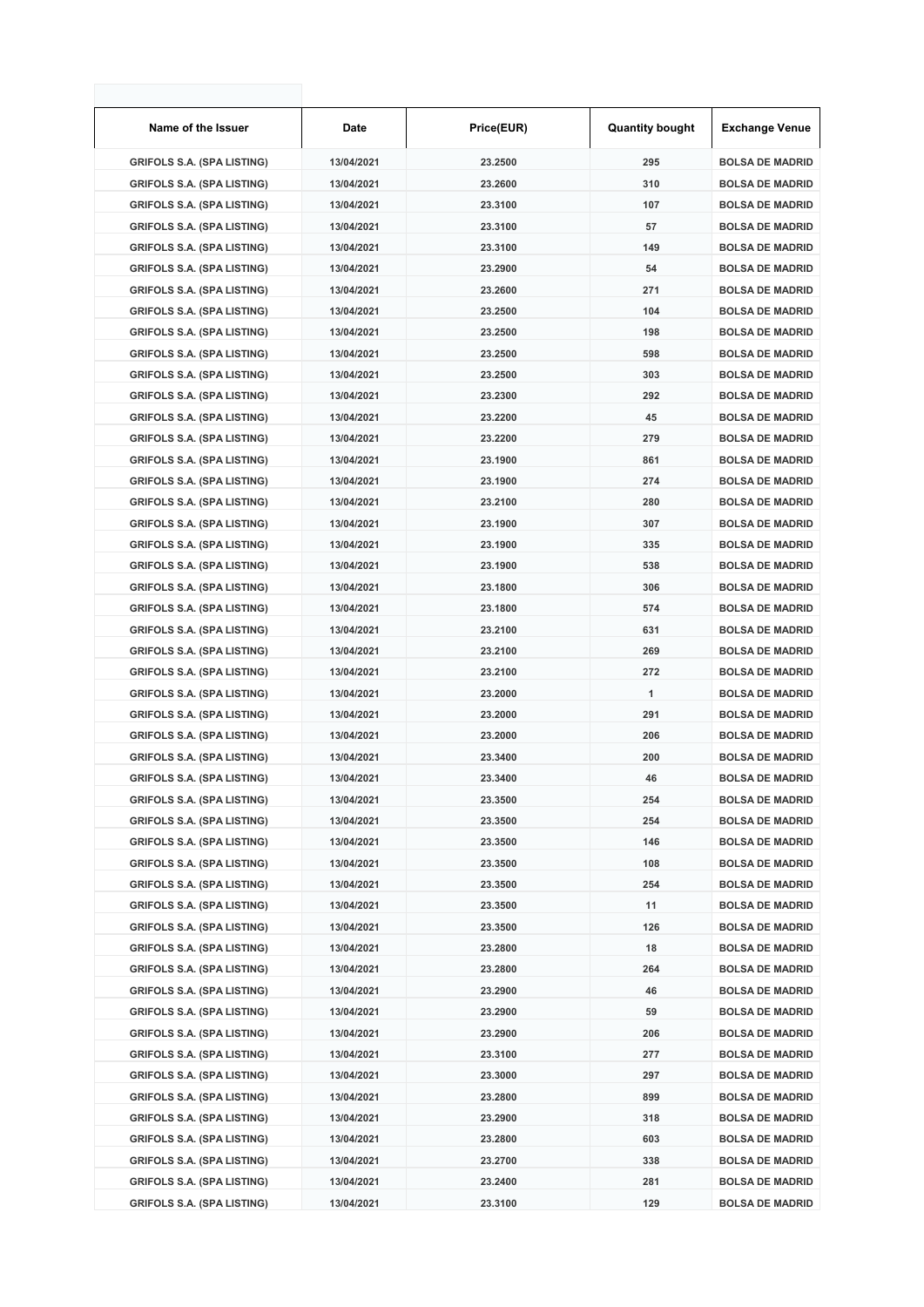| Name of the Issuer                | Date       | Price(EUR) | <b>Quantity bought</b> | <b>Exchange Venue</b>  |
|-----------------------------------|------------|------------|------------------------|------------------------|
| <b>GRIFOLS S.A. (SPA LISTING)</b> | 13/04/2021 | 23.2500    | 295                    | <b>BOLSA DE MADRID</b> |
| <b>GRIFOLS S.A. (SPA LISTING)</b> | 13/04/2021 | 23.2600    | 310                    | <b>BOLSA DE MADRID</b> |
| <b>GRIFOLS S.A. (SPA LISTING)</b> | 13/04/2021 | 23.3100    | 107                    | <b>BOLSA DE MADRID</b> |
| <b>GRIFOLS S.A. (SPA LISTING)</b> | 13/04/2021 | 23.3100    | 57                     | <b>BOLSA DE MADRID</b> |
| <b>GRIFOLS S.A. (SPA LISTING)</b> | 13/04/2021 | 23.3100    | 149                    | <b>BOLSA DE MADRID</b> |
| <b>GRIFOLS S.A. (SPA LISTING)</b> | 13/04/2021 | 23.2900    | 54                     | <b>BOLSA DE MADRID</b> |
| <b>GRIFOLS S.A. (SPA LISTING)</b> | 13/04/2021 | 23.2600    | 271                    | <b>BOLSA DE MADRID</b> |
| <b>GRIFOLS S.A. (SPA LISTING)</b> | 13/04/2021 | 23.2500    | 104                    | <b>BOLSA DE MADRID</b> |
| <b>GRIFOLS S.A. (SPA LISTING)</b> | 13/04/2021 | 23.2500    | 198                    | <b>BOLSA DE MADRID</b> |
| <b>GRIFOLS S.A. (SPA LISTING)</b> | 13/04/2021 | 23.2500    | 598                    | <b>BOLSA DE MADRID</b> |
| <b>GRIFOLS S.A. (SPA LISTING)</b> | 13/04/2021 | 23.2500    | 303                    | <b>BOLSA DE MADRID</b> |
| <b>GRIFOLS S.A. (SPA LISTING)</b> | 13/04/2021 | 23.2300    | 292                    | <b>BOLSA DE MADRID</b> |
| <b>GRIFOLS S.A. (SPA LISTING)</b> | 13/04/2021 | 23.2200    | 45                     | <b>BOLSA DE MADRID</b> |
| <b>GRIFOLS S.A. (SPA LISTING)</b> | 13/04/2021 | 23.2200    | 279                    | <b>BOLSA DE MADRID</b> |
| <b>GRIFOLS S.A. (SPA LISTING)</b> | 13/04/2021 | 23.1900    | 861                    | <b>BOLSA DE MADRID</b> |
| <b>GRIFOLS S.A. (SPA LISTING)</b> | 13/04/2021 | 23.1900    | 274                    | <b>BOLSA DE MADRID</b> |
| <b>GRIFOLS S.A. (SPA LISTING)</b> | 13/04/2021 | 23.2100    | 280                    | <b>BOLSA DE MADRID</b> |
| <b>GRIFOLS S.A. (SPA LISTING)</b> | 13/04/2021 | 23.1900    | 307                    | <b>BOLSA DE MADRID</b> |
| <b>GRIFOLS S.A. (SPA LISTING)</b> | 13/04/2021 | 23.1900    | 335                    | <b>BOLSA DE MADRID</b> |
| <b>GRIFOLS S.A. (SPA LISTING)</b> | 13/04/2021 | 23.1900    | 538                    | <b>BOLSA DE MADRID</b> |
| <b>GRIFOLS S.A. (SPA LISTING)</b> | 13/04/2021 | 23.1800    | 306                    | <b>BOLSA DE MADRID</b> |
| <b>GRIFOLS S.A. (SPA LISTING)</b> | 13/04/2021 | 23.1800    | 574                    | <b>BOLSA DE MADRID</b> |
| <b>GRIFOLS S.A. (SPA LISTING)</b> | 13/04/2021 | 23.2100    | 631                    | <b>BOLSA DE MADRID</b> |
| <b>GRIFOLS S.A. (SPA LISTING)</b> | 13/04/2021 | 23.2100    | 269                    | <b>BOLSA DE MADRID</b> |
| <b>GRIFOLS S.A. (SPA LISTING)</b> | 13/04/2021 | 23.2100    | 272                    | <b>BOLSA DE MADRID</b> |
| <b>GRIFOLS S.A. (SPA LISTING)</b> | 13/04/2021 | 23.2000    | 1                      | <b>BOLSA DE MADRID</b> |
| <b>GRIFOLS S.A. (SPA LISTING)</b> | 13/04/2021 | 23.2000    | 291                    | <b>BOLSA DE MADRID</b> |
| <b>GRIFOLS S.A. (SPA LISTING)</b> | 13/04/2021 | 23.2000    | 206                    | <b>BOLSA DE MADRID</b> |
| <b>GRIFOLS S.A. (SPA LISTING)</b> | 13/04/2021 | 23.3400    | 200                    | <b>BOLSA DE MADRID</b> |
| <b>GRIFOLS S.A. (SPA LISTING)</b> | 13/04/2021 | 23.3400    | 46                     | <b>BOLSA DE MADRID</b> |
| <b>GRIFOLS S.A. (SPA LISTING)</b> | 13/04/2021 | 23.3500    | 254                    | <b>BOLSA DE MADRID</b> |
| <b>GRIFOLS S.A. (SPA LISTING)</b> | 13/04/2021 | 23.3500    | 254                    | <b>BOLSA DE MADRID</b> |
| <b>GRIFOLS S.A. (SPA LISTING)</b> | 13/04/2021 | 23.3500    | 146                    | <b>BOLSA DE MADRID</b> |
| <b>GRIFOLS S.A. (SPA LISTING)</b> | 13/04/2021 | 23.3500    | 108                    | <b>BOLSA DE MADRID</b> |
| <b>GRIFOLS S.A. (SPA LISTING)</b> | 13/04/2021 | 23.3500    | 254                    | <b>BOLSA DE MADRID</b> |
| <b>GRIFOLS S.A. (SPA LISTING)</b> | 13/04/2021 | 23.3500    | 11                     | <b>BOLSA DE MADRID</b> |
| <b>GRIFOLS S.A. (SPA LISTING)</b> | 13/04/2021 | 23.3500    | 126                    | <b>BOLSA DE MADRID</b> |
| <b>GRIFOLS S.A. (SPA LISTING)</b> | 13/04/2021 | 23.2800    | 18                     | <b>BOLSA DE MADRID</b> |
| <b>GRIFOLS S.A. (SPA LISTING)</b> | 13/04/2021 | 23.2800    | 264                    | <b>BOLSA DE MADRID</b> |
| <b>GRIFOLS S.A. (SPA LISTING)</b> | 13/04/2021 | 23.2900    | 46                     | <b>BOLSA DE MADRID</b> |
| <b>GRIFOLS S.A. (SPA LISTING)</b> | 13/04/2021 | 23.2900    | 59                     | <b>BOLSA DE MADRID</b> |
| <b>GRIFOLS S.A. (SPA LISTING)</b> | 13/04/2021 | 23.2900    | 206                    | <b>BOLSA DE MADRID</b> |
| <b>GRIFOLS S.A. (SPA LISTING)</b> | 13/04/2021 | 23.3100    | 277                    | <b>BOLSA DE MADRID</b> |
| <b>GRIFOLS S.A. (SPA LISTING)</b> | 13/04/2021 | 23.3000    | 297                    | <b>BOLSA DE MADRID</b> |
| <b>GRIFOLS S.A. (SPA LISTING)</b> | 13/04/2021 | 23.2800    | 899                    | <b>BOLSA DE MADRID</b> |
| <b>GRIFOLS S.A. (SPA LISTING)</b> | 13/04/2021 | 23.2900    | 318                    | <b>BOLSA DE MADRID</b> |
| <b>GRIFOLS S.A. (SPA LISTING)</b> | 13/04/2021 | 23.2800    | 603                    | <b>BOLSA DE MADRID</b> |
| <b>GRIFOLS S.A. (SPA LISTING)</b> | 13/04/2021 | 23.2700    | 338                    | <b>BOLSA DE MADRID</b> |
| <b>GRIFOLS S.A. (SPA LISTING)</b> | 13/04/2021 | 23.2400    | 281                    | <b>BOLSA DE MADRID</b> |
| <b>GRIFOLS S.A. (SPA LISTING)</b> | 13/04/2021 | 23.3100    | 129                    | <b>BOLSA DE MADRID</b> |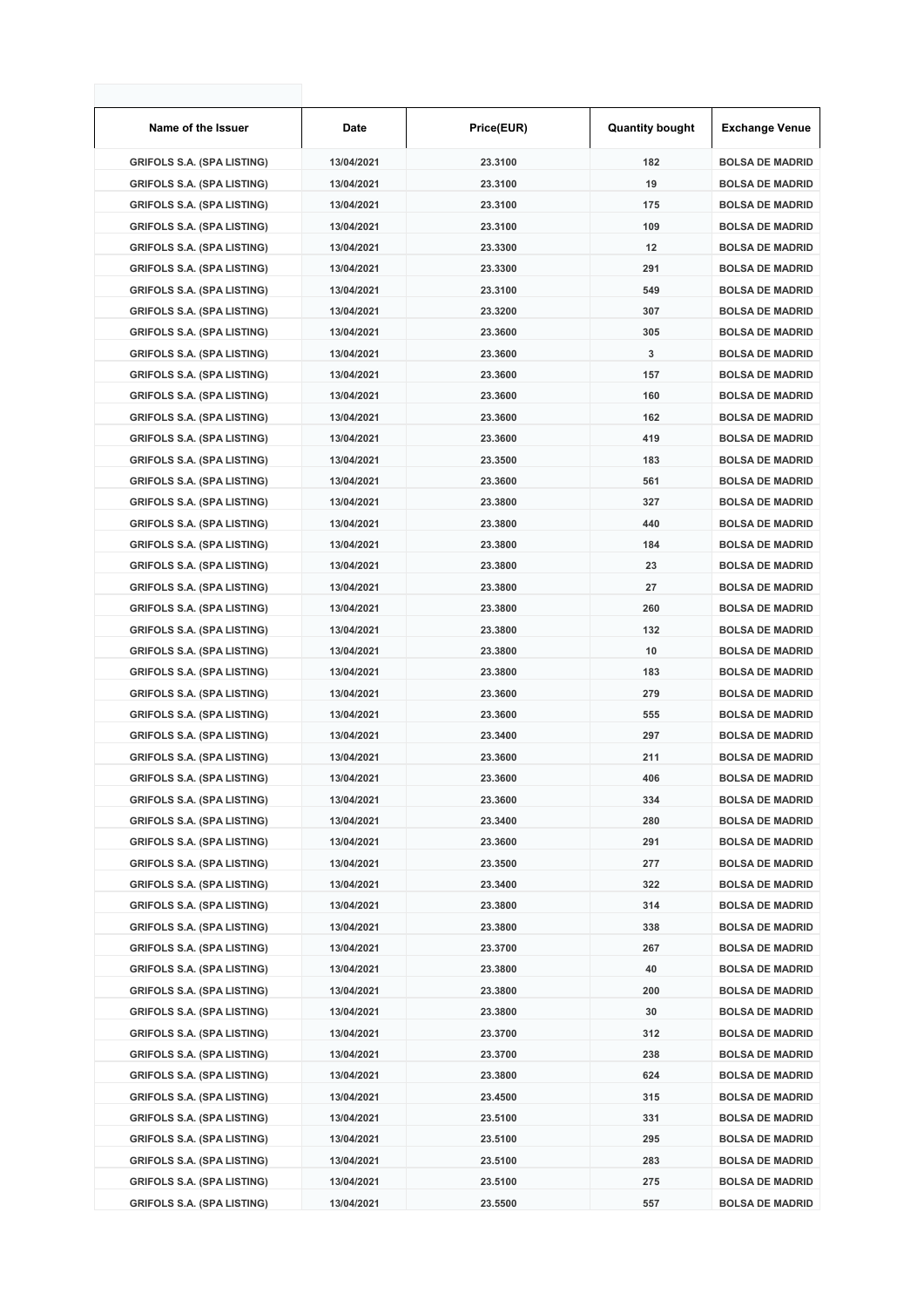| Name of the Issuer                | Date       | Price(EUR) | <b>Quantity bought</b> | <b>Exchange Venue</b>  |
|-----------------------------------|------------|------------|------------------------|------------------------|
| <b>GRIFOLS S.A. (SPA LISTING)</b> | 13/04/2021 | 23.3100    | 182                    | <b>BOLSA DE MADRID</b> |
| <b>GRIFOLS S.A. (SPA LISTING)</b> | 13/04/2021 | 23.3100    | 19                     | <b>BOLSA DE MADRID</b> |
| <b>GRIFOLS S.A. (SPA LISTING)</b> | 13/04/2021 | 23.3100    | 175                    | <b>BOLSA DE MADRID</b> |
| <b>GRIFOLS S.A. (SPA LISTING)</b> | 13/04/2021 | 23.3100    | 109                    | <b>BOLSA DE MADRID</b> |
| <b>GRIFOLS S.A. (SPA LISTING)</b> | 13/04/2021 | 23.3300    | 12                     | <b>BOLSA DE MADRID</b> |
| <b>GRIFOLS S.A. (SPA LISTING)</b> | 13/04/2021 | 23.3300    | 291                    | <b>BOLSA DE MADRID</b> |
| <b>GRIFOLS S.A. (SPA LISTING)</b> | 13/04/2021 | 23.3100    | 549                    | <b>BOLSA DE MADRID</b> |
| <b>GRIFOLS S.A. (SPA LISTING)</b> | 13/04/2021 | 23.3200    | 307                    | <b>BOLSA DE MADRID</b> |
| <b>GRIFOLS S.A. (SPA LISTING)</b> | 13/04/2021 | 23.3600    | 305                    | <b>BOLSA DE MADRID</b> |
| <b>GRIFOLS S.A. (SPA LISTING)</b> | 13/04/2021 | 23.3600    | 3                      | <b>BOLSA DE MADRID</b> |
| <b>GRIFOLS S.A. (SPA LISTING)</b> | 13/04/2021 | 23.3600    | 157                    | <b>BOLSA DE MADRID</b> |
| <b>GRIFOLS S.A. (SPA LISTING)</b> | 13/04/2021 | 23.3600    | 160                    | <b>BOLSA DE MADRID</b> |
| <b>GRIFOLS S.A. (SPA LISTING)</b> | 13/04/2021 | 23.3600    | 162                    | <b>BOLSA DE MADRID</b> |
| <b>GRIFOLS S.A. (SPA LISTING)</b> | 13/04/2021 | 23.3600    | 419                    | <b>BOLSA DE MADRID</b> |
| <b>GRIFOLS S.A. (SPA LISTING)</b> | 13/04/2021 | 23.3500    | 183                    | <b>BOLSA DE MADRID</b> |
| <b>GRIFOLS S.A. (SPA LISTING)</b> | 13/04/2021 | 23.3600    | 561                    | <b>BOLSA DE MADRID</b> |
| <b>GRIFOLS S.A. (SPA LISTING)</b> | 13/04/2021 | 23.3800    | 327                    | <b>BOLSA DE MADRID</b> |
| <b>GRIFOLS S.A. (SPA LISTING)</b> | 13/04/2021 | 23.3800    | 440                    | <b>BOLSA DE MADRID</b> |
| <b>GRIFOLS S.A. (SPA LISTING)</b> | 13/04/2021 | 23.3800    | 184                    | <b>BOLSA DE MADRID</b> |
| <b>GRIFOLS S.A. (SPA LISTING)</b> | 13/04/2021 | 23.3800    | 23                     | <b>BOLSA DE MADRID</b> |
| <b>GRIFOLS S.A. (SPA LISTING)</b> | 13/04/2021 | 23.3800    | 27                     | <b>BOLSA DE MADRID</b> |
| <b>GRIFOLS S.A. (SPA LISTING)</b> | 13/04/2021 | 23.3800    | 260                    | <b>BOLSA DE MADRID</b> |
| <b>GRIFOLS S.A. (SPA LISTING)</b> | 13/04/2021 | 23.3800    | 132                    | <b>BOLSA DE MADRID</b> |
| <b>GRIFOLS S.A. (SPA LISTING)</b> | 13/04/2021 | 23.3800    | 10                     | <b>BOLSA DE MADRID</b> |
| <b>GRIFOLS S.A. (SPA LISTING)</b> | 13/04/2021 | 23.3800    | 183                    | <b>BOLSA DE MADRID</b> |
| <b>GRIFOLS S.A. (SPA LISTING)</b> | 13/04/2021 | 23.3600    | 279                    | <b>BOLSA DE MADRID</b> |
| <b>GRIFOLS S.A. (SPA LISTING)</b> | 13/04/2021 | 23.3600    | 555                    | <b>BOLSA DE MADRID</b> |
| <b>GRIFOLS S.A. (SPA LISTING)</b> | 13/04/2021 | 23.3400    | 297                    | <b>BOLSA DE MADRID</b> |
| <b>GRIFOLS S.A. (SPA LISTING)</b> | 13/04/2021 | 23.3600    | 211                    | <b>BOLSA DE MADRID</b> |
| <b>GRIFOLS S.A. (SPA LISTING)</b> | 13/04/2021 | 23.3600    | 406                    | <b>BOLSA DE MADRID</b> |
| <b>GRIFOLS S.A. (SPA LISTING)</b> | 13/04/2021 | 23.3600    | 334                    | <b>BOLSA DE MADRID</b> |
| <b>GRIFOLS S.A. (SPA LISTING)</b> | 13/04/2021 | 23.3400    | 280                    | <b>BOLSA DE MADRID</b> |
| <b>GRIFOLS S.A. (SPA LISTING)</b> | 13/04/2021 | 23.3600    | 291                    | <b>BOLSA DE MADRID</b> |
| <b>GRIFOLS S.A. (SPA LISTING)</b> | 13/04/2021 | 23.3500    | 277                    | <b>BOLSA DE MADRID</b> |
| <b>GRIFOLS S.A. (SPA LISTING)</b> | 13/04/2021 | 23.3400    | 322                    | <b>BOLSA DE MADRID</b> |
| <b>GRIFOLS S.A. (SPA LISTING)</b> | 13/04/2021 | 23.3800    | 314                    | <b>BOLSA DE MADRID</b> |
| <b>GRIFOLS S.A. (SPA LISTING)</b> | 13/04/2021 | 23.3800    | 338                    | <b>BOLSA DE MADRID</b> |
| <b>GRIFOLS S.A. (SPA LISTING)</b> | 13/04/2021 | 23.3700    | 267                    | <b>BOLSA DE MADRID</b> |
| <b>GRIFOLS S.A. (SPA LISTING)</b> | 13/04/2021 | 23.3800    | 40                     | <b>BOLSA DE MADRID</b> |
| <b>GRIFOLS S.A. (SPA LISTING)</b> | 13/04/2021 | 23.3800    | 200                    | <b>BOLSA DE MADRID</b> |
| <b>GRIFOLS S.A. (SPA LISTING)</b> | 13/04/2021 | 23.3800    | 30                     | <b>BOLSA DE MADRID</b> |
| <b>GRIFOLS S.A. (SPA LISTING)</b> | 13/04/2021 | 23.3700    | 312                    | <b>BOLSA DE MADRID</b> |
| <b>GRIFOLS S.A. (SPA LISTING)</b> | 13/04/2021 | 23.3700    | 238                    | <b>BOLSA DE MADRID</b> |
| <b>GRIFOLS S.A. (SPA LISTING)</b> | 13/04/2021 | 23.3800    | 624                    | <b>BOLSA DE MADRID</b> |
| <b>GRIFOLS S.A. (SPA LISTING)</b> | 13/04/2021 | 23.4500    | 315                    | <b>BOLSA DE MADRID</b> |
| <b>GRIFOLS S.A. (SPA LISTING)</b> | 13/04/2021 | 23.5100    | 331                    | <b>BOLSA DE MADRID</b> |
| <b>GRIFOLS S.A. (SPA LISTING)</b> | 13/04/2021 | 23.5100    | 295                    | <b>BOLSA DE MADRID</b> |
| <b>GRIFOLS S.A. (SPA LISTING)</b> | 13/04/2021 | 23.5100    | 283                    | <b>BOLSA DE MADRID</b> |
| <b>GRIFOLS S.A. (SPA LISTING)</b> | 13/04/2021 | 23.5100    | 275                    | <b>BOLSA DE MADRID</b> |
| <b>GRIFOLS S.A. (SPA LISTING)</b> | 13/04/2021 | 23.5500    | 557                    | <b>BOLSA DE MADRID</b> |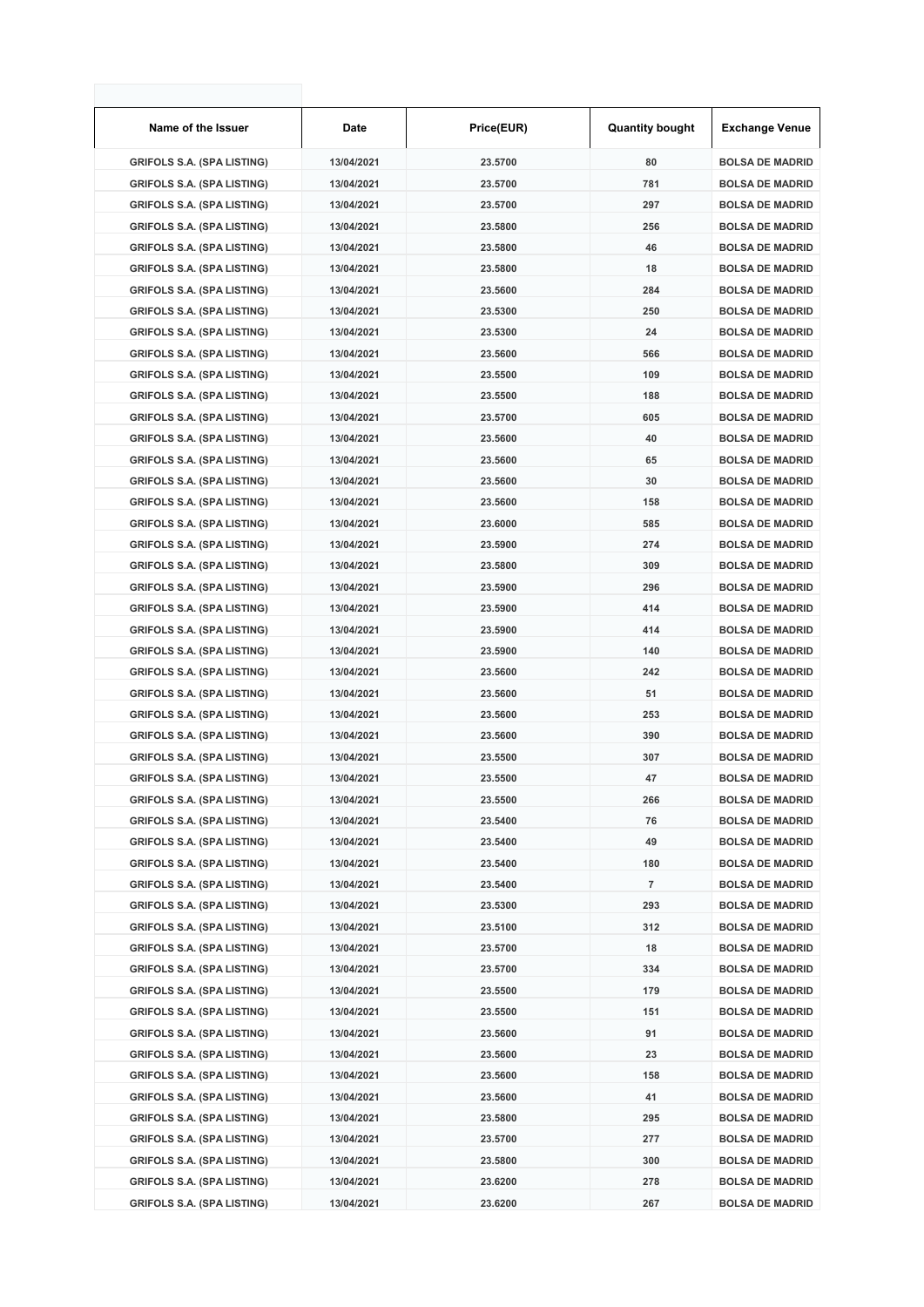| Name of the Issuer                | Date       | Price(EUR) | <b>Quantity bought</b> | <b>Exchange Venue</b>  |
|-----------------------------------|------------|------------|------------------------|------------------------|
| <b>GRIFOLS S.A. (SPA LISTING)</b> | 13/04/2021 | 23.5700    | 80                     | <b>BOLSA DE MADRID</b> |
| <b>GRIFOLS S.A. (SPA LISTING)</b> | 13/04/2021 | 23.5700    | 781                    | <b>BOLSA DE MADRID</b> |
| <b>GRIFOLS S.A. (SPA LISTING)</b> | 13/04/2021 | 23.5700    | 297                    | <b>BOLSA DE MADRID</b> |
| <b>GRIFOLS S.A. (SPA LISTING)</b> | 13/04/2021 | 23.5800    | 256                    | <b>BOLSA DE MADRID</b> |
| <b>GRIFOLS S.A. (SPA LISTING)</b> | 13/04/2021 | 23.5800    | 46                     | <b>BOLSA DE MADRID</b> |
| <b>GRIFOLS S.A. (SPA LISTING)</b> | 13/04/2021 | 23.5800    | 18                     | <b>BOLSA DE MADRID</b> |
| <b>GRIFOLS S.A. (SPA LISTING)</b> | 13/04/2021 | 23.5600    | 284                    | <b>BOLSA DE MADRID</b> |
| <b>GRIFOLS S.A. (SPA LISTING)</b> | 13/04/2021 | 23.5300    | 250                    | <b>BOLSA DE MADRID</b> |
| <b>GRIFOLS S.A. (SPA LISTING)</b> | 13/04/2021 | 23.5300    | 24                     | <b>BOLSA DE MADRID</b> |
| <b>GRIFOLS S.A. (SPA LISTING)</b> | 13/04/2021 | 23.5600    | 566                    | <b>BOLSA DE MADRID</b> |
| <b>GRIFOLS S.A. (SPA LISTING)</b> | 13/04/2021 | 23.5500    | 109                    | <b>BOLSA DE MADRID</b> |
| <b>GRIFOLS S.A. (SPA LISTING)</b> | 13/04/2021 | 23.5500    | 188                    | <b>BOLSA DE MADRID</b> |
| <b>GRIFOLS S.A. (SPA LISTING)</b> | 13/04/2021 | 23.5700    | 605                    | <b>BOLSA DE MADRID</b> |
| <b>GRIFOLS S.A. (SPA LISTING)</b> | 13/04/2021 | 23.5600    | 40                     | <b>BOLSA DE MADRID</b> |
| <b>GRIFOLS S.A. (SPA LISTING)</b> | 13/04/2021 | 23.5600    | 65                     | <b>BOLSA DE MADRID</b> |
| <b>GRIFOLS S.A. (SPA LISTING)</b> | 13/04/2021 | 23.5600    | 30                     | <b>BOLSA DE MADRID</b> |
| <b>GRIFOLS S.A. (SPA LISTING)</b> | 13/04/2021 | 23.5600    | 158                    | <b>BOLSA DE MADRID</b> |
| <b>GRIFOLS S.A. (SPA LISTING)</b> | 13/04/2021 | 23.6000    | 585                    | <b>BOLSA DE MADRID</b> |
| <b>GRIFOLS S.A. (SPA LISTING)</b> | 13/04/2021 | 23.5900    | 274                    | <b>BOLSA DE MADRID</b> |
| <b>GRIFOLS S.A. (SPA LISTING)</b> | 13/04/2021 | 23.5800    | 309                    | <b>BOLSA DE MADRID</b> |
| <b>GRIFOLS S.A. (SPA LISTING)</b> | 13/04/2021 | 23.5900    | 296                    | <b>BOLSA DE MADRID</b> |
| <b>GRIFOLS S.A. (SPA LISTING)</b> | 13/04/2021 | 23.5900    | 414                    | <b>BOLSA DE MADRID</b> |
| <b>GRIFOLS S.A. (SPA LISTING)</b> | 13/04/2021 | 23.5900    | 414                    | <b>BOLSA DE MADRID</b> |
| <b>GRIFOLS S.A. (SPA LISTING)</b> | 13/04/2021 | 23.5900    | 140                    | <b>BOLSA DE MADRID</b> |
| <b>GRIFOLS S.A. (SPA LISTING)</b> | 13/04/2021 | 23.5600    | 242                    | <b>BOLSA DE MADRID</b> |
| <b>GRIFOLS S.A. (SPA LISTING)</b> | 13/04/2021 | 23.5600    | 51                     | <b>BOLSA DE MADRID</b> |
| <b>GRIFOLS S.A. (SPA LISTING)</b> | 13/04/2021 | 23.5600    | 253                    | <b>BOLSA DE MADRID</b> |
| <b>GRIFOLS S.A. (SPA LISTING)</b> | 13/04/2021 | 23.5600    | 390                    | <b>BOLSA DE MADRID</b> |
| <b>GRIFOLS S.A. (SPA LISTING)</b> | 13/04/2021 | 23.5500    | 307                    | <b>BOLSA DE MADRID</b> |
| <b>GRIFOLS S.A. (SPA LISTING)</b> | 13/04/2021 | 23.5500    | 47                     | <b>BOLSA DE MADRID</b> |
| <b>GRIFOLS S.A. (SPA LISTING)</b> | 13/04/2021 | 23.5500    | 266                    | <b>BOLSA DE MADRID</b> |
| <b>GRIFOLS S.A. (SPA LISTING)</b> | 13/04/2021 | 23.5400    | 76                     | <b>BOLSA DE MADRID</b> |
| <b>GRIFOLS S.A. (SPA LISTING)</b> | 13/04/2021 | 23.5400    | 49                     | <b>BOLSA DE MADRID</b> |
| <b>GRIFOLS S.A. (SPA LISTING)</b> | 13/04/2021 | 23.5400    | 180                    | <b>BOLSA DE MADRID</b> |
| <b>GRIFOLS S.A. (SPA LISTING)</b> | 13/04/2021 | 23.5400    | 7                      | <b>BOLSA DE MADRID</b> |
| <b>GRIFOLS S.A. (SPA LISTING)</b> | 13/04/2021 | 23.5300    | 293                    | <b>BOLSA DE MADRID</b> |
| <b>GRIFOLS S.A. (SPA LISTING)</b> | 13/04/2021 | 23.5100    | 312                    | <b>BOLSA DE MADRID</b> |
| <b>GRIFOLS S.A. (SPA LISTING)</b> | 13/04/2021 | 23.5700    | 18                     | <b>BOLSA DE MADRID</b> |
| <b>GRIFOLS S.A. (SPA LISTING)</b> | 13/04/2021 | 23.5700    | 334                    | <b>BOLSA DE MADRID</b> |
| <b>GRIFOLS S.A. (SPA LISTING)</b> | 13/04/2021 | 23.5500    | 179                    | <b>BOLSA DE MADRID</b> |
| <b>GRIFOLS S.A. (SPA LISTING)</b> | 13/04/2021 | 23.5500    | 151                    | <b>BOLSA DE MADRID</b> |
| <b>GRIFOLS S.A. (SPA LISTING)</b> | 13/04/2021 | 23.5600    | 91                     | <b>BOLSA DE MADRID</b> |
| <b>GRIFOLS S.A. (SPA LISTING)</b> | 13/04/2021 | 23.5600    | 23                     | <b>BOLSA DE MADRID</b> |
| <b>GRIFOLS S.A. (SPA LISTING)</b> | 13/04/2021 | 23.5600    | 158                    | <b>BOLSA DE MADRID</b> |
| <b>GRIFOLS S.A. (SPA LISTING)</b> | 13/04/2021 | 23.5600    | 41                     | <b>BOLSA DE MADRID</b> |
| <b>GRIFOLS S.A. (SPA LISTING)</b> | 13/04/2021 | 23.5800    | 295                    | <b>BOLSA DE MADRID</b> |
| <b>GRIFOLS S.A. (SPA LISTING)</b> | 13/04/2021 | 23.5700    | 277                    | <b>BOLSA DE MADRID</b> |
| <b>GRIFOLS S.A. (SPA LISTING)</b> | 13/04/2021 | 23.5800    | 300                    | <b>BOLSA DE MADRID</b> |
| <b>GRIFOLS S.A. (SPA LISTING)</b> | 13/04/2021 | 23.6200    | 278                    | <b>BOLSA DE MADRID</b> |
| <b>GRIFOLS S.A. (SPA LISTING)</b> | 13/04/2021 | 23.6200    | 267                    | <b>BOLSA DE MADRID</b> |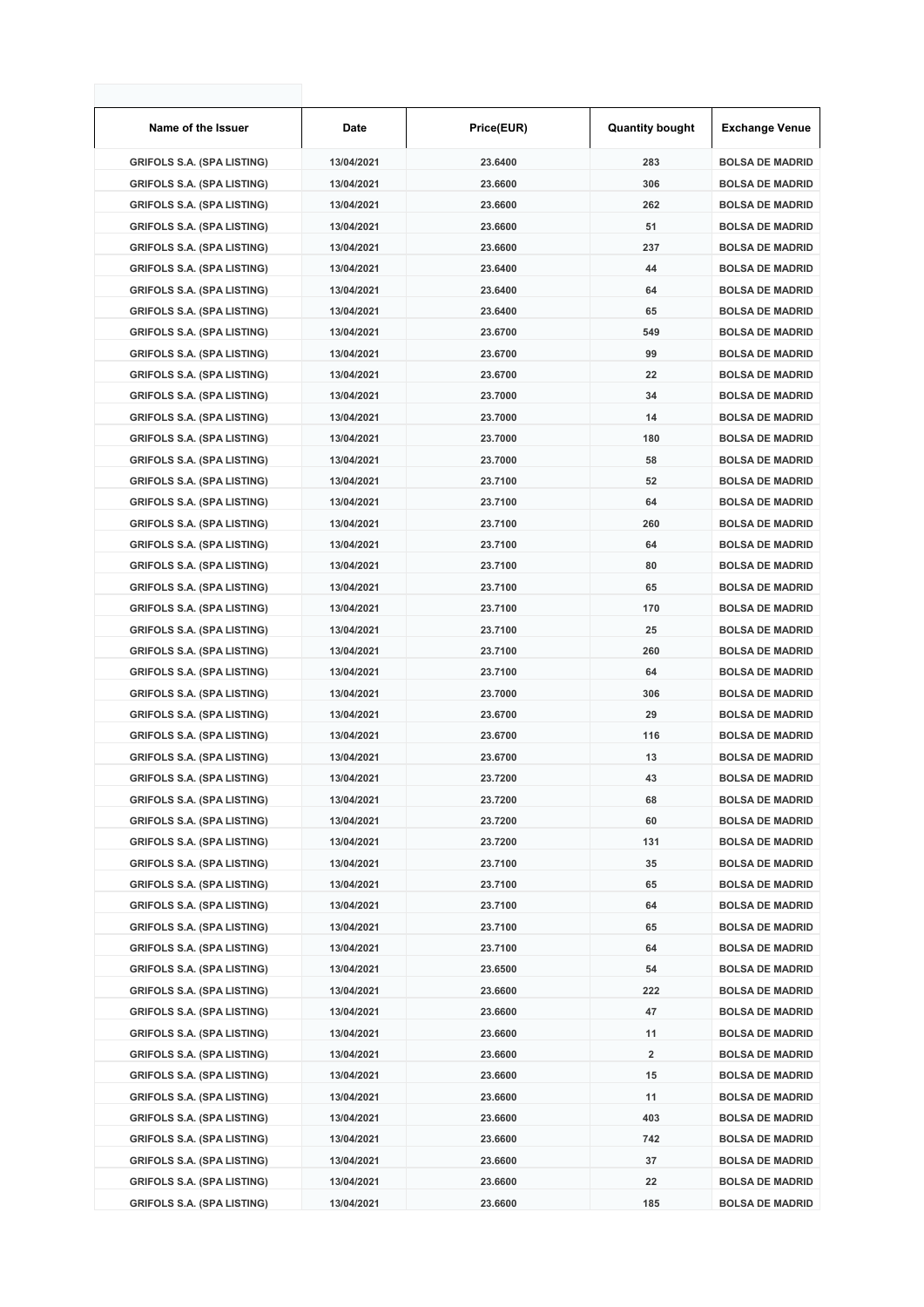| Name of the Issuer                | Date       | Price(EUR) | <b>Quantity bought</b> | <b>Exchange Venue</b>  |
|-----------------------------------|------------|------------|------------------------|------------------------|
| <b>GRIFOLS S.A. (SPA LISTING)</b> | 13/04/2021 | 23.6400    | 283                    | <b>BOLSA DE MADRID</b> |
| <b>GRIFOLS S.A. (SPA LISTING)</b> | 13/04/2021 | 23.6600    | 306                    | <b>BOLSA DE MADRID</b> |
| <b>GRIFOLS S.A. (SPA LISTING)</b> | 13/04/2021 | 23.6600    | 262                    | <b>BOLSA DE MADRID</b> |
| <b>GRIFOLS S.A. (SPA LISTING)</b> | 13/04/2021 | 23.6600    | 51                     | <b>BOLSA DE MADRID</b> |
| <b>GRIFOLS S.A. (SPA LISTING)</b> | 13/04/2021 | 23.6600    | 237                    | <b>BOLSA DE MADRID</b> |
| <b>GRIFOLS S.A. (SPA LISTING)</b> | 13/04/2021 | 23.6400    | 44                     | <b>BOLSA DE MADRID</b> |
| <b>GRIFOLS S.A. (SPA LISTING)</b> | 13/04/2021 | 23.6400    | 64                     | <b>BOLSA DE MADRID</b> |
| <b>GRIFOLS S.A. (SPA LISTING)</b> | 13/04/2021 | 23.6400    | 65                     | <b>BOLSA DE MADRID</b> |
| <b>GRIFOLS S.A. (SPA LISTING)</b> | 13/04/2021 | 23.6700    | 549                    | <b>BOLSA DE MADRID</b> |
| <b>GRIFOLS S.A. (SPA LISTING)</b> | 13/04/2021 | 23.6700    | 99                     | <b>BOLSA DE MADRID</b> |
| <b>GRIFOLS S.A. (SPA LISTING)</b> | 13/04/2021 | 23.6700    | 22                     | <b>BOLSA DE MADRID</b> |
| <b>GRIFOLS S.A. (SPA LISTING)</b> | 13/04/2021 | 23.7000    | 34                     | <b>BOLSA DE MADRID</b> |
| <b>GRIFOLS S.A. (SPA LISTING)</b> | 13/04/2021 | 23.7000    | 14                     | <b>BOLSA DE MADRID</b> |
| <b>GRIFOLS S.A. (SPA LISTING)</b> | 13/04/2021 | 23.7000    | 180                    | <b>BOLSA DE MADRID</b> |
| <b>GRIFOLS S.A. (SPA LISTING)</b> | 13/04/2021 | 23.7000    | 58                     | <b>BOLSA DE MADRID</b> |
| <b>GRIFOLS S.A. (SPA LISTING)</b> | 13/04/2021 | 23.7100    | 52                     | <b>BOLSA DE MADRID</b> |
| <b>GRIFOLS S.A. (SPA LISTING)</b> | 13/04/2021 | 23.7100    | 64                     | <b>BOLSA DE MADRID</b> |
| <b>GRIFOLS S.A. (SPA LISTING)</b> | 13/04/2021 | 23.7100    | 260                    | <b>BOLSA DE MADRID</b> |
| <b>GRIFOLS S.A. (SPA LISTING)</b> | 13/04/2021 | 23.7100    | 64                     | <b>BOLSA DE MADRID</b> |
| <b>GRIFOLS S.A. (SPA LISTING)</b> | 13/04/2021 | 23.7100    | 80                     | <b>BOLSA DE MADRID</b> |
| <b>GRIFOLS S.A. (SPA LISTING)</b> | 13/04/2021 | 23.7100    | 65                     | <b>BOLSA DE MADRID</b> |
| <b>GRIFOLS S.A. (SPA LISTING)</b> | 13/04/2021 | 23.7100    | 170                    | <b>BOLSA DE MADRID</b> |
| <b>GRIFOLS S.A. (SPA LISTING)</b> | 13/04/2021 | 23.7100    | 25                     | <b>BOLSA DE MADRID</b> |
| <b>GRIFOLS S.A. (SPA LISTING)</b> | 13/04/2021 | 23.7100    | 260                    | <b>BOLSA DE MADRID</b> |
| <b>GRIFOLS S.A. (SPA LISTING)</b> | 13/04/2021 | 23.7100    | 64                     | <b>BOLSA DE MADRID</b> |
| <b>GRIFOLS S.A. (SPA LISTING)</b> | 13/04/2021 | 23.7000    | 306                    | <b>BOLSA DE MADRID</b> |
| <b>GRIFOLS S.A. (SPA LISTING)</b> | 13/04/2021 | 23.6700    | 29                     | <b>BOLSA DE MADRID</b> |
| <b>GRIFOLS S.A. (SPA LISTING)</b> | 13/04/2021 | 23.6700    | 116                    | <b>BOLSA DE MADRID</b> |
| <b>GRIFOLS S.A. (SPA LISTING)</b> | 13/04/2021 | 23.6700    | 13                     | <b>BOLSA DE MADRID</b> |
| <b>GRIFOLS S.A. (SPA LISTING)</b> | 13/04/2021 | 23.7200    | 43                     | <b>BOLSA DE MADRID</b> |
| <b>GRIFOLS S.A. (SPA LISTING)</b> | 13/04/2021 | 23.7200    | 68                     | <b>BOLSA DE MADRID</b> |
| <b>GRIFOLS S.A. (SPA LISTING)</b> | 13/04/2021 | 23.7200    | 60                     | <b>BOLSA DE MADRID</b> |
| <b>GRIFOLS S.A. (SPA LISTING)</b> | 13/04/2021 | 23.7200    | 131                    | <b>BOLSA DE MADRID</b> |
| <b>GRIFOLS S.A. (SPA LISTING)</b> | 13/04/2021 | 23.7100    | 35                     | <b>BOLSA DE MADRID</b> |
| <b>GRIFOLS S.A. (SPA LISTING)</b> | 13/04/2021 | 23.7100    | 65                     | <b>BOLSA DE MADRID</b> |
| <b>GRIFOLS S.A. (SPA LISTING)</b> | 13/04/2021 | 23.7100    | 64                     | <b>BOLSA DE MADRID</b> |
| <b>GRIFOLS S.A. (SPA LISTING)</b> | 13/04/2021 | 23.7100    | 65                     | <b>BOLSA DE MADRID</b> |
| <b>GRIFOLS S.A. (SPA LISTING)</b> | 13/04/2021 | 23.7100    | 64                     | <b>BOLSA DE MADRID</b> |
| <b>GRIFOLS S.A. (SPA LISTING)</b> | 13/04/2021 | 23.6500    | 54                     | <b>BOLSA DE MADRID</b> |
| <b>GRIFOLS S.A. (SPA LISTING)</b> | 13/04/2021 | 23.6600    | 222                    | <b>BOLSA DE MADRID</b> |
| <b>GRIFOLS S.A. (SPA LISTING)</b> | 13/04/2021 | 23.6600    | 47                     | <b>BOLSA DE MADRID</b> |
| <b>GRIFOLS S.A. (SPA LISTING)</b> | 13/04/2021 | 23.6600    | 11                     | <b>BOLSA DE MADRID</b> |
| <b>GRIFOLS S.A. (SPA LISTING)</b> | 13/04/2021 | 23.6600    | 2                      | <b>BOLSA DE MADRID</b> |
| <b>GRIFOLS S.A. (SPA LISTING)</b> | 13/04/2021 | 23.6600    | 15                     | <b>BOLSA DE MADRID</b> |
| <b>GRIFOLS S.A. (SPA LISTING)</b> | 13/04/2021 | 23.6600    | 11                     | <b>BOLSA DE MADRID</b> |
| <b>GRIFOLS S.A. (SPA LISTING)</b> | 13/04/2021 | 23.6600    | 403                    | <b>BOLSA DE MADRID</b> |
| <b>GRIFOLS S.A. (SPA LISTING)</b> | 13/04/2021 | 23.6600    | 742                    | <b>BOLSA DE MADRID</b> |
| <b>GRIFOLS S.A. (SPA LISTING)</b> | 13/04/2021 | 23.6600    | 37                     | <b>BOLSA DE MADRID</b> |
| <b>GRIFOLS S.A. (SPA LISTING)</b> | 13/04/2021 | 23.6600    | 22                     | <b>BOLSA DE MADRID</b> |
| <b>GRIFOLS S.A. (SPA LISTING)</b> | 13/04/2021 | 23.6600    | 185                    | <b>BOLSA DE MADRID</b> |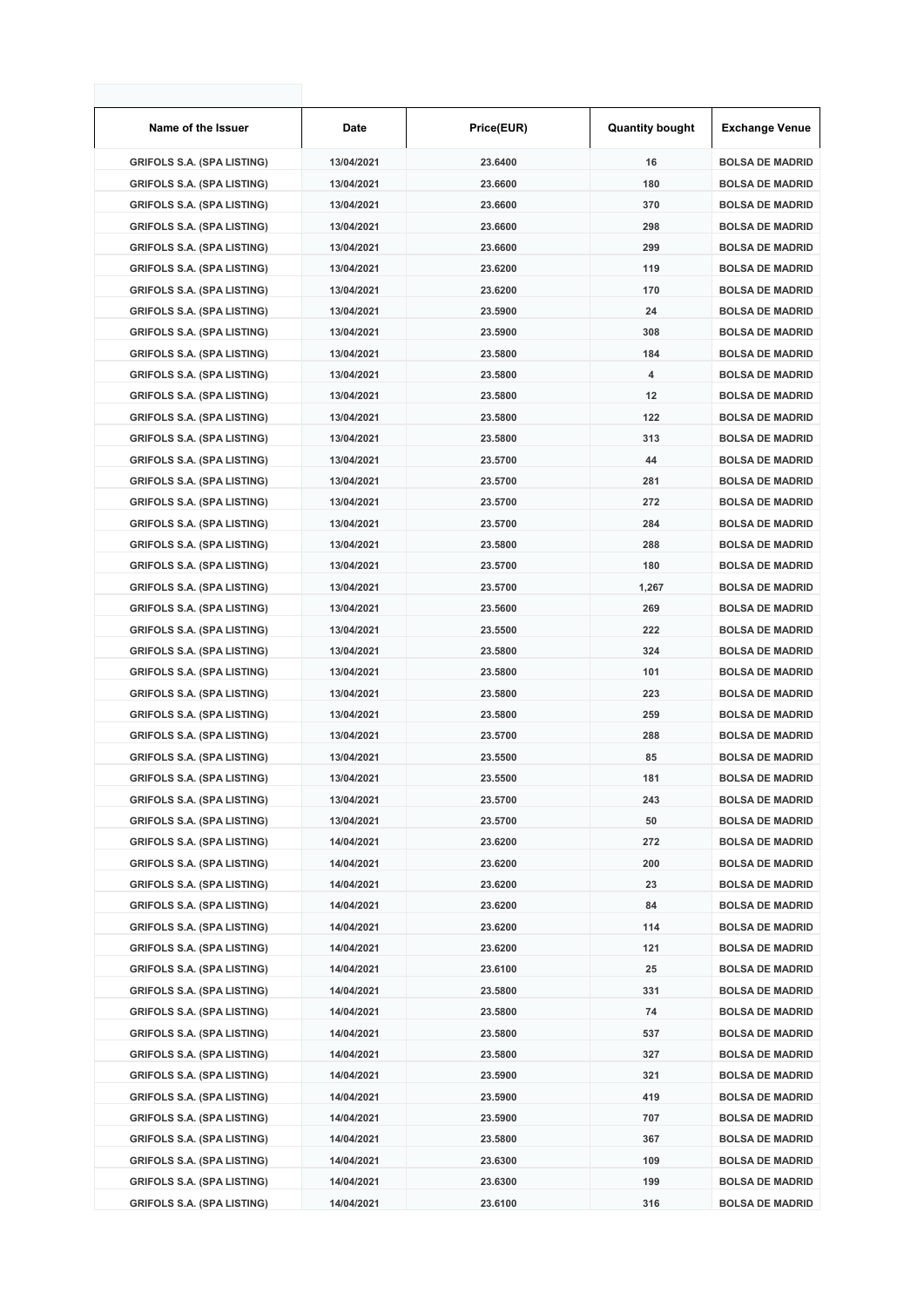| Name of the Issuer                | Date       | Price(EUR) | <b>Quantity bought</b> | <b>Exchange Venue</b>  |
|-----------------------------------|------------|------------|------------------------|------------------------|
| <b>GRIFOLS S.A. (SPA LISTING)</b> | 13/04/2021 | 23.6400    | 16                     | <b>BOLSA DE MADRID</b> |
| <b>GRIFOLS S.A. (SPA LISTING)</b> | 13/04/2021 | 23.6600    | 180                    | <b>BOLSA DE MADRID</b> |
| <b>GRIFOLS S.A. (SPA LISTING)</b> | 13/04/2021 | 23.6600    | 370                    | <b>BOLSA DE MADRID</b> |
| <b>GRIFOLS S.A. (SPA LISTING)</b> | 13/04/2021 | 23.6600    | 298                    | <b>BOLSA DE MADRID</b> |
| <b>GRIFOLS S.A. (SPA LISTING)</b> | 13/04/2021 | 23.6600    | 299                    | <b>BOLSA DE MADRID</b> |
| <b>GRIFOLS S.A. (SPA LISTING)</b> | 13/04/2021 | 23.6200    | 119                    | <b>BOLSA DE MADRID</b> |
| <b>GRIFOLS S.A. (SPA LISTING)</b> | 13/04/2021 | 23.6200    | 170                    | <b>BOLSA DE MADRID</b> |
| <b>GRIFOLS S.A. (SPA LISTING)</b> | 13/04/2021 | 23.5900    | 24                     | <b>BOLSA DE MADRID</b> |
| <b>GRIFOLS S.A. (SPA LISTING)</b> | 13/04/2021 | 23.5900    | 308                    | <b>BOLSA DE MADRID</b> |
| <b>GRIFOLS S.A. (SPA LISTING)</b> | 13/04/2021 | 23.5800    | 184                    | <b>BOLSA DE MADRID</b> |
| <b>GRIFOLS S.A. (SPA LISTING)</b> | 13/04/2021 | 23.5800    | 4                      | <b>BOLSA DE MADRID</b> |
| <b>GRIFOLS S.A. (SPA LISTING)</b> | 13/04/2021 | 23.5800    | 12                     | <b>BOLSA DE MADRID</b> |
| <b>GRIFOLS S.A. (SPA LISTING)</b> | 13/04/2021 | 23.5800    | 122                    | <b>BOLSA DE MADRID</b> |
| <b>GRIFOLS S.A. (SPA LISTING)</b> | 13/04/2021 | 23.5800    | 313                    | <b>BOLSA DE MADRID</b> |
| <b>GRIFOLS S.A. (SPA LISTING)</b> | 13/04/2021 | 23.5700    | 44                     | <b>BOLSA DE MADRID</b> |
| <b>GRIFOLS S.A. (SPA LISTING)</b> | 13/04/2021 | 23.5700    | 281                    | <b>BOLSA DE MADRID</b> |
| <b>GRIFOLS S.A. (SPA LISTING)</b> | 13/04/2021 | 23.5700    | 272                    | <b>BOLSA DE MADRID</b> |
| <b>GRIFOLS S.A. (SPA LISTING)</b> | 13/04/2021 | 23.5700    | 284                    | <b>BOLSA DE MADRID</b> |
| <b>GRIFOLS S.A. (SPA LISTING)</b> | 13/04/2021 | 23.5800    | 288                    | <b>BOLSA DE MADRID</b> |
| <b>GRIFOLS S.A. (SPA LISTING)</b> | 13/04/2021 | 23.5700    | 180                    | <b>BOLSA DE MADRID</b> |
| <b>GRIFOLS S.A. (SPA LISTING)</b> | 13/04/2021 | 23.5700    | 1,267                  | <b>BOLSA DE MADRID</b> |
| <b>GRIFOLS S.A. (SPA LISTING)</b> | 13/04/2021 | 23.5600    | 269                    | <b>BOLSA DE MADRID</b> |
| <b>GRIFOLS S.A. (SPA LISTING)</b> | 13/04/2021 | 23.5500    | 222                    | <b>BOLSA DE MADRID</b> |
| <b>GRIFOLS S.A. (SPA LISTING)</b> | 13/04/2021 | 23.5800    | 324                    | <b>BOLSA DE MADRID</b> |
| <b>GRIFOLS S.A. (SPA LISTING)</b> | 13/04/2021 | 23.5800    | 101                    | <b>BOLSA DE MADRID</b> |
| <b>GRIFOLS S.A. (SPA LISTING)</b> | 13/04/2021 | 23.5800    | 223                    | <b>BOLSA DE MADRID</b> |
| <b>GRIFOLS S.A. (SPA LISTING)</b> | 13/04/2021 | 23.5800    | 259                    | <b>BOLSA DE MADRID</b> |
| <b>GRIFOLS S.A. (SPA LISTING)</b> | 13/04/2021 | 23.5700    | 288                    | <b>BOLSA DE MADRID</b> |
| <b>GRIFOLS S.A. (SPA LISTING)</b> | 13/04/2021 | 23.5500    | 85                     | <b>BOLSA DE MADRID</b> |
| <b>GRIFOLS S.A. (SPA LISTING)</b> | 13/04/2021 | 23.5500    | 181                    | <b>BOLSA DE MADRID</b> |
| <b>GRIFOLS S.A. (SPA LISTING)</b> | 13/04/2021 | 23.5700    | 243                    | <b>BOLSA DE MADRID</b> |
| <b>GRIFOLS S.A. (SPA LISTING)</b> | 13/04/2021 | 23.5700    | 50                     | <b>BOLSA DE MADRID</b> |
| <b>GRIFOLS S.A. (SPA LISTING)</b> | 14/04/2021 | 23.6200    | 272                    | <b>BOLSA DE MADRID</b> |
| <b>GRIFOLS S.A. (SPA LISTING)</b> | 14/04/2021 | 23.6200    | 200                    | <b>BOLSA DE MADRID</b> |
| <b>GRIFOLS S.A. (SPA LISTING)</b> | 14/04/2021 | 23.6200    | 23                     | <b>BOLSA DE MADRID</b> |
| <b>GRIFOLS S.A. (SPA LISTING)</b> | 14/04/2021 | 23.6200    | 84                     | <b>BOLSA DE MADRID</b> |
| <b>GRIFOLS S.A. (SPA LISTING)</b> | 14/04/2021 | 23.6200    | 114                    | <b>BOLSA DE MADRID</b> |
| <b>GRIFOLS S.A. (SPA LISTING)</b> | 14/04/2021 | 23.6200    | 121                    | <b>BOLSA DE MADRID</b> |
| <b>GRIFOLS S.A. (SPA LISTING)</b> | 14/04/2021 | 23.6100    | 25                     | <b>BOLSA DE MADRID</b> |
| <b>GRIFOLS S.A. (SPA LISTING)</b> | 14/04/2021 | 23.5800    | 331                    | <b>BOLSA DE MADRID</b> |
| <b>GRIFOLS S.A. (SPA LISTING)</b> | 14/04/2021 | 23.5800    | 74                     | <b>BOLSA DE MADRID</b> |
| <b>GRIFOLS S.A. (SPA LISTING)</b> | 14/04/2021 | 23.5800    | 537                    | <b>BOLSA DE MADRID</b> |
| <b>GRIFOLS S.A. (SPA LISTING)</b> | 14/04/2021 | 23.5800    | 327                    | <b>BOLSA DE MADRID</b> |
| <b>GRIFOLS S.A. (SPA LISTING)</b> | 14/04/2021 | 23.5900    | 321                    | <b>BOLSA DE MADRID</b> |
| <b>GRIFOLS S.A. (SPA LISTING)</b> | 14/04/2021 | 23.5900    | 419                    | <b>BOLSA DE MADRID</b> |
| <b>GRIFOLS S.A. (SPA LISTING)</b> | 14/04/2021 | 23.5900    | 707                    | <b>BOLSA DE MADRID</b> |
| <b>GRIFOLS S.A. (SPA LISTING)</b> | 14/04/2021 | 23.5800    | 367                    | <b>BOLSA DE MADRID</b> |
| <b>GRIFOLS S.A. (SPA LISTING)</b> | 14/04/2021 | 23.6300    | 109                    | <b>BOLSA DE MADRID</b> |
| <b>GRIFOLS S.A. (SPA LISTING)</b> | 14/04/2021 | 23.6300    | 199                    | <b>BOLSA DE MADRID</b> |
| <b>GRIFOLS S.A. (SPA LISTING)</b> | 14/04/2021 | 23.6100    | 316                    | <b>BOLSA DE MADRID</b> |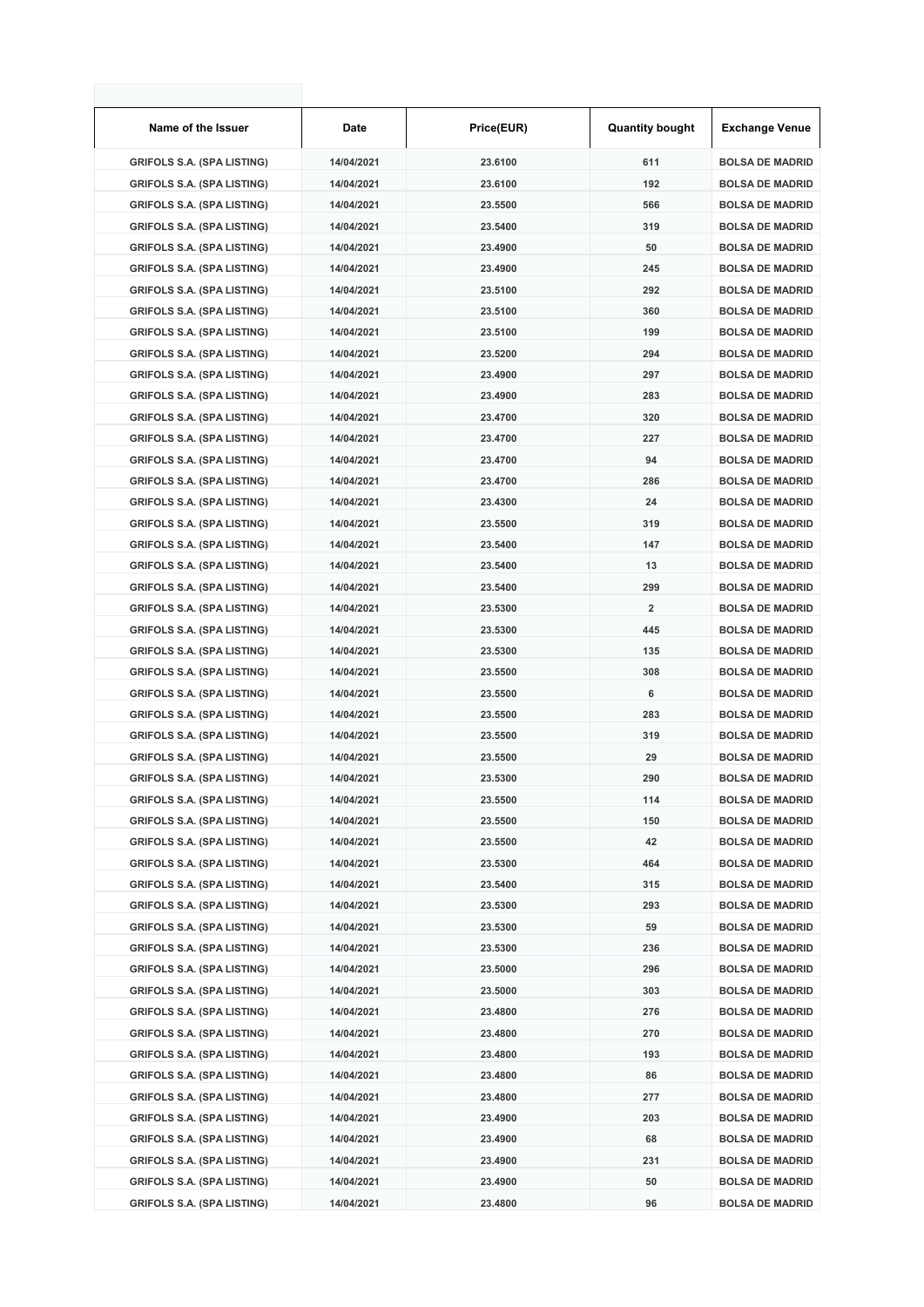| Name of the Issuer                | Date       | Price(EUR) | <b>Quantity bought</b>  | <b>Exchange Venue</b>  |
|-----------------------------------|------------|------------|-------------------------|------------------------|
| <b>GRIFOLS S.A. (SPA LISTING)</b> | 14/04/2021 | 23.6100    | 611                     | <b>BOLSA DE MADRID</b> |
| <b>GRIFOLS S.A. (SPA LISTING)</b> | 14/04/2021 | 23.6100    | 192                     | <b>BOLSA DE MADRID</b> |
| <b>GRIFOLS S.A. (SPA LISTING)</b> | 14/04/2021 | 23.5500    | 566                     | <b>BOLSA DE MADRID</b> |
| <b>GRIFOLS S.A. (SPA LISTING)</b> | 14/04/2021 | 23.5400    | 319                     | <b>BOLSA DE MADRID</b> |
| <b>GRIFOLS S.A. (SPA LISTING)</b> | 14/04/2021 | 23.4900    | 50                      | <b>BOLSA DE MADRID</b> |
| <b>GRIFOLS S.A. (SPA LISTING)</b> | 14/04/2021 | 23.4900    | 245                     | <b>BOLSA DE MADRID</b> |
| <b>GRIFOLS S.A. (SPA LISTING)</b> | 14/04/2021 | 23.5100    | 292                     | <b>BOLSA DE MADRID</b> |
| <b>GRIFOLS S.A. (SPA LISTING)</b> | 14/04/2021 | 23.5100    | 360                     | <b>BOLSA DE MADRID</b> |
| <b>GRIFOLS S.A. (SPA LISTING)</b> | 14/04/2021 | 23.5100    | 199                     | <b>BOLSA DE MADRID</b> |
| <b>GRIFOLS S.A. (SPA LISTING)</b> | 14/04/2021 | 23.5200    | 294                     | <b>BOLSA DE MADRID</b> |
| <b>GRIFOLS S.A. (SPA LISTING)</b> | 14/04/2021 | 23.4900    | 297                     | <b>BOLSA DE MADRID</b> |
| <b>GRIFOLS S.A. (SPA LISTING)</b> | 14/04/2021 | 23.4900    | 283                     | <b>BOLSA DE MADRID</b> |
| <b>GRIFOLS S.A. (SPA LISTING)</b> | 14/04/2021 | 23.4700    | 320                     | <b>BOLSA DE MADRID</b> |
| <b>GRIFOLS S.A. (SPA LISTING)</b> | 14/04/2021 | 23.4700    | 227                     | <b>BOLSA DE MADRID</b> |
| <b>GRIFOLS S.A. (SPA LISTING)</b> | 14/04/2021 | 23.4700    | 94                      | <b>BOLSA DE MADRID</b> |
| <b>GRIFOLS S.A. (SPA LISTING)</b> | 14/04/2021 | 23.4700    | 286                     | <b>BOLSA DE MADRID</b> |
| <b>GRIFOLS S.A. (SPA LISTING)</b> | 14/04/2021 | 23.4300    | 24                      | <b>BOLSA DE MADRID</b> |
| <b>GRIFOLS S.A. (SPA LISTING)</b> | 14/04/2021 | 23.5500    | 319                     | <b>BOLSA DE MADRID</b> |
| <b>GRIFOLS S.A. (SPA LISTING)</b> | 14/04/2021 | 23.5400    | 147                     | <b>BOLSA DE MADRID</b> |
| <b>GRIFOLS S.A. (SPA LISTING)</b> | 14/04/2021 | 23.5400    | 13                      | <b>BOLSA DE MADRID</b> |
| <b>GRIFOLS S.A. (SPA LISTING)</b> | 14/04/2021 | 23.5400    | 299                     | <b>BOLSA DE MADRID</b> |
| <b>GRIFOLS S.A. (SPA LISTING)</b> | 14/04/2021 | 23.5300    | $\overline{\mathbf{2}}$ | <b>BOLSA DE MADRID</b> |
| <b>GRIFOLS S.A. (SPA LISTING)</b> | 14/04/2021 | 23.5300    | 445                     | <b>BOLSA DE MADRID</b> |
| <b>GRIFOLS S.A. (SPA LISTING)</b> | 14/04/2021 | 23.5300    | 135                     | <b>BOLSA DE MADRID</b> |
| <b>GRIFOLS S.A. (SPA LISTING)</b> | 14/04/2021 | 23.5500    | 308                     | <b>BOLSA DE MADRID</b> |
| <b>GRIFOLS S.A. (SPA LISTING)</b> | 14/04/2021 | 23.5500    | 6                       | <b>BOLSA DE MADRID</b> |
| <b>GRIFOLS S.A. (SPA LISTING)</b> | 14/04/2021 | 23.5500    | 283                     | <b>BOLSA DE MADRID</b> |
| <b>GRIFOLS S.A. (SPA LISTING)</b> | 14/04/2021 | 23.5500    | 319                     | <b>BOLSA DE MADRID</b> |
| <b>GRIFOLS S.A. (SPA LISTING)</b> | 14/04/2021 | 23.5500    | 29                      | <b>BOLSA DE MADRID</b> |
| <b>GRIFOLS S.A. (SPA LISTING)</b> | 14/04/2021 | 23.5300    | 290                     | <b>BOLSA DE MADRID</b> |
| <b>GRIFOLS S.A. (SPA LISTING)</b> | 14/04/2021 | 23.5500    | 114                     | <b>BOLSA DE MADRID</b> |
| <b>GRIFOLS S.A. (SPA LISTING)</b> | 14/04/2021 | 23.5500    | 150                     | <b>BOLSA DE MADRID</b> |
| <b>GRIFOLS S.A. (SPA LISTING)</b> | 14/04/2021 | 23.5500    | 42                      | <b>BOLSA DE MADRID</b> |
| <b>GRIFOLS S.A. (SPA LISTING)</b> | 14/04/2021 | 23.5300    | 464                     | <b>BOLSA DE MADRID</b> |
| <b>GRIFOLS S.A. (SPA LISTING)</b> | 14/04/2021 | 23.5400    | 315                     | <b>BOLSA DE MADRID</b> |
| <b>GRIFOLS S.A. (SPA LISTING)</b> | 14/04/2021 | 23.5300    | 293                     | <b>BOLSA DE MADRID</b> |
| <b>GRIFOLS S.A. (SPA LISTING)</b> | 14/04/2021 | 23.5300    | 59                      | <b>BOLSA DE MADRID</b> |
| <b>GRIFOLS S.A. (SPA LISTING)</b> | 14/04/2021 | 23.5300    | 236                     | <b>BOLSA DE MADRID</b> |
| <b>GRIFOLS S.A. (SPA LISTING)</b> | 14/04/2021 | 23.5000    | 296                     | <b>BOLSA DE MADRID</b> |
| <b>GRIFOLS S.A. (SPA LISTING)</b> | 14/04/2021 | 23.5000    | 303                     | <b>BOLSA DE MADRID</b> |
| <b>GRIFOLS S.A. (SPA LISTING)</b> | 14/04/2021 | 23.4800    | 276                     | <b>BOLSA DE MADRID</b> |
| <b>GRIFOLS S.A. (SPA LISTING)</b> | 14/04/2021 | 23.4800    | 270                     | <b>BOLSA DE MADRID</b> |
| <b>GRIFOLS S.A. (SPA LISTING)</b> | 14/04/2021 | 23.4800    | 193                     | <b>BOLSA DE MADRID</b> |
| <b>GRIFOLS S.A. (SPA LISTING)</b> | 14/04/2021 | 23.4800    | 86                      | <b>BOLSA DE MADRID</b> |
| <b>GRIFOLS S.A. (SPA LISTING)</b> | 14/04/2021 | 23.4800    | 277                     | <b>BOLSA DE MADRID</b> |
| <b>GRIFOLS S.A. (SPA LISTING)</b> | 14/04/2021 | 23.4900    | 203                     | <b>BOLSA DE MADRID</b> |
| <b>GRIFOLS S.A. (SPA LISTING)</b> | 14/04/2021 | 23.4900    | 68                      | <b>BOLSA DE MADRID</b> |
| <b>GRIFOLS S.A. (SPA LISTING)</b> | 14/04/2021 | 23.4900    | 231                     | <b>BOLSA DE MADRID</b> |
| <b>GRIFOLS S.A. (SPA LISTING)</b> | 14/04/2021 | 23.4900    | 50                      | <b>BOLSA DE MADRID</b> |
| <b>GRIFOLS S.A. (SPA LISTING)</b> | 14/04/2021 | 23.4800    | 96                      | <b>BOLSA DE MADRID</b> |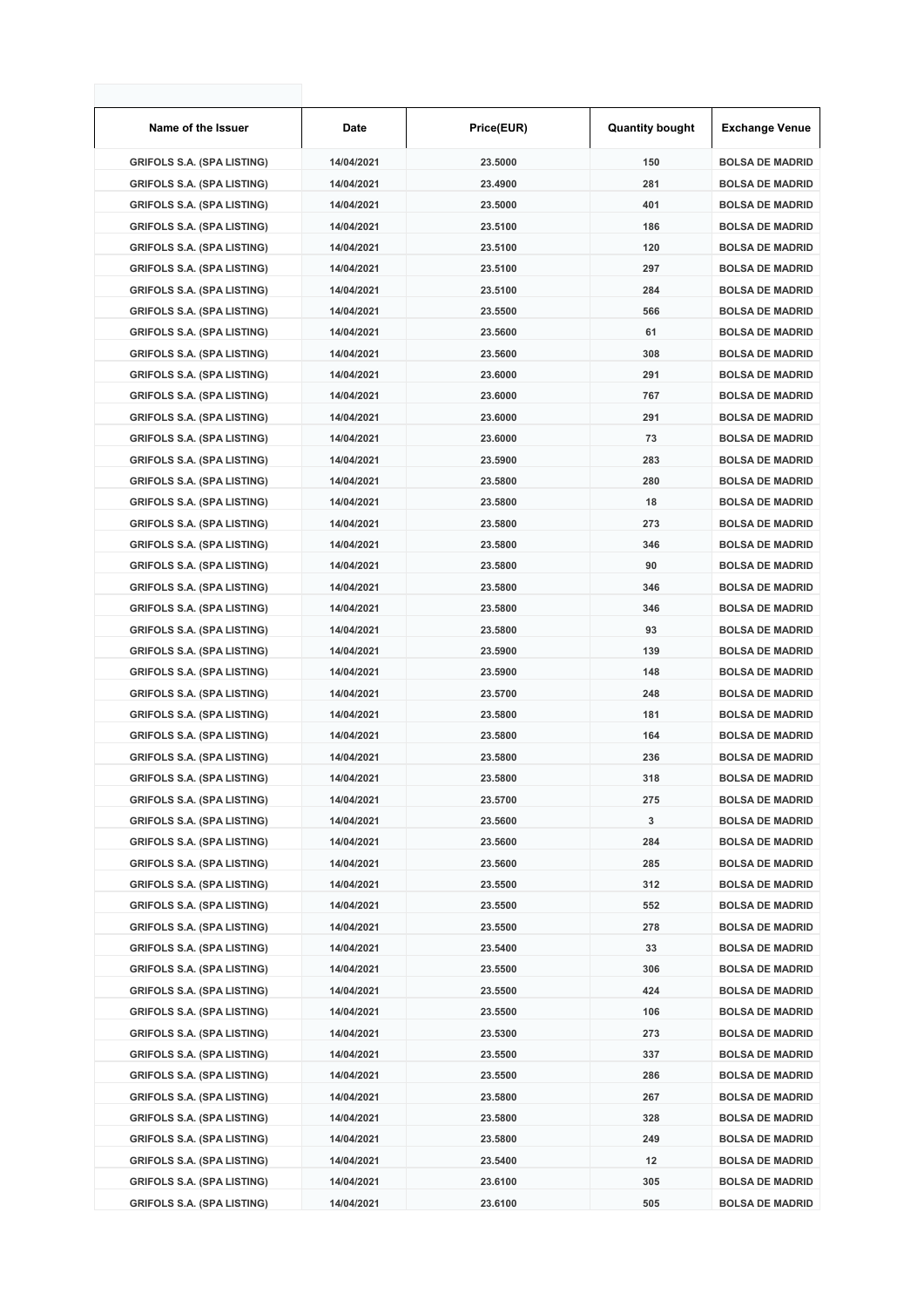| Name of the Issuer                | Date       | Price(EUR) | <b>Quantity bought</b> | <b>Exchange Venue</b>  |
|-----------------------------------|------------|------------|------------------------|------------------------|
| <b>GRIFOLS S.A. (SPA LISTING)</b> | 14/04/2021 | 23.5000    | 150                    | <b>BOLSA DE MADRID</b> |
| <b>GRIFOLS S.A. (SPA LISTING)</b> | 14/04/2021 | 23.4900    | 281                    | <b>BOLSA DE MADRID</b> |
| <b>GRIFOLS S.A. (SPA LISTING)</b> | 14/04/2021 | 23.5000    | 401                    | <b>BOLSA DE MADRID</b> |
| <b>GRIFOLS S.A. (SPA LISTING)</b> | 14/04/2021 | 23.5100    | 186                    | <b>BOLSA DE MADRID</b> |
| <b>GRIFOLS S.A. (SPA LISTING)</b> | 14/04/2021 | 23.5100    | 120                    | <b>BOLSA DE MADRID</b> |
| <b>GRIFOLS S.A. (SPA LISTING)</b> | 14/04/2021 | 23.5100    | 297                    | <b>BOLSA DE MADRID</b> |
| <b>GRIFOLS S.A. (SPA LISTING)</b> | 14/04/2021 | 23.5100    | 284                    | <b>BOLSA DE MADRID</b> |
| <b>GRIFOLS S.A. (SPA LISTING)</b> | 14/04/2021 | 23.5500    | 566                    | <b>BOLSA DE MADRID</b> |
| <b>GRIFOLS S.A. (SPA LISTING)</b> | 14/04/2021 | 23.5600    | 61                     | <b>BOLSA DE MADRID</b> |
| <b>GRIFOLS S.A. (SPA LISTING)</b> | 14/04/2021 | 23.5600    | 308                    | <b>BOLSA DE MADRID</b> |
| <b>GRIFOLS S.A. (SPA LISTING)</b> | 14/04/2021 | 23.6000    | 291                    | <b>BOLSA DE MADRID</b> |
| <b>GRIFOLS S.A. (SPA LISTING)</b> | 14/04/2021 | 23.6000    | 767                    | <b>BOLSA DE MADRID</b> |
| <b>GRIFOLS S.A. (SPA LISTING)</b> | 14/04/2021 | 23.6000    | 291                    | <b>BOLSA DE MADRID</b> |
| <b>GRIFOLS S.A. (SPA LISTING)</b> | 14/04/2021 | 23.6000    | 73                     | <b>BOLSA DE MADRID</b> |
| <b>GRIFOLS S.A. (SPA LISTING)</b> | 14/04/2021 | 23.5900    | 283                    | <b>BOLSA DE MADRID</b> |
| <b>GRIFOLS S.A. (SPA LISTING)</b> | 14/04/2021 | 23.5800    | 280                    | <b>BOLSA DE MADRID</b> |
| <b>GRIFOLS S.A. (SPA LISTING)</b> | 14/04/2021 | 23.5800    | 18                     | <b>BOLSA DE MADRID</b> |
| <b>GRIFOLS S.A. (SPA LISTING)</b> | 14/04/2021 | 23.5800    | 273                    | <b>BOLSA DE MADRID</b> |
| <b>GRIFOLS S.A. (SPA LISTING)</b> | 14/04/2021 | 23.5800    | 346                    | <b>BOLSA DE MADRID</b> |
| <b>GRIFOLS S.A. (SPA LISTING)</b> | 14/04/2021 | 23.5800    | 90                     | <b>BOLSA DE MADRID</b> |
| <b>GRIFOLS S.A. (SPA LISTING)</b> | 14/04/2021 | 23.5800    | 346                    | <b>BOLSA DE MADRID</b> |
| <b>GRIFOLS S.A. (SPA LISTING)</b> | 14/04/2021 | 23.5800    | 346                    | <b>BOLSA DE MADRID</b> |
| <b>GRIFOLS S.A. (SPA LISTING)</b> | 14/04/2021 | 23.5800    | 93                     | <b>BOLSA DE MADRID</b> |
| <b>GRIFOLS S.A. (SPA LISTING)</b> | 14/04/2021 | 23.5900    | 139                    | <b>BOLSA DE MADRID</b> |
| <b>GRIFOLS S.A. (SPA LISTING)</b> | 14/04/2021 | 23.5900    | 148                    | <b>BOLSA DE MADRID</b> |
| <b>GRIFOLS S.A. (SPA LISTING)</b> | 14/04/2021 | 23.5700    | 248                    | <b>BOLSA DE MADRID</b> |
| <b>GRIFOLS S.A. (SPA LISTING)</b> | 14/04/2021 | 23.5800    | 181                    | <b>BOLSA DE MADRID</b> |
| <b>GRIFOLS S.A. (SPA LISTING)</b> | 14/04/2021 | 23.5800    | 164                    | <b>BOLSA DE MADRID</b> |
| <b>GRIFOLS S.A. (SPA LISTING)</b> | 14/04/2021 | 23.5800    | 236                    | <b>BOLSA DE MADRID</b> |
| <b>GRIFOLS S.A. (SPA LISTING)</b> | 14/04/2021 | 23.5800    | 318                    | <b>BOLSA DE MADRID</b> |
| <b>GRIFOLS S.A. (SPA LISTING)</b> | 14/04/2021 | 23.5700    | 275                    | <b>BOLSA DE MADRID</b> |
| <b>GRIFOLS S.A. (SPA LISTING)</b> | 14/04/2021 | 23.5600    | 3                      | <b>BOLSA DE MADRID</b> |
| <b>GRIFOLS S.A. (SPA LISTING)</b> | 14/04/2021 | 23.5600    | 284                    | <b>BOLSA DE MADRID</b> |
| <b>GRIFOLS S.A. (SPA LISTING)</b> | 14/04/2021 | 23.5600    | 285                    | <b>BOLSA DE MADRID</b> |
| <b>GRIFOLS S.A. (SPA LISTING)</b> | 14/04/2021 | 23.5500    | 312                    | <b>BOLSA DE MADRID</b> |
| <b>GRIFOLS S.A. (SPA LISTING)</b> | 14/04/2021 | 23.5500    | 552                    | <b>BOLSA DE MADRID</b> |
| <b>GRIFOLS S.A. (SPA LISTING)</b> | 14/04/2021 | 23.5500    | 278                    | <b>BOLSA DE MADRID</b> |
| <b>GRIFOLS S.A. (SPA LISTING)</b> | 14/04/2021 | 23.5400    | 33                     | <b>BOLSA DE MADRID</b> |
| <b>GRIFOLS S.A. (SPA LISTING)</b> | 14/04/2021 | 23.5500    | 306                    | <b>BOLSA DE MADRID</b> |
| <b>GRIFOLS S.A. (SPA LISTING)</b> | 14/04/2021 | 23.5500    | 424                    | <b>BOLSA DE MADRID</b> |
| <b>GRIFOLS S.A. (SPA LISTING)</b> | 14/04/2021 | 23.5500    | 106                    | <b>BOLSA DE MADRID</b> |
| <b>GRIFOLS S.A. (SPA LISTING)</b> | 14/04/2021 | 23.5300    | 273                    | <b>BOLSA DE MADRID</b> |
| <b>GRIFOLS S.A. (SPA LISTING)</b> | 14/04/2021 | 23.5500    | 337                    | <b>BOLSA DE MADRID</b> |
| <b>GRIFOLS S.A. (SPA LISTING)</b> | 14/04/2021 | 23.5500    | 286                    | <b>BOLSA DE MADRID</b> |
| <b>GRIFOLS S.A. (SPA LISTING)</b> | 14/04/2021 | 23.5800    | 267                    | <b>BOLSA DE MADRID</b> |
| <b>GRIFOLS S.A. (SPA LISTING)</b> | 14/04/2021 | 23.5800    | 328                    | <b>BOLSA DE MADRID</b> |
| <b>GRIFOLS S.A. (SPA LISTING)</b> | 14/04/2021 | 23.5800    | 249                    | <b>BOLSA DE MADRID</b> |
| <b>GRIFOLS S.A. (SPA LISTING)</b> | 14/04/2021 | 23.5400    | 12                     | <b>BOLSA DE MADRID</b> |
| <b>GRIFOLS S.A. (SPA LISTING)</b> | 14/04/2021 | 23.6100    | 305                    | <b>BOLSA DE MADRID</b> |
| <b>GRIFOLS S.A. (SPA LISTING)</b> | 14/04/2021 | 23.6100    | 505                    | <b>BOLSA DE MADRID</b> |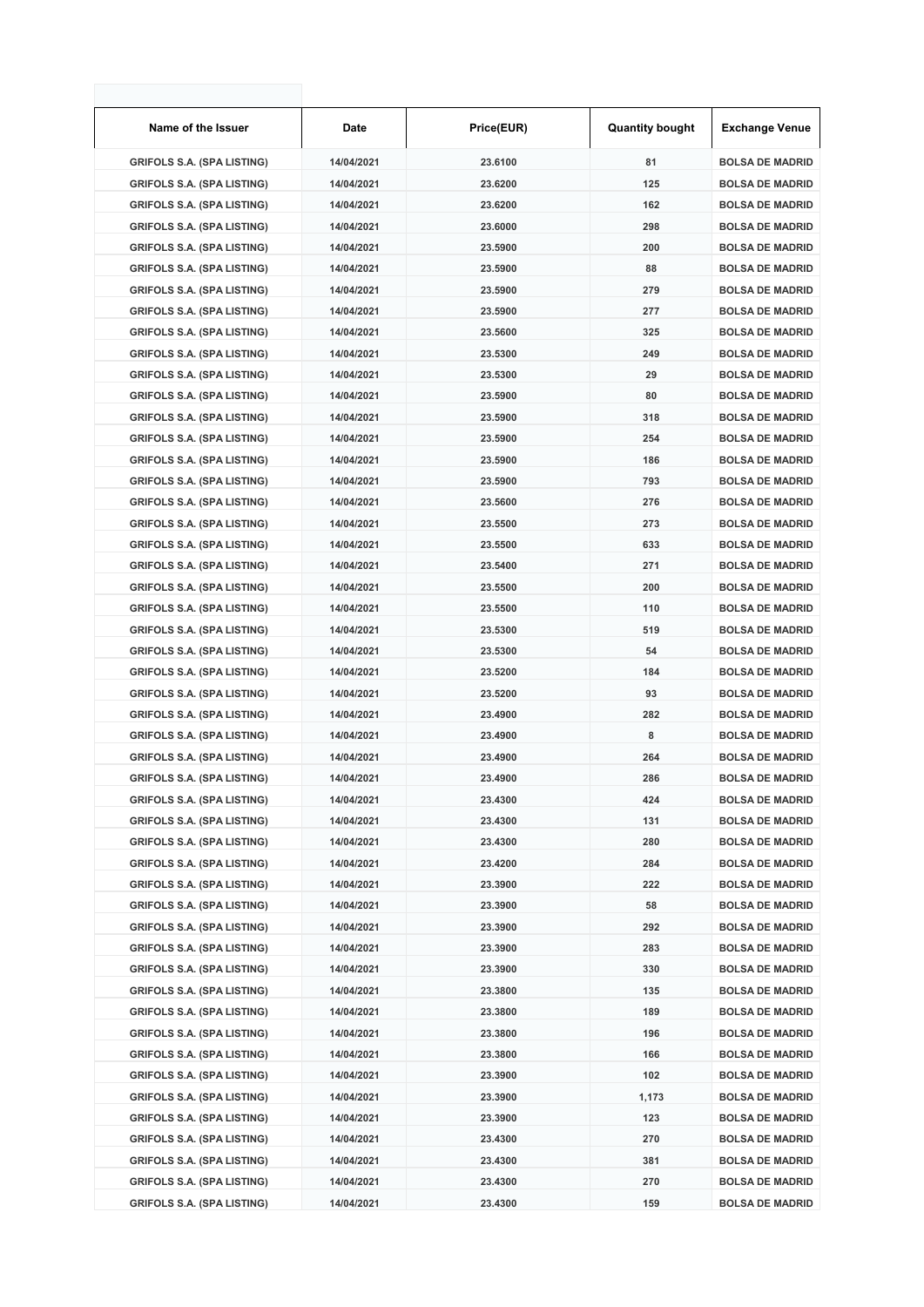| Name of the Issuer                | <b>Date</b> | Price(EUR) | <b>Quantity bought</b> | Exchange Venue         |
|-----------------------------------|-------------|------------|------------------------|------------------------|
| <b>GRIFOLS S.A. (SPA LISTING)</b> | 14/04/2021  | 23.6100    | 81                     | <b>BOLSA DE MADRID</b> |
| <b>GRIFOLS S.A. (SPA LISTING)</b> | 14/04/2021  | 23.6200    | 125                    | <b>BOLSA DE MADRID</b> |
| <b>GRIFOLS S.A. (SPA LISTING)</b> | 14/04/2021  | 23.6200    | 162                    | <b>BOLSA DE MADRID</b> |
| <b>GRIFOLS S.A. (SPA LISTING)</b> | 14/04/2021  | 23.6000    | 298                    | <b>BOLSA DE MADRID</b> |
| <b>GRIFOLS S.A. (SPA LISTING)</b> | 14/04/2021  | 23.5900    | 200                    | <b>BOLSA DE MADRID</b> |
| <b>GRIFOLS S.A. (SPA LISTING)</b> | 14/04/2021  | 23.5900    | 88                     | <b>BOLSA DE MADRID</b> |
| <b>GRIFOLS S.A. (SPA LISTING)</b> | 14/04/2021  | 23.5900    | 279                    | <b>BOLSA DE MADRID</b> |
| <b>GRIFOLS S.A. (SPA LISTING)</b> | 14/04/2021  | 23.5900    | 277                    | <b>BOLSA DE MADRID</b> |
| <b>GRIFOLS S.A. (SPA LISTING)</b> | 14/04/2021  | 23.5600    | 325                    | <b>BOLSA DE MADRID</b> |
| <b>GRIFOLS S.A. (SPA LISTING)</b> | 14/04/2021  | 23.5300    | 249                    | <b>BOLSA DE MADRID</b> |
| <b>GRIFOLS S.A. (SPA LISTING)</b> | 14/04/2021  | 23.5300    | 29                     | <b>BOLSA DE MADRID</b> |
| <b>GRIFOLS S.A. (SPA LISTING)</b> | 14/04/2021  | 23.5900    | 80                     | <b>BOLSA DE MADRID</b> |
| <b>GRIFOLS S.A. (SPA LISTING)</b> | 14/04/2021  | 23.5900    | 318                    | <b>BOLSA DE MADRID</b> |
| <b>GRIFOLS S.A. (SPA LISTING)</b> | 14/04/2021  | 23.5900    | 254                    | <b>BOLSA DE MADRID</b> |
| <b>GRIFOLS S.A. (SPA LISTING)</b> | 14/04/2021  | 23.5900    | 186                    | <b>BOLSA DE MADRID</b> |
| <b>GRIFOLS S.A. (SPA LISTING)</b> | 14/04/2021  | 23.5900    | 793                    | <b>BOLSA DE MADRID</b> |
| <b>GRIFOLS S.A. (SPA LISTING)</b> | 14/04/2021  | 23.5600    | 276                    | <b>BOLSA DE MADRID</b> |
| <b>GRIFOLS S.A. (SPA LISTING)</b> | 14/04/2021  | 23.5500    | 273                    | <b>BOLSA DE MADRID</b> |
| <b>GRIFOLS S.A. (SPA LISTING)</b> | 14/04/2021  | 23.5500    | 633                    | <b>BOLSA DE MADRID</b> |
| <b>GRIFOLS S.A. (SPA LISTING)</b> | 14/04/2021  | 23.5400    | 271                    | <b>BOLSA DE MADRID</b> |
| <b>GRIFOLS S.A. (SPA LISTING)</b> | 14/04/2021  | 23.5500    | 200                    | <b>BOLSA DE MADRID</b> |
| <b>GRIFOLS S.A. (SPA LISTING)</b> | 14/04/2021  | 23.5500    | 110                    | <b>BOLSA DE MADRID</b> |
| <b>GRIFOLS S.A. (SPA LISTING)</b> | 14/04/2021  | 23.5300    | 519                    | <b>BOLSA DE MADRID</b> |
| <b>GRIFOLS S.A. (SPA LISTING)</b> | 14/04/2021  | 23.5300    | 54                     | <b>BOLSA DE MADRID</b> |
| <b>GRIFOLS S.A. (SPA LISTING)</b> | 14/04/2021  | 23.5200    | 184                    | <b>BOLSA DE MADRID</b> |
| <b>GRIFOLS S.A. (SPA LISTING)</b> | 14/04/2021  | 23.5200    | 93                     | <b>BOLSA DE MADRID</b> |
| <b>GRIFOLS S.A. (SPA LISTING)</b> | 14/04/2021  | 23.4900    | 282                    | <b>BOLSA DE MADRID</b> |
| <b>GRIFOLS S.A. (SPA LISTING)</b> | 14/04/2021  | 23.4900    | 8                      | <b>BOLSA DE MADRID</b> |
| <b>GRIFOLS S.A. (SPA LISTING)</b> | 14/04/2021  | 23.4900    | 264                    | <b>BOLSA DE MADRID</b> |
| <b>GRIFOLS S.A. (SPA LISTING)</b> | 14/04/2021  | 23.4900    | 286                    | <b>BOLSA DE MADRID</b> |
| <b>GRIFOLS S.A. (SPA LISTING)</b> | 14/04/2021  | 23.4300    | 424                    | <b>BOLSA DE MADRID</b> |
| <b>GRIFOLS S.A. (SPA LISTING)</b> | 14/04/2021  | 23.4300    | 131                    | <b>BOLSA DE MADRID</b> |
| <b>GRIFOLS S.A. (SPA LISTING)</b> | 14/04/2021  | 23.4300    | 280                    | <b>BOLSA DE MADRID</b> |
| <b>GRIFOLS S.A. (SPA LISTING)</b> | 14/04/2021  | 23.4200    | 284                    | <b>BOLSA DE MADRID</b> |
| <b>GRIFOLS S.A. (SPA LISTING)</b> | 14/04/2021  | 23.3900    | 222                    | <b>BOLSA DE MADRID</b> |
| <b>GRIFOLS S.A. (SPA LISTING)</b> | 14/04/2021  | 23.3900    | 58                     | <b>BOLSA DE MADRID</b> |
| <b>GRIFOLS S.A. (SPA LISTING)</b> | 14/04/2021  | 23.3900    | 292                    | <b>BOLSA DE MADRID</b> |
| <b>GRIFOLS S.A. (SPA LISTING)</b> | 14/04/2021  | 23.3900    | 283                    | <b>BOLSA DE MADRID</b> |
| <b>GRIFOLS S.A. (SPA LISTING)</b> | 14/04/2021  | 23.3900    | 330                    | <b>BOLSA DE MADRID</b> |
| <b>GRIFOLS S.A. (SPA LISTING)</b> | 14/04/2021  | 23.3800    | 135                    | <b>BOLSA DE MADRID</b> |
| <b>GRIFOLS S.A. (SPA LISTING)</b> | 14/04/2021  | 23.3800    | 189                    | <b>BOLSA DE MADRID</b> |
| <b>GRIFOLS S.A. (SPA LISTING)</b> | 14/04/2021  | 23.3800    | 196                    | <b>BOLSA DE MADRID</b> |
| <b>GRIFOLS S.A. (SPA LISTING)</b> | 14/04/2021  | 23.3800    | 166                    | <b>BOLSA DE MADRID</b> |
| <b>GRIFOLS S.A. (SPA LISTING)</b> | 14/04/2021  | 23.3900    | 102                    | <b>BOLSA DE MADRID</b> |
| <b>GRIFOLS S.A. (SPA LISTING)</b> | 14/04/2021  | 23.3900    | 1,173                  | <b>BOLSA DE MADRID</b> |
| <b>GRIFOLS S.A. (SPA LISTING)</b> | 14/04/2021  | 23.3900    | 123                    | <b>BOLSA DE MADRID</b> |
| <b>GRIFOLS S.A. (SPA LISTING)</b> | 14/04/2021  | 23.4300    | 270                    | <b>BOLSA DE MADRID</b> |
| <b>GRIFOLS S.A. (SPA LISTING)</b> | 14/04/2021  | 23.4300    | 381                    | <b>BOLSA DE MADRID</b> |
| <b>GRIFOLS S.A. (SPA LISTING)</b> | 14/04/2021  | 23.4300    | 270                    | <b>BOLSA DE MADRID</b> |
| <b>GRIFOLS S.A. (SPA LISTING)</b> | 14/04/2021  | 23.4300    | 159                    | <b>BOLSA DE MADRID</b> |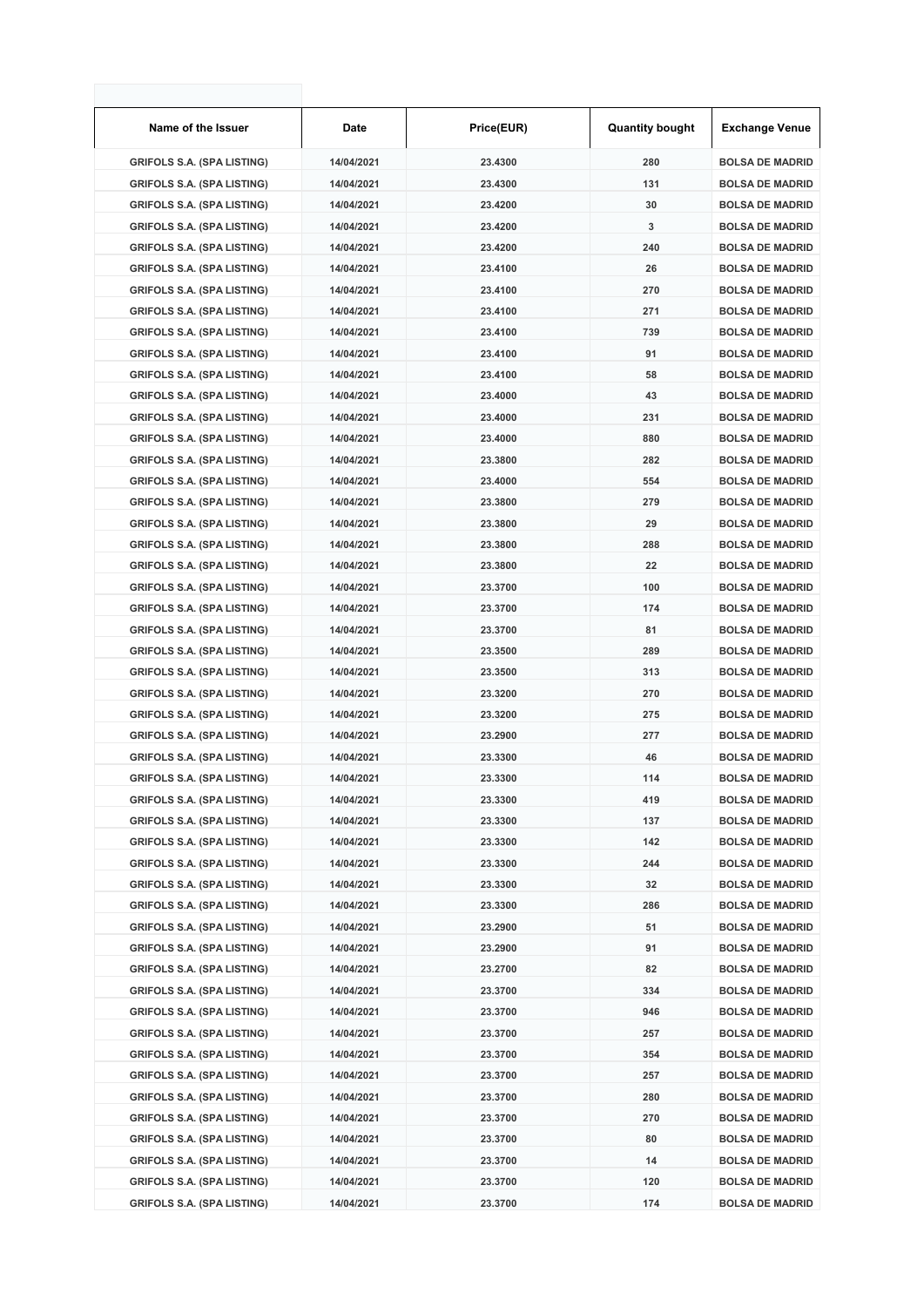| Name of the Issuer                | Date       | Price(EUR) | <b>Quantity bought</b> | <b>Exchange Venue</b>  |
|-----------------------------------|------------|------------|------------------------|------------------------|
| <b>GRIFOLS S.A. (SPA LISTING)</b> | 14/04/2021 | 23.4300    | 280                    | <b>BOLSA DE MADRID</b> |
| <b>GRIFOLS S.A. (SPA LISTING)</b> | 14/04/2021 | 23.4300    | 131                    | <b>BOLSA DE MADRID</b> |
| <b>GRIFOLS S.A. (SPA LISTING)</b> | 14/04/2021 | 23.4200    | 30                     | <b>BOLSA DE MADRID</b> |
| <b>GRIFOLS S.A. (SPA LISTING)</b> | 14/04/2021 | 23.4200    | 3                      | <b>BOLSA DE MADRID</b> |
| <b>GRIFOLS S.A. (SPA LISTING)</b> | 14/04/2021 | 23.4200    | 240                    | <b>BOLSA DE MADRID</b> |
| <b>GRIFOLS S.A. (SPA LISTING)</b> | 14/04/2021 | 23.4100    | 26                     | <b>BOLSA DE MADRID</b> |
| <b>GRIFOLS S.A. (SPA LISTING)</b> | 14/04/2021 | 23.4100    | 270                    | <b>BOLSA DE MADRID</b> |
| <b>GRIFOLS S.A. (SPA LISTING)</b> | 14/04/2021 | 23.4100    | 271                    | <b>BOLSA DE MADRID</b> |
| <b>GRIFOLS S.A. (SPA LISTING)</b> | 14/04/2021 | 23.4100    | 739                    | <b>BOLSA DE MADRID</b> |
| <b>GRIFOLS S.A. (SPA LISTING)</b> | 14/04/2021 | 23.4100    | 91                     | <b>BOLSA DE MADRID</b> |
| <b>GRIFOLS S.A. (SPA LISTING)</b> | 14/04/2021 | 23.4100    | 58                     | <b>BOLSA DE MADRID</b> |
| <b>GRIFOLS S.A. (SPA LISTING)</b> | 14/04/2021 | 23.4000    | 43                     | <b>BOLSA DE MADRID</b> |
| <b>GRIFOLS S.A. (SPA LISTING)</b> | 14/04/2021 | 23.4000    | 231                    | <b>BOLSA DE MADRID</b> |
| <b>GRIFOLS S.A. (SPA LISTING)</b> | 14/04/2021 | 23.4000    | 880                    | <b>BOLSA DE MADRID</b> |
| <b>GRIFOLS S.A. (SPA LISTING)</b> | 14/04/2021 | 23.3800    | 282                    | <b>BOLSA DE MADRID</b> |
| <b>GRIFOLS S.A. (SPA LISTING)</b> | 14/04/2021 | 23.4000    | 554                    | <b>BOLSA DE MADRID</b> |
| <b>GRIFOLS S.A. (SPA LISTING)</b> | 14/04/2021 | 23.3800    | 279                    | <b>BOLSA DE MADRID</b> |
| <b>GRIFOLS S.A. (SPA LISTING)</b> | 14/04/2021 | 23.3800    | 29                     | <b>BOLSA DE MADRID</b> |
| <b>GRIFOLS S.A. (SPA LISTING)</b> | 14/04/2021 | 23.3800    | 288                    | <b>BOLSA DE MADRID</b> |
| <b>GRIFOLS S.A. (SPA LISTING)</b> | 14/04/2021 | 23.3800    | 22                     | <b>BOLSA DE MADRID</b> |
| <b>GRIFOLS S.A. (SPA LISTING)</b> | 14/04/2021 | 23.3700    | 100                    | <b>BOLSA DE MADRID</b> |
| <b>GRIFOLS S.A. (SPA LISTING)</b> | 14/04/2021 | 23.3700    | 174                    | <b>BOLSA DE MADRID</b> |
| <b>GRIFOLS S.A. (SPA LISTING)</b> | 14/04/2021 | 23.3700    | 81                     | <b>BOLSA DE MADRID</b> |
| <b>GRIFOLS S.A. (SPA LISTING)</b> | 14/04/2021 | 23.3500    | 289                    | <b>BOLSA DE MADRID</b> |
| <b>GRIFOLS S.A. (SPA LISTING)</b> | 14/04/2021 | 23.3500    | 313                    | <b>BOLSA DE MADRID</b> |
| <b>GRIFOLS S.A. (SPA LISTING)</b> | 14/04/2021 | 23.3200    | 270                    | <b>BOLSA DE MADRID</b> |
| <b>GRIFOLS S.A. (SPA LISTING)</b> | 14/04/2021 | 23.3200    | 275                    | <b>BOLSA DE MADRID</b> |
| <b>GRIFOLS S.A. (SPA LISTING)</b> | 14/04/2021 | 23.2900    | 277                    | <b>BOLSA DE MADRID</b> |
| <b>GRIFOLS S.A. (SPA LISTING)</b> | 14/04/2021 | 23.3300    | 46                     | <b>BOLSA DE MADRID</b> |
| <b>GRIFOLS S.A. (SPA LISTING)</b> | 14/04/2021 | 23.3300    | 114                    | <b>BOLSA DE MADRID</b> |
| <b>GRIFOLS S.A. (SPA LISTING)</b> | 14/04/2021 | 23.3300    | 419                    | <b>BOLSA DE MADRID</b> |
| <b>GRIFOLS S.A. (SPA LISTING)</b> | 14/04/2021 | 23.3300    | 137                    | <b>BOLSA DE MADRID</b> |
| <b>GRIFOLS S.A. (SPA LISTING)</b> | 14/04/2021 | 23.3300    | 142                    | <b>BOLSA DE MADRID</b> |
| <b>GRIFOLS S.A. (SPA LISTING)</b> | 14/04/2021 | 23.3300    | 244                    | <b>BOLSA DE MADRID</b> |
| <b>GRIFOLS S.A. (SPA LISTING)</b> | 14/04/2021 | 23.3300    | 32                     | <b>BOLSA DE MADRID</b> |
| <b>GRIFOLS S.A. (SPA LISTING)</b> | 14/04/2021 | 23.3300    | 286                    | <b>BOLSA DE MADRID</b> |
| <b>GRIFOLS S.A. (SPA LISTING)</b> | 14/04/2021 | 23.2900    | 51                     | <b>BOLSA DE MADRID</b> |
| <b>GRIFOLS S.A. (SPA LISTING)</b> | 14/04/2021 | 23.2900    | 91                     | <b>BOLSA DE MADRID</b> |
| <b>GRIFOLS S.A. (SPA LISTING)</b> | 14/04/2021 | 23.2700    | 82                     | <b>BOLSA DE MADRID</b> |
| <b>GRIFOLS S.A. (SPA LISTING)</b> | 14/04/2021 | 23.3700    | 334                    | <b>BOLSA DE MADRID</b> |
| <b>GRIFOLS S.A. (SPA LISTING)</b> | 14/04/2021 | 23.3700    | 946                    | <b>BOLSA DE MADRID</b> |
| <b>GRIFOLS S.A. (SPA LISTING)</b> | 14/04/2021 | 23.3700    | 257                    | <b>BOLSA DE MADRID</b> |
| <b>GRIFOLS S.A. (SPA LISTING)</b> | 14/04/2021 | 23.3700    | 354                    | <b>BOLSA DE MADRID</b> |
| <b>GRIFOLS S.A. (SPA LISTING)</b> | 14/04/2021 | 23.3700    | 257                    | <b>BOLSA DE MADRID</b> |
| <b>GRIFOLS S.A. (SPA LISTING)</b> | 14/04/2021 | 23.3700    | 280                    | <b>BOLSA DE MADRID</b> |
| <b>GRIFOLS S.A. (SPA LISTING)</b> | 14/04/2021 | 23.3700    | 270                    | <b>BOLSA DE MADRID</b> |
| <b>GRIFOLS S.A. (SPA LISTING)</b> | 14/04/2021 | 23.3700    | 80                     | <b>BOLSA DE MADRID</b> |
| <b>GRIFOLS S.A. (SPA LISTING)</b> | 14/04/2021 | 23.3700    | 14                     | <b>BOLSA DE MADRID</b> |
| <b>GRIFOLS S.A. (SPA LISTING)</b> | 14/04/2021 | 23.3700    | 120                    | <b>BOLSA DE MADRID</b> |
| <b>GRIFOLS S.A. (SPA LISTING)</b> | 14/04/2021 | 23.3700    | 174                    | <b>BOLSA DE MADRID</b> |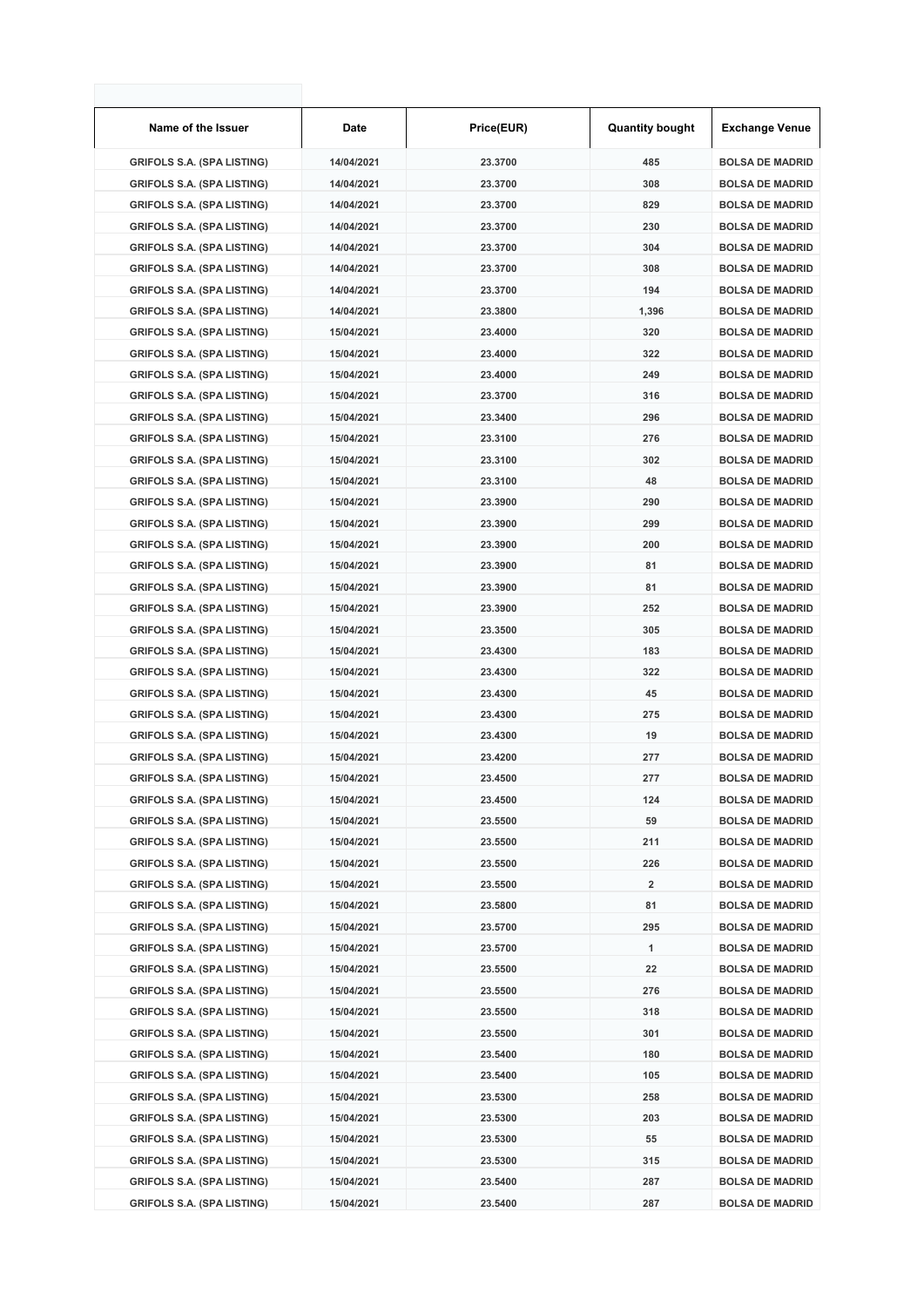| Name of the Issuer                | Date       | Price(EUR) | <b>Quantity bought</b> | <b>Exchange Venue</b>  |
|-----------------------------------|------------|------------|------------------------|------------------------|
| <b>GRIFOLS S.A. (SPA LISTING)</b> | 14/04/2021 | 23.3700    | 485                    | <b>BOLSA DE MADRID</b> |
| <b>GRIFOLS S.A. (SPA LISTING)</b> | 14/04/2021 | 23.3700    | 308                    | <b>BOLSA DE MADRID</b> |
| <b>GRIFOLS S.A. (SPA LISTING)</b> | 14/04/2021 | 23.3700    | 829                    | <b>BOLSA DE MADRID</b> |
| <b>GRIFOLS S.A. (SPA LISTING)</b> | 14/04/2021 | 23.3700    | 230                    | <b>BOLSA DE MADRID</b> |
| <b>GRIFOLS S.A. (SPA LISTING)</b> | 14/04/2021 | 23.3700    | 304                    | <b>BOLSA DE MADRID</b> |
| <b>GRIFOLS S.A. (SPA LISTING)</b> | 14/04/2021 | 23.3700    | 308                    | <b>BOLSA DE MADRID</b> |
| <b>GRIFOLS S.A. (SPA LISTING)</b> | 14/04/2021 | 23.3700    | 194                    | <b>BOLSA DE MADRID</b> |
| <b>GRIFOLS S.A. (SPA LISTING)</b> | 14/04/2021 | 23.3800    | 1,396                  | <b>BOLSA DE MADRID</b> |
| <b>GRIFOLS S.A. (SPA LISTING)</b> | 15/04/2021 | 23.4000    | 320                    | <b>BOLSA DE MADRID</b> |
| <b>GRIFOLS S.A. (SPA LISTING)</b> | 15/04/2021 | 23.4000    | 322                    | <b>BOLSA DE MADRID</b> |
| <b>GRIFOLS S.A. (SPA LISTING)</b> | 15/04/2021 | 23.4000    | 249                    | <b>BOLSA DE MADRID</b> |
| <b>GRIFOLS S.A. (SPA LISTING)</b> | 15/04/2021 | 23.3700    | 316                    | <b>BOLSA DE MADRID</b> |
| <b>GRIFOLS S.A. (SPA LISTING)</b> | 15/04/2021 | 23.3400    | 296                    | <b>BOLSA DE MADRID</b> |
| <b>GRIFOLS S.A. (SPA LISTING)</b> | 15/04/2021 | 23.3100    | 276                    | <b>BOLSA DE MADRID</b> |
| <b>GRIFOLS S.A. (SPA LISTING)</b> | 15/04/2021 | 23.3100    | 302                    | <b>BOLSA DE MADRID</b> |
| <b>GRIFOLS S.A. (SPA LISTING)</b> | 15/04/2021 | 23.3100    | 48                     | <b>BOLSA DE MADRID</b> |
| <b>GRIFOLS S.A. (SPA LISTING)</b> | 15/04/2021 | 23.3900    | 290                    | <b>BOLSA DE MADRID</b> |
| <b>GRIFOLS S.A. (SPA LISTING)</b> | 15/04/2021 | 23.3900    | 299                    | <b>BOLSA DE MADRID</b> |
| <b>GRIFOLS S.A. (SPA LISTING)</b> | 15/04/2021 | 23.3900    | 200                    | <b>BOLSA DE MADRID</b> |
| <b>GRIFOLS S.A. (SPA LISTING)</b> | 15/04/2021 | 23.3900    | 81                     | <b>BOLSA DE MADRID</b> |
| <b>GRIFOLS S.A. (SPA LISTING)</b> | 15/04/2021 | 23.3900    | 81                     | <b>BOLSA DE MADRID</b> |
| <b>GRIFOLS S.A. (SPA LISTING)</b> | 15/04/2021 | 23.3900    | 252                    | <b>BOLSA DE MADRID</b> |
| <b>GRIFOLS S.A. (SPA LISTING)</b> | 15/04/2021 | 23.3500    | 305                    | <b>BOLSA DE MADRID</b> |
| <b>GRIFOLS S.A. (SPA LISTING)</b> | 15/04/2021 | 23.4300    | 183                    | <b>BOLSA DE MADRID</b> |
| <b>GRIFOLS S.A. (SPA LISTING)</b> | 15/04/2021 | 23.4300    | 322                    | <b>BOLSA DE MADRID</b> |
| <b>GRIFOLS S.A. (SPA LISTING)</b> | 15/04/2021 | 23.4300    | 45                     | <b>BOLSA DE MADRID</b> |
| <b>GRIFOLS S.A. (SPA LISTING)</b> | 15/04/2021 | 23.4300    | 275                    | <b>BOLSA DE MADRID</b> |
| <b>GRIFOLS S.A. (SPA LISTING)</b> | 15/04/2021 | 23.4300    | 19                     | <b>BOLSA DE MADRID</b> |
| <b>GRIFOLS S.A. (SPA LISTING)</b> | 15/04/2021 | 23.4200    | 277                    | <b>BOLSA DE MADRID</b> |
| <b>GRIFOLS S.A. (SPA LISTING)</b> | 15/04/2021 | 23.4500    | 277                    | <b>BOLSA DE MADRID</b> |
| <b>GRIFOLS S.A. (SPA LISTING)</b> | 15/04/2021 | 23.4500    | 124                    | <b>BOLSA DE MADRID</b> |
| <b>GRIFOLS S.A. (SPA LISTING)</b> | 15/04/2021 | 23.5500    | 59                     | <b>BOLSA DE MADRID</b> |
| <b>GRIFOLS S.A. (SPA LISTING)</b> | 15/04/2021 | 23.5500    | 211                    | <b>BOLSA DE MADRID</b> |
| <b>GRIFOLS S.A. (SPA LISTING)</b> | 15/04/2021 | 23.5500    | 226                    | <b>BOLSA DE MADRID</b> |
| <b>GRIFOLS S.A. (SPA LISTING)</b> | 15/04/2021 | 23.5500    | 2                      | <b>BOLSA DE MADRID</b> |
| <b>GRIFOLS S.A. (SPA LISTING)</b> | 15/04/2021 | 23.5800    | 81                     | <b>BOLSA DE MADRID</b> |
| <b>GRIFOLS S.A. (SPA LISTING)</b> | 15/04/2021 | 23.5700    | 295                    | <b>BOLSA DE MADRID</b> |
| <b>GRIFOLS S.A. (SPA LISTING)</b> | 15/04/2021 | 23.5700    | 1                      | <b>BOLSA DE MADRID</b> |
| <b>GRIFOLS S.A. (SPA LISTING)</b> | 15/04/2021 | 23.5500    | 22                     | <b>BOLSA DE MADRID</b> |
| <b>GRIFOLS S.A. (SPA LISTING)</b> | 15/04/2021 | 23.5500    | 276                    | <b>BOLSA DE MADRID</b> |
| <b>GRIFOLS S.A. (SPA LISTING)</b> | 15/04/2021 | 23.5500    | 318                    | <b>BOLSA DE MADRID</b> |
| <b>GRIFOLS S.A. (SPA LISTING)</b> | 15/04/2021 | 23.5500    | 301                    | <b>BOLSA DE MADRID</b> |
| <b>GRIFOLS S.A. (SPA LISTING)</b> | 15/04/2021 | 23.5400    | 180                    | <b>BOLSA DE MADRID</b> |
| <b>GRIFOLS S.A. (SPA LISTING)</b> | 15/04/2021 | 23.5400    | 105                    | <b>BOLSA DE MADRID</b> |
| <b>GRIFOLS S.A. (SPA LISTING)</b> | 15/04/2021 | 23.5300    | 258                    | <b>BOLSA DE MADRID</b> |
| <b>GRIFOLS S.A. (SPA LISTING)</b> | 15/04/2021 | 23.5300    | 203                    | <b>BOLSA DE MADRID</b> |
| <b>GRIFOLS S.A. (SPA LISTING)</b> | 15/04/2021 | 23.5300    | 55                     | <b>BOLSA DE MADRID</b> |
| <b>GRIFOLS S.A. (SPA LISTING)</b> | 15/04/2021 | 23.5300    | 315                    | <b>BOLSA DE MADRID</b> |
| <b>GRIFOLS S.A. (SPA LISTING)</b> | 15/04/2021 | 23.5400    | 287                    | <b>BOLSA DE MADRID</b> |
| <b>GRIFOLS S.A. (SPA LISTING)</b> | 15/04/2021 | 23.5400    | 287                    | <b>BOLSA DE MADRID</b> |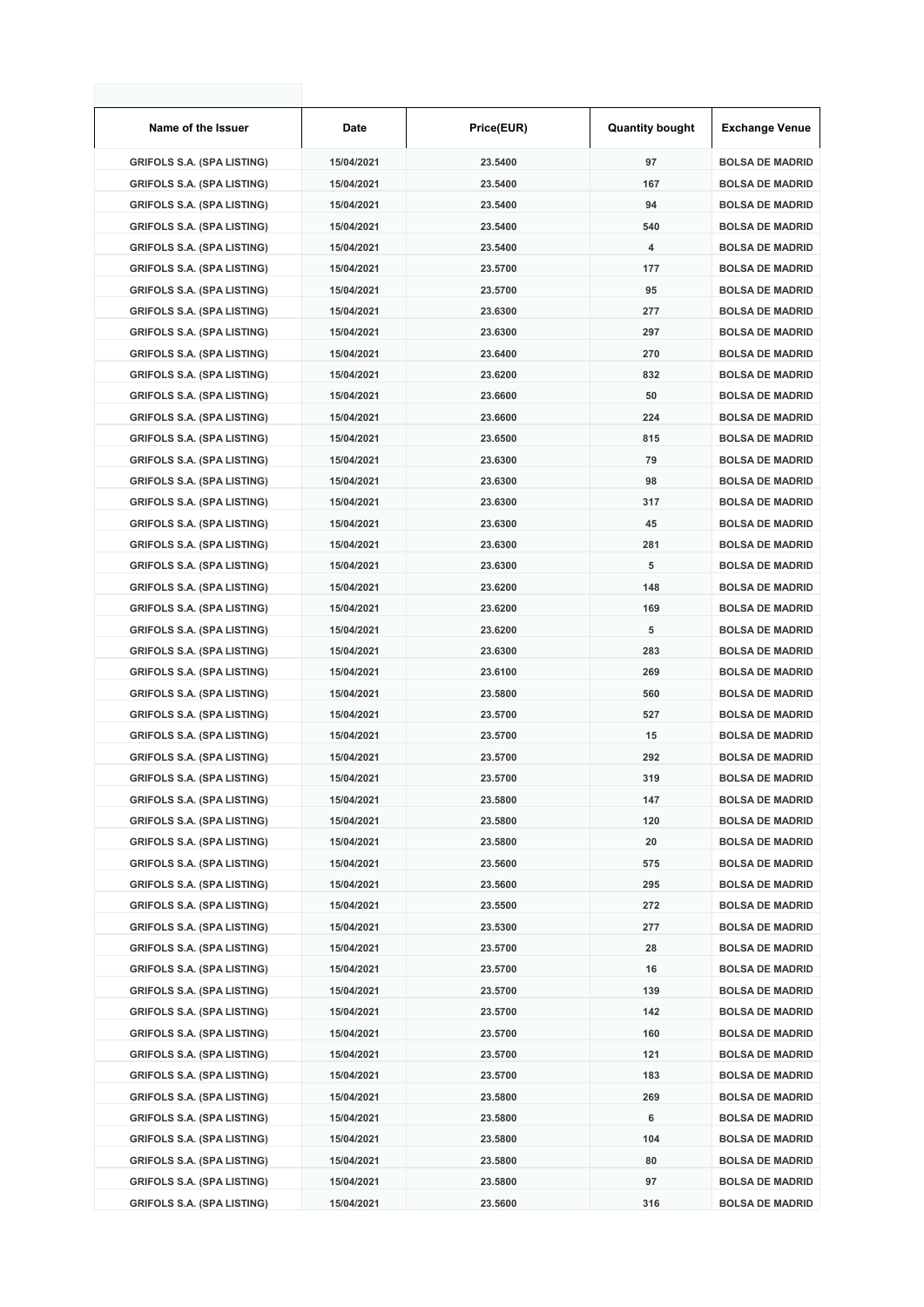| Name of the Issuer                | Date       | Price(EUR) | <b>Quantity bought</b> | <b>Exchange Venue</b>  |
|-----------------------------------|------------|------------|------------------------|------------------------|
| <b>GRIFOLS S.A. (SPA LISTING)</b> | 15/04/2021 | 23.5400    | 97                     | <b>BOLSA DE MADRID</b> |
| <b>GRIFOLS S.A. (SPA LISTING)</b> | 15/04/2021 | 23.5400    | 167                    | <b>BOLSA DE MADRID</b> |
| <b>GRIFOLS S.A. (SPA LISTING)</b> | 15/04/2021 | 23.5400    | 94                     | <b>BOLSA DE MADRID</b> |
| <b>GRIFOLS S.A. (SPA LISTING)</b> | 15/04/2021 | 23.5400    | 540                    | <b>BOLSA DE MADRID</b> |
| <b>GRIFOLS S.A. (SPA LISTING)</b> | 15/04/2021 | 23.5400    | 4                      | <b>BOLSA DE MADRID</b> |
| <b>GRIFOLS S.A. (SPA LISTING)</b> | 15/04/2021 | 23.5700    | 177                    | <b>BOLSA DE MADRID</b> |
| <b>GRIFOLS S.A. (SPA LISTING)</b> | 15/04/2021 | 23.5700    | 95                     | <b>BOLSA DE MADRID</b> |
| <b>GRIFOLS S.A. (SPA LISTING)</b> | 15/04/2021 | 23.6300    | 277                    | <b>BOLSA DE MADRID</b> |
| <b>GRIFOLS S.A. (SPA LISTING)</b> | 15/04/2021 | 23.6300    | 297                    | <b>BOLSA DE MADRID</b> |
| <b>GRIFOLS S.A. (SPA LISTING)</b> | 15/04/2021 | 23.6400    | 270                    | <b>BOLSA DE MADRID</b> |
| <b>GRIFOLS S.A. (SPA LISTING)</b> | 15/04/2021 | 23.6200    | 832                    | <b>BOLSA DE MADRID</b> |
| <b>GRIFOLS S.A. (SPA LISTING)</b> | 15/04/2021 | 23.6600    | 50                     | <b>BOLSA DE MADRID</b> |
| <b>GRIFOLS S.A. (SPA LISTING)</b> | 15/04/2021 | 23.6600    | 224                    | <b>BOLSA DE MADRID</b> |
| <b>GRIFOLS S.A. (SPA LISTING)</b> | 15/04/2021 | 23.6500    | 815                    | <b>BOLSA DE MADRID</b> |
| <b>GRIFOLS S.A. (SPA LISTING)</b> | 15/04/2021 | 23.6300    | 79                     | <b>BOLSA DE MADRID</b> |
| <b>GRIFOLS S.A. (SPA LISTING)</b> | 15/04/2021 | 23.6300    | 98                     | <b>BOLSA DE MADRID</b> |
| <b>GRIFOLS S.A. (SPA LISTING)</b> | 15/04/2021 | 23.6300    | 317                    | <b>BOLSA DE MADRID</b> |
| <b>GRIFOLS S.A. (SPA LISTING)</b> | 15/04/2021 | 23.6300    | 45                     | <b>BOLSA DE MADRID</b> |
| <b>GRIFOLS S.A. (SPA LISTING)</b> | 15/04/2021 | 23.6300    | 281                    | <b>BOLSA DE MADRID</b> |
| <b>GRIFOLS S.A. (SPA LISTING)</b> | 15/04/2021 | 23.6300    | 5                      | <b>BOLSA DE MADRID</b> |
| <b>GRIFOLS S.A. (SPA LISTING)</b> | 15/04/2021 | 23.6200    | 148                    | <b>BOLSA DE MADRID</b> |
| <b>GRIFOLS S.A. (SPA LISTING)</b> | 15/04/2021 | 23.6200    | 169                    | <b>BOLSA DE MADRID</b> |
| <b>GRIFOLS S.A. (SPA LISTING)</b> | 15/04/2021 | 23.6200    | 5                      | <b>BOLSA DE MADRID</b> |
| <b>GRIFOLS S.A. (SPA LISTING)</b> | 15/04/2021 | 23.6300    | 283                    | <b>BOLSA DE MADRID</b> |
| <b>GRIFOLS S.A. (SPA LISTING)</b> | 15/04/2021 | 23.6100    | 269                    | <b>BOLSA DE MADRID</b> |
| <b>GRIFOLS S.A. (SPA LISTING)</b> | 15/04/2021 | 23.5800    | 560                    | <b>BOLSA DE MADRID</b> |
| <b>GRIFOLS S.A. (SPA LISTING)</b> | 15/04/2021 | 23.5700    | 527                    | <b>BOLSA DE MADRID</b> |
| <b>GRIFOLS S.A. (SPA LISTING)</b> | 15/04/2021 | 23.5700    | 15                     | <b>BOLSA DE MADRID</b> |
| <b>GRIFOLS S.A. (SPA LISTING)</b> | 15/04/2021 | 23.5700    | 292                    | <b>BOLSA DE MADRID</b> |
| <b>GRIFOLS S.A. (SPA LISTING)</b> | 15/04/2021 | 23.5700    | 319                    | <b>BOLSA DE MADRID</b> |
| <b>GRIFOLS S.A. (SPA LISTING)</b> | 15/04/2021 | 23.5800    | 147                    | <b>BOLSA DE MADRID</b> |
| <b>GRIFOLS S.A. (SPA LISTING)</b> | 15/04/2021 | 23.5800    | 120                    | <b>BOLSA DE MADRID</b> |
| <b>GRIFOLS S.A. (SPA LISTING)</b> | 15/04/2021 | 23.5800    | 20                     | <b>BOLSA DE MADRID</b> |
| <b>GRIFOLS S.A. (SPA LISTING)</b> | 15/04/2021 | 23.5600    | 575                    | <b>BOLSA DE MADRID</b> |
| <b>GRIFOLS S.A. (SPA LISTING)</b> | 15/04/2021 | 23.5600    | 295                    | <b>BOLSA DE MADRID</b> |
| <b>GRIFOLS S.A. (SPA LISTING)</b> | 15/04/2021 | 23.5500    | 272                    | <b>BOLSA DE MADRID</b> |
| <b>GRIFOLS S.A. (SPA LISTING)</b> | 15/04/2021 | 23.5300    | 277                    | <b>BOLSA DE MADRID</b> |
| <b>GRIFOLS S.A. (SPA LISTING)</b> | 15/04/2021 | 23.5700    | 28                     | <b>BOLSA DE MADRID</b> |
| <b>GRIFOLS S.A. (SPA LISTING)</b> | 15/04/2021 | 23.5700    | 16                     | <b>BOLSA DE MADRID</b> |
| <b>GRIFOLS S.A. (SPA LISTING)</b> | 15/04/2021 | 23.5700    | 139                    | <b>BOLSA DE MADRID</b> |
| <b>GRIFOLS S.A. (SPA LISTING)</b> | 15/04/2021 | 23.5700    | 142                    | <b>BOLSA DE MADRID</b> |
| <b>GRIFOLS S.A. (SPA LISTING)</b> | 15/04/2021 | 23.5700    | 160                    | <b>BOLSA DE MADRID</b> |
| <b>GRIFOLS S.A. (SPA LISTING)</b> | 15/04/2021 | 23.5700    | 121                    | <b>BOLSA DE MADRID</b> |
| <b>GRIFOLS S.A. (SPA LISTING)</b> | 15/04/2021 | 23.5700    | 183                    | <b>BOLSA DE MADRID</b> |
| <b>GRIFOLS S.A. (SPA LISTING)</b> | 15/04/2021 | 23.5800    | 269                    | <b>BOLSA DE MADRID</b> |
| <b>GRIFOLS S.A. (SPA LISTING)</b> | 15/04/2021 | 23.5800    | 6                      | <b>BOLSA DE MADRID</b> |
| <b>GRIFOLS S.A. (SPA LISTING)</b> | 15/04/2021 | 23.5800    | 104                    | <b>BOLSA DE MADRID</b> |
| <b>GRIFOLS S.A. (SPA LISTING)</b> | 15/04/2021 | 23.5800    | 80                     | <b>BOLSA DE MADRID</b> |
| <b>GRIFOLS S.A. (SPA LISTING)</b> | 15/04/2021 | 23.5800    | 97                     | <b>BOLSA DE MADRID</b> |
| <b>GRIFOLS S.A. (SPA LISTING)</b> | 15/04/2021 | 23.5600    | 316                    | <b>BOLSA DE MADRID</b> |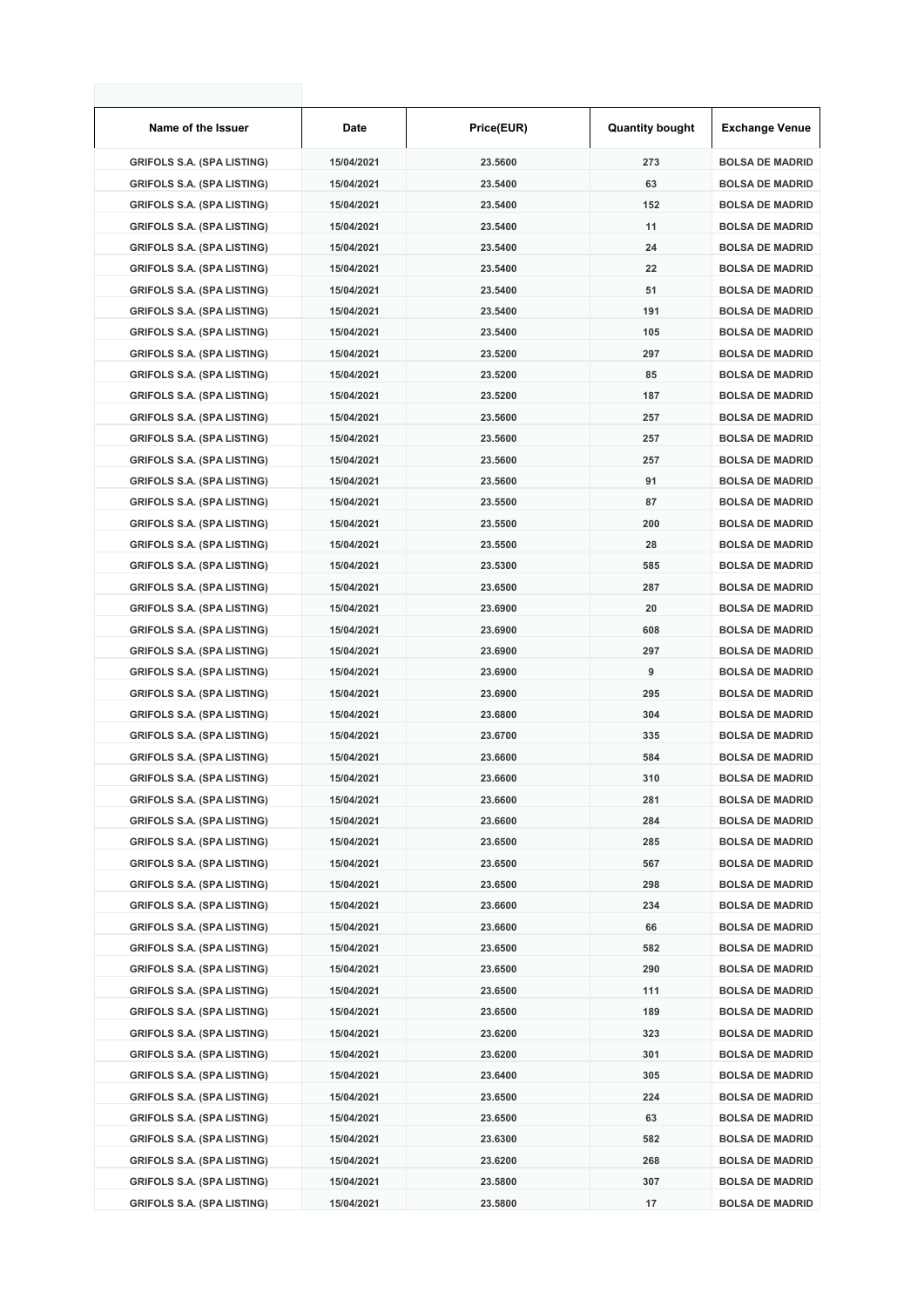| Name of the Issuer                | Date       | Price(EUR) | <b>Quantity bought</b> | <b>Exchange Venue</b>  |
|-----------------------------------|------------|------------|------------------------|------------------------|
| <b>GRIFOLS S.A. (SPA LISTING)</b> | 15/04/2021 | 23.5600    | 273                    | <b>BOLSA DE MADRID</b> |
| <b>GRIFOLS S.A. (SPA LISTING)</b> | 15/04/2021 | 23.5400    | 63                     | <b>BOLSA DE MADRID</b> |
| <b>GRIFOLS S.A. (SPA LISTING)</b> | 15/04/2021 | 23.5400    | 152                    | <b>BOLSA DE MADRID</b> |
| <b>GRIFOLS S.A. (SPA LISTING)</b> | 15/04/2021 | 23.5400    | 11                     | <b>BOLSA DE MADRID</b> |
| <b>GRIFOLS S.A. (SPA LISTING)</b> | 15/04/2021 | 23.5400    | 24                     | <b>BOLSA DE MADRID</b> |
| <b>GRIFOLS S.A. (SPA LISTING)</b> | 15/04/2021 | 23.5400    | 22                     | <b>BOLSA DE MADRID</b> |
| <b>GRIFOLS S.A. (SPA LISTING)</b> | 15/04/2021 | 23.5400    | 51                     | <b>BOLSA DE MADRID</b> |
| <b>GRIFOLS S.A. (SPA LISTING)</b> | 15/04/2021 | 23.5400    | 191                    | <b>BOLSA DE MADRID</b> |
| <b>GRIFOLS S.A. (SPA LISTING)</b> | 15/04/2021 | 23.5400    | 105                    | <b>BOLSA DE MADRID</b> |
| <b>GRIFOLS S.A. (SPA LISTING)</b> | 15/04/2021 | 23.5200    | 297                    | <b>BOLSA DE MADRID</b> |
| <b>GRIFOLS S.A. (SPA LISTING)</b> | 15/04/2021 | 23.5200    | 85                     | <b>BOLSA DE MADRID</b> |
| <b>GRIFOLS S.A. (SPA LISTING)</b> | 15/04/2021 | 23.5200    | 187                    | <b>BOLSA DE MADRID</b> |
| <b>GRIFOLS S.A. (SPA LISTING)</b> | 15/04/2021 | 23.5600    | 257                    | <b>BOLSA DE MADRID</b> |
| <b>GRIFOLS S.A. (SPA LISTING)</b> | 15/04/2021 | 23.5600    | 257                    | <b>BOLSA DE MADRID</b> |
| <b>GRIFOLS S.A. (SPA LISTING)</b> | 15/04/2021 | 23.5600    | 257                    | <b>BOLSA DE MADRID</b> |
| <b>GRIFOLS S.A. (SPA LISTING)</b> | 15/04/2021 | 23.5600    | 91                     | <b>BOLSA DE MADRID</b> |
| <b>GRIFOLS S.A. (SPA LISTING)</b> | 15/04/2021 | 23.5500    | 87                     | <b>BOLSA DE MADRID</b> |
| <b>GRIFOLS S.A. (SPA LISTING)</b> | 15/04/2021 | 23.5500    | 200                    | <b>BOLSA DE MADRID</b> |
| <b>GRIFOLS S.A. (SPA LISTING)</b> | 15/04/2021 | 23.5500    | 28                     | <b>BOLSA DE MADRID</b> |
| <b>GRIFOLS S.A. (SPA LISTING)</b> | 15/04/2021 | 23.5300    | 585                    | <b>BOLSA DE MADRID</b> |
| <b>GRIFOLS S.A. (SPA LISTING)</b> | 15/04/2021 | 23.6500    | 287                    | <b>BOLSA DE MADRID</b> |
| <b>GRIFOLS S.A. (SPA LISTING)</b> | 15/04/2021 | 23.6900    | 20                     | <b>BOLSA DE MADRID</b> |
| <b>GRIFOLS S.A. (SPA LISTING)</b> | 15/04/2021 | 23.6900    | 608                    | <b>BOLSA DE MADRID</b> |
| <b>GRIFOLS S.A. (SPA LISTING)</b> | 15/04/2021 | 23.6900    | 297                    | <b>BOLSA DE MADRID</b> |
| <b>GRIFOLS S.A. (SPA LISTING)</b> | 15/04/2021 | 23.6900    | 9                      | <b>BOLSA DE MADRID</b> |
| <b>GRIFOLS S.A. (SPA LISTING)</b> | 15/04/2021 | 23.6900    | 295                    | <b>BOLSA DE MADRID</b> |
| <b>GRIFOLS S.A. (SPA LISTING)</b> | 15/04/2021 | 23.6800    | 304                    | <b>BOLSA DE MADRID</b> |
| <b>GRIFOLS S.A. (SPA LISTING)</b> | 15/04/2021 | 23.6700    | 335                    | <b>BOLSA DE MADRID</b> |
| <b>GRIFOLS S.A. (SPA LISTING)</b> | 15/04/2021 | 23.6600    | 584                    | <b>BOLSA DE MADRID</b> |
| <b>GRIFOLS S.A. (SPA LISTING)</b> | 15/04/2021 | 23.6600    | 310                    | <b>BOLSA DE MADRID</b> |
| <b>GRIFOLS S.A. (SPA LISTING)</b> | 15/04/2021 | 23.6600    | 281                    | <b>BOLSA DE MADRID</b> |
| <b>GRIFOLS S.A. (SPA LISTING)</b> | 15/04/2021 | 23.6600    | 284                    | <b>BOLSA DE MADRID</b> |
| <b>GRIFOLS S.A. (SPA LISTING)</b> | 15/04/2021 | 23.6500    | 285                    | <b>BOLSA DE MADRID</b> |
| <b>GRIFOLS S.A. (SPA LISTING)</b> | 15/04/2021 | 23.6500    | 567                    | <b>BOLSA DE MADRID</b> |
| <b>GRIFOLS S.A. (SPA LISTING)</b> | 15/04/2021 | 23.6500    | 298                    | <b>BOLSA DE MADRID</b> |
| <b>GRIFOLS S.A. (SPA LISTING)</b> | 15/04/2021 | 23.6600    | 234                    | <b>BOLSA DE MADRID</b> |
| <b>GRIFOLS S.A. (SPA LISTING)</b> | 15/04/2021 | 23.6600    | 66                     | <b>BOLSA DE MADRID</b> |
| <b>GRIFOLS S.A. (SPA LISTING)</b> | 15/04/2021 | 23.6500    | 582                    | <b>BOLSA DE MADRID</b> |
| <b>GRIFOLS S.A. (SPA LISTING)</b> | 15/04/2021 | 23.6500    | 290                    | <b>BOLSA DE MADRID</b> |
| <b>GRIFOLS S.A. (SPA LISTING)</b> | 15/04/2021 | 23.6500    | 111                    | <b>BOLSA DE MADRID</b> |
| <b>GRIFOLS S.A. (SPA LISTING)</b> | 15/04/2021 | 23.6500    | 189                    | <b>BOLSA DE MADRID</b> |
| <b>GRIFOLS S.A. (SPA LISTING)</b> | 15/04/2021 | 23.6200    | 323                    | <b>BOLSA DE MADRID</b> |
| <b>GRIFOLS S.A. (SPA LISTING)</b> | 15/04/2021 | 23.6200    | 301                    | <b>BOLSA DE MADRID</b> |
| <b>GRIFOLS S.A. (SPA LISTING)</b> | 15/04/2021 | 23.6400    | 305                    | <b>BOLSA DE MADRID</b> |
| <b>GRIFOLS S.A. (SPA LISTING)</b> | 15/04/2021 | 23.6500    | 224                    | <b>BOLSA DE MADRID</b> |
| <b>GRIFOLS S.A. (SPA LISTING)</b> | 15/04/2021 | 23.6500    | 63                     | <b>BOLSA DE MADRID</b> |
| <b>GRIFOLS S.A. (SPA LISTING)</b> | 15/04/2021 | 23.6300    | 582                    | <b>BOLSA DE MADRID</b> |
| <b>GRIFOLS S.A. (SPA LISTING)</b> | 15/04/2021 | 23.6200    | 268                    | <b>BOLSA DE MADRID</b> |
| <b>GRIFOLS S.A. (SPA LISTING)</b> | 15/04/2021 | 23.5800    | 307                    | <b>BOLSA DE MADRID</b> |
| <b>GRIFOLS S.A. (SPA LISTING)</b> | 15/04/2021 | 23.5800    | 17                     | <b>BOLSA DE MADRID</b> |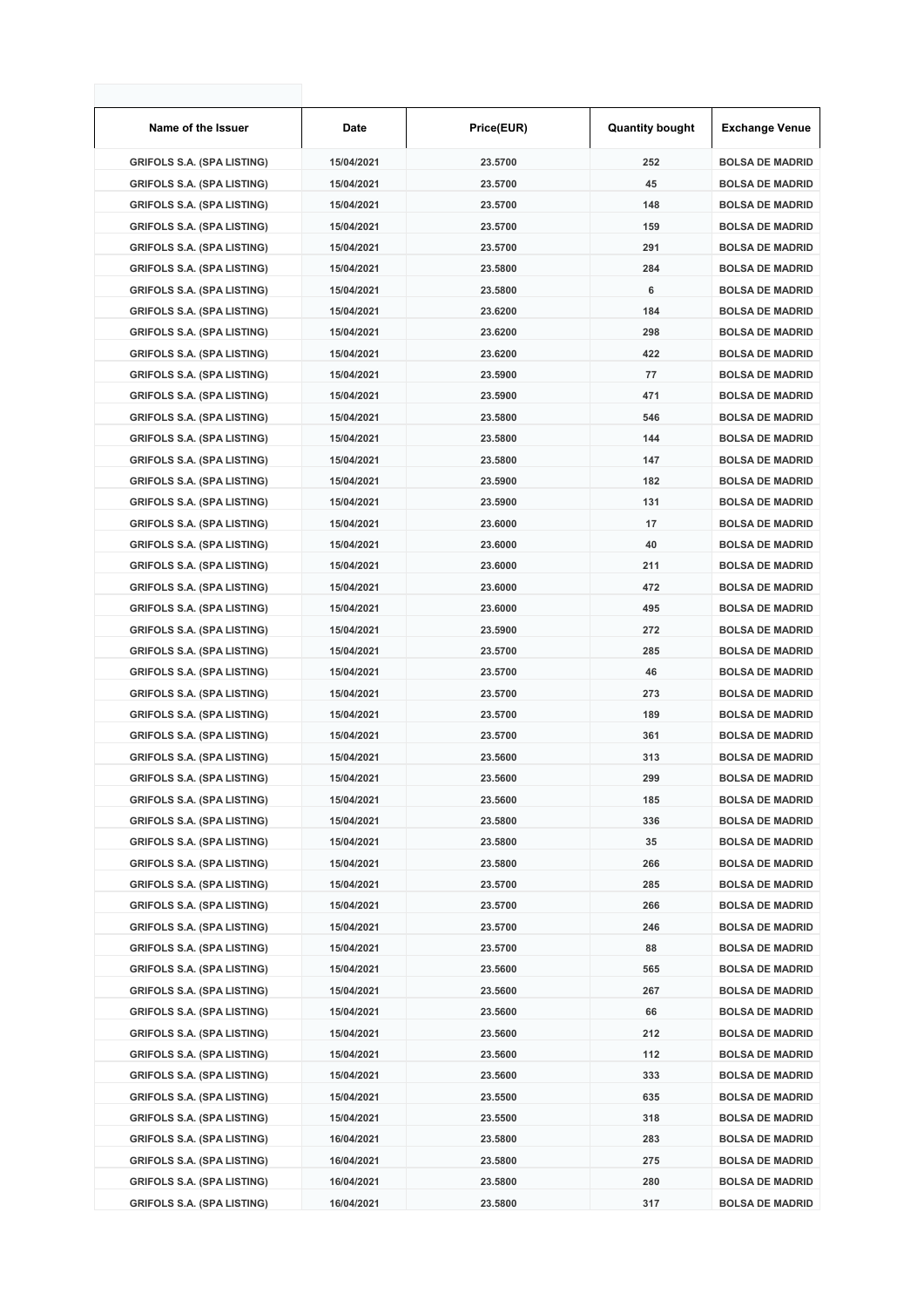| Name of the Issuer                | Date       | Price(EUR) | <b>Quantity bought</b> | <b>Exchange Venue</b>  |
|-----------------------------------|------------|------------|------------------------|------------------------|
| <b>GRIFOLS S.A. (SPA LISTING)</b> | 15/04/2021 | 23.5700    | 252                    | <b>BOLSA DE MADRID</b> |
| <b>GRIFOLS S.A. (SPA LISTING)</b> | 15/04/2021 | 23.5700    | 45                     | <b>BOLSA DE MADRID</b> |
| <b>GRIFOLS S.A. (SPA LISTING)</b> | 15/04/2021 | 23.5700    | 148                    | <b>BOLSA DE MADRID</b> |
| <b>GRIFOLS S.A. (SPA LISTING)</b> | 15/04/2021 | 23.5700    | 159                    | <b>BOLSA DE MADRID</b> |
| <b>GRIFOLS S.A. (SPA LISTING)</b> | 15/04/2021 | 23.5700    | 291                    | <b>BOLSA DE MADRID</b> |
| <b>GRIFOLS S.A. (SPA LISTING)</b> | 15/04/2021 | 23.5800    | 284                    | <b>BOLSA DE MADRID</b> |
| <b>GRIFOLS S.A. (SPA LISTING)</b> | 15/04/2021 | 23.5800    | 6                      | <b>BOLSA DE MADRID</b> |
| <b>GRIFOLS S.A. (SPA LISTING)</b> | 15/04/2021 | 23.6200    | 184                    | <b>BOLSA DE MADRID</b> |
| <b>GRIFOLS S.A. (SPA LISTING)</b> | 15/04/2021 | 23.6200    | 298                    | <b>BOLSA DE MADRID</b> |
| <b>GRIFOLS S.A. (SPA LISTING)</b> | 15/04/2021 | 23.6200    | 422                    | <b>BOLSA DE MADRID</b> |
| <b>GRIFOLS S.A. (SPA LISTING)</b> | 15/04/2021 | 23.5900    | 77                     | <b>BOLSA DE MADRID</b> |
| <b>GRIFOLS S.A. (SPA LISTING)</b> | 15/04/2021 | 23.5900    | 471                    | <b>BOLSA DE MADRID</b> |
| <b>GRIFOLS S.A. (SPA LISTING)</b> | 15/04/2021 | 23.5800    | 546                    | <b>BOLSA DE MADRID</b> |
| <b>GRIFOLS S.A. (SPA LISTING)</b> | 15/04/2021 | 23.5800    | 144                    | <b>BOLSA DE MADRID</b> |
| <b>GRIFOLS S.A. (SPA LISTING)</b> | 15/04/2021 | 23.5800    | 147                    | <b>BOLSA DE MADRID</b> |
| <b>GRIFOLS S.A. (SPA LISTING)</b> | 15/04/2021 | 23.5900    | 182                    | <b>BOLSA DE MADRID</b> |
| <b>GRIFOLS S.A. (SPA LISTING)</b> | 15/04/2021 | 23.5900    | 131                    | <b>BOLSA DE MADRID</b> |
| <b>GRIFOLS S.A. (SPA LISTING)</b> | 15/04/2021 | 23.6000    | 17                     | <b>BOLSA DE MADRID</b> |
| <b>GRIFOLS S.A. (SPA LISTING)</b> | 15/04/2021 | 23,6000    | 40                     | <b>BOLSA DE MADRID</b> |
| <b>GRIFOLS S.A. (SPA LISTING)</b> | 15/04/2021 | 23.6000    | 211                    | <b>BOLSA DE MADRID</b> |
| <b>GRIFOLS S.A. (SPA LISTING)</b> | 15/04/2021 | 23.6000    | 472                    | <b>BOLSA DE MADRID</b> |
| <b>GRIFOLS S.A. (SPA LISTING)</b> | 15/04/2021 | 23.6000    | 495                    | <b>BOLSA DE MADRID</b> |
| <b>GRIFOLS S.A. (SPA LISTING)</b> | 15/04/2021 | 23.5900    | 272                    | <b>BOLSA DE MADRID</b> |
| <b>GRIFOLS S.A. (SPA LISTING)</b> | 15/04/2021 | 23.5700    | 285                    | <b>BOLSA DE MADRID</b> |
| <b>GRIFOLS S.A. (SPA LISTING)</b> | 15/04/2021 | 23.5700    | 46                     | <b>BOLSA DE MADRID</b> |
| <b>GRIFOLS S.A. (SPA LISTING)</b> | 15/04/2021 | 23.5700    | 273                    | <b>BOLSA DE MADRID</b> |
| <b>GRIFOLS S.A. (SPA LISTING)</b> | 15/04/2021 | 23.5700    | 189                    | <b>BOLSA DE MADRID</b> |
| <b>GRIFOLS S.A. (SPA LISTING)</b> | 15/04/2021 | 23.5700    | 361                    | <b>BOLSA DE MADRID</b> |
| <b>GRIFOLS S.A. (SPA LISTING)</b> | 15/04/2021 | 23.5600    | 313                    | <b>BOLSA DE MADRID</b> |
| <b>GRIFOLS S.A. (SPA LISTING)</b> | 15/04/2021 | 23.5600    | 299                    | <b>BOLSA DE MADRID</b> |
| <b>GRIFOLS S.A. (SPA LISTING)</b> | 15/04/2021 | 23.5600    | 185                    | <b>BOLSA DE MADRID</b> |
| <b>GRIFOLS S.A. (SPA LISTING)</b> | 15/04/2021 | 23.5800    | 336                    | <b>BOLSA DE MADRID</b> |
| <b>GRIFOLS S.A. (SPA LISTING)</b> | 15/04/2021 | 23.5800    | 35                     | <b>BOLSA DE MADRID</b> |
| <b>GRIFOLS S.A. (SPA LISTING)</b> | 15/04/2021 | 23.5800    | 266                    | <b>BOLSA DE MADRID</b> |
| <b>GRIFOLS S.A. (SPA LISTING)</b> | 15/04/2021 | 23.5700    | 285                    | <b>BOLSA DE MADRID</b> |
| <b>GRIFOLS S.A. (SPA LISTING)</b> | 15/04/2021 | 23.5700    | 266                    | <b>BOLSA DE MADRID</b> |
| <b>GRIFOLS S.A. (SPA LISTING)</b> | 15/04/2021 | 23.5700    | 246                    | <b>BOLSA DE MADRID</b> |
| <b>GRIFOLS S.A. (SPA LISTING)</b> | 15/04/2021 | 23.5700    | 88                     | <b>BOLSA DE MADRID</b> |
| <b>GRIFOLS S.A. (SPA LISTING)</b> | 15/04/2021 | 23.5600    | 565                    | <b>BOLSA DE MADRID</b> |
| <b>GRIFOLS S.A. (SPA LISTING)</b> | 15/04/2021 | 23.5600    | 267                    | <b>BOLSA DE MADRID</b> |
| <b>GRIFOLS S.A. (SPA LISTING)</b> | 15/04/2021 | 23.5600    | 66                     | <b>BOLSA DE MADRID</b> |
| <b>GRIFOLS S.A. (SPA LISTING)</b> | 15/04/2021 | 23.5600    | 212                    | <b>BOLSA DE MADRID</b> |
| <b>GRIFOLS S.A. (SPA LISTING)</b> | 15/04/2021 | 23.5600    | 112                    | <b>BOLSA DE MADRID</b> |
| <b>GRIFOLS S.A. (SPA LISTING)</b> | 15/04/2021 | 23.5600    | 333                    | <b>BOLSA DE MADRID</b> |
| <b>GRIFOLS S.A. (SPA LISTING)</b> | 15/04/2021 | 23.5500    | 635                    | <b>BOLSA DE MADRID</b> |
| <b>GRIFOLS S.A. (SPA LISTING)</b> | 15/04/2021 | 23.5500    | 318                    | <b>BOLSA DE MADRID</b> |
| <b>GRIFOLS S.A. (SPA LISTING)</b> | 16/04/2021 | 23.5800    | 283                    | <b>BOLSA DE MADRID</b> |
| <b>GRIFOLS S.A. (SPA LISTING)</b> | 16/04/2021 | 23.5800    | 275                    | <b>BOLSA DE MADRID</b> |
| <b>GRIFOLS S.A. (SPA LISTING)</b> | 16/04/2021 | 23.5800    | 280                    | <b>BOLSA DE MADRID</b> |
| <b>GRIFOLS S.A. (SPA LISTING)</b> | 16/04/2021 | 23.5800    | 317                    | <b>BOLSA DE MADRID</b> |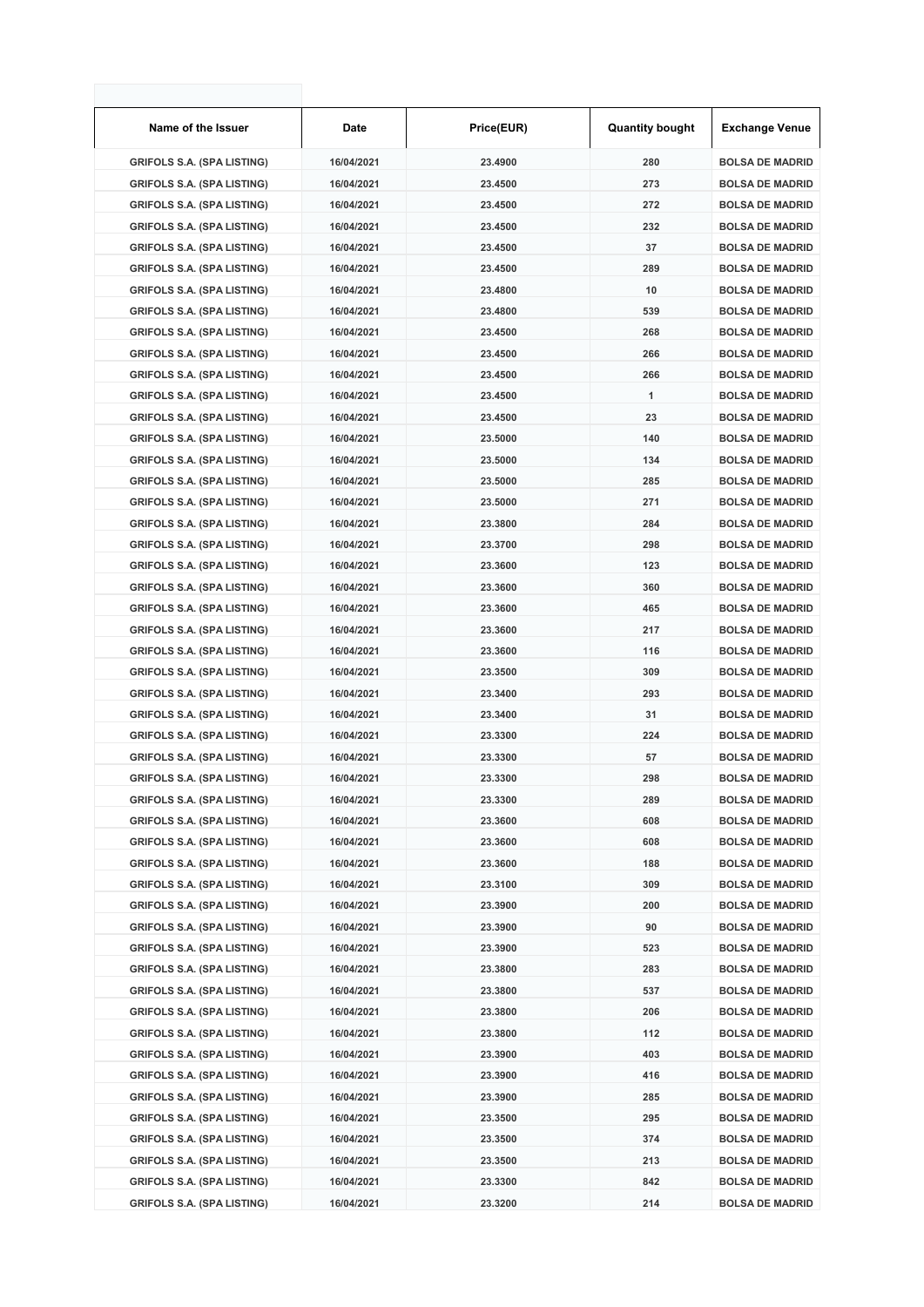| Name of the Issuer                | Date       | Price(EUR) | <b>Quantity bought</b> | <b>Exchange Venue</b>  |
|-----------------------------------|------------|------------|------------------------|------------------------|
| <b>GRIFOLS S.A. (SPA LISTING)</b> | 16/04/2021 | 23.4900    | 280                    | <b>BOLSA DE MADRID</b> |
| <b>GRIFOLS S.A. (SPA LISTING)</b> | 16/04/2021 | 23.4500    | 273                    | <b>BOLSA DE MADRID</b> |
| <b>GRIFOLS S.A. (SPA LISTING)</b> | 16/04/2021 | 23.4500    | 272                    | <b>BOLSA DE MADRID</b> |
| <b>GRIFOLS S.A. (SPA LISTING)</b> | 16/04/2021 | 23.4500    | 232                    | <b>BOLSA DE MADRID</b> |
| <b>GRIFOLS S.A. (SPA LISTING)</b> | 16/04/2021 | 23.4500    | 37                     | <b>BOLSA DE MADRID</b> |
| <b>GRIFOLS S.A. (SPA LISTING)</b> | 16/04/2021 | 23.4500    | 289                    | <b>BOLSA DE MADRID</b> |
| <b>GRIFOLS S.A. (SPA LISTING)</b> | 16/04/2021 | 23.4800    | 10                     | <b>BOLSA DE MADRID</b> |
| <b>GRIFOLS S.A. (SPA LISTING)</b> | 16/04/2021 | 23.4800    | 539                    | <b>BOLSA DE MADRID</b> |
| <b>GRIFOLS S.A. (SPA LISTING)</b> | 16/04/2021 | 23.4500    | 268                    | <b>BOLSA DE MADRID</b> |
| <b>GRIFOLS S.A. (SPA LISTING)</b> | 16/04/2021 | 23.4500    | 266                    | <b>BOLSA DE MADRID</b> |
| <b>GRIFOLS S.A. (SPA LISTING)</b> | 16/04/2021 | 23.4500    | 266                    | <b>BOLSA DE MADRID</b> |
| <b>GRIFOLS S.A. (SPA LISTING)</b> | 16/04/2021 | 23.4500    | 1                      | <b>BOLSA DE MADRID</b> |
| <b>GRIFOLS S.A. (SPA LISTING)</b> | 16/04/2021 | 23.4500    | 23                     | <b>BOLSA DE MADRID</b> |
| <b>GRIFOLS S.A. (SPA LISTING)</b> | 16/04/2021 | 23.5000    | 140                    | <b>BOLSA DE MADRID</b> |
| <b>GRIFOLS S.A. (SPA LISTING)</b> | 16/04/2021 | 23.5000    | 134                    | <b>BOLSA DE MADRID</b> |
| <b>GRIFOLS S.A. (SPA LISTING)</b> | 16/04/2021 | 23.5000    | 285                    | <b>BOLSA DE MADRID</b> |
| <b>GRIFOLS S.A. (SPA LISTING)</b> | 16/04/2021 | 23.5000    | 271                    | <b>BOLSA DE MADRID</b> |
| <b>GRIFOLS S.A. (SPA LISTING)</b> | 16/04/2021 | 23.3800    | 284                    | <b>BOLSA DE MADRID</b> |
| <b>GRIFOLS S.A. (SPA LISTING)</b> | 16/04/2021 | 23.3700    | 298                    | <b>BOLSA DE MADRID</b> |
| <b>GRIFOLS S.A. (SPA LISTING)</b> | 16/04/2021 | 23.3600    | 123                    | <b>BOLSA DE MADRID</b> |
| <b>GRIFOLS S.A. (SPA LISTING)</b> | 16/04/2021 | 23.3600    | 360                    | <b>BOLSA DE MADRID</b> |
| <b>GRIFOLS S.A. (SPA LISTING)</b> | 16/04/2021 | 23.3600    | 465                    | <b>BOLSA DE MADRID</b> |
| <b>GRIFOLS S.A. (SPA LISTING)</b> | 16/04/2021 | 23.3600    | 217                    | <b>BOLSA DE MADRID</b> |
| <b>GRIFOLS S.A. (SPA LISTING)</b> | 16/04/2021 | 23.3600    | 116                    | <b>BOLSA DE MADRID</b> |
| <b>GRIFOLS S.A. (SPA LISTING)</b> | 16/04/2021 | 23.3500    | 309                    | <b>BOLSA DE MADRID</b> |
| <b>GRIFOLS S.A. (SPA LISTING)</b> | 16/04/2021 | 23.3400    | 293                    | <b>BOLSA DE MADRID</b> |
| <b>GRIFOLS S.A. (SPA LISTING)</b> | 16/04/2021 | 23.3400    | 31                     | <b>BOLSA DE MADRID</b> |
| <b>GRIFOLS S.A. (SPA LISTING)</b> | 16/04/2021 | 23.3300    | 224                    | <b>BOLSA DE MADRID</b> |
| <b>GRIFOLS S.A. (SPA LISTING)</b> | 16/04/2021 | 23.3300    | 57                     | <b>BOLSA DE MADRID</b> |
| <b>GRIFOLS S.A. (SPA LISTING)</b> | 16/04/2021 | 23.3300    | 298                    | <b>BOLSA DE MADRID</b> |
| <b>GRIFOLS S.A. (SPA LISTING)</b> | 16/04/2021 | 23.3300    | 289                    | <b>BOLSA DE MADRID</b> |
| <b>GRIFOLS S.A. (SPA LISTING)</b> | 16/04/2021 | 23.3600    | 608                    | <b>BOLSA DE MADRID</b> |
| <b>GRIFOLS S.A. (SPA LISTING)</b> | 16/04/2021 | 23.3600    | 608                    | <b>BOLSA DE MADRID</b> |
| <b>GRIFOLS S.A. (SPA LISTING)</b> | 16/04/2021 | 23.3600    | 188                    | <b>BOLSA DE MADRID</b> |
| <b>GRIFOLS S.A. (SPA LISTING)</b> | 16/04/2021 | 23.3100    | 309                    | <b>BOLSA DE MADRID</b> |
| <b>GRIFOLS S.A. (SPA LISTING)</b> | 16/04/2021 | 23.3900    | 200                    | <b>BOLSA DE MADRID</b> |
| <b>GRIFOLS S.A. (SPA LISTING)</b> | 16/04/2021 | 23.3900    | 90                     | <b>BOLSA DE MADRID</b> |
| <b>GRIFOLS S.A. (SPA LISTING)</b> | 16/04/2021 | 23.3900    | 523                    | <b>BOLSA DE MADRID</b> |
| <b>GRIFOLS S.A. (SPA LISTING)</b> | 16/04/2021 | 23.3800    | 283                    | <b>BOLSA DE MADRID</b> |
| <b>GRIFOLS S.A. (SPA LISTING)</b> | 16/04/2021 | 23.3800    | 537                    | <b>BOLSA DE MADRID</b> |
| <b>GRIFOLS S.A. (SPA LISTING)</b> | 16/04/2021 | 23.3800    | 206                    | <b>BOLSA DE MADRID</b> |
| <b>GRIFOLS S.A. (SPA LISTING)</b> | 16/04/2021 | 23.3800    | 112                    | <b>BOLSA DE MADRID</b> |
| <b>GRIFOLS S.A. (SPA LISTING)</b> | 16/04/2021 | 23.3900    | 403                    | <b>BOLSA DE MADRID</b> |
| <b>GRIFOLS S.A. (SPA LISTING)</b> | 16/04/2021 | 23.3900    | 416                    | <b>BOLSA DE MADRID</b> |
| <b>GRIFOLS S.A. (SPA LISTING)</b> | 16/04/2021 | 23.3900    | 285                    | <b>BOLSA DE MADRID</b> |
| <b>GRIFOLS S.A. (SPA LISTING)</b> | 16/04/2021 | 23.3500    | 295                    | <b>BOLSA DE MADRID</b> |
| <b>GRIFOLS S.A. (SPA LISTING)</b> | 16/04/2021 | 23.3500    | 374                    | <b>BOLSA DE MADRID</b> |
| <b>GRIFOLS S.A. (SPA LISTING)</b> | 16/04/2021 | 23.3500    | 213                    | <b>BOLSA DE MADRID</b> |
| <b>GRIFOLS S.A. (SPA LISTING)</b> | 16/04/2021 | 23.3300    | 842                    | <b>BOLSA DE MADRID</b> |
| <b>GRIFOLS S.A. (SPA LISTING)</b> | 16/04/2021 | 23.3200    | 214                    | <b>BOLSA DE MADRID</b> |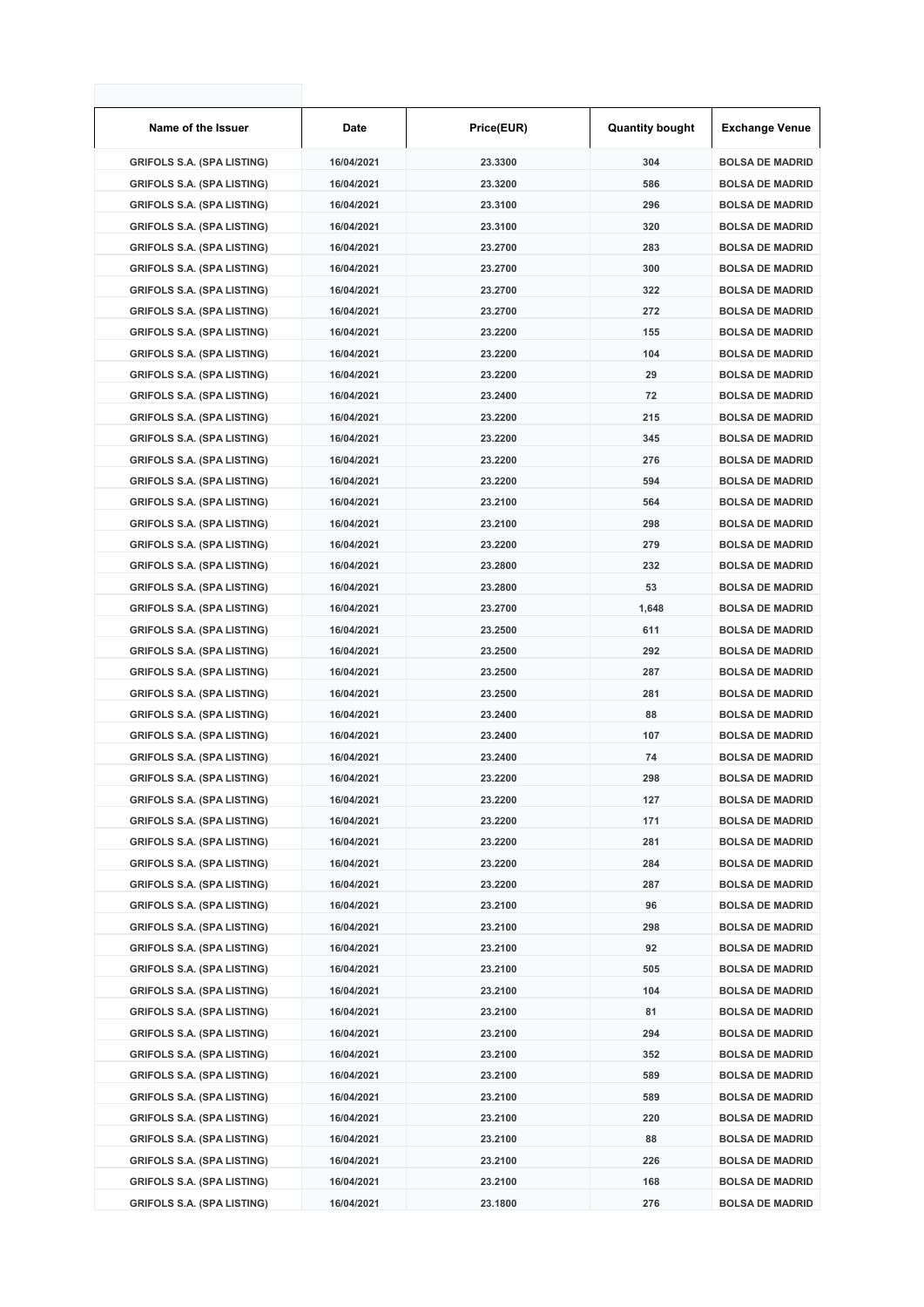| Name of the Issuer                | Date       | Price(EUR) | <b>Quantity bought</b> | <b>Exchange Venue</b>  |
|-----------------------------------|------------|------------|------------------------|------------------------|
| <b>GRIFOLS S.A. (SPA LISTING)</b> | 16/04/2021 | 23.3300    | 304                    | <b>BOLSA DE MADRID</b> |
| <b>GRIFOLS S.A. (SPA LISTING)</b> | 16/04/2021 | 23.3200    | 586                    | <b>BOLSA DE MADRID</b> |
| <b>GRIFOLS S.A. (SPA LISTING)</b> | 16/04/2021 | 23.3100    | 296                    | <b>BOLSA DE MADRID</b> |
| <b>GRIFOLS S.A. (SPA LISTING)</b> | 16/04/2021 | 23.3100    | 320                    | <b>BOLSA DE MADRID</b> |
| <b>GRIFOLS S.A. (SPA LISTING)</b> | 16/04/2021 | 23.2700    | 283                    | <b>BOLSA DE MADRID</b> |
| <b>GRIFOLS S.A. (SPA LISTING)</b> | 16/04/2021 | 23.2700    | 300                    | <b>BOLSA DE MADRID</b> |
| <b>GRIFOLS S.A. (SPA LISTING)</b> | 16/04/2021 | 23.2700    | 322                    | <b>BOLSA DE MADRID</b> |
| <b>GRIFOLS S.A. (SPA LISTING)</b> | 16/04/2021 | 23.2700    | 272                    | <b>BOLSA DE MADRID</b> |
| <b>GRIFOLS S.A. (SPA LISTING)</b> | 16/04/2021 | 23.2200    | 155                    | <b>BOLSA DE MADRID</b> |
| <b>GRIFOLS S.A. (SPA LISTING)</b> | 16/04/2021 | 23.2200    | 104                    | <b>BOLSA DE MADRID</b> |
| <b>GRIFOLS S.A. (SPA LISTING)</b> | 16/04/2021 | 23.2200    | 29                     | <b>BOLSA DE MADRID</b> |
| <b>GRIFOLS S.A. (SPA LISTING)</b> | 16/04/2021 | 23.2400    | 72                     | <b>BOLSA DE MADRID</b> |
| <b>GRIFOLS S.A. (SPA LISTING)</b> | 16/04/2021 | 23.2200    | 215                    | <b>BOLSA DE MADRID</b> |
| <b>GRIFOLS S.A. (SPA LISTING)</b> | 16/04/2021 | 23.2200    | 345                    | <b>BOLSA DE MADRID</b> |
| <b>GRIFOLS S.A. (SPA LISTING)</b> | 16/04/2021 | 23.2200    | 276                    | <b>BOLSA DE MADRID</b> |
| <b>GRIFOLS S.A. (SPA LISTING)</b> | 16/04/2021 | 23.2200    | 594                    | <b>BOLSA DE MADRID</b> |
| <b>GRIFOLS S.A. (SPA LISTING)</b> | 16/04/2021 | 23.2100    | 564                    | <b>BOLSA DE MADRID</b> |
| <b>GRIFOLS S.A. (SPA LISTING)</b> | 16/04/2021 | 23.2100    | 298                    | <b>BOLSA DE MADRID</b> |
| <b>GRIFOLS S.A. (SPA LISTING)</b> | 16/04/2021 | 23.2200    | 279                    | <b>BOLSA DE MADRID</b> |
| <b>GRIFOLS S.A. (SPA LISTING)</b> | 16/04/2021 | 23.2800    | 232                    | <b>BOLSA DE MADRID</b> |
| <b>GRIFOLS S.A. (SPA LISTING)</b> | 16/04/2021 | 23.2800    | 53                     | <b>BOLSA DE MADRID</b> |
| <b>GRIFOLS S.A. (SPA LISTING)</b> | 16/04/2021 | 23.2700    | 1,648                  | <b>BOLSA DE MADRID</b> |
| <b>GRIFOLS S.A. (SPA LISTING)</b> | 16/04/2021 | 23.2500    | 611                    | <b>BOLSA DE MADRID</b> |
| <b>GRIFOLS S.A. (SPA LISTING)</b> | 16/04/2021 | 23.2500    | 292                    | <b>BOLSA DE MADRID</b> |
| <b>GRIFOLS S.A. (SPA LISTING)</b> | 16/04/2021 | 23.2500    | 287                    | <b>BOLSA DE MADRID</b> |
| <b>GRIFOLS S.A. (SPA LISTING)</b> | 16/04/2021 | 23.2500    | 281                    | <b>BOLSA DE MADRID</b> |
| <b>GRIFOLS S.A. (SPA LISTING)</b> | 16/04/2021 | 23.2400    | 88                     | <b>BOLSA DE MADRID</b> |
| <b>GRIFOLS S.A. (SPA LISTING)</b> | 16/04/2021 | 23.2400    | 107                    | <b>BOLSA DE MADRID</b> |
| <b>GRIFOLS S.A. (SPA LISTING)</b> | 16/04/2021 | 23.2400    | 74                     | <b>BOLSA DE MADRID</b> |
| <b>GRIFOLS S.A. (SPA LISTING)</b> | 16/04/2021 | 23.2200    | 298                    | <b>BOLSA DE MADRID</b> |
| <b>GRIFOLS S.A. (SPA LISTING)</b> | 16/04/2021 | 23.2200    | 127                    | <b>BOLSA DE MADRID</b> |
| <b>GRIFOLS S.A. (SPA LISTING)</b> | 16/04/2021 | 23.2200    | 171                    | <b>BOLSA DE MADRID</b> |
| <b>GRIFOLS S.A. (SPA LISTING)</b> | 16/04/2021 | 23.2200    | 281                    | <b>BOLSA DE MADRID</b> |
| <b>GRIFOLS S.A. (SPA LISTING)</b> | 16/04/2021 | 23.2200    | 284                    | <b>BOLSA DE MADRID</b> |
| <b>GRIFOLS S.A. (SPA LISTING)</b> | 16/04/2021 | 23.2200    | 287                    | <b>BOLSA DE MADRID</b> |
| <b>GRIFOLS S.A. (SPA LISTING)</b> | 16/04/2021 | 23.2100    | 96                     | <b>BOLSA DE MADRID</b> |
| <b>GRIFOLS S.A. (SPA LISTING)</b> | 16/04/2021 | 23.2100    | 298                    | <b>BOLSA DE MADRID</b> |
| <b>GRIFOLS S.A. (SPA LISTING)</b> | 16/04/2021 | 23.2100    | 92                     | <b>BOLSA DE MADRID</b> |
| <b>GRIFOLS S.A. (SPA LISTING)</b> | 16/04/2021 | 23.2100    | 505                    | <b>BOLSA DE MADRID</b> |
| <b>GRIFOLS S.A. (SPA LISTING)</b> | 16/04/2021 | 23.2100    | 104                    | <b>BOLSA DE MADRID</b> |
| <b>GRIFOLS S.A. (SPA LISTING)</b> | 16/04/2021 | 23.2100    | 81                     | <b>BOLSA DE MADRID</b> |
| <b>GRIFOLS S.A. (SPA LISTING)</b> | 16/04/2021 | 23.2100    | 294                    | <b>BOLSA DE MADRID</b> |
| <b>GRIFOLS S.A. (SPA LISTING)</b> | 16/04/2021 | 23.2100    | 352                    | <b>BOLSA DE MADRID</b> |
| <b>GRIFOLS S.A. (SPA LISTING)</b> | 16/04/2021 | 23.2100    | 589                    | <b>BOLSA DE MADRID</b> |
| <b>GRIFOLS S.A. (SPA LISTING)</b> | 16/04/2021 | 23.2100    | 589                    | <b>BOLSA DE MADRID</b> |
| <b>GRIFOLS S.A. (SPA LISTING)</b> | 16/04/2021 | 23.2100    | 220                    | <b>BOLSA DE MADRID</b> |
| <b>GRIFOLS S.A. (SPA LISTING)</b> | 16/04/2021 | 23.2100    | 88                     | <b>BOLSA DE MADRID</b> |
| <b>GRIFOLS S.A. (SPA LISTING)</b> | 16/04/2021 | 23.2100    | 226                    | <b>BOLSA DE MADRID</b> |
| <b>GRIFOLS S.A. (SPA LISTING)</b> | 16/04/2021 | 23.2100    | 168                    | <b>BOLSA DE MADRID</b> |
| <b>GRIFOLS S.A. (SPA LISTING)</b> | 16/04/2021 | 23.1800    | 276                    | <b>BOLSA DE MADRID</b> |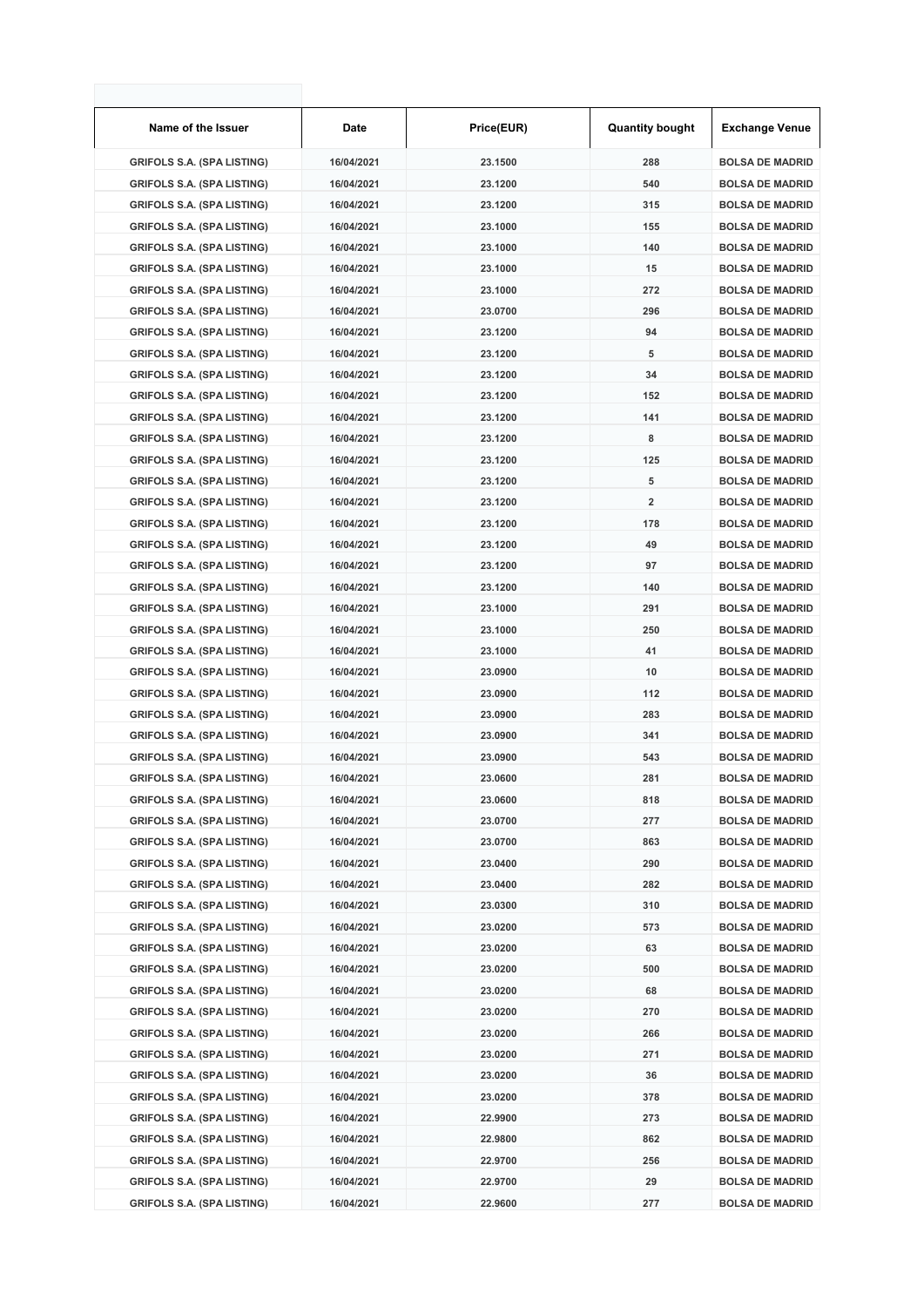| Name of the Issuer                | Date       | Price(EUR) | <b>Quantity bought</b>  | <b>Exchange Venue</b>  |
|-----------------------------------|------------|------------|-------------------------|------------------------|
| <b>GRIFOLS S.A. (SPA LISTING)</b> | 16/04/2021 | 23.1500    | 288                     | <b>BOLSA DE MADRID</b> |
| <b>GRIFOLS S.A. (SPA LISTING)</b> | 16/04/2021 | 23.1200    | 540                     | <b>BOLSA DE MADRID</b> |
| <b>GRIFOLS S.A. (SPA LISTING)</b> | 16/04/2021 | 23.1200    | 315                     | <b>BOLSA DE MADRID</b> |
| <b>GRIFOLS S.A. (SPA LISTING)</b> | 16/04/2021 | 23.1000    | 155                     | <b>BOLSA DE MADRID</b> |
| <b>GRIFOLS S.A. (SPA LISTING)</b> | 16/04/2021 | 23.1000    | 140                     | <b>BOLSA DE MADRID</b> |
| <b>GRIFOLS S.A. (SPA LISTING)</b> | 16/04/2021 | 23.1000    | 15                      | <b>BOLSA DE MADRID</b> |
| <b>GRIFOLS S.A. (SPA LISTING)</b> | 16/04/2021 | 23.1000    | 272                     | <b>BOLSA DE MADRID</b> |
| <b>GRIFOLS S.A. (SPA LISTING)</b> | 16/04/2021 | 23.0700    | 296                     | <b>BOLSA DE MADRID</b> |
| <b>GRIFOLS S.A. (SPA LISTING)</b> | 16/04/2021 | 23.1200    | 94                      | <b>BOLSA DE MADRID</b> |
| <b>GRIFOLS S.A. (SPA LISTING)</b> | 16/04/2021 | 23.1200    | 5                       | <b>BOLSA DE MADRID</b> |
| <b>GRIFOLS S.A. (SPA LISTING)</b> | 16/04/2021 | 23.1200    | 34                      | <b>BOLSA DE MADRID</b> |
| <b>GRIFOLS S.A. (SPA LISTING)</b> | 16/04/2021 | 23.1200    | 152                     | <b>BOLSA DE MADRID</b> |
| <b>GRIFOLS S.A. (SPA LISTING)</b> | 16/04/2021 | 23.1200    | 141                     | <b>BOLSA DE MADRID</b> |
| <b>GRIFOLS S.A. (SPA LISTING)</b> | 16/04/2021 | 23.1200    | 8                       | <b>BOLSA DE MADRID</b> |
| <b>GRIFOLS S.A. (SPA LISTING)</b> | 16/04/2021 | 23.1200    | 125                     | <b>BOLSA DE MADRID</b> |
| <b>GRIFOLS S.A. (SPA LISTING)</b> | 16/04/2021 | 23.1200    | 5                       | <b>BOLSA DE MADRID</b> |
| <b>GRIFOLS S.A. (SPA LISTING)</b> | 16/04/2021 | 23.1200    | $\overline{\mathbf{2}}$ | <b>BOLSA DE MADRID</b> |
| <b>GRIFOLS S.A. (SPA LISTING)</b> | 16/04/2021 | 23.1200    | 178                     | <b>BOLSA DE MADRID</b> |
| <b>GRIFOLS S.A. (SPA LISTING)</b> | 16/04/2021 | 23.1200    | 49                      | <b>BOLSA DE MADRID</b> |
| <b>GRIFOLS S.A. (SPA LISTING)</b> | 16/04/2021 | 23.1200    | 97                      | <b>BOLSA DE MADRID</b> |
| <b>GRIFOLS S.A. (SPA LISTING)</b> | 16/04/2021 | 23.1200    | 140                     | <b>BOLSA DE MADRID</b> |
| <b>GRIFOLS S.A. (SPA LISTING)</b> | 16/04/2021 | 23.1000    | 291                     | <b>BOLSA DE MADRID</b> |
| <b>GRIFOLS S.A. (SPA LISTING)</b> | 16/04/2021 | 23.1000    | 250                     | <b>BOLSA DE MADRID</b> |
| <b>GRIFOLS S.A. (SPA LISTING)</b> | 16/04/2021 | 23.1000    | 41                      | <b>BOLSA DE MADRID</b> |
| <b>GRIFOLS S.A. (SPA LISTING)</b> | 16/04/2021 | 23.0900    | 10                      | <b>BOLSA DE MADRID</b> |
| <b>GRIFOLS S.A. (SPA LISTING)</b> | 16/04/2021 | 23.0900    | 112                     | <b>BOLSA DE MADRID</b> |
| <b>GRIFOLS S.A. (SPA LISTING)</b> | 16/04/2021 | 23.0900    | 283                     | <b>BOLSA DE MADRID</b> |
| <b>GRIFOLS S.A. (SPA LISTING)</b> | 16/04/2021 | 23.0900    | 341                     | <b>BOLSA DE MADRID</b> |
| <b>GRIFOLS S.A. (SPA LISTING)</b> | 16/04/2021 | 23.0900    | 543                     | <b>BOLSA DE MADRID</b> |
| <b>GRIFOLS S.A. (SPA LISTING)</b> | 16/04/2021 | 23.0600    | 281                     | <b>BOLSA DE MADRID</b> |
| <b>GRIFOLS S.A. (SPA LISTING)</b> | 16/04/2021 | 23.0600    | 818                     | <b>BOLSA DE MADRID</b> |
| <b>GRIFOLS S.A. (SPA LISTING)</b> | 16/04/2021 | 23.0700    | 277                     | <b>BOLSA DE MADRID</b> |
| <b>GRIFOLS S.A. (SPA LISTING)</b> | 16/04/2021 | 23.0700    | 863                     | <b>BOLSA DE MADRID</b> |
| <b>GRIFOLS S.A. (SPA LISTING)</b> | 16/04/2021 | 23.0400    | 290                     | <b>BOLSA DE MADRID</b> |
| <b>GRIFOLS S.A. (SPA LISTING)</b> | 16/04/2021 | 23.0400    | 282                     | <b>BOLSA DE MADRID</b> |
| <b>GRIFOLS S.A. (SPA LISTING)</b> | 16/04/2021 | 23.0300    | 310                     | <b>BOLSA DE MADRID</b> |
| <b>GRIFOLS S.A. (SPA LISTING)</b> | 16/04/2021 | 23.0200    | 573                     | <b>BOLSA DE MADRID</b> |
| <b>GRIFOLS S.A. (SPA LISTING)</b> | 16/04/2021 | 23.0200    | 63                      | <b>BOLSA DE MADRID</b> |
| <b>GRIFOLS S.A. (SPA LISTING)</b> | 16/04/2021 | 23.0200    | 500                     | <b>BOLSA DE MADRID</b> |
| <b>GRIFOLS S.A. (SPA LISTING)</b> | 16/04/2021 | 23.0200    | 68                      | <b>BOLSA DE MADRID</b> |
| <b>GRIFOLS S.A. (SPA LISTING)</b> | 16/04/2021 | 23.0200    | 270                     | <b>BOLSA DE MADRID</b> |
| <b>GRIFOLS S.A. (SPA LISTING)</b> | 16/04/2021 | 23.0200    | 266                     | <b>BOLSA DE MADRID</b> |
| <b>GRIFOLS S.A. (SPA LISTING)</b> | 16/04/2021 | 23.0200    | 271                     | <b>BOLSA DE MADRID</b> |
| <b>GRIFOLS S.A. (SPA LISTING)</b> | 16/04/2021 | 23.0200    | 36                      | <b>BOLSA DE MADRID</b> |
| <b>GRIFOLS S.A. (SPA LISTING)</b> | 16/04/2021 | 23.0200    | 378                     | <b>BOLSA DE MADRID</b> |
| <b>GRIFOLS S.A. (SPA LISTING)</b> | 16/04/2021 | 22.9900    | 273                     | <b>BOLSA DE MADRID</b> |
| <b>GRIFOLS S.A. (SPA LISTING)</b> | 16/04/2021 | 22.9800    | 862                     | <b>BOLSA DE MADRID</b> |
| <b>GRIFOLS S.A. (SPA LISTING)</b> | 16/04/2021 | 22.9700    | 256                     | <b>BOLSA DE MADRID</b> |
| <b>GRIFOLS S.A. (SPA LISTING)</b> | 16/04/2021 | 22.9700    | 29                      | <b>BOLSA DE MADRID</b> |
| <b>GRIFOLS S.A. (SPA LISTING)</b> | 16/04/2021 | 22.9600    | 277                     | <b>BOLSA DE MADRID</b> |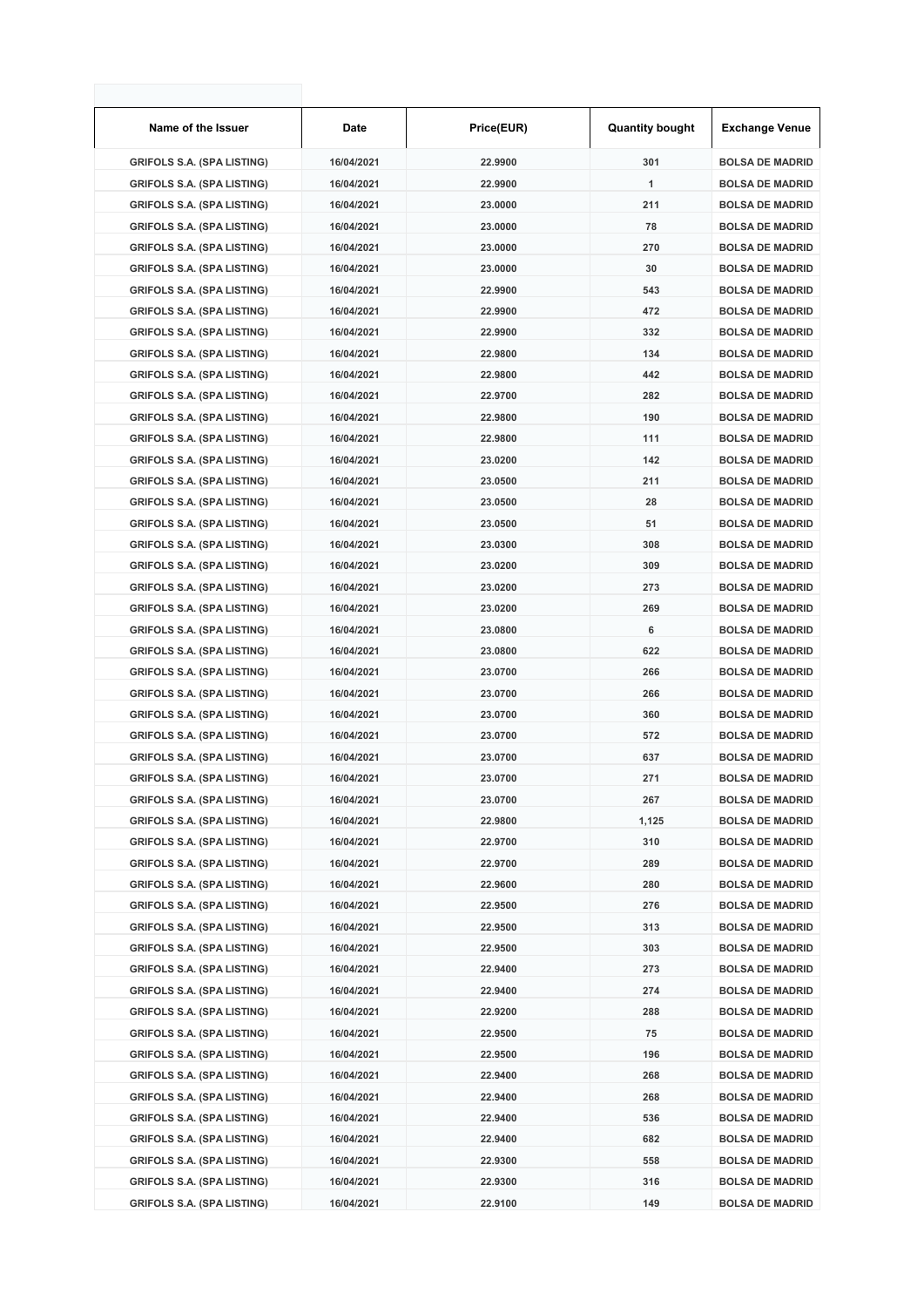| Name of the Issuer                | Date       | Price(EUR) | <b>Quantity bought</b> | <b>Exchange Venue</b>  |
|-----------------------------------|------------|------------|------------------------|------------------------|
| <b>GRIFOLS S.A. (SPA LISTING)</b> | 16/04/2021 | 22.9900    | 301                    | <b>BOLSA DE MADRID</b> |
| <b>GRIFOLS S.A. (SPA LISTING)</b> | 16/04/2021 | 22.9900    | 1                      | <b>BOLSA DE MADRID</b> |
| <b>GRIFOLS S.A. (SPA LISTING)</b> | 16/04/2021 | 23.0000    | 211                    | <b>BOLSA DE MADRID</b> |
| <b>GRIFOLS S.A. (SPA LISTING)</b> | 16/04/2021 | 23.0000    | 78                     | <b>BOLSA DE MADRID</b> |
| <b>GRIFOLS S.A. (SPA LISTING)</b> | 16/04/2021 | 23.0000    | 270                    | <b>BOLSA DE MADRID</b> |
| <b>GRIFOLS S.A. (SPA LISTING)</b> | 16/04/2021 | 23.0000    | 30                     | <b>BOLSA DE MADRID</b> |
| <b>GRIFOLS S.A. (SPA LISTING)</b> | 16/04/2021 | 22.9900    | 543                    | <b>BOLSA DE MADRID</b> |
| <b>GRIFOLS S.A. (SPA LISTING)</b> | 16/04/2021 | 22.9900    | 472                    | <b>BOLSA DE MADRID</b> |
| <b>GRIFOLS S.A. (SPA LISTING)</b> | 16/04/2021 | 22.9900    | 332                    | <b>BOLSA DE MADRID</b> |
| <b>GRIFOLS S.A. (SPA LISTING)</b> | 16/04/2021 | 22.9800    | 134                    | <b>BOLSA DE MADRID</b> |
| <b>GRIFOLS S.A. (SPA LISTING)</b> | 16/04/2021 | 22.9800    | 442                    | <b>BOLSA DE MADRID</b> |
| <b>GRIFOLS S.A. (SPA LISTING)</b> | 16/04/2021 | 22.9700    | 282                    | <b>BOLSA DE MADRID</b> |
| <b>GRIFOLS S.A. (SPA LISTING)</b> | 16/04/2021 | 22.9800    | 190                    | <b>BOLSA DE MADRID</b> |
| <b>GRIFOLS S.A. (SPA LISTING)</b> | 16/04/2021 | 22.9800    | 111                    | <b>BOLSA DE MADRID</b> |
| <b>GRIFOLS S.A. (SPA LISTING)</b> | 16/04/2021 | 23.0200    | 142                    | <b>BOLSA DE MADRID</b> |
| <b>GRIFOLS S.A. (SPA LISTING)</b> | 16/04/2021 | 23.0500    | 211                    | <b>BOLSA DE MADRID</b> |
| <b>GRIFOLS S.A. (SPA LISTING)</b> | 16/04/2021 | 23.0500    | 28                     | <b>BOLSA DE MADRID</b> |
| <b>GRIFOLS S.A. (SPA LISTING)</b> | 16/04/2021 | 23.0500    | 51                     | <b>BOLSA DE MADRID</b> |
| <b>GRIFOLS S.A. (SPA LISTING)</b> | 16/04/2021 | 23.0300    | 308                    | <b>BOLSA DE MADRID</b> |
| <b>GRIFOLS S.A. (SPA LISTING)</b> | 16/04/2021 | 23.0200    | 309                    | <b>BOLSA DE MADRID</b> |
| <b>GRIFOLS S.A. (SPA LISTING)</b> | 16/04/2021 | 23.0200    | 273                    | <b>BOLSA DE MADRID</b> |
| <b>GRIFOLS S.A. (SPA LISTING)</b> | 16/04/2021 | 23.0200    | 269                    | <b>BOLSA DE MADRID</b> |
| <b>GRIFOLS S.A. (SPA LISTING)</b> | 16/04/2021 | 23.0800    | 6                      | <b>BOLSA DE MADRID</b> |
| <b>GRIFOLS S.A. (SPA LISTING)</b> | 16/04/2021 | 23.0800    | 622                    | <b>BOLSA DE MADRID</b> |
| <b>GRIFOLS S.A. (SPA LISTING)</b> | 16/04/2021 | 23.0700    | 266                    | <b>BOLSA DE MADRID</b> |
| <b>GRIFOLS S.A. (SPA LISTING)</b> | 16/04/2021 | 23.0700    | 266                    | <b>BOLSA DE MADRID</b> |
| <b>GRIFOLS S.A. (SPA LISTING)</b> | 16/04/2021 | 23.0700    | 360                    | <b>BOLSA DE MADRID</b> |
| <b>GRIFOLS S.A. (SPA LISTING)</b> | 16/04/2021 | 23.0700    | 572                    | <b>BOLSA DE MADRID</b> |
| <b>GRIFOLS S.A. (SPA LISTING)</b> | 16/04/2021 | 23.0700    | 637                    | <b>BOLSA DE MADRID</b> |
| <b>GRIFOLS S.A. (SPA LISTING)</b> | 16/04/2021 | 23.0700    | 271                    | <b>BOLSA DE MADRID</b> |
| <b>GRIFOLS S.A. (SPA LISTING)</b> | 16/04/2021 | 23.0700    | 267                    | <b>BOLSA DE MADRID</b> |
| <b>GRIFOLS S.A. (SPA LISTING)</b> | 16/04/2021 | 22.9800    | 1,125                  | <b>BOLSA DE MADRID</b> |
| <b>GRIFOLS S.A. (SPA LISTING)</b> | 16/04/2021 | 22.9700    | 310                    | <b>BOLSA DE MADRID</b> |
| <b>GRIFOLS S.A. (SPA LISTING)</b> | 16/04/2021 | 22.9700    | 289                    | <b>BOLSA DE MADRID</b> |
| <b>GRIFOLS S.A. (SPA LISTING)</b> | 16/04/2021 | 22.9600    | 280                    | <b>BOLSA DE MADRID</b> |
| <b>GRIFOLS S.A. (SPA LISTING)</b> | 16/04/2021 | 22.9500    | 276                    | <b>BOLSA DE MADRID</b> |
| <b>GRIFOLS S.A. (SPA LISTING)</b> | 16/04/2021 | 22.9500    | 313                    | <b>BOLSA DE MADRID</b> |
| <b>GRIFOLS S.A. (SPA LISTING)</b> | 16/04/2021 | 22.9500    | 303                    | <b>BOLSA DE MADRID</b> |
| <b>GRIFOLS S.A. (SPA LISTING)</b> | 16/04/2021 | 22.9400    | 273                    | <b>BOLSA DE MADRID</b> |
| <b>GRIFOLS S.A. (SPA LISTING)</b> | 16/04/2021 | 22.9400    | 274                    | <b>BOLSA DE MADRID</b> |
| <b>GRIFOLS S.A. (SPA LISTING)</b> | 16/04/2021 | 22.9200    | 288                    | <b>BOLSA DE MADRID</b> |
| <b>GRIFOLS S.A. (SPA LISTING)</b> | 16/04/2021 | 22.9500    | 75                     | <b>BOLSA DE MADRID</b> |
| <b>GRIFOLS S.A. (SPA LISTING)</b> | 16/04/2021 | 22.9500    | 196                    | <b>BOLSA DE MADRID</b> |
| <b>GRIFOLS S.A. (SPA LISTING)</b> | 16/04/2021 | 22.9400    | 268                    | <b>BOLSA DE MADRID</b> |
| <b>GRIFOLS S.A. (SPA LISTING)</b> | 16/04/2021 | 22.9400    | 268                    | <b>BOLSA DE MADRID</b> |
| <b>GRIFOLS S.A. (SPA LISTING)</b> | 16/04/2021 | 22.9400    | 536                    | <b>BOLSA DE MADRID</b> |
| <b>GRIFOLS S.A. (SPA LISTING)</b> | 16/04/2021 | 22.9400    | 682                    | <b>BOLSA DE MADRID</b> |
| <b>GRIFOLS S.A. (SPA LISTING)</b> | 16/04/2021 | 22.9300    | 558                    | <b>BOLSA DE MADRID</b> |
| <b>GRIFOLS S.A. (SPA LISTING)</b> | 16/04/2021 | 22.9300    | 316                    | <b>BOLSA DE MADRID</b> |
| <b>GRIFOLS S.A. (SPA LISTING)</b> | 16/04/2021 | 22.9100    | 149                    | <b>BOLSA DE MADRID</b> |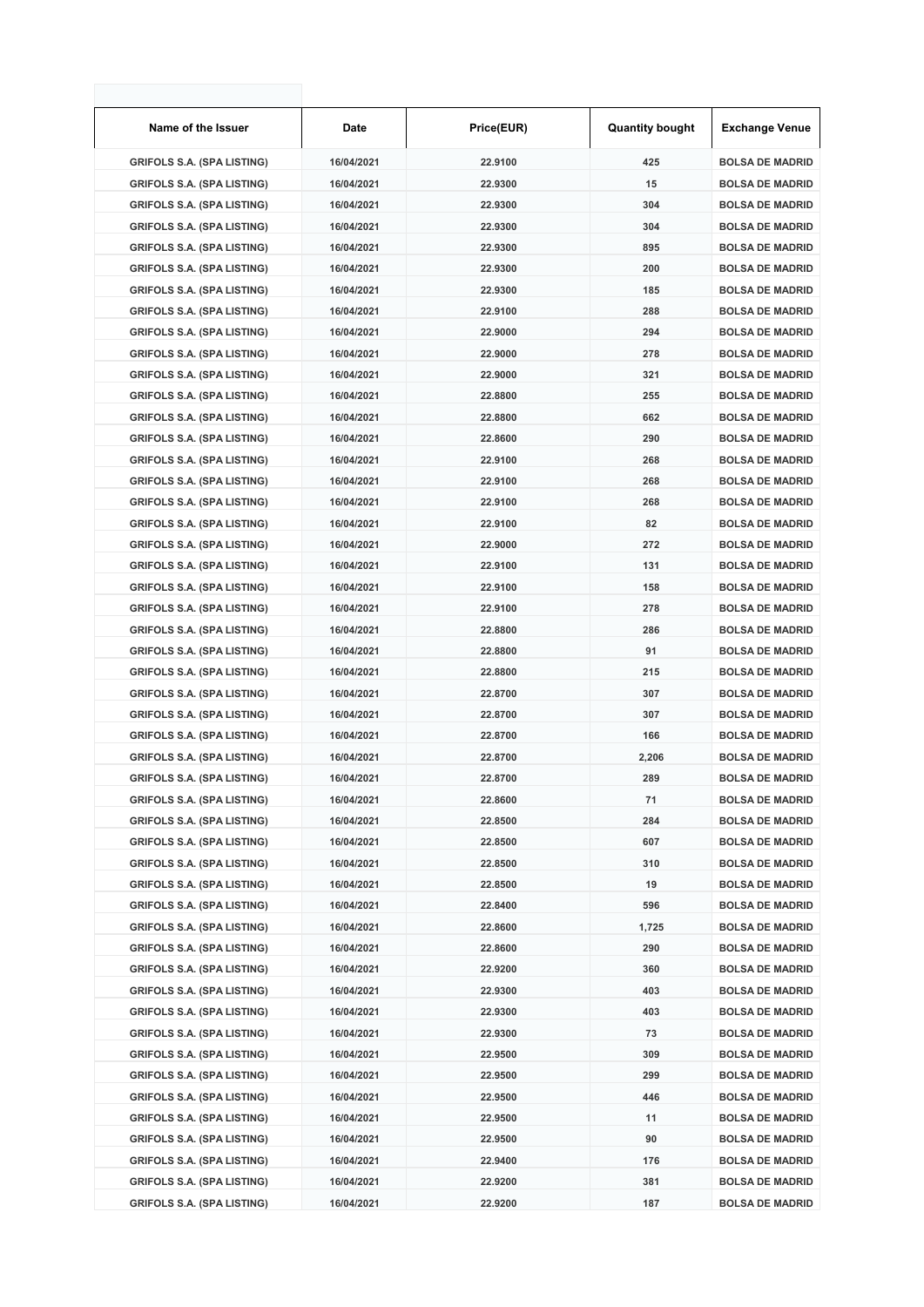| Name of the Issuer                | <b>Date</b> | Price(EUR) | <b>Quantity bought</b> | Exchange Venue         |
|-----------------------------------|-------------|------------|------------------------|------------------------|
| <b>GRIFOLS S.A. (SPA LISTING)</b> | 16/04/2021  | 22.9100    | 425                    | <b>BOLSA DE MADRID</b> |
| <b>GRIFOLS S.A. (SPA LISTING)</b> | 16/04/2021  | 22.9300    | 15                     | <b>BOLSA DE MADRID</b> |
| <b>GRIFOLS S.A. (SPA LISTING)</b> | 16/04/2021  | 22.9300    | 304                    | <b>BOLSA DE MADRID</b> |
| <b>GRIFOLS S.A. (SPA LISTING)</b> | 16/04/2021  | 22.9300    | 304                    | <b>BOLSA DE MADRID</b> |
| <b>GRIFOLS S.A. (SPA LISTING)</b> | 16/04/2021  | 22.9300    | 895                    | <b>BOLSA DE MADRID</b> |
| <b>GRIFOLS S.A. (SPA LISTING)</b> | 16/04/2021  | 22.9300    | 200                    | <b>BOLSA DE MADRID</b> |
| <b>GRIFOLS S.A. (SPA LISTING)</b> | 16/04/2021  | 22.9300    | 185                    | <b>BOLSA DE MADRID</b> |
| <b>GRIFOLS S.A. (SPA LISTING)</b> | 16/04/2021  | 22.9100    | 288                    | <b>BOLSA DE MADRID</b> |
| <b>GRIFOLS S.A. (SPA LISTING)</b> | 16/04/2021  | 22.9000    | 294                    | <b>BOLSA DE MADRID</b> |
| <b>GRIFOLS S.A. (SPA LISTING)</b> | 16/04/2021  | 22.9000    | 278                    | <b>BOLSA DE MADRID</b> |
| <b>GRIFOLS S.A. (SPA LISTING)</b> | 16/04/2021  | 22.9000    | 321                    | <b>BOLSA DE MADRID</b> |
| <b>GRIFOLS S.A. (SPA LISTING)</b> | 16/04/2021  | 22.8800    | 255                    | <b>BOLSA DE MADRID</b> |
| <b>GRIFOLS S.A. (SPA LISTING)</b> | 16/04/2021  | 22.8800    | 662                    | <b>BOLSA DE MADRID</b> |
| <b>GRIFOLS S.A. (SPA LISTING)</b> | 16/04/2021  | 22.8600    | 290                    | <b>BOLSA DE MADRID</b> |
| <b>GRIFOLS S.A. (SPA LISTING)</b> | 16/04/2021  | 22.9100    | 268                    | <b>BOLSA DE MADRID</b> |
| <b>GRIFOLS S.A. (SPA LISTING)</b> | 16/04/2021  | 22.9100    | 268                    | <b>BOLSA DE MADRID</b> |
| <b>GRIFOLS S.A. (SPA LISTING)</b> | 16/04/2021  | 22.9100    | 268                    | <b>BOLSA DE MADRID</b> |
| <b>GRIFOLS S.A. (SPA LISTING)</b> | 16/04/2021  | 22.9100    | 82                     | <b>BOLSA DE MADRID</b> |
| <b>GRIFOLS S.A. (SPA LISTING)</b> | 16/04/2021  | 22.9000    | 272                    | <b>BOLSA DE MADRID</b> |
| <b>GRIFOLS S.A. (SPA LISTING)</b> | 16/04/2021  | 22.9100    | 131                    | <b>BOLSA DE MADRID</b> |
| <b>GRIFOLS S.A. (SPA LISTING)</b> | 16/04/2021  | 22.9100    | 158                    | <b>BOLSA DE MADRID</b> |
| <b>GRIFOLS S.A. (SPA LISTING)</b> | 16/04/2021  | 22.9100    | 278                    | <b>BOLSA DE MADRID</b> |
| <b>GRIFOLS S.A. (SPA LISTING)</b> | 16/04/2021  | 22.8800    | 286                    | <b>BOLSA DE MADRID</b> |
| <b>GRIFOLS S.A. (SPA LISTING)</b> | 16/04/2021  | 22.8800    | 91                     | <b>BOLSA DE MADRID</b> |
| <b>GRIFOLS S.A. (SPA LISTING)</b> | 16/04/2021  | 22.8800    | 215                    | <b>BOLSA DE MADRID</b> |
| <b>GRIFOLS S.A. (SPA LISTING)</b> | 16/04/2021  | 22.8700    | 307                    | <b>BOLSA DE MADRID</b> |
| <b>GRIFOLS S.A. (SPA LISTING)</b> | 16/04/2021  | 22.8700    | 307                    | <b>BOLSA DE MADRID</b> |
| <b>GRIFOLS S.A. (SPA LISTING)</b> | 16/04/2021  | 22.8700    | 166                    | <b>BOLSA DE MADRID</b> |
| <b>GRIFOLS S.A. (SPA LISTING)</b> | 16/04/2021  | 22.8700    | 2,206                  | <b>BOLSA DE MADRID</b> |
| <b>GRIFOLS S.A. (SPA LISTING)</b> | 16/04/2021  | 22.8700    | 289                    | <b>BOLSA DE MADRID</b> |
| <b>GRIFOLS S.A. (SPA LISTING)</b> | 16/04/2021  | 22.8600    | 71                     | <b>BOLSA DE MADRID</b> |
| <b>GRIFOLS S.A. (SPA LISTING)</b> | 16/04/2021  | 22.8500    | 284                    | <b>BOLSA DE MADRID</b> |
| <b>GRIFOLS S.A. (SPA LISTING)</b> | 16/04/2021  | 22.8500    | 607                    | <b>BOLSA DE MADRID</b> |
| <b>GRIFOLS S.A. (SPA LISTING)</b> | 16/04/2021  | 22.8500    | 310                    | <b>BOLSA DE MADRID</b> |
| <b>GRIFOLS S.A. (SPA LISTING)</b> | 16/04/2021  | 22.8500    | 19                     | <b>BOLSA DE MADRID</b> |
| <b>GRIFOLS S.A. (SPA LISTING)</b> | 16/04/2021  | 22.8400    | 596                    | <b>BOLSA DE MADRID</b> |
| <b>GRIFOLS S.A. (SPA LISTING)</b> | 16/04/2021  | 22.8600    | 1,725                  | <b>BOLSA DE MADRID</b> |
| <b>GRIFOLS S.A. (SPA LISTING)</b> | 16/04/2021  | 22.8600    | 290                    | <b>BOLSA DE MADRID</b> |
| <b>GRIFOLS S.A. (SPA LISTING)</b> | 16/04/2021  | 22.9200    | 360                    | <b>BOLSA DE MADRID</b> |
| <b>GRIFOLS S.A. (SPA LISTING)</b> | 16/04/2021  | 22.9300    | 403                    | <b>BOLSA DE MADRID</b> |
| <b>GRIFOLS S.A. (SPA LISTING)</b> | 16/04/2021  | 22.9300    | 403                    | <b>BOLSA DE MADRID</b> |
| <b>GRIFOLS S.A. (SPA LISTING)</b> | 16/04/2021  | 22.9300    | 73                     | <b>BOLSA DE MADRID</b> |
| <b>GRIFOLS S.A. (SPA LISTING)</b> | 16/04/2021  | 22.9500    | 309                    | <b>BOLSA DE MADRID</b> |
| <b>GRIFOLS S.A. (SPA LISTING)</b> | 16/04/2021  | 22.9500    | 299                    | <b>BOLSA DE MADRID</b> |
| <b>GRIFOLS S.A. (SPA LISTING)</b> | 16/04/2021  | 22.9500    | 446                    | <b>BOLSA DE MADRID</b> |
| <b>GRIFOLS S.A. (SPA LISTING)</b> | 16/04/2021  | 22.9500    | 11                     | <b>BOLSA DE MADRID</b> |
| <b>GRIFOLS S.A. (SPA LISTING)</b> | 16/04/2021  | 22.9500    | 90                     | <b>BOLSA DE MADRID</b> |
| <b>GRIFOLS S.A. (SPA LISTING)</b> | 16/04/2021  | 22.9400    | 176                    | <b>BOLSA DE MADRID</b> |
| <b>GRIFOLS S.A. (SPA LISTING)</b> | 16/04/2021  | 22.9200    | 381                    | <b>BOLSA DE MADRID</b> |
| <b>GRIFOLS S.A. (SPA LISTING)</b> | 16/04/2021  | 22.9200    | 187                    | <b>BOLSA DE MADRID</b> |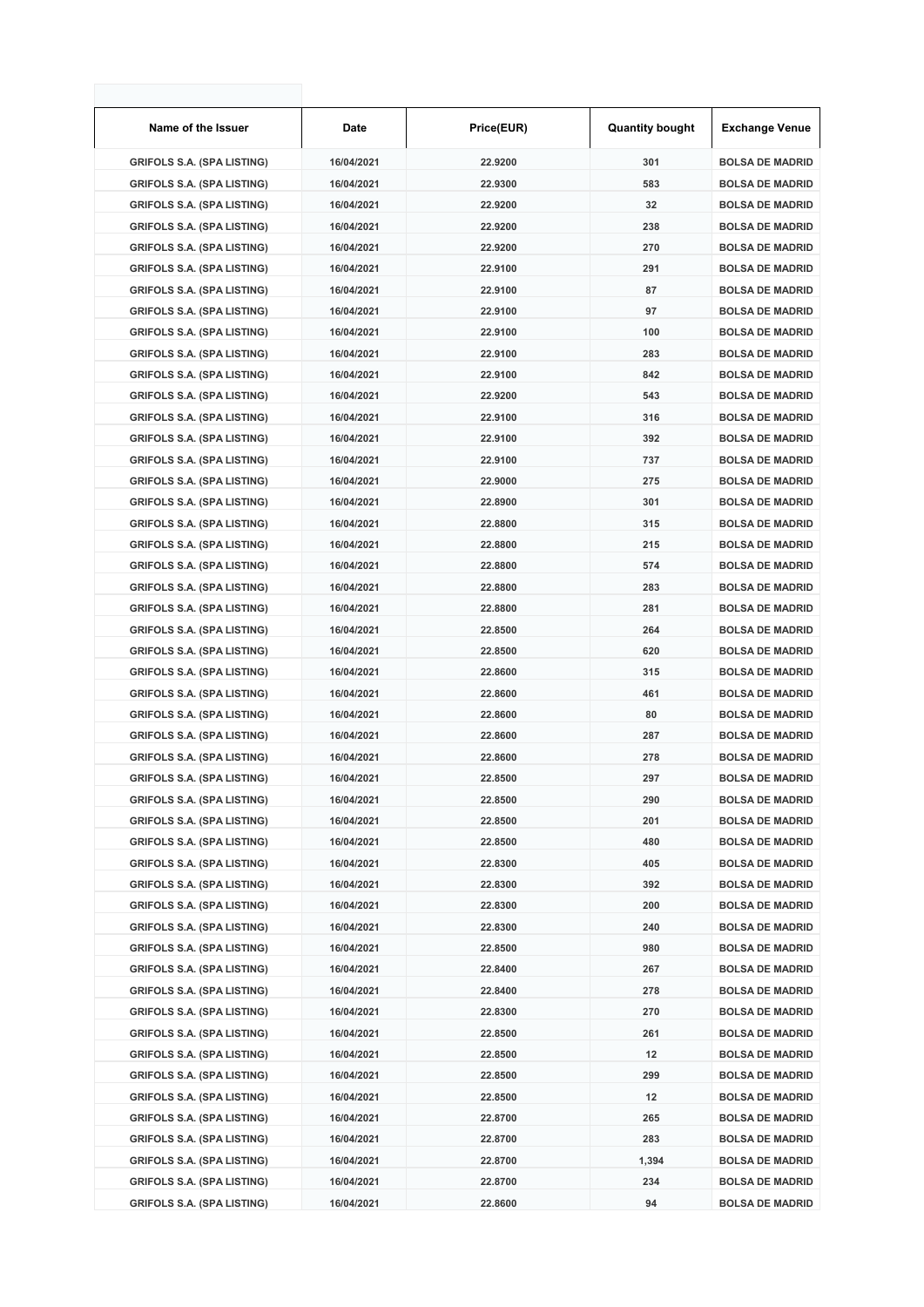| Name of the Issuer                | Date       | Price(EUR) | <b>Quantity bought</b> | <b>Exchange Venue</b>  |
|-----------------------------------|------------|------------|------------------------|------------------------|
| <b>GRIFOLS S.A. (SPA LISTING)</b> | 16/04/2021 | 22.9200    | 301                    | <b>BOLSA DE MADRID</b> |
| <b>GRIFOLS S.A. (SPA LISTING)</b> | 16/04/2021 | 22.9300    | 583                    | <b>BOLSA DE MADRID</b> |
| <b>GRIFOLS S.A. (SPA LISTING)</b> | 16/04/2021 | 22.9200    | 32                     | <b>BOLSA DE MADRID</b> |
| <b>GRIFOLS S.A. (SPA LISTING)</b> | 16/04/2021 | 22.9200    | 238                    | <b>BOLSA DE MADRID</b> |
| <b>GRIFOLS S.A. (SPA LISTING)</b> | 16/04/2021 | 22.9200    | 270                    | <b>BOLSA DE MADRID</b> |
| <b>GRIFOLS S.A. (SPA LISTING)</b> | 16/04/2021 | 22.9100    | 291                    | <b>BOLSA DE MADRID</b> |
| <b>GRIFOLS S.A. (SPA LISTING)</b> | 16/04/2021 | 22.9100    | 87                     | <b>BOLSA DE MADRID</b> |
| <b>GRIFOLS S.A. (SPA LISTING)</b> | 16/04/2021 | 22.9100    | 97                     | <b>BOLSA DE MADRID</b> |
| <b>GRIFOLS S.A. (SPA LISTING)</b> | 16/04/2021 | 22.9100    | 100                    | <b>BOLSA DE MADRID</b> |
| <b>GRIFOLS S.A. (SPA LISTING)</b> | 16/04/2021 | 22.9100    | 283                    | <b>BOLSA DE MADRID</b> |
| <b>GRIFOLS S.A. (SPA LISTING)</b> | 16/04/2021 | 22.9100    | 842                    | <b>BOLSA DE MADRID</b> |
| <b>GRIFOLS S.A. (SPA LISTING)</b> | 16/04/2021 | 22.9200    | 543                    | <b>BOLSA DE MADRID</b> |
| <b>GRIFOLS S.A. (SPA LISTING)</b> | 16/04/2021 | 22.9100    | 316                    | <b>BOLSA DE MADRID</b> |
| <b>GRIFOLS S.A. (SPA LISTING)</b> | 16/04/2021 | 22.9100    | 392                    | <b>BOLSA DE MADRID</b> |
| <b>GRIFOLS S.A. (SPA LISTING)</b> | 16/04/2021 | 22.9100    | 737                    | <b>BOLSA DE MADRID</b> |
| <b>GRIFOLS S.A. (SPA LISTING)</b> | 16/04/2021 | 22.9000    | 275                    | <b>BOLSA DE MADRID</b> |
| <b>GRIFOLS S.A. (SPA LISTING)</b> | 16/04/2021 | 22.8900    | 301                    | <b>BOLSA DE MADRID</b> |
| <b>GRIFOLS S.A. (SPA LISTING)</b> | 16/04/2021 | 22.8800    | 315                    | <b>BOLSA DE MADRID</b> |
| <b>GRIFOLS S.A. (SPA LISTING)</b> | 16/04/2021 | 22.8800    | 215                    | <b>BOLSA DE MADRID</b> |
| <b>GRIFOLS S.A. (SPA LISTING)</b> | 16/04/2021 | 22.8800    | 574                    | <b>BOLSA DE MADRID</b> |
| <b>GRIFOLS S.A. (SPA LISTING)</b> | 16/04/2021 | 22.8800    | 283                    | <b>BOLSA DE MADRID</b> |
| <b>GRIFOLS S.A. (SPA LISTING)</b> | 16/04/2021 | 22.8800    | 281                    | <b>BOLSA DE MADRID</b> |
| <b>GRIFOLS S.A. (SPA LISTING)</b> | 16/04/2021 | 22.8500    | 264                    | <b>BOLSA DE MADRID</b> |
| <b>GRIFOLS S.A. (SPA LISTING)</b> | 16/04/2021 | 22.8500    | 620                    | <b>BOLSA DE MADRID</b> |
| <b>GRIFOLS S.A. (SPA LISTING)</b> | 16/04/2021 | 22.8600    | 315                    | <b>BOLSA DE MADRID</b> |
| <b>GRIFOLS S.A. (SPA LISTING)</b> | 16/04/2021 | 22.8600    | 461                    | <b>BOLSA DE MADRID</b> |
| <b>GRIFOLS S.A. (SPA LISTING)</b> | 16/04/2021 | 22.8600    | 80                     | <b>BOLSA DE MADRID</b> |
| <b>GRIFOLS S.A. (SPA LISTING)</b> | 16/04/2021 | 22.8600    | 287                    | <b>BOLSA DE MADRID</b> |
| <b>GRIFOLS S.A. (SPA LISTING)</b> | 16/04/2021 | 22.8600    | 278                    | <b>BOLSA DE MADRID</b> |
| <b>GRIFOLS S.A. (SPA LISTING)</b> | 16/04/2021 | 22.8500    | 297                    | <b>BOLSA DE MADRID</b> |
| <b>GRIFOLS S.A. (SPA LISTING)</b> | 16/04/2021 | 22.8500    | 290                    | <b>BOLSA DE MADRID</b> |
| <b>GRIFOLS S.A. (SPA LISTING)</b> | 16/04/2021 | 22.8500    | 201                    | <b>BOLSA DE MADRID</b> |
| <b>GRIFOLS S.A. (SPA LISTING)</b> | 16/04/2021 | 22.8500    | 480                    | <b>BOLSA DE MADRID</b> |
| <b>GRIFOLS S.A. (SPA LISTING)</b> | 16/04/2021 | 22.8300    | 405                    | <b>BOLSA DE MADRID</b> |
| <b>GRIFOLS S.A. (SPA LISTING)</b> | 16/04/2021 | 22.8300    | 392                    | <b>BOLSA DE MADRID</b> |
| <b>GRIFOLS S.A. (SPA LISTING)</b> | 16/04/2021 | 22.8300    | 200                    | <b>BOLSA DE MADRID</b> |
| <b>GRIFOLS S.A. (SPA LISTING)</b> | 16/04/2021 | 22.8300    | 240                    | <b>BOLSA DE MADRID</b> |
| <b>GRIFOLS S.A. (SPA LISTING)</b> | 16/04/2021 | 22.8500    | 980                    | <b>BOLSA DE MADRID</b> |
| <b>GRIFOLS S.A. (SPA LISTING)</b> | 16/04/2021 | 22.8400    | 267                    | <b>BOLSA DE MADRID</b> |
| <b>GRIFOLS S.A. (SPA LISTING)</b> | 16/04/2021 | 22.8400    | 278                    | <b>BOLSA DE MADRID</b> |
| <b>GRIFOLS S.A. (SPA LISTING)</b> | 16/04/2021 | 22.8300    | 270                    | <b>BOLSA DE MADRID</b> |
| <b>GRIFOLS S.A. (SPA LISTING)</b> | 16/04/2021 | 22.8500    | 261                    | <b>BOLSA DE MADRID</b> |
| <b>GRIFOLS S.A. (SPA LISTING)</b> | 16/04/2021 | 22.8500    | 12                     | <b>BOLSA DE MADRID</b> |
| <b>GRIFOLS S.A. (SPA LISTING)</b> | 16/04/2021 | 22.8500    | 299                    | <b>BOLSA DE MADRID</b> |
| <b>GRIFOLS S.A. (SPA LISTING)</b> | 16/04/2021 | 22.8500    | 12                     | <b>BOLSA DE MADRID</b> |
| <b>GRIFOLS S.A. (SPA LISTING)</b> | 16/04/2021 | 22.8700    | 265                    | <b>BOLSA DE MADRID</b> |
| <b>GRIFOLS S.A. (SPA LISTING)</b> | 16/04/2021 | 22.8700    | 283                    | <b>BOLSA DE MADRID</b> |
| <b>GRIFOLS S.A. (SPA LISTING)</b> | 16/04/2021 | 22.8700    | 1,394                  | <b>BOLSA DE MADRID</b> |
| <b>GRIFOLS S.A. (SPA LISTING)</b> | 16/04/2021 | 22.8700    | 234                    | <b>BOLSA DE MADRID</b> |
| <b>GRIFOLS S.A. (SPA LISTING)</b> | 16/04/2021 | 22.8600    | 94                     | <b>BOLSA DE MADRID</b> |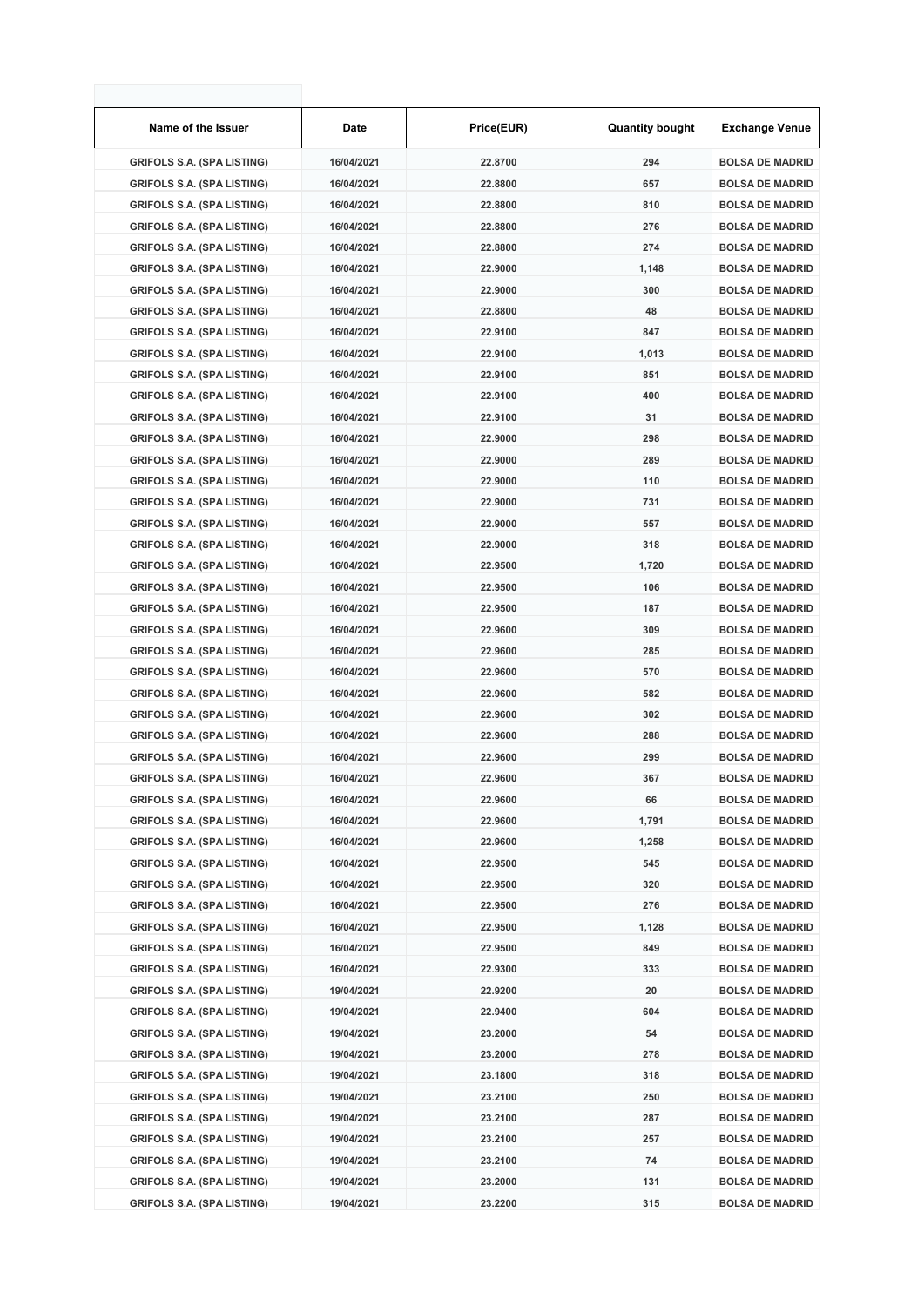| Name of the Issuer                | Date       | Price(EUR) | <b>Quantity bought</b> | <b>Exchange Venue</b>  |
|-----------------------------------|------------|------------|------------------------|------------------------|
| <b>GRIFOLS S.A. (SPA LISTING)</b> | 16/04/2021 | 22.8700    | 294                    | <b>BOLSA DE MADRID</b> |
| <b>GRIFOLS S.A. (SPA LISTING)</b> | 16/04/2021 | 22.8800    | 657                    | <b>BOLSA DE MADRID</b> |
| <b>GRIFOLS S.A. (SPA LISTING)</b> | 16/04/2021 | 22.8800    | 810                    | <b>BOLSA DE MADRID</b> |
| <b>GRIFOLS S.A. (SPA LISTING)</b> | 16/04/2021 | 22.8800    | 276                    | <b>BOLSA DE MADRID</b> |
| <b>GRIFOLS S.A. (SPA LISTING)</b> | 16/04/2021 | 22.8800    | 274                    | <b>BOLSA DE MADRID</b> |
| <b>GRIFOLS S.A. (SPA LISTING)</b> | 16/04/2021 | 22.9000    | 1,148                  | <b>BOLSA DE MADRID</b> |
| <b>GRIFOLS S.A. (SPA LISTING)</b> | 16/04/2021 | 22.9000    | 300                    | <b>BOLSA DE MADRID</b> |
| <b>GRIFOLS S.A. (SPA LISTING)</b> | 16/04/2021 | 22.8800    | 48                     | <b>BOLSA DE MADRID</b> |
| <b>GRIFOLS S.A. (SPA LISTING)</b> | 16/04/2021 | 22.9100    | 847                    | <b>BOLSA DE MADRID</b> |
| <b>GRIFOLS S.A. (SPA LISTING)</b> | 16/04/2021 | 22.9100    | 1,013                  | <b>BOLSA DE MADRID</b> |
| <b>GRIFOLS S.A. (SPA LISTING)</b> | 16/04/2021 | 22.9100    | 851                    | <b>BOLSA DE MADRID</b> |
| <b>GRIFOLS S.A. (SPA LISTING)</b> | 16/04/2021 | 22.9100    | 400                    | <b>BOLSA DE MADRID</b> |
| <b>GRIFOLS S.A. (SPA LISTING)</b> | 16/04/2021 | 22.9100    | 31                     | <b>BOLSA DE MADRID</b> |
| <b>GRIFOLS S.A. (SPA LISTING)</b> | 16/04/2021 | 22.9000    | 298                    | <b>BOLSA DE MADRID</b> |
| <b>GRIFOLS S.A. (SPA LISTING)</b> | 16/04/2021 | 22.9000    | 289                    | <b>BOLSA DE MADRID</b> |
| <b>GRIFOLS S.A. (SPA LISTING)</b> | 16/04/2021 | 22.9000    | 110                    | <b>BOLSA DE MADRID</b> |
| <b>GRIFOLS S.A. (SPA LISTING)</b> | 16/04/2021 | 22.9000    | 731                    | <b>BOLSA DE MADRID</b> |
| <b>GRIFOLS S.A. (SPA LISTING)</b> | 16/04/2021 | 22.9000    | 557                    | <b>BOLSA DE MADRID</b> |
| <b>GRIFOLS S.A. (SPA LISTING)</b> | 16/04/2021 | 22.9000    | 318                    | <b>BOLSA DE MADRID</b> |
| <b>GRIFOLS S.A. (SPA LISTING)</b> | 16/04/2021 | 22.9500    | 1,720                  | <b>BOLSA DE MADRID</b> |
| <b>GRIFOLS S.A. (SPA LISTING)</b> | 16/04/2021 | 22.9500    | 106                    | <b>BOLSA DE MADRID</b> |
| <b>GRIFOLS S.A. (SPA LISTING)</b> | 16/04/2021 | 22.9500    | 187                    | <b>BOLSA DE MADRID</b> |
| <b>GRIFOLS S.A. (SPA LISTING)</b> | 16/04/2021 | 22.9600    | 309                    | <b>BOLSA DE MADRID</b> |
| <b>GRIFOLS S.A. (SPA LISTING)</b> | 16/04/2021 | 22.9600    | 285                    | <b>BOLSA DE MADRID</b> |
| <b>GRIFOLS S.A. (SPA LISTING)</b> | 16/04/2021 | 22.9600    | 570                    | <b>BOLSA DE MADRID</b> |
| <b>GRIFOLS S.A. (SPA LISTING)</b> | 16/04/2021 | 22.9600    | 582                    | <b>BOLSA DE MADRID</b> |
| <b>GRIFOLS S.A. (SPA LISTING)</b> | 16/04/2021 | 22.9600    | 302                    | <b>BOLSA DE MADRID</b> |
| <b>GRIFOLS S.A. (SPA LISTING)</b> | 16/04/2021 | 22.9600    | 288                    | <b>BOLSA DE MADRID</b> |
| <b>GRIFOLS S.A. (SPA LISTING)</b> | 16/04/2021 | 22.9600    | 299                    | <b>BOLSA DE MADRID</b> |
| <b>GRIFOLS S.A. (SPA LISTING)</b> | 16/04/2021 | 22.9600    | 367                    | <b>BOLSA DE MADRID</b> |
| <b>GRIFOLS S.A. (SPA LISTING)</b> | 16/04/2021 | 22.9600    | 66                     | <b>BOLSA DE MADRID</b> |
| <b>GRIFOLS S.A. (SPA LISTING)</b> | 16/04/2021 | 22.9600    | 1,791                  | <b>BOLSA DE MADRID</b> |
| <b>GRIFOLS S.A. (SPA LISTING)</b> | 16/04/2021 | 22.9600    | 1,258                  | <b>BOLSA DE MADRID</b> |
| <b>GRIFOLS S.A. (SPA LISTING)</b> | 16/04/2021 | 22.9500    | 545                    | <b>BOLSA DE MADRID</b> |
| <b>GRIFOLS S.A. (SPA LISTING)</b> | 16/04/2021 | 22.9500    | 320                    | <b>BOLSA DE MADRID</b> |
| <b>GRIFOLS S.A. (SPA LISTING)</b> | 16/04/2021 | 22.9500    | 276                    | <b>BOLSA DE MADRID</b> |
| <b>GRIFOLS S.A. (SPA LISTING)</b> | 16/04/2021 | 22.9500    | 1,128                  | <b>BOLSA DE MADRID</b> |
| <b>GRIFOLS S.A. (SPA LISTING)</b> | 16/04/2021 | 22.9500    | 849                    | <b>BOLSA DE MADRID</b> |
| <b>GRIFOLS S.A. (SPA LISTING)</b> | 16/04/2021 | 22.9300    | 333                    | <b>BOLSA DE MADRID</b> |
| <b>GRIFOLS S.A. (SPA LISTING)</b> | 19/04/2021 | 22.9200    | 20                     | <b>BOLSA DE MADRID</b> |
| <b>GRIFOLS S.A. (SPA LISTING)</b> | 19/04/2021 | 22.9400    | 604                    | <b>BOLSA DE MADRID</b> |
| <b>GRIFOLS S.A. (SPA LISTING)</b> | 19/04/2021 | 23.2000    | 54                     | <b>BOLSA DE MADRID</b> |
| <b>GRIFOLS S.A. (SPA LISTING)</b> | 19/04/2021 | 23.2000    | 278                    | <b>BOLSA DE MADRID</b> |
| <b>GRIFOLS S.A. (SPA LISTING)</b> | 19/04/2021 | 23.1800    | 318                    | <b>BOLSA DE MADRID</b> |
| <b>GRIFOLS S.A. (SPA LISTING)</b> | 19/04/2021 | 23.2100    | 250                    | <b>BOLSA DE MADRID</b> |
| <b>GRIFOLS S.A. (SPA LISTING)</b> | 19/04/2021 | 23.2100    | 287                    | <b>BOLSA DE MADRID</b> |
| <b>GRIFOLS S.A. (SPA LISTING)</b> | 19/04/2021 | 23.2100    | 257                    | <b>BOLSA DE MADRID</b> |
| <b>GRIFOLS S.A. (SPA LISTING)</b> | 19/04/2021 | 23.2100    | 74                     | <b>BOLSA DE MADRID</b> |
| <b>GRIFOLS S.A. (SPA LISTING)</b> | 19/04/2021 | 23.2000    | 131                    | <b>BOLSA DE MADRID</b> |
| <b>GRIFOLS S.A. (SPA LISTING)</b> | 19/04/2021 | 23.2200    | 315                    | <b>BOLSA DE MADRID</b> |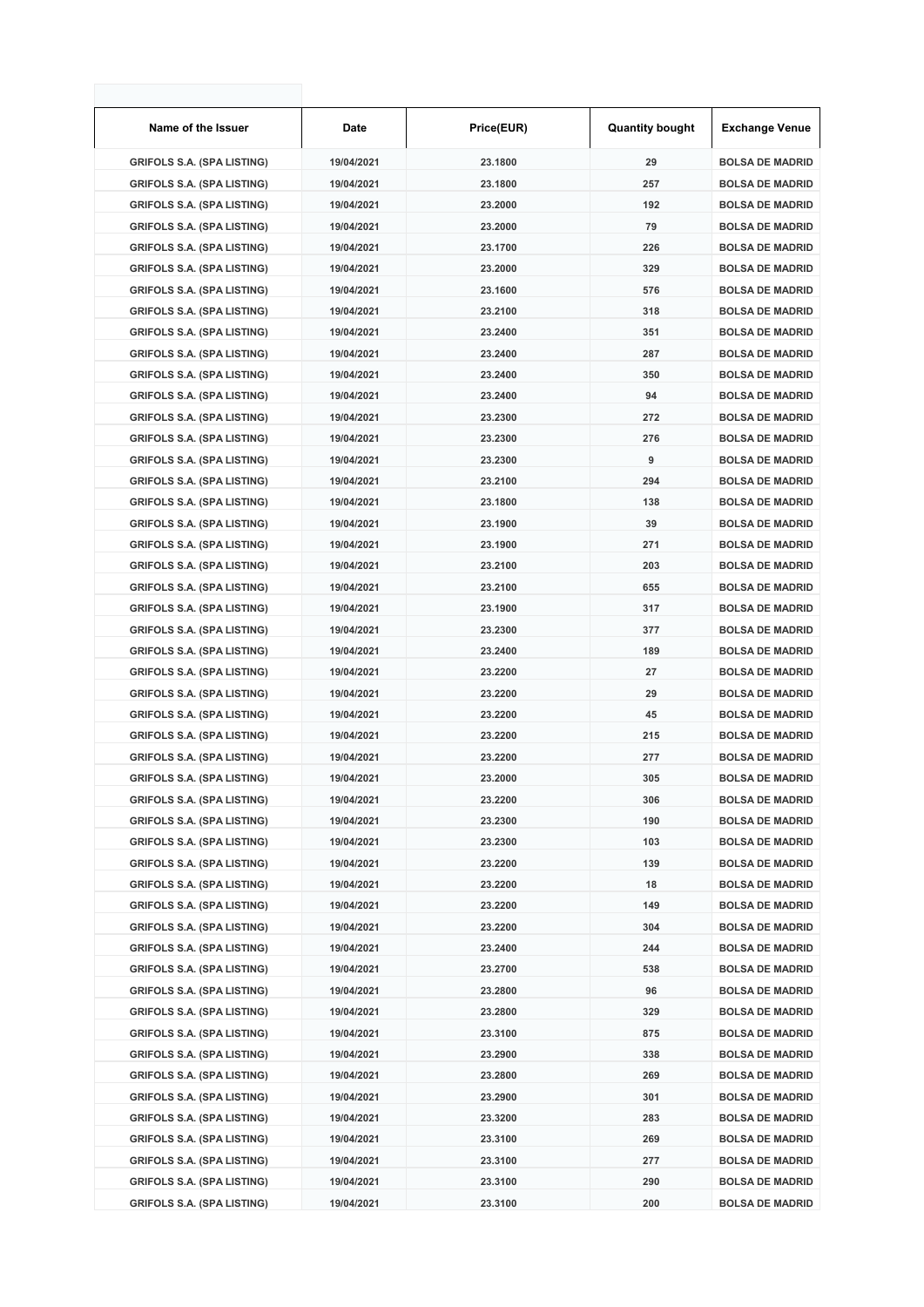| Name of the Issuer                | Date       | Price(EUR) | <b>Quantity bought</b> | <b>Exchange Venue</b>  |
|-----------------------------------|------------|------------|------------------------|------------------------|
| <b>GRIFOLS S.A. (SPA LISTING)</b> | 19/04/2021 | 23.1800    | 29                     | <b>BOLSA DE MADRID</b> |
| <b>GRIFOLS S.A. (SPA LISTING)</b> | 19/04/2021 | 23.1800    | 257                    | <b>BOLSA DE MADRID</b> |
| <b>GRIFOLS S.A. (SPA LISTING)</b> | 19/04/2021 | 23.2000    | 192                    | <b>BOLSA DE MADRID</b> |
| <b>GRIFOLS S.A. (SPA LISTING)</b> | 19/04/2021 | 23.2000    | 79                     | <b>BOLSA DE MADRID</b> |
| <b>GRIFOLS S.A. (SPA LISTING)</b> | 19/04/2021 | 23.1700    | 226                    | <b>BOLSA DE MADRID</b> |
| <b>GRIFOLS S.A. (SPA LISTING)</b> | 19/04/2021 | 23.2000    | 329                    | <b>BOLSA DE MADRID</b> |
| <b>GRIFOLS S.A. (SPA LISTING)</b> | 19/04/2021 | 23.1600    | 576                    | <b>BOLSA DE MADRID</b> |
| <b>GRIFOLS S.A. (SPA LISTING)</b> | 19/04/2021 | 23.2100    | 318                    | <b>BOLSA DE MADRID</b> |
| <b>GRIFOLS S.A. (SPA LISTING)</b> | 19/04/2021 | 23.2400    | 351                    | <b>BOLSA DE MADRID</b> |
| <b>GRIFOLS S.A. (SPA LISTING)</b> | 19/04/2021 | 23.2400    | 287                    | <b>BOLSA DE MADRID</b> |
| <b>GRIFOLS S.A. (SPA LISTING)</b> | 19/04/2021 | 23.2400    | 350                    | <b>BOLSA DE MADRID</b> |
| <b>GRIFOLS S.A. (SPA LISTING)</b> | 19/04/2021 | 23.2400    | 94                     | <b>BOLSA DE MADRID</b> |
| <b>GRIFOLS S.A. (SPA LISTING)</b> | 19/04/2021 | 23.2300    | 272                    | <b>BOLSA DE MADRID</b> |
| <b>GRIFOLS S.A. (SPA LISTING)</b> | 19/04/2021 | 23.2300    | 276                    | <b>BOLSA DE MADRID</b> |
| <b>GRIFOLS S.A. (SPA LISTING)</b> | 19/04/2021 | 23.2300    | 9                      | <b>BOLSA DE MADRID</b> |
| <b>GRIFOLS S.A. (SPA LISTING)</b> | 19/04/2021 | 23.2100    | 294                    | <b>BOLSA DE MADRID</b> |
| <b>GRIFOLS S.A. (SPA LISTING)</b> | 19/04/2021 | 23.1800    | 138                    | <b>BOLSA DE MADRID</b> |
| <b>GRIFOLS S.A. (SPA LISTING)</b> | 19/04/2021 | 23.1900    | 39                     | <b>BOLSA DE MADRID</b> |
| <b>GRIFOLS S.A. (SPA LISTING)</b> | 19/04/2021 | 23.1900    | 271                    | <b>BOLSA DE MADRID</b> |
| <b>GRIFOLS S.A. (SPA LISTING)</b> | 19/04/2021 | 23.2100    | 203                    | <b>BOLSA DE MADRID</b> |
| <b>GRIFOLS S.A. (SPA LISTING)</b> | 19/04/2021 | 23.2100    | 655                    | <b>BOLSA DE MADRID</b> |
| <b>GRIFOLS S.A. (SPA LISTING)</b> | 19/04/2021 | 23.1900    | 317                    | <b>BOLSA DE MADRID</b> |
| <b>GRIFOLS S.A. (SPA LISTING)</b> | 19/04/2021 | 23.2300    | 377                    | <b>BOLSA DE MADRID</b> |
| <b>GRIFOLS S.A. (SPA LISTING)</b> | 19/04/2021 | 23.2400    | 189                    | <b>BOLSA DE MADRID</b> |
| <b>GRIFOLS S.A. (SPA LISTING)</b> | 19/04/2021 | 23.2200    | 27                     | <b>BOLSA DE MADRID</b> |
| <b>GRIFOLS S.A. (SPA LISTING)</b> | 19/04/2021 | 23.2200    | 29                     | <b>BOLSA DE MADRID</b> |
| <b>GRIFOLS S.A. (SPA LISTING)</b> | 19/04/2021 | 23.2200    | 45                     | <b>BOLSA DE MADRID</b> |
| <b>GRIFOLS S.A. (SPA LISTING)</b> | 19/04/2021 | 23.2200    | 215                    | <b>BOLSA DE MADRID</b> |
| <b>GRIFOLS S.A. (SPA LISTING)</b> | 19/04/2021 | 23.2200    | 277                    | <b>BOLSA DE MADRID</b> |
| <b>GRIFOLS S.A. (SPA LISTING)</b> | 19/04/2021 | 23.2000    | 305                    | <b>BOLSA DE MADRID</b> |
| <b>GRIFOLS S.A. (SPA LISTING)</b> | 19/04/2021 | 23.2200    | 306                    | <b>BOLSA DE MADRID</b> |
| <b>GRIFOLS S.A. (SPA LISTING)</b> | 19/04/2021 | 23.2300    | 190                    | <b>BOLSA DE MADRID</b> |
| <b>GRIFOLS S.A. (SPA LISTING)</b> | 19/04/2021 | 23.2300    | 103                    | <b>BOLSA DE MADRID</b> |
| <b>GRIFOLS S.A. (SPA LISTING)</b> | 19/04/2021 | 23.2200    | 139                    | <b>BOLSA DE MADRID</b> |
| <b>GRIFOLS S.A. (SPA LISTING)</b> | 19/04/2021 | 23.2200    | 18                     | <b>BOLSA DE MADRID</b> |
| <b>GRIFOLS S.A. (SPA LISTING)</b> | 19/04/2021 | 23.2200    | 149                    | <b>BOLSA DE MADRID</b> |
| <b>GRIFOLS S.A. (SPA LISTING)</b> | 19/04/2021 | 23.2200    | 304                    | <b>BOLSA DE MADRID</b> |
| <b>GRIFOLS S.A. (SPA LISTING)</b> | 19/04/2021 | 23.2400    | 244                    | <b>BOLSA DE MADRID</b> |
| <b>GRIFOLS S.A. (SPA LISTING)</b> | 19/04/2021 | 23.2700    | 538                    | <b>BOLSA DE MADRID</b> |
| <b>GRIFOLS S.A. (SPA LISTING)</b> | 19/04/2021 | 23.2800    | 96                     | <b>BOLSA DE MADRID</b> |
| <b>GRIFOLS S.A. (SPA LISTING)</b> | 19/04/2021 | 23.2800    | 329                    | <b>BOLSA DE MADRID</b> |
| <b>GRIFOLS S.A. (SPA LISTING)</b> | 19/04/2021 | 23.3100    | 875                    | <b>BOLSA DE MADRID</b> |
| <b>GRIFOLS S.A. (SPA LISTING)</b> | 19/04/2021 | 23.2900    | 338                    | <b>BOLSA DE MADRID</b> |
| <b>GRIFOLS S.A. (SPA LISTING)</b> | 19/04/2021 | 23.2800    | 269                    | <b>BOLSA DE MADRID</b> |
| <b>GRIFOLS S.A. (SPA LISTING)</b> | 19/04/2021 | 23.2900    | 301                    | <b>BOLSA DE MADRID</b> |
| <b>GRIFOLS S.A. (SPA LISTING)</b> | 19/04/2021 | 23.3200    | 283                    | <b>BOLSA DE MADRID</b> |
| <b>GRIFOLS S.A. (SPA LISTING)</b> | 19/04/2021 | 23.3100    | 269                    | <b>BOLSA DE MADRID</b> |
| <b>GRIFOLS S.A. (SPA LISTING)</b> | 19/04/2021 | 23.3100    | 277                    | <b>BOLSA DE MADRID</b> |
| <b>GRIFOLS S.A. (SPA LISTING)</b> | 19/04/2021 | 23.3100    | 290                    | <b>BOLSA DE MADRID</b> |
| <b>GRIFOLS S.A. (SPA LISTING)</b> | 19/04/2021 | 23.3100    | 200                    | <b>BOLSA DE MADRID</b> |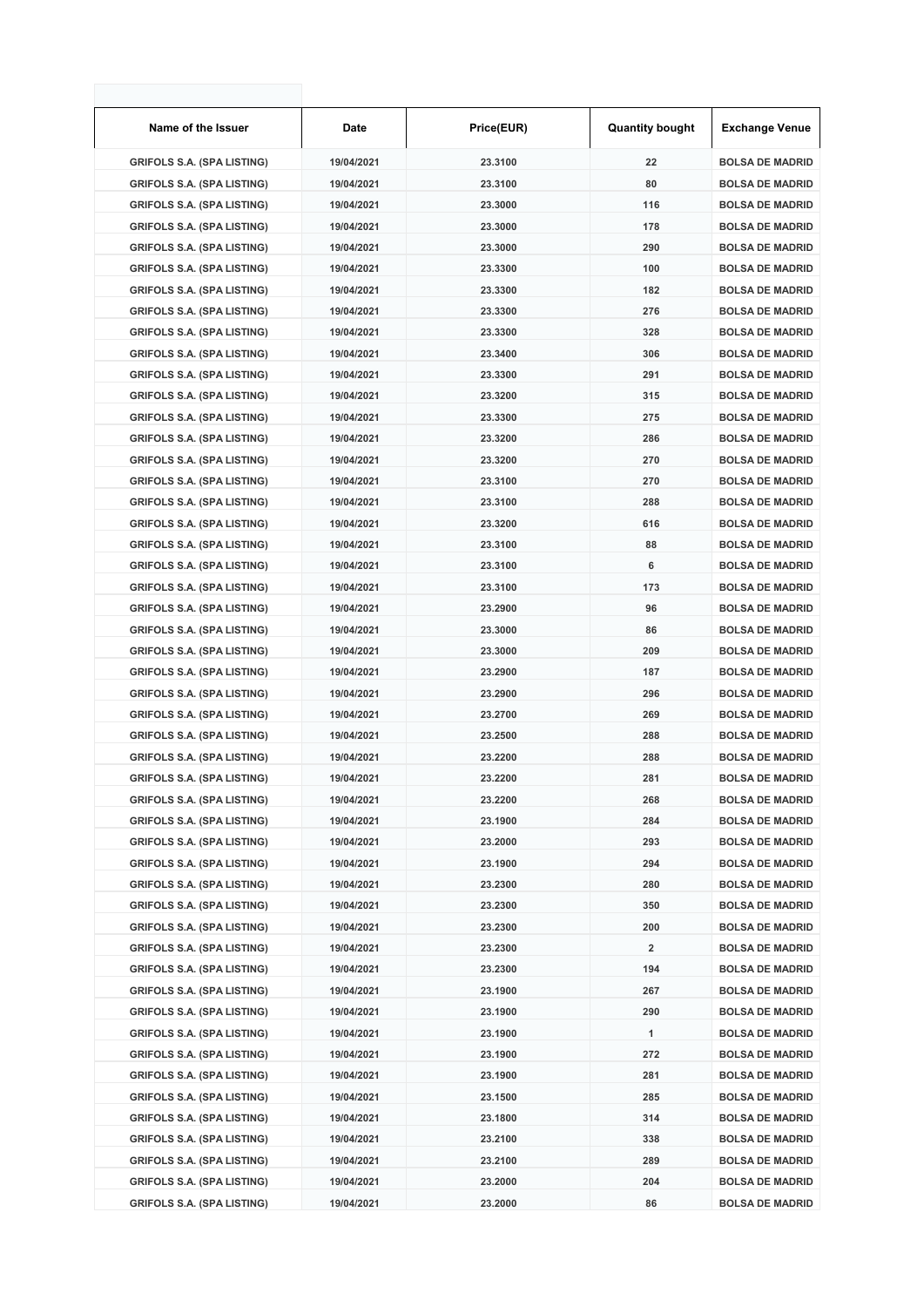| Name of the Issuer                | Date       | Price(EUR) | <b>Quantity bought</b> | <b>Exchange Venue</b>  |
|-----------------------------------|------------|------------|------------------------|------------------------|
| <b>GRIFOLS S.A. (SPA LISTING)</b> | 19/04/2021 | 23.3100    | 22                     | <b>BOLSA DE MADRID</b> |
| <b>GRIFOLS S.A. (SPA LISTING)</b> | 19/04/2021 | 23.3100    | 80                     | <b>BOLSA DE MADRID</b> |
| <b>GRIFOLS S.A. (SPA LISTING)</b> | 19/04/2021 | 23.3000    | 116                    | <b>BOLSA DE MADRID</b> |
| <b>GRIFOLS S.A. (SPA LISTING)</b> | 19/04/2021 | 23.3000    | 178                    | <b>BOLSA DE MADRID</b> |
| <b>GRIFOLS S.A. (SPA LISTING)</b> | 19/04/2021 | 23.3000    | 290                    | <b>BOLSA DE MADRID</b> |
| <b>GRIFOLS S.A. (SPA LISTING)</b> | 19/04/2021 | 23.3300    | 100                    | <b>BOLSA DE MADRID</b> |
| <b>GRIFOLS S.A. (SPA LISTING)</b> | 19/04/2021 | 23.3300    | 182                    | <b>BOLSA DE MADRID</b> |
| <b>GRIFOLS S.A. (SPA LISTING)</b> | 19/04/2021 | 23.3300    | 276                    | <b>BOLSA DE MADRID</b> |
| <b>GRIFOLS S.A. (SPA LISTING)</b> | 19/04/2021 | 23.3300    | 328                    | <b>BOLSA DE MADRID</b> |
| <b>GRIFOLS S.A. (SPA LISTING)</b> | 19/04/2021 | 23.3400    | 306                    | <b>BOLSA DE MADRID</b> |
| <b>GRIFOLS S.A. (SPA LISTING)</b> | 19/04/2021 | 23.3300    | 291                    | <b>BOLSA DE MADRID</b> |
| <b>GRIFOLS S.A. (SPA LISTING)</b> | 19/04/2021 | 23.3200    | 315                    | <b>BOLSA DE MADRID</b> |
| <b>GRIFOLS S.A. (SPA LISTING)</b> | 19/04/2021 | 23.3300    | 275                    | <b>BOLSA DE MADRID</b> |
| <b>GRIFOLS S.A. (SPA LISTING)</b> | 19/04/2021 | 23.3200    | 286                    | <b>BOLSA DE MADRID</b> |
| <b>GRIFOLS S.A. (SPA LISTING)</b> | 19/04/2021 | 23.3200    | 270                    | <b>BOLSA DE MADRID</b> |
| <b>GRIFOLS S.A. (SPA LISTING)</b> | 19/04/2021 | 23.3100    | 270                    | <b>BOLSA DE MADRID</b> |
| <b>GRIFOLS S.A. (SPA LISTING)</b> | 19/04/2021 | 23.3100    | 288                    | <b>BOLSA DE MADRID</b> |
| <b>GRIFOLS S.A. (SPA LISTING)</b> | 19/04/2021 | 23.3200    | 616                    | <b>BOLSA DE MADRID</b> |
| <b>GRIFOLS S.A. (SPA LISTING)</b> | 19/04/2021 | 23.3100    | 88                     | <b>BOLSA DE MADRID</b> |
| <b>GRIFOLS S.A. (SPA LISTING)</b> | 19/04/2021 | 23.3100    | 6                      | <b>BOLSA DE MADRID</b> |
| <b>GRIFOLS S.A. (SPA LISTING)</b> | 19/04/2021 | 23.3100    | 173                    | <b>BOLSA DE MADRID</b> |
| <b>GRIFOLS S.A. (SPA LISTING)</b> | 19/04/2021 | 23.2900    | 96                     | <b>BOLSA DE MADRID</b> |
| <b>GRIFOLS S.A. (SPA LISTING)</b> | 19/04/2021 | 23.3000    | 86                     | <b>BOLSA DE MADRID</b> |
| <b>GRIFOLS S.A. (SPA LISTING)</b> | 19/04/2021 | 23.3000    | 209                    | <b>BOLSA DE MADRID</b> |
| <b>GRIFOLS S.A. (SPA LISTING)</b> | 19/04/2021 | 23.2900    | 187                    | <b>BOLSA DE MADRID</b> |
| <b>GRIFOLS S.A. (SPA LISTING)</b> | 19/04/2021 | 23.2900    | 296                    | <b>BOLSA DE MADRID</b> |
| <b>GRIFOLS S.A. (SPA LISTING)</b> | 19/04/2021 | 23.2700    | 269                    | <b>BOLSA DE MADRID</b> |
| <b>GRIFOLS S.A. (SPA LISTING)</b> | 19/04/2021 | 23.2500    | 288                    | <b>BOLSA DE MADRID</b> |
| <b>GRIFOLS S.A. (SPA LISTING)</b> | 19/04/2021 | 23.2200    | 288                    | <b>BOLSA DE MADRID</b> |
| <b>GRIFOLS S.A. (SPA LISTING)</b> | 19/04/2021 | 23.2200    | 281                    | <b>BOLSA DE MADRID</b> |
| <b>GRIFOLS S.A. (SPA LISTING)</b> | 19/04/2021 | 23.2200    | 268                    | <b>BOLSA DE MADRID</b> |
| <b>GRIFOLS S.A. (SPA LISTING)</b> | 19/04/2021 | 23.1900    | 284                    | <b>BOLSA DE MADRID</b> |
| <b>GRIFOLS S.A. (SPA LISTING)</b> | 19/04/2021 | 23.2000    | 293                    | <b>BOLSA DE MADRID</b> |
| <b>GRIFOLS S.A. (SPA LISTING)</b> | 19/04/2021 | 23.1900    | 294                    | <b>BOLSA DE MADRID</b> |
| <b>GRIFOLS S.A. (SPA LISTING)</b> | 19/04/2021 | 23.2300    | 280                    | <b>BOLSA DE MADRID</b> |
| <b>GRIFOLS S.A. (SPA LISTING)</b> | 19/04/2021 | 23.2300    | 350                    | <b>BOLSA DE MADRID</b> |
| <b>GRIFOLS S.A. (SPA LISTING)</b> | 19/04/2021 | 23.2300    | 200                    | <b>BOLSA DE MADRID</b> |
| <b>GRIFOLS S.A. (SPA LISTING)</b> | 19/04/2021 | 23.2300    | 2                      | <b>BOLSA DE MADRID</b> |
| <b>GRIFOLS S.A. (SPA LISTING)</b> | 19/04/2021 | 23.2300    | 194                    | <b>BOLSA DE MADRID</b> |
| <b>GRIFOLS S.A. (SPA LISTING)</b> | 19/04/2021 | 23.1900    | 267                    | <b>BOLSA DE MADRID</b> |
| <b>GRIFOLS S.A. (SPA LISTING)</b> | 19/04/2021 | 23.1900    | 290                    | <b>BOLSA DE MADRID</b> |
| <b>GRIFOLS S.A. (SPA LISTING)</b> | 19/04/2021 | 23.1900    | 1                      | <b>BOLSA DE MADRID</b> |
| <b>GRIFOLS S.A. (SPA LISTING)</b> | 19/04/2021 | 23.1900    | 272                    | <b>BOLSA DE MADRID</b> |
| <b>GRIFOLS S.A. (SPA LISTING)</b> | 19/04/2021 | 23.1900    | 281                    | <b>BOLSA DE MADRID</b> |
| <b>GRIFOLS S.A. (SPA LISTING)</b> | 19/04/2021 | 23.1500    | 285                    | <b>BOLSA DE MADRID</b> |
| <b>GRIFOLS S.A. (SPA LISTING)</b> | 19/04/2021 | 23.1800    | 314                    | <b>BOLSA DE MADRID</b> |
| <b>GRIFOLS S.A. (SPA LISTING)</b> | 19/04/2021 | 23.2100    | 338                    | <b>BOLSA DE MADRID</b> |
| <b>GRIFOLS S.A. (SPA LISTING)</b> | 19/04/2021 | 23.2100    | 289                    | <b>BOLSA DE MADRID</b> |
| <b>GRIFOLS S.A. (SPA LISTING)</b> | 19/04/2021 | 23.2000    | 204                    | <b>BOLSA DE MADRID</b> |
| <b>GRIFOLS S.A. (SPA LISTING)</b> | 19/04/2021 | 23.2000    | 86                     | <b>BOLSA DE MADRID</b> |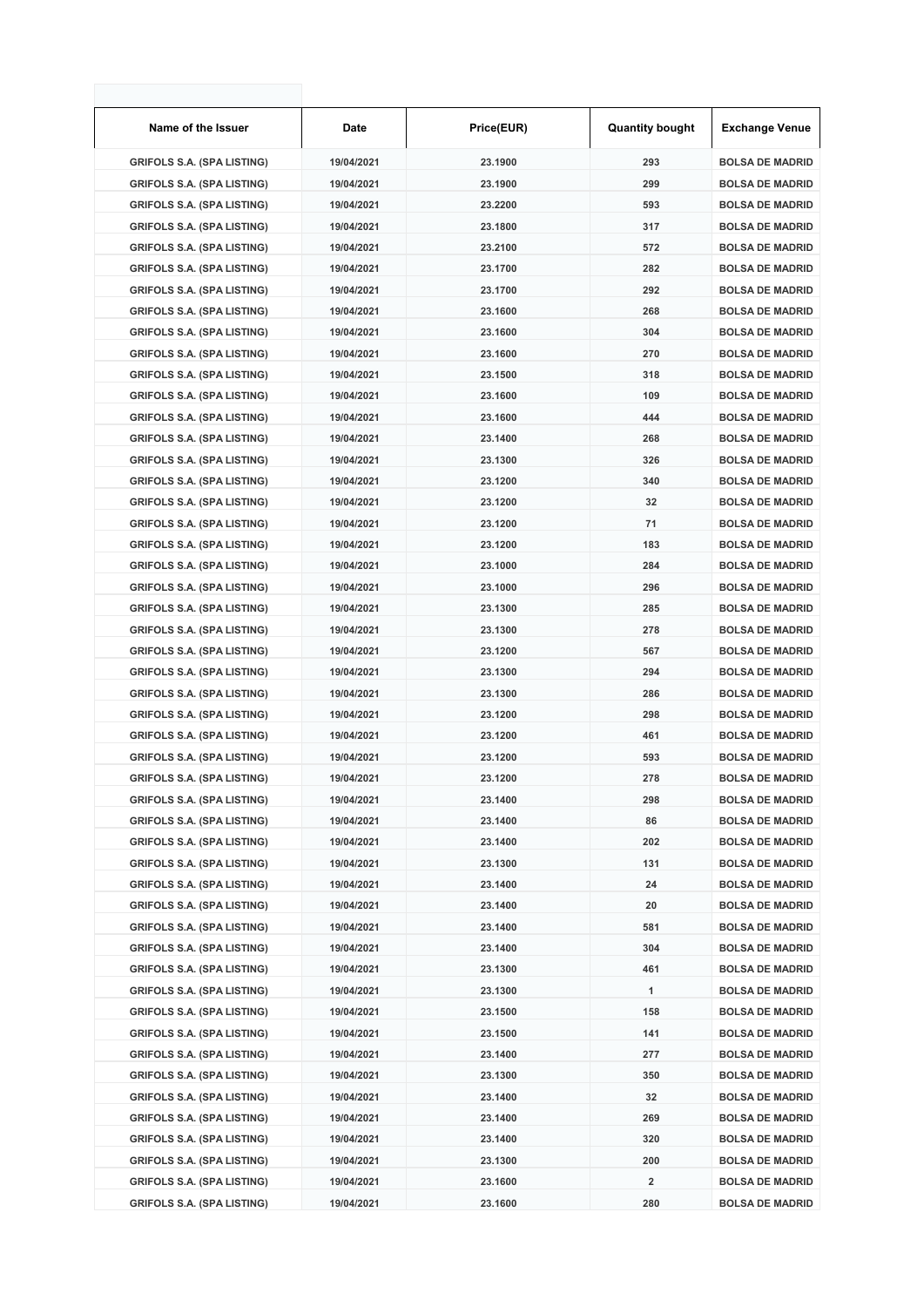| Name of the Issuer                | <b>Date</b> | Price(EUR) | <b>Quantity bought</b> | Exchange Venue         |
|-----------------------------------|-------------|------------|------------------------|------------------------|
| <b>GRIFOLS S.A. (SPA LISTING)</b> | 19/04/2021  | 23.1900    | 293                    | <b>BOLSA DE MADRID</b> |
| <b>GRIFOLS S.A. (SPA LISTING)</b> | 19/04/2021  | 23.1900    | 299                    | <b>BOLSA DE MADRID</b> |
| <b>GRIFOLS S.A. (SPA LISTING)</b> | 19/04/2021  | 23.2200    | 593                    | <b>BOLSA DE MADRID</b> |
| <b>GRIFOLS S.A. (SPA LISTING)</b> | 19/04/2021  | 23.1800    | 317                    | <b>BOLSA DE MADRID</b> |
| <b>GRIFOLS S.A. (SPA LISTING)</b> | 19/04/2021  | 23.2100    | 572                    | <b>BOLSA DE MADRID</b> |
| <b>GRIFOLS S.A. (SPA LISTING)</b> | 19/04/2021  | 23.1700    | 282                    | <b>BOLSA DE MADRID</b> |
| <b>GRIFOLS S.A. (SPA LISTING)</b> | 19/04/2021  | 23.1700    | 292                    | <b>BOLSA DE MADRID</b> |
| <b>GRIFOLS S.A. (SPA LISTING)</b> | 19/04/2021  | 23.1600    | 268                    | <b>BOLSA DE MADRID</b> |
| <b>GRIFOLS S.A. (SPA LISTING)</b> | 19/04/2021  | 23.1600    | 304                    | <b>BOLSA DE MADRID</b> |
| <b>GRIFOLS S.A. (SPA LISTING)</b> | 19/04/2021  | 23.1600    | 270                    | <b>BOLSA DE MADRID</b> |
| <b>GRIFOLS S.A. (SPA LISTING)</b> | 19/04/2021  | 23.1500    | 318                    | <b>BOLSA DE MADRID</b> |
| <b>GRIFOLS S.A. (SPA LISTING)</b> | 19/04/2021  | 23.1600    | 109                    | <b>BOLSA DE MADRID</b> |
| <b>GRIFOLS S.A. (SPA LISTING)</b> | 19/04/2021  | 23.1600    | 444                    | <b>BOLSA DE MADRID</b> |
| <b>GRIFOLS S.A. (SPA LISTING)</b> | 19/04/2021  | 23.1400    | 268                    | <b>BOLSA DE MADRID</b> |
| <b>GRIFOLS S.A. (SPA LISTING)</b> | 19/04/2021  | 23.1300    | 326                    | <b>BOLSA DE MADRID</b> |
| <b>GRIFOLS S.A. (SPA LISTING)</b> | 19/04/2021  | 23.1200    | 340                    | <b>BOLSA DE MADRID</b> |
| <b>GRIFOLS S.A. (SPA LISTING)</b> | 19/04/2021  | 23.1200    | 32                     | <b>BOLSA DE MADRID</b> |
| <b>GRIFOLS S.A. (SPA LISTING)</b> | 19/04/2021  | 23.1200    | 71                     | <b>BOLSA DE MADRID</b> |
| <b>GRIFOLS S.A. (SPA LISTING)</b> | 19/04/2021  | 23.1200    | 183                    | <b>BOLSA DE MADRID</b> |
| <b>GRIFOLS S.A. (SPA LISTING)</b> | 19/04/2021  | 23.1000    | 284                    | <b>BOLSA DE MADRID</b> |
| <b>GRIFOLS S.A. (SPA LISTING)</b> | 19/04/2021  | 23.1000    | 296                    | <b>BOLSA DE MADRID</b> |
| <b>GRIFOLS S.A. (SPA LISTING)</b> | 19/04/2021  | 23.1300    | 285                    | <b>BOLSA DE MADRID</b> |
| <b>GRIFOLS S.A. (SPA LISTING)</b> | 19/04/2021  | 23.1300    | 278                    | <b>BOLSA DE MADRID</b> |
| <b>GRIFOLS S.A. (SPA LISTING)</b> | 19/04/2021  | 23.1200    | 567                    | <b>BOLSA DE MADRID</b> |
| <b>GRIFOLS S.A. (SPA LISTING)</b> | 19/04/2021  | 23.1300    | 294                    | <b>BOLSA DE MADRID</b> |
| <b>GRIFOLS S.A. (SPA LISTING)</b> | 19/04/2021  | 23.1300    | 286                    | <b>BOLSA DE MADRID</b> |
| <b>GRIFOLS S.A. (SPA LISTING)</b> | 19/04/2021  | 23.1200    | 298                    | <b>BOLSA DE MADRID</b> |
| <b>GRIFOLS S.A. (SPA LISTING)</b> | 19/04/2021  | 23.1200    | 461                    | <b>BOLSA DE MADRID</b> |
| <b>GRIFOLS S.A. (SPA LISTING)</b> | 19/04/2021  | 23.1200    | 593                    | <b>BOLSA DE MADRID</b> |
| <b>GRIFOLS S.A. (SPA LISTING)</b> | 19/04/2021  | 23.1200    | 278                    | <b>BOLSA DE MADRID</b> |
| <b>GRIFOLS S.A. (SPA LISTING)</b> | 19/04/2021  | 23.1400    | 298                    | <b>BOLSA DE MADRID</b> |
| <b>GRIFOLS S.A. (SPA LISTING)</b> | 19/04/2021  | 23.1400    | 86                     | <b>BOLSA DE MADRID</b> |
| <b>GRIFOLS S.A. (SPA LISTING)</b> | 19/04/2021  | 23.1400    | 202                    | <b>BOLSA DE MADRID</b> |
| <b>GRIFOLS S.A. (SPA LISTING)</b> | 19/04/2021  | 23.1300    | 131                    | <b>BOLSA DE MADRID</b> |
| <b>GRIFOLS S.A. (SPA LISTING)</b> | 19/04/2021  | 23.1400    | 24                     | <b>BOLSA DE MADRID</b> |
| <b>GRIFOLS S.A. (SPA LISTING)</b> | 19/04/2021  | 23.1400    | 20                     | <b>BOLSA DE MADRID</b> |
| <b>GRIFOLS S.A. (SPA LISTING)</b> | 19/04/2021  | 23.1400    | 581                    | <b>BOLSA DE MADRID</b> |
| <b>GRIFOLS S.A. (SPA LISTING)</b> | 19/04/2021  | 23.1400    | 304                    | <b>BOLSA DE MADRID</b> |
| <b>GRIFOLS S.A. (SPA LISTING)</b> | 19/04/2021  | 23.1300    | 461                    | <b>BOLSA DE MADRID</b> |
| <b>GRIFOLS S.A. (SPA LISTING)</b> | 19/04/2021  | 23.1300    | 1                      | <b>BOLSA DE MADRID</b> |
| <b>GRIFOLS S.A. (SPA LISTING)</b> | 19/04/2021  | 23.1500    | 158                    | <b>BOLSA DE MADRID</b> |
| <b>GRIFOLS S.A. (SPA LISTING)</b> | 19/04/2021  | 23.1500    | 141                    | <b>BOLSA DE MADRID</b> |
| <b>GRIFOLS S.A. (SPA LISTING)</b> | 19/04/2021  | 23.1400    | 277                    | <b>BOLSA DE MADRID</b> |
| <b>GRIFOLS S.A. (SPA LISTING)</b> | 19/04/2021  | 23.1300    | 350                    | <b>BOLSA DE MADRID</b> |
| <b>GRIFOLS S.A. (SPA LISTING)</b> | 19/04/2021  | 23.1400    | 32                     | <b>BOLSA DE MADRID</b> |
| <b>GRIFOLS S.A. (SPA LISTING)</b> | 19/04/2021  | 23.1400    | 269                    | <b>BOLSA DE MADRID</b> |
| <b>GRIFOLS S.A. (SPA LISTING)</b> | 19/04/2021  | 23.1400    | 320                    | <b>BOLSA DE MADRID</b> |
| <b>GRIFOLS S.A. (SPA LISTING)</b> | 19/04/2021  | 23.1300    | 200                    | <b>BOLSA DE MADRID</b> |
| <b>GRIFOLS S.A. (SPA LISTING)</b> | 19/04/2021  | 23.1600    | 2                      | <b>BOLSA DE MADRID</b> |
| <b>GRIFOLS S.A. (SPA LISTING)</b> | 19/04/2021  | 23.1600    | 280                    | <b>BOLSA DE MADRID</b> |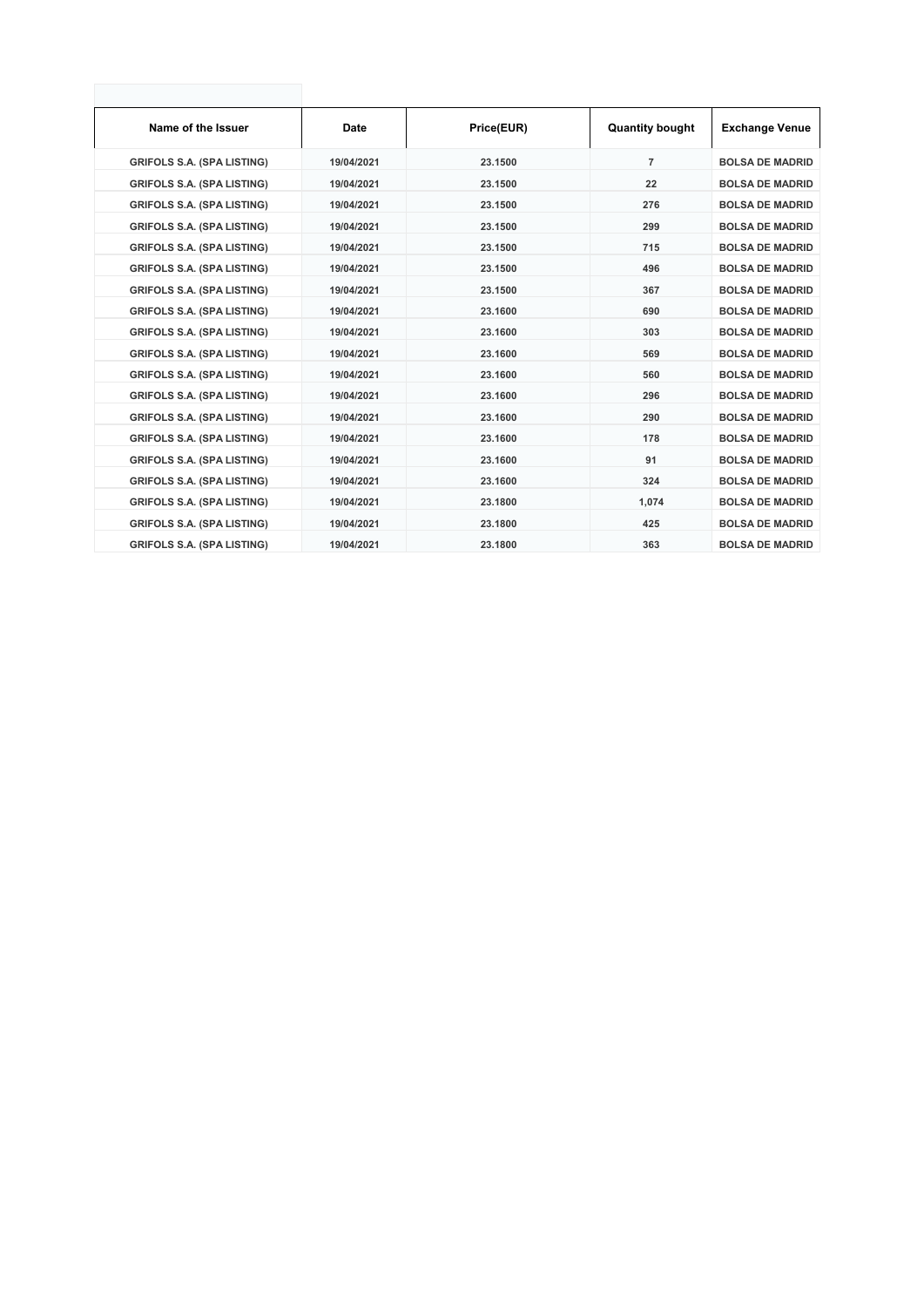| Name of the Issuer                | <b>Date</b> | Price(EUR) | <b>Quantity bought</b> | <b>Exchange Venue</b>  |
|-----------------------------------|-------------|------------|------------------------|------------------------|
| <b>GRIFOLS S.A. (SPA LISTING)</b> | 19/04/2021  | 23.1500    | $\overline{7}$         | <b>BOLSA DE MADRID</b> |
| <b>GRIFOLS S.A. (SPA LISTING)</b> | 19/04/2021  | 23.1500    | 22                     | <b>BOLSA DE MADRID</b> |
| <b>GRIFOLS S.A. (SPA LISTING)</b> | 19/04/2021  | 23.1500    | 276                    | <b>BOLSA DE MADRID</b> |
| <b>GRIFOLS S.A. (SPA LISTING)</b> | 19/04/2021  | 23.1500    | 299                    | <b>BOLSA DE MADRID</b> |
| <b>GRIFOLS S.A. (SPA LISTING)</b> | 19/04/2021  | 23.1500    | 715                    | <b>BOLSA DE MADRID</b> |
| <b>GRIFOLS S.A. (SPA LISTING)</b> | 19/04/2021  | 23.1500    | 496                    | <b>BOLSA DE MADRID</b> |
| <b>GRIFOLS S.A. (SPA LISTING)</b> | 19/04/2021  | 23.1500    | 367                    | <b>BOLSA DE MADRID</b> |
| <b>GRIFOLS S.A. (SPA LISTING)</b> | 19/04/2021  | 23.1600    | 690                    | <b>BOLSA DE MADRID</b> |
| <b>GRIFOLS S.A. (SPA LISTING)</b> | 19/04/2021  | 23.1600    | 303                    | <b>BOLSA DE MADRID</b> |
| <b>GRIFOLS S.A. (SPA LISTING)</b> | 19/04/2021  | 23.1600    | 569                    | <b>BOLSA DE MADRID</b> |
| <b>GRIFOLS S.A. (SPA LISTING)</b> | 19/04/2021  | 23.1600    | 560                    | <b>BOLSA DE MADRID</b> |
| <b>GRIFOLS S.A. (SPA LISTING)</b> | 19/04/2021  | 23.1600    | 296                    | <b>BOLSA DE MADRID</b> |
| <b>GRIFOLS S.A. (SPA LISTING)</b> | 19/04/2021  | 23.1600    | 290                    | <b>BOLSA DE MADRID</b> |
| <b>GRIFOLS S.A. (SPA LISTING)</b> | 19/04/2021  | 23.1600    | 178                    | <b>BOLSA DE MADRID</b> |
| <b>GRIFOLS S.A. (SPA LISTING)</b> | 19/04/2021  | 23.1600    | 91                     | <b>BOLSA DE MADRID</b> |
| <b>GRIFOLS S.A. (SPA LISTING)</b> | 19/04/2021  | 23.1600    | 324                    | <b>BOLSA DE MADRID</b> |
| <b>GRIFOLS S.A. (SPA LISTING)</b> | 19/04/2021  | 23.1800    | 1,074                  | <b>BOLSA DE MADRID</b> |
| <b>GRIFOLS S.A. (SPA LISTING)</b> | 19/04/2021  | 23.1800    | 425                    | <b>BOLSA DE MADRID</b> |
| <b>GRIFOLS S.A. (SPA LISTING)</b> | 19/04/2021  | 23.1800    | 363                    | <b>BOLSA DE MADRID</b> |
|                                   |             |            |                        |                        |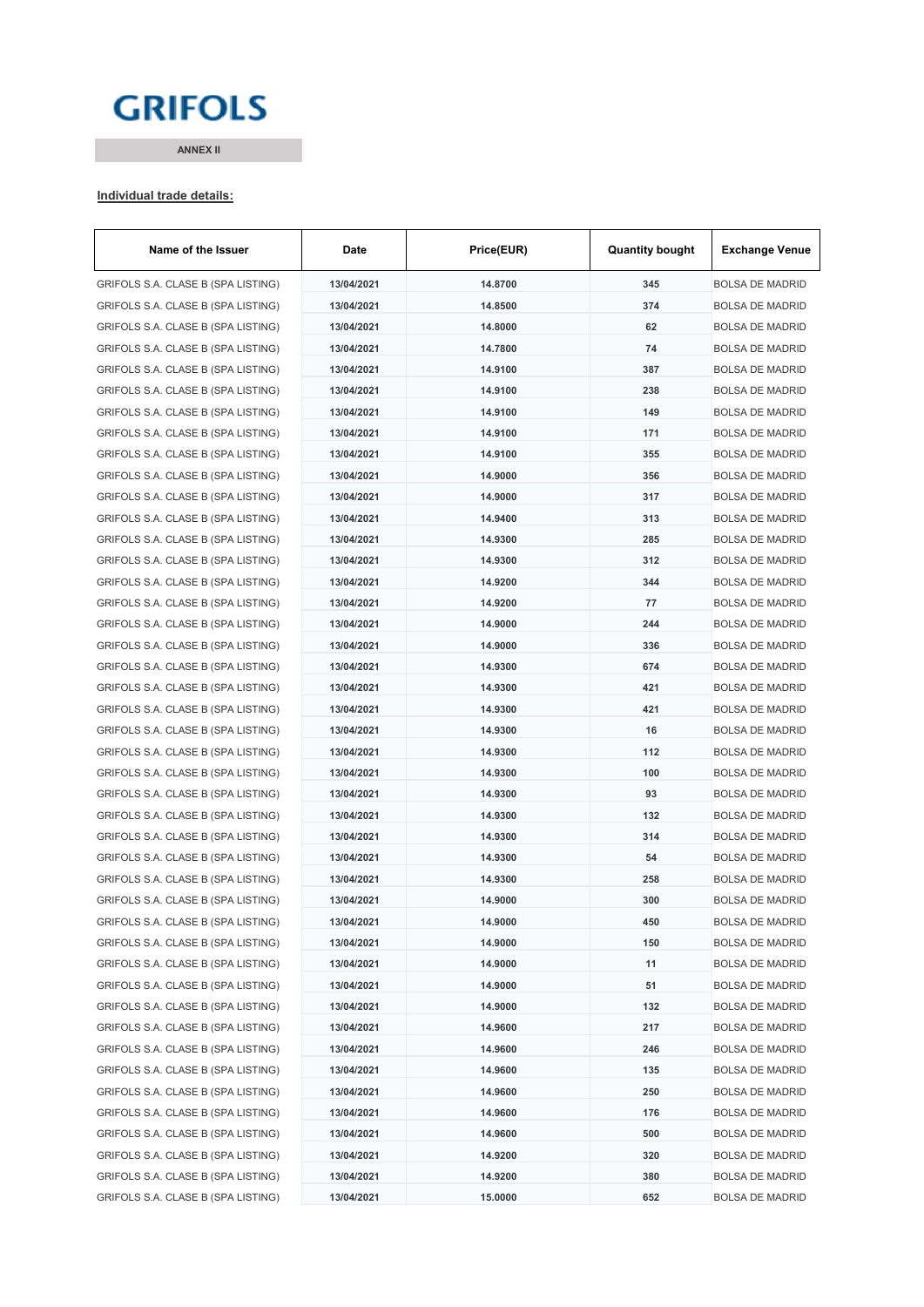# **GRIFOLS**

**ANNEX II**

#### **Individual trade details:**

| Name of the Issuer                 | Date       | Price(EUR) | <b>Quantity bought</b> | <b>Exchange Venue</b>  |
|------------------------------------|------------|------------|------------------------|------------------------|
| GRIFOLS S.A. CLASE B (SPA LISTING) | 13/04/2021 | 14.8700    | 345                    | <b>BOLSA DE MADRID</b> |
| GRIFOLS S.A. CLASE B (SPA LISTING) | 13/04/2021 | 14.8500    | 374                    | <b>BOLSA DE MADRID</b> |
| GRIFOLS S.A. CLASE B (SPA LISTING) | 13/04/2021 | 14.8000    | 62                     | <b>BOLSA DE MADRID</b> |
| GRIFOLS S.A. CLASE B (SPA LISTING) | 13/04/2021 | 14.7800    | 74                     | <b>BOLSA DE MADRID</b> |
| GRIFOLS S.A. CLASE B (SPA LISTING) | 13/04/2021 | 14.9100    | 387                    | <b>BOLSA DE MADRID</b> |
| GRIFOLS S.A. CLASE B (SPA LISTING) | 13/04/2021 | 14.9100    | 238                    | <b>BOLSA DE MADRID</b> |
| GRIFOLS S.A. CLASE B (SPA LISTING) | 13/04/2021 | 14.9100    | 149                    | <b>BOLSA DE MADRID</b> |
| GRIFOLS S.A. CLASE B (SPA LISTING) | 13/04/2021 | 14.9100    | 171                    | <b>BOLSA DE MADRID</b> |
| GRIFOLS S.A. CLASE B (SPA LISTING) | 13/04/2021 | 14.9100    | 355                    | <b>BOLSA DE MADRID</b> |
| GRIFOLS S.A. CLASE B (SPA LISTING) | 13/04/2021 | 14.9000    | 356                    | <b>BOLSA DE MADRID</b> |
| GRIFOLS S.A. CLASE B (SPA LISTING) | 13/04/2021 | 14.9000    | 317                    | <b>BOLSA DE MADRID</b> |
| GRIFOLS S.A. CLASE B (SPA LISTING) | 13/04/2021 | 14.9400    | 313                    | <b>BOLSA DE MADRID</b> |
| GRIFOLS S.A. CLASE B (SPA LISTING) | 13/04/2021 | 14.9300    | 285                    | <b>BOLSA DE MADRID</b> |
| GRIFOLS S.A. CLASE B (SPA LISTING) | 13/04/2021 | 14.9300    | 312                    | <b>BOLSA DE MADRID</b> |
| GRIFOLS S.A. CLASE B (SPA LISTING) | 13/04/2021 | 14.9200    | 344                    | <b>BOLSA DE MADRID</b> |
| GRIFOLS S.A. CLASE B (SPA LISTING) | 13/04/2021 | 14.9200    | 77                     | <b>BOLSA DE MADRID</b> |
| GRIFOLS S.A. CLASE B (SPA LISTING) | 13/04/2021 | 14.9000    | 244                    | <b>BOLSA DE MADRID</b> |
| GRIFOLS S.A. CLASE B (SPA LISTING) | 13/04/2021 | 14.9000    | 336                    | <b>BOLSA DE MADRID</b> |
| GRIFOLS S.A. CLASE B (SPA LISTING) | 13/04/2021 | 14.9300    | 674                    | <b>BOLSA DE MADRID</b> |
| GRIFOLS S.A. CLASE B (SPA LISTING) | 13/04/2021 | 14.9300    | 421                    | <b>BOLSA DE MADRID</b> |
| GRIFOLS S.A. CLASE B (SPA LISTING) | 13/04/2021 | 14.9300    | 421                    | <b>BOLSA DE MADRID</b> |
| GRIFOLS S.A. CLASE B (SPA LISTING) | 13/04/2021 | 14.9300    | 16                     | <b>BOLSA DE MADRID</b> |
| GRIFOLS S.A. CLASE B (SPA LISTING) | 13/04/2021 | 14.9300    | 112                    | <b>BOLSA DE MADRID</b> |
| GRIFOLS S.A. CLASE B (SPA LISTING) | 13/04/2021 | 14.9300    | 100                    | <b>BOLSA DE MADRID</b> |
| GRIFOLS S.A. CLASE B (SPA LISTING) | 13/04/2021 | 14.9300    | 93                     | <b>BOLSA DE MADRID</b> |
| GRIFOLS S.A. CLASE B (SPA LISTING) | 13/04/2021 | 14.9300    | 132                    | <b>BOLSA DE MADRID</b> |
| GRIFOLS S.A. CLASE B (SPA LISTING) | 13/04/2021 | 14.9300    | 314                    | <b>BOLSA DE MADRID</b> |
| GRIFOLS S.A. CLASE B (SPA LISTING) | 13/04/2021 | 14.9300    | 54                     | <b>BOLSA DE MADRID</b> |
| GRIFOLS S.A. CLASE B (SPA LISTING) | 13/04/2021 | 14.9300    | 258                    | <b>BOLSA DE MADRID</b> |
| GRIFOLS S.A. CLASE B (SPA LISTING) | 13/04/2021 | 14.9000    | 300                    | BOLSA DE MADRID        |
| GRIFOLS S.A. CLASE B (SPA LISTING) | 13/04/2021 | 14.9000    | 450                    | BOLSA DE MADRID        |
| GRIFOLS S.A. CLASE B (SPA LISTING) | 13/04/2021 | 14.9000    | 150                    | <b>BOLSA DE MADRID</b> |
| GRIFOLS S.A. CLASE B (SPA LISTING) | 13/04/2021 | 14.9000    | 11                     | <b>BOLSA DE MADRID</b> |
| GRIFOLS S.A. CLASE B (SPA LISTING) | 13/04/2021 | 14.9000    | 51                     | <b>BOLSA DE MADRID</b> |
| GRIFOLS S.A. CLASE B (SPA LISTING) | 13/04/2021 | 14.9000    | 132                    | <b>BOLSA DE MADRID</b> |
| GRIFOLS S.A. CLASE B (SPA LISTING) | 13/04/2021 | 14.9600    | 217                    | <b>BOLSA DE MADRID</b> |
| GRIFOLS S.A. CLASE B (SPA LISTING) | 13/04/2021 | 14.9600    | 246                    | <b>BOLSA DE MADRID</b> |
| GRIFOLS S.A. CLASE B (SPA LISTING) | 13/04/2021 | 14.9600    | 135                    | BOLSA DE MADRID        |
| GRIFOLS S.A. CLASE B (SPA LISTING) | 13/04/2021 | 14.9600    | 250                    | <b>BOLSA DE MADRID</b> |
| GRIFOLS S.A. CLASE B (SPA LISTING) | 13/04/2021 | 14.9600    | 176                    | <b>BOLSA DE MADRID</b> |
| GRIFOLS S.A. CLASE B (SPA LISTING) | 13/04/2021 | 14.9600    | 500                    | <b>BOLSA DE MADRID</b> |
| GRIFOLS S.A. CLASE B (SPA LISTING) | 13/04/2021 | 14.9200    | 320                    | <b>BOLSA DE MADRID</b> |
| GRIFOLS S.A. CLASE B (SPA LISTING) | 13/04/2021 | 14.9200    | 380                    | <b>BOLSA DE MADRID</b> |
| GRIFOLS S.A. CLASE B (SPA LISTING) | 13/04/2021 | 15.0000    | 652                    | <b>BOLSA DE MADRID</b> |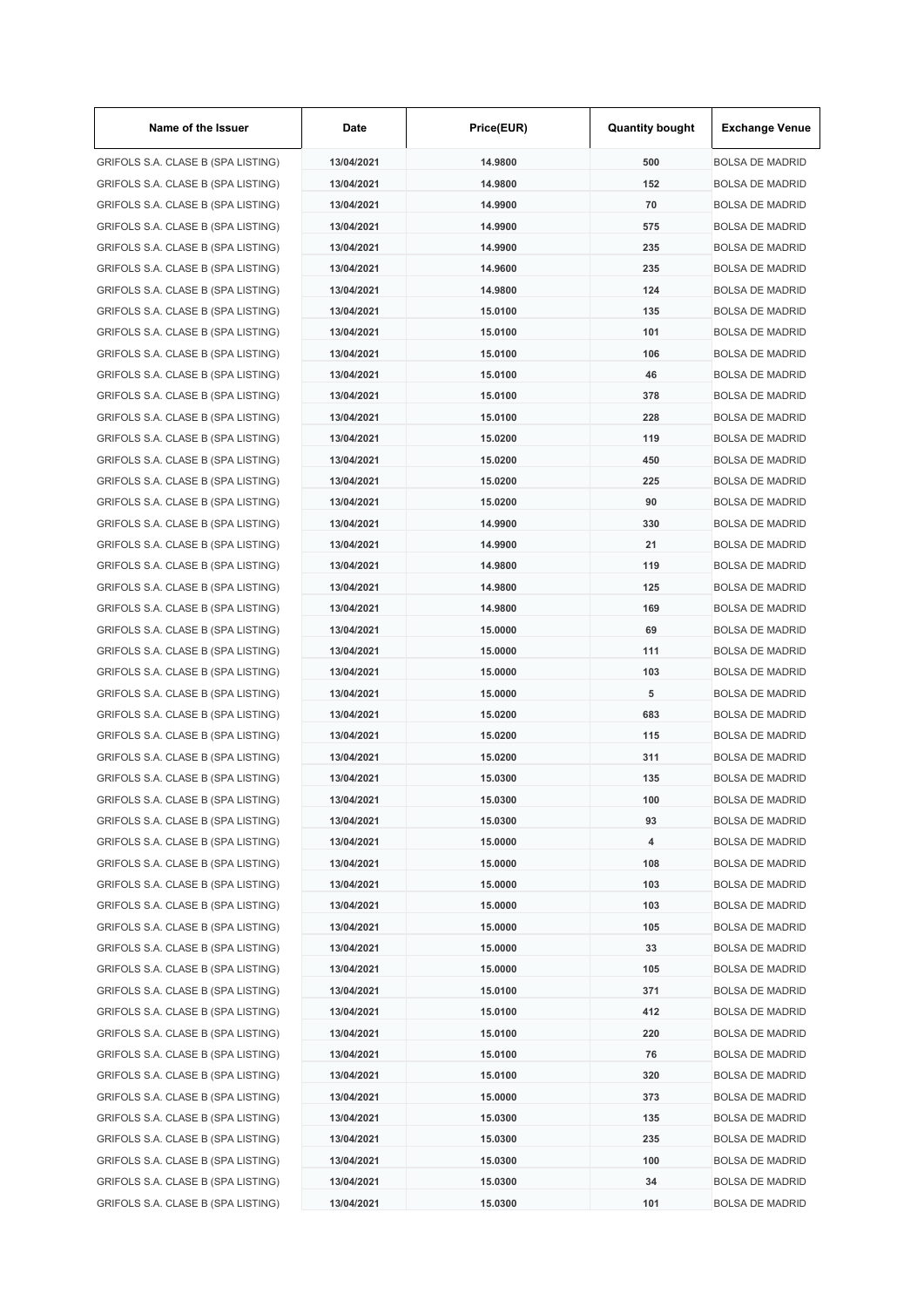| Name of the Issuer                 | Date       | Price(EUR) | <b>Quantity bought</b> | <b>Exchange Venue</b>  |
|------------------------------------|------------|------------|------------------------|------------------------|
| GRIFOLS S.A. CLASE B (SPA LISTING) | 13/04/2021 | 14.9800    | 500                    | <b>BOLSA DE MADRID</b> |
| GRIFOLS S.A. CLASE B (SPA LISTING) | 13/04/2021 | 14.9800    | 152                    | <b>BOLSA DE MADRID</b> |
| GRIFOLS S.A. CLASE B (SPA LISTING) | 13/04/2021 | 14.9900    | 70                     | <b>BOLSA DE MADRID</b> |
| GRIFOLS S.A. CLASE B (SPA LISTING) | 13/04/2021 | 14.9900    | 575                    | <b>BOLSA DE MADRID</b> |
| GRIFOLS S.A. CLASE B (SPA LISTING) | 13/04/2021 | 14.9900    | 235                    | <b>BOLSA DE MADRID</b> |
| GRIFOLS S.A. CLASE B (SPA LISTING) | 13/04/2021 | 14.9600    | 235                    | <b>BOLSA DE MADRID</b> |
| GRIFOLS S.A. CLASE B (SPA LISTING) | 13/04/2021 | 14.9800    | 124                    | <b>BOLSA DE MADRID</b> |
| GRIFOLS S.A. CLASE B (SPA LISTING) | 13/04/2021 | 15.0100    | 135                    | <b>BOLSA DE MADRID</b> |
| GRIFOLS S.A. CLASE B (SPA LISTING) | 13/04/2021 | 15.0100    | 101                    | <b>BOLSA DE MADRID</b> |
| GRIFOLS S.A. CLASE B (SPA LISTING) | 13/04/2021 | 15.0100    | 106                    | <b>BOLSA DE MADRID</b> |
| GRIFOLS S.A. CLASE B (SPA LISTING) | 13/04/2021 | 15.0100    | 46                     | <b>BOLSA DE MADRID</b> |
| GRIFOLS S.A. CLASE B (SPA LISTING) | 13/04/2021 | 15.0100    | 378                    | <b>BOLSA DE MADRID</b> |
| GRIFOLS S.A. CLASE B (SPA LISTING) | 13/04/2021 | 15.0100    | 228                    | <b>BOLSA DE MADRID</b> |
| GRIFOLS S.A. CLASE B (SPA LISTING) | 13/04/2021 | 15.0200    | 119                    | <b>BOLSA DE MADRID</b> |
| GRIFOLS S.A. CLASE B (SPA LISTING) | 13/04/2021 | 15.0200    | 450                    | <b>BOLSA DE MADRID</b> |
| GRIFOLS S.A. CLASE B (SPA LISTING) | 13/04/2021 | 15.0200    | 225                    | <b>BOLSA DE MADRID</b> |
| GRIFOLS S.A. CLASE B (SPA LISTING) | 13/04/2021 | 15.0200    | 90                     | <b>BOLSA DE MADRID</b> |
|                                    |            |            | 330                    |                        |
| GRIFOLS S.A. CLASE B (SPA LISTING) | 13/04/2021 | 14.9900    |                        | <b>BOLSA DE MADRID</b> |
| GRIFOLS S.A. CLASE B (SPA LISTING) | 13/04/2021 | 14.9900    | 21                     | <b>BOLSA DE MADRID</b> |
| GRIFOLS S.A. CLASE B (SPA LISTING) | 13/04/2021 | 14.9800    | 119                    | <b>BOLSA DE MADRID</b> |
| GRIFOLS S.A. CLASE B (SPA LISTING) | 13/04/2021 | 14.9800    | 125                    | <b>BOLSA DE MADRID</b> |
| GRIFOLS S.A. CLASE B (SPA LISTING) | 13/04/2021 | 14.9800    | 169                    | <b>BOLSA DE MADRID</b> |
| GRIFOLS S.A. CLASE B (SPA LISTING) | 13/04/2021 | 15.0000    | 69                     | <b>BOLSA DE MADRID</b> |
| GRIFOLS S.A. CLASE B (SPA LISTING) | 13/04/2021 | 15.0000    | 111                    | <b>BOLSA DE MADRID</b> |
| GRIFOLS S.A. CLASE B (SPA LISTING) | 13/04/2021 | 15.0000    | 103                    | <b>BOLSA DE MADRID</b> |
| GRIFOLS S.A. CLASE B (SPA LISTING) | 13/04/2021 | 15.0000    | 5                      | <b>BOLSA DE MADRID</b> |
| GRIFOLS S.A. CLASE B (SPA LISTING) | 13/04/2021 | 15.0200    | 683                    | <b>BOLSA DE MADRID</b> |
| GRIFOLS S.A. CLASE B (SPA LISTING) | 13/04/2021 | 15.0200    | 115                    | <b>BOLSA DE MADRID</b> |
| GRIFOLS S.A. CLASE B (SPA LISTING) | 13/04/2021 | 15.0200    | 311                    | <b>BOLSA DE MADRID</b> |
| GRIFOLS S.A. CLASE B (SPA LISTING) | 13/04/2021 | 15.0300    | 135                    | <b>BOLSA DE MADRID</b> |
| GRIFOLS S.A. CLASE B (SPA LISTING) | 13/04/2021 | 15.0300    | 100                    | <b>BOLSA DE MADRID</b> |
| GRIFOLS S.A. CLASE B (SPA LISTING) | 13/04/2021 | 15.0300    | 93                     | <b>BOLSA DE MADRID</b> |
| GRIFOLS S.A. CLASE B (SPA LISTING) | 13/04/2021 | 15.0000    | 4                      | <b>BOLSA DE MADRID</b> |
| GRIFOLS S.A. CLASE B (SPA LISTING) | 13/04/2021 | 15.0000    | 108                    | <b>BOLSA DE MADRID</b> |
| GRIFOLS S.A. CLASE B (SPA LISTING) | 13/04/2021 | 15.0000    | 103                    | <b>BOLSA DE MADRID</b> |
| GRIFOLS S.A. CLASE B (SPA LISTING) | 13/04/2021 | 15.0000    | 103                    | <b>BOLSA DE MADRID</b> |
| GRIFOLS S.A. CLASE B (SPA LISTING) | 13/04/2021 | 15.0000    | 105                    | <b>BOLSA DE MADRID</b> |
| GRIFOLS S.A. CLASE B (SPA LISTING) | 13/04/2021 | 15.0000    | 33                     | <b>BOLSA DE MADRID</b> |
| GRIFOLS S.A. CLASE B (SPA LISTING) | 13/04/2021 | 15.0000    | 105                    | <b>BOLSA DE MADRID</b> |
| GRIFOLS S.A. CLASE B (SPA LISTING) | 13/04/2021 | 15.0100    | 371                    | <b>BOLSA DE MADRID</b> |
| GRIFOLS S.A. CLASE B (SPA LISTING) | 13/04/2021 | 15.0100    | 412                    | <b>BOLSA DE MADRID</b> |
| GRIFOLS S.A. CLASE B (SPA LISTING) | 13/04/2021 | 15.0100    | 220                    | <b>BOLSA DE MADRID</b> |
| GRIFOLS S.A. CLASE B (SPA LISTING) | 13/04/2021 | 15.0100    | 76                     | <b>BOLSA DE MADRID</b> |
| GRIFOLS S.A. CLASE B (SPA LISTING) | 13/04/2021 | 15.0100    | 320                    | <b>BOLSA DE MADRID</b> |
| GRIFOLS S.A. CLASE B (SPA LISTING) | 13/04/2021 | 15.0000    | 373                    | <b>BOLSA DE MADRID</b> |
| GRIFOLS S.A. CLASE B (SPA LISTING) | 13/04/2021 | 15.0300    | 135                    | <b>BOLSA DE MADRID</b> |
| GRIFOLS S.A. CLASE B (SPA LISTING) | 13/04/2021 | 15.0300    | 235                    | <b>BOLSA DE MADRID</b> |
| GRIFOLS S.A. CLASE B (SPA LISTING) | 13/04/2021 | 15.0300    | 100                    | <b>BOLSA DE MADRID</b> |
| GRIFOLS S.A. CLASE B (SPA LISTING) | 13/04/2021 | 15.0300    | 34                     | <b>BOLSA DE MADRID</b> |
|                                    |            |            |                        |                        |
| GRIFOLS S.A. CLASE B (SPA LISTING) | 13/04/2021 | 15.0300    | 101                    | <b>BOLSA DE MADRID</b> |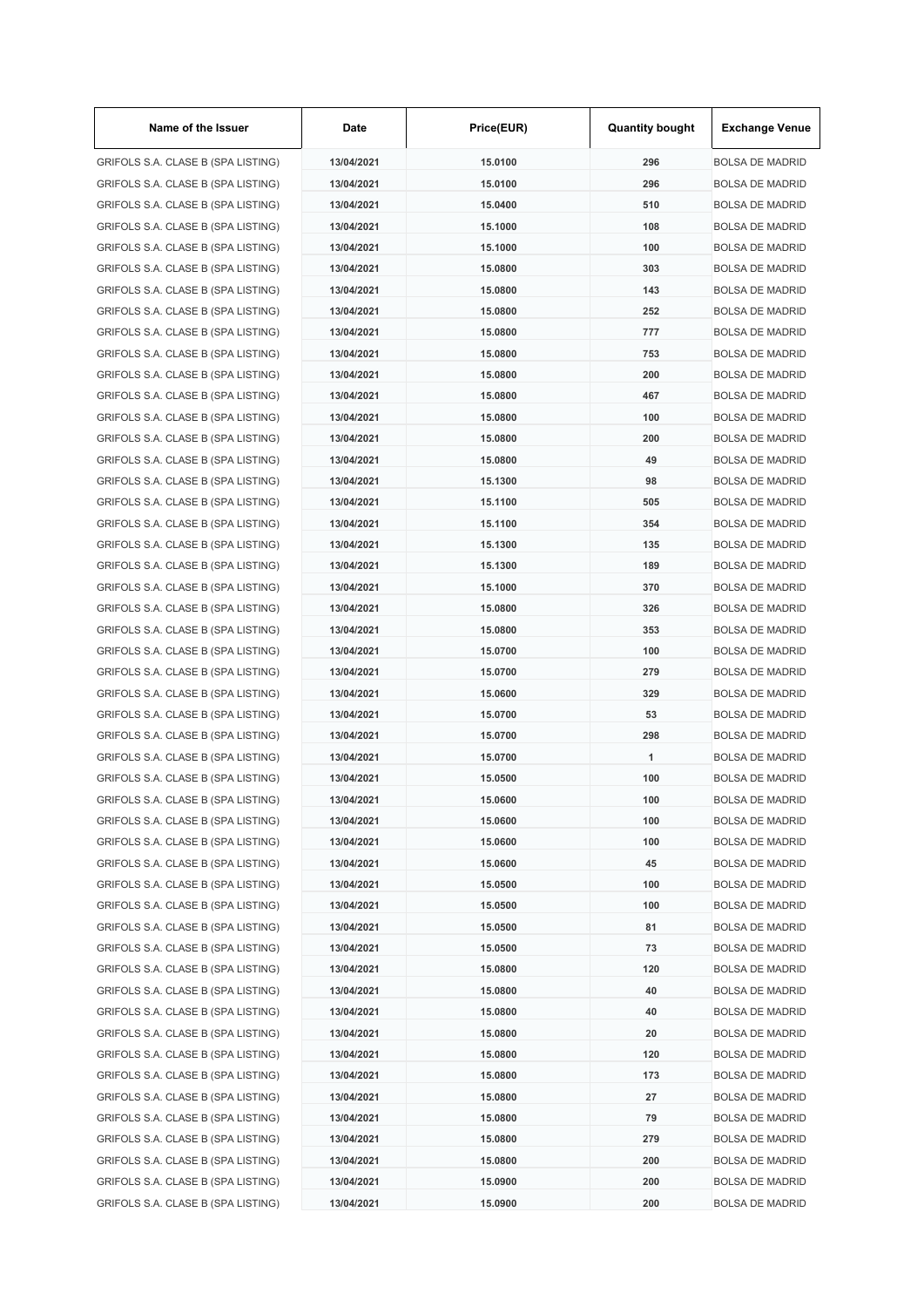| Name of the Issuer                 | Date       | Price(EUR) | <b>Quantity bought</b> | <b>Exchange Venue</b>                            |
|------------------------------------|------------|------------|------------------------|--------------------------------------------------|
| GRIFOLS S.A. CLASE B (SPA LISTING) | 13/04/2021 | 15.0100    | 296                    | <b>BOLSA DE MADRID</b>                           |
| GRIFOLS S.A. CLASE B (SPA LISTING) | 13/04/2021 | 15.0100    | 296                    | <b>BOLSA DE MADRID</b>                           |
| GRIFOLS S.A. CLASE B (SPA LISTING) | 13/04/2021 | 15.0400    | 510                    | <b>BOLSA DE MADRID</b>                           |
| GRIFOLS S.A. CLASE B (SPA LISTING) | 13/04/2021 | 15.1000    | 108                    | <b>BOLSA DE MADRID</b>                           |
| GRIFOLS S.A. CLASE B (SPA LISTING) | 13/04/2021 | 15.1000    | 100                    | <b>BOLSA DE MADRID</b>                           |
| GRIFOLS S.A. CLASE B (SPA LISTING) | 13/04/2021 | 15.0800    | 303                    | <b>BOLSA DE MADRID</b>                           |
| GRIFOLS S.A. CLASE B (SPA LISTING) | 13/04/2021 | 15.0800    | 143                    | <b>BOLSA DE MADRID</b>                           |
| GRIFOLS S.A. CLASE B (SPA LISTING) | 13/04/2021 | 15.0800    | 252                    | <b>BOLSA DE MADRID</b>                           |
| GRIFOLS S.A. CLASE B (SPA LISTING) | 13/04/2021 | 15.0800    | 777                    | <b>BOLSA DE MADRID</b>                           |
| GRIFOLS S.A. CLASE B (SPA LISTING) | 13/04/2021 | 15.0800    | 753                    | <b>BOLSA DE MADRID</b>                           |
| GRIFOLS S.A. CLASE B (SPA LISTING) | 13/04/2021 | 15.0800    | 200                    | <b>BOLSA DE MADRID</b>                           |
| GRIFOLS S.A. CLASE B (SPA LISTING) | 13/04/2021 | 15.0800    | 467                    | <b>BOLSA DE MADRID</b>                           |
| GRIFOLS S.A. CLASE B (SPA LISTING) | 13/04/2021 | 15.0800    | 100                    | <b>BOLSA DE MADRID</b>                           |
| GRIFOLS S.A. CLASE B (SPA LISTING) | 13/04/2021 | 15.0800    | 200                    | <b>BOLSA DE MADRID</b>                           |
| GRIFOLS S.A. CLASE B (SPA LISTING) | 13/04/2021 | 15.0800    | 49                     | <b>BOLSA DE MADRID</b>                           |
| GRIFOLS S.A. CLASE B (SPA LISTING) | 13/04/2021 | 15.1300    | 98                     | <b>BOLSA DE MADRID</b>                           |
| GRIFOLS S.A. CLASE B (SPA LISTING) | 13/04/2021 | 15.1100    | 505                    | <b>BOLSA DE MADRID</b>                           |
| GRIFOLS S.A. CLASE B (SPA LISTING) | 13/04/2021 | 15.1100    | 354                    | <b>BOLSA DE MADRID</b>                           |
| GRIFOLS S.A. CLASE B (SPA LISTING) | 13/04/2021 | 15.1300    | 135                    | <b>BOLSA DE MADRID</b>                           |
| GRIFOLS S.A. CLASE B (SPA LISTING) | 13/04/2021 | 15.1300    | 189                    | <b>BOLSA DE MADRID</b>                           |
| GRIFOLS S.A. CLASE B (SPA LISTING) | 13/04/2021 | 15.1000    | 370                    | <b>BOLSA DE MADRID</b>                           |
| GRIFOLS S.A. CLASE B (SPA LISTING) | 13/04/2021 | 15.0800    | 326                    | <b>BOLSA DE MADRID</b>                           |
| GRIFOLS S.A. CLASE B (SPA LISTING) | 13/04/2021 | 15.0800    | 353                    | <b>BOLSA DE MADRID</b>                           |
| GRIFOLS S.A. CLASE B (SPA LISTING) | 13/04/2021 | 15.0700    | 100                    | <b>BOLSA DE MADRID</b>                           |
| GRIFOLS S.A. CLASE B (SPA LISTING) | 13/04/2021 | 15.0700    | 279                    | <b>BOLSA DE MADRID</b>                           |
| GRIFOLS S.A. CLASE B (SPA LISTING) | 13/04/2021 | 15.0600    | 329                    | <b>BOLSA DE MADRID</b>                           |
| GRIFOLS S.A. CLASE B (SPA LISTING) | 13/04/2021 | 15.0700    | 53                     | <b>BOLSA DE MADRID</b>                           |
| GRIFOLS S.A. CLASE B (SPA LISTING) | 13/04/2021 | 15.0700    | 298                    | <b>BOLSA DE MADRID</b>                           |
|                                    |            |            | $\mathbf{1}$           |                                                  |
| GRIFOLS S.A. CLASE B (SPA LISTING) | 13/04/2021 | 15.0700    | 100                    | <b>BOLSA DE MADRID</b><br><b>BOLSA DE MADRID</b> |
| GRIFOLS S.A. CLASE B (SPA LISTING) | 13/04/2021 | 15.0500    |                        |                                                  |
| GRIFOLS S.A. CLASE B (SPA LISTING) | 13/04/2021 | 15.0600    | 100                    | <b>BOLSA DE MADRID</b>                           |
| GRIFOLS S.A. CLASE B (SPA LISTING) | 13/04/2021 | 15.0600    | 100                    | <b>BOLSA DE MADRID</b>                           |
| GRIFOLS S.A. CLASE B (SPA LISTING) | 13/04/2021 | 15.0600    | 100                    | <b>BOLSA DE MADRID</b>                           |
| GRIFOLS S.A. CLASE B (SPA LISTING) | 13/04/2021 | 15.0600    | 45                     | <b>BOLSA DE MADRID</b>                           |
| GRIFOLS S.A. CLASE B (SPA LISTING) | 13/04/2021 | 15.0500    | 100                    | <b>BOLSA DE MADRID</b>                           |
| GRIFOLS S.A. CLASE B (SPA LISTING) | 13/04/2021 | 15.0500    | 100                    | <b>BOLSA DE MADRID</b>                           |
| GRIFOLS S.A. CLASE B (SPA LISTING) | 13/04/2021 | 15.0500    | 81                     | <b>BOLSA DE MADRID</b>                           |
| GRIFOLS S.A. CLASE B (SPA LISTING) | 13/04/2021 | 15.0500    | 73                     | <b>BOLSA DE MADRID</b>                           |
| GRIFOLS S.A. CLASE B (SPA LISTING) | 13/04/2021 | 15.0800    | 120                    | <b>BOLSA DE MADRID</b>                           |
| GRIFOLS S.A. CLASE B (SPA LISTING) | 13/04/2021 | 15.0800    | 40                     | <b>BOLSA DE MADRID</b>                           |
| GRIFOLS S.A. CLASE B (SPA LISTING) | 13/04/2021 | 15.0800    | 40                     | <b>BOLSA DE MADRID</b>                           |
| GRIFOLS S.A. CLASE B (SPA LISTING) | 13/04/2021 | 15.0800    | 20                     | <b>BOLSA DE MADRID</b>                           |
| GRIFOLS S.A. CLASE B (SPA LISTING) | 13/04/2021 | 15.0800    | 120                    | <b>BOLSA DE MADRID</b>                           |
| GRIFOLS S.A. CLASE B (SPA LISTING) | 13/04/2021 | 15.0800    | 173                    | <b>BOLSA DE MADRID</b>                           |
| GRIFOLS S.A. CLASE B (SPA LISTING) | 13/04/2021 | 15.0800    | 27                     | <b>BOLSA DE MADRID</b>                           |
| GRIFOLS S.A. CLASE B (SPA LISTING) | 13/04/2021 | 15.0800    | 79                     | <b>BOLSA DE MADRID</b>                           |
| GRIFOLS S.A. CLASE B (SPA LISTING) | 13/04/2021 | 15.0800    | 279                    | <b>BOLSA DE MADRID</b>                           |
| GRIFOLS S.A. CLASE B (SPA LISTING) | 13/04/2021 | 15.0800    | 200                    | <b>BOLSA DE MADRID</b>                           |
| GRIFOLS S.A. CLASE B (SPA LISTING) | 13/04/2021 | 15.0900    | 200                    | <b>BOLSA DE MADRID</b>                           |
| GRIFOLS S.A. CLASE B (SPA LISTING) | 13/04/2021 | 15.0900    | 200                    | <b>BOLSA DE MADRID</b>                           |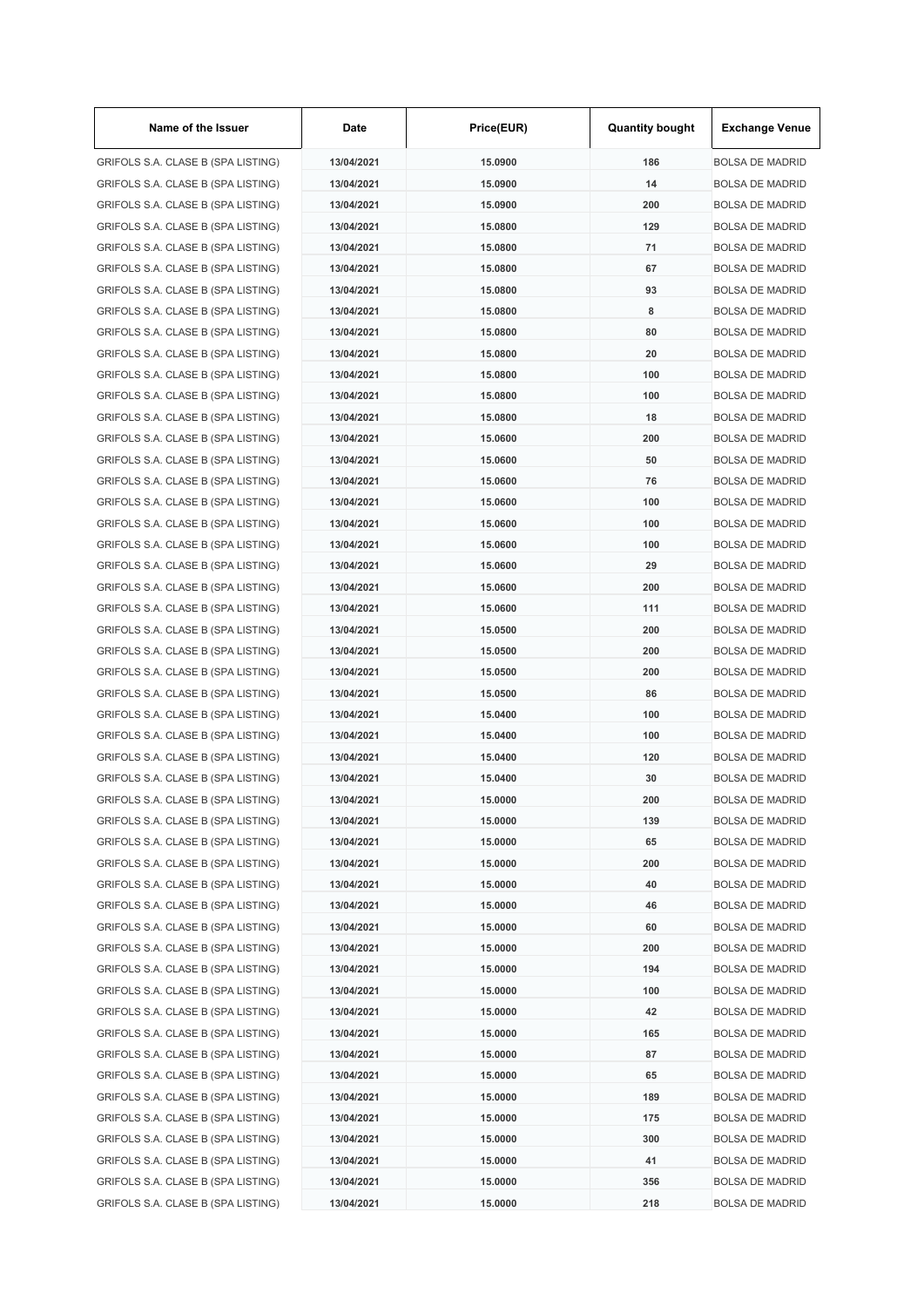| Name of the Issuer                 | Date       | Price(EUR)         | <b>Quantity bought</b> | <b>Exchange Venue</b>  |
|------------------------------------|------------|--------------------|------------------------|------------------------|
| GRIFOLS S.A. CLASE B (SPA LISTING) | 13/04/2021 | 15.0900            | 186                    | <b>BOLSA DE MADRID</b> |
| GRIFOLS S.A. CLASE B (SPA LISTING) | 13/04/2021 | 15.0900            | 14                     | <b>BOLSA DE MADRID</b> |
| GRIFOLS S.A. CLASE B (SPA LISTING) | 13/04/2021 | 15.0900            | 200                    | <b>BOLSA DE MADRID</b> |
| GRIFOLS S.A. CLASE B (SPA LISTING) | 13/04/2021 | 15.0800            | 129                    | <b>BOLSA DE MADRID</b> |
| GRIFOLS S.A. CLASE B (SPA LISTING) | 13/04/2021 | 15.0800            | 71                     | <b>BOLSA DE MADRID</b> |
| GRIFOLS S.A. CLASE B (SPA LISTING) | 13/04/2021 | 15,0800            | 67                     | <b>BOLSA DE MADRID</b> |
| GRIFOLS S.A. CLASE B (SPA LISTING) | 13/04/2021 | 15.0800            | 93                     | <b>BOLSA DE MADRID</b> |
| GRIFOLS S.A. CLASE B (SPA LISTING) | 13/04/2021 | 15.0800            | 8                      | <b>BOLSA DE MADRID</b> |
| GRIFOLS S.A. CLASE B (SPA LISTING) | 13/04/2021 | 15.0800            | 80                     | <b>BOLSA DE MADRID</b> |
| GRIFOLS S.A. CLASE B (SPA LISTING) | 13/04/2021 | 15.0800            | 20                     | <b>BOLSA DE MADRID</b> |
| GRIFOLS S.A. CLASE B (SPA LISTING) | 13/04/2021 | 15.0800            | 100                    | <b>BOLSA DE MADRID</b> |
| GRIFOLS S.A. CLASE B (SPA LISTING) | 13/04/2021 | 15.0800            | 100                    | <b>BOLSA DE MADRID</b> |
| GRIFOLS S.A. CLASE B (SPA LISTING) | 13/04/2021 | 15.0800            | 18                     | <b>BOLSA DE MADRID</b> |
| GRIFOLS S.A. CLASE B (SPA LISTING) | 13/04/2021 | 15.0600            | 200                    | <b>BOLSA DE MADRID</b> |
| GRIFOLS S.A. CLASE B (SPA LISTING) | 13/04/2021 | 15.0600            | 50                     | <b>BOLSA DE MADRID</b> |
| GRIFOLS S.A. CLASE B (SPA LISTING) | 13/04/2021 | 15.0600            | 76                     | <b>BOLSA DE MADRID</b> |
| GRIFOLS S.A. CLASE B (SPA LISTING) | 13/04/2021 | 15.0600            | 100                    | <b>BOLSA DE MADRID</b> |
| GRIFOLS S.A. CLASE B (SPA LISTING) | 13/04/2021 | 15.0600            | 100                    | <b>BOLSA DE MADRID</b> |
| GRIFOLS S.A. CLASE B (SPA LISTING) | 13/04/2021 | 15.0600            | 100                    | <b>BOLSA DE MADRID</b> |
| GRIFOLS S.A. CLASE B (SPA LISTING) | 13/04/2021 | 15.0600            | 29                     | <b>BOLSA DE MADRID</b> |
| GRIFOLS S.A. CLASE B (SPA LISTING) | 13/04/2021 | 15.0600            | 200                    | <b>BOLSA DE MADRID</b> |
| GRIFOLS S.A. CLASE B (SPA LISTING) | 13/04/2021 | 15.0600            | 111                    | <b>BOLSA DE MADRID</b> |
| GRIFOLS S.A. CLASE B (SPA LISTING) | 13/04/2021 | 15.0500            | 200                    | <b>BOLSA DE MADRID</b> |
| GRIFOLS S.A. CLASE B (SPA LISTING) | 13/04/2021 | 15.0500            | 200                    | <b>BOLSA DE MADRID</b> |
| GRIFOLS S.A. CLASE B (SPA LISTING) | 13/04/2021 | 15.0500            | 200                    | <b>BOLSA DE MADRID</b> |
| GRIFOLS S.A. CLASE B (SPA LISTING) | 13/04/2021 | 15.0500            | 86                     | <b>BOLSA DE MADRID</b> |
| GRIFOLS S.A. CLASE B (SPA LISTING) | 13/04/2021 | 15.0400            | 100                    | <b>BOLSA DE MADRID</b> |
| GRIFOLS S.A. CLASE B (SPA LISTING) | 13/04/2021 | 15.0400            | 100                    | <b>BOLSA DE MADRID</b> |
| GRIFOLS S.A. CLASE B (SPA LISTING) | 13/04/2021 |                    | 120                    | <b>BOLSA DE MADRID</b> |
| GRIFOLS S.A. CLASE B (SPA LISTING) | 13/04/2021 | 15.0400<br>15.0400 | 30                     | <b>BOLSA DE MADRID</b> |
|                                    |            |                    |                        | <b>BOLSA DE MADRID</b> |
| GRIFOLS S.A. CLASE B (SPA LISTING) | 13/04/2021 | 15.0000            | 200                    |                        |
| GRIFOLS S.A. CLASE B (SPA LISTING) | 13/04/2021 | 15.0000            | 139                    | <b>BOLSA DE MADRID</b> |
| GRIFOLS S.A. CLASE B (SPA LISTING) | 13/04/2021 | 15.0000            | 65                     | <b>BOLSA DE MADRID</b> |
| GRIFOLS S.A. CLASE B (SPA LISTING) | 13/04/2021 | 15.0000            | 200                    | <b>BOLSA DE MADRID</b> |
| GRIFOLS S.A. CLASE B (SPA LISTING) | 13/04/2021 | 15.0000            | 40                     | <b>BOLSA DE MADRID</b> |
| GRIFOLS S.A. CLASE B (SPA LISTING) | 13/04/2021 | 15.0000            | 46                     | <b>BOLSA DE MADRID</b> |
| GRIFOLS S.A. CLASE B (SPA LISTING) | 13/04/2021 | 15.0000            | 60                     | <b>BOLSA DE MADRID</b> |
| GRIFOLS S.A. CLASE B (SPA LISTING) | 13/04/2021 | 15.0000            | 200                    | <b>BOLSA DE MADRID</b> |
| GRIFOLS S.A. CLASE B (SPA LISTING) | 13/04/2021 | 15.0000            | 194                    | <b>BOLSA DE MADRID</b> |
| GRIFOLS S.A. CLASE B (SPA LISTING) | 13/04/2021 | 15.0000            | 100                    | <b>BOLSA DE MADRID</b> |
| GRIFOLS S.A. CLASE B (SPA LISTING) | 13/04/2021 | 15.0000            | 42                     | <b>BOLSA DE MADRID</b> |
| GRIFOLS S.A. CLASE B (SPA LISTING) | 13/04/2021 | 15.0000            | 165                    | <b>BOLSA DE MADRID</b> |
| GRIFOLS S.A. CLASE B (SPA LISTING) | 13/04/2021 | 15.0000            | 87                     | <b>BOLSA DE MADRID</b> |
| GRIFOLS S.A. CLASE B (SPA LISTING) | 13/04/2021 | 15.0000            | 65                     | <b>BOLSA DE MADRID</b> |
| GRIFOLS S.A. CLASE B (SPA LISTING) | 13/04/2021 | 15.0000            | 189                    | <b>BOLSA DE MADRID</b> |
| GRIFOLS S.A. CLASE B (SPA LISTING) | 13/04/2021 | 15.0000            | 175                    | <b>BOLSA DE MADRID</b> |
| GRIFOLS S.A. CLASE B (SPA LISTING) | 13/04/2021 | 15.0000            | 300                    | <b>BOLSA DE MADRID</b> |
| GRIFOLS S.A. CLASE B (SPA LISTING) | 13/04/2021 | 15.0000            | 41                     | <b>BOLSA DE MADRID</b> |
| GRIFOLS S.A. CLASE B (SPA LISTING) | 13/04/2021 | 15.0000            | 356                    | <b>BOLSA DE MADRID</b> |
| GRIFOLS S.A. CLASE B (SPA LISTING) | 13/04/2021 | 15.0000            | 218                    | <b>BOLSA DE MADRID</b> |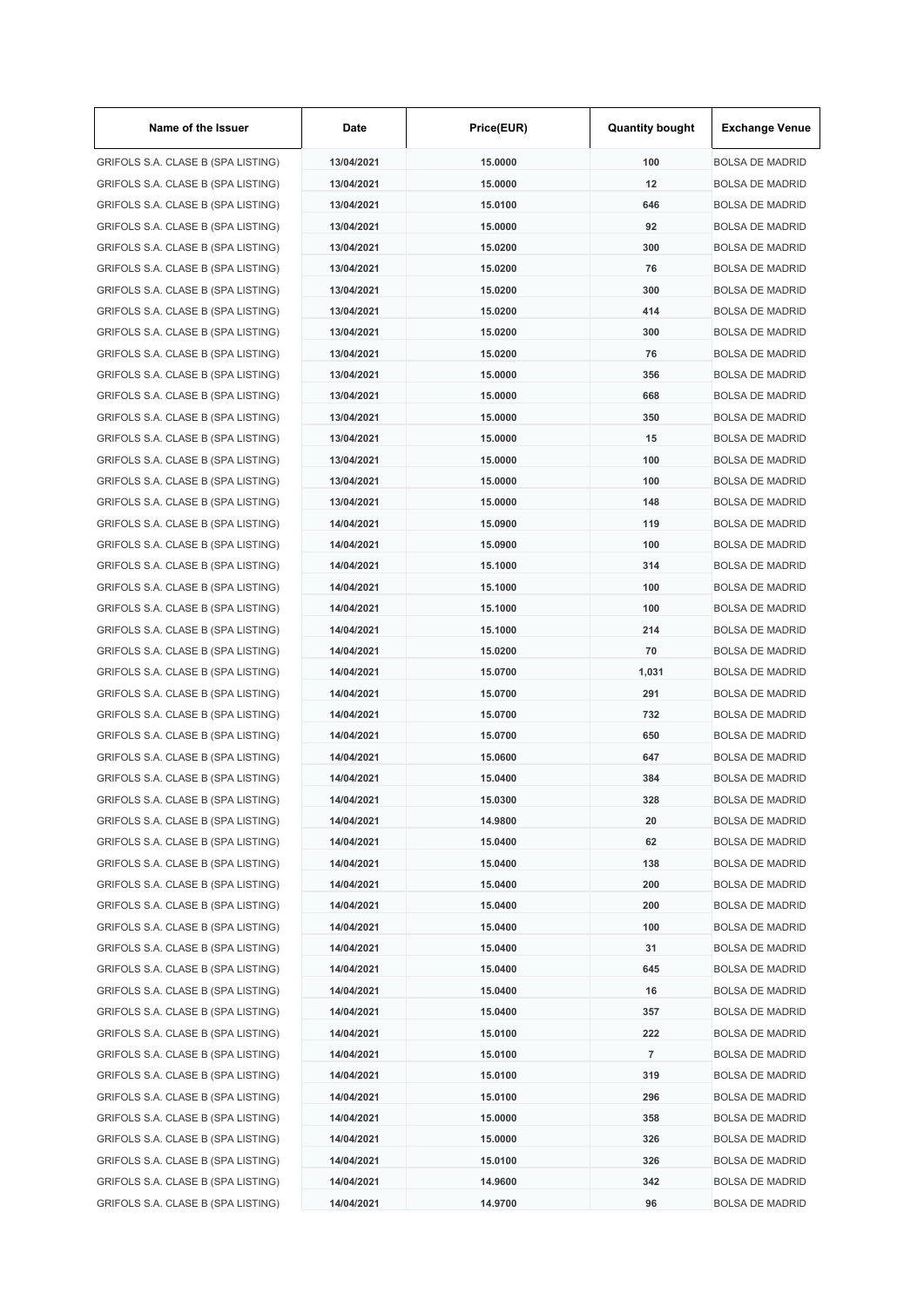| Name of the Issuer                 | Date       | Price(EUR)         | <b>Quantity bought</b> | <b>Exchange Venue</b>  |
|------------------------------------|------------|--------------------|------------------------|------------------------|
| GRIFOLS S.A. CLASE B (SPA LISTING) | 13/04/2021 | 15.0000            | 100                    | <b>BOLSA DE MADRID</b> |
| GRIFOLS S.A. CLASE B (SPA LISTING) | 13/04/2021 | 15.0000            | 12                     | <b>BOLSA DE MADRID</b> |
| GRIFOLS S.A. CLASE B (SPA LISTING) | 13/04/2021 | 15.0100            | 646                    | <b>BOLSA DE MADRID</b> |
| GRIFOLS S.A. CLASE B (SPA LISTING) | 13/04/2021 | 15.0000            | 92                     | <b>BOLSA DE MADRID</b> |
| GRIFOLS S.A. CLASE B (SPA LISTING) | 13/04/2021 | 15.0200            | 300                    | <b>BOLSA DE MADRID</b> |
| GRIFOLS S.A. CLASE B (SPA LISTING) | 13/04/2021 | 15.0200            | 76                     | <b>BOLSA DE MADRID</b> |
| GRIFOLS S.A. CLASE B (SPA LISTING) | 13/04/2021 | 15.0200            | 300                    | <b>BOLSA DE MADRID</b> |
| GRIFOLS S.A. CLASE B (SPA LISTING) | 13/04/2021 | 15.0200            | 414                    | <b>BOLSA DE MADRID</b> |
| GRIFOLS S.A. CLASE B (SPA LISTING) | 13/04/2021 | 15.0200            | 300                    | <b>BOLSA DE MADRID</b> |
| GRIFOLS S.A. CLASE B (SPA LISTING) | 13/04/2021 | 15.0200            | 76                     | <b>BOLSA DE MADRID</b> |
| GRIFOLS S.A. CLASE B (SPA LISTING) | 13/04/2021 | 15.0000            | 356                    | <b>BOLSA DE MADRID</b> |
| GRIFOLS S.A. CLASE B (SPA LISTING) | 13/04/2021 | 15.0000            | 668                    | <b>BOLSA DE MADRID</b> |
| GRIFOLS S.A. CLASE B (SPA LISTING) | 13/04/2021 | 15.0000            | 350                    | <b>BOLSA DE MADRID</b> |
| GRIFOLS S.A. CLASE B (SPA LISTING) | 13/04/2021 | 15.0000            | 15                     | <b>BOLSA DE MADRID</b> |
| GRIFOLS S.A. CLASE B (SPA LISTING) | 13/04/2021 | 15,0000            | 100                    | <b>BOLSA DE MADRID</b> |
| GRIFOLS S.A. CLASE B (SPA LISTING) | 13/04/2021 | 15.0000            | 100                    | <b>BOLSA DE MADRID</b> |
| GRIFOLS S.A. CLASE B (SPA LISTING) | 13/04/2021 | 15.0000            | 148                    | <b>BOLSA DE MADRID</b> |
| GRIFOLS S.A. CLASE B (SPA LISTING) | 14/04/2021 | 15.0900            | 119                    | <b>BOLSA DE MADRID</b> |
| GRIFOLS S.A. CLASE B (SPA LISTING) | 14/04/2021 | 15.0900            | 100                    | <b>BOLSA DE MADRID</b> |
| GRIFOLS S.A. CLASE B (SPA LISTING) | 14/04/2021 | 15.1000            | 314                    | <b>BOLSA DE MADRID</b> |
| GRIFOLS S.A. CLASE B (SPA LISTING) | 14/04/2021 | 15.1000            | 100                    | <b>BOLSA DE MADRID</b> |
| GRIFOLS S.A. CLASE B (SPA LISTING) | 14/04/2021 | 15.1000            | 100                    | <b>BOLSA DE MADRID</b> |
| GRIFOLS S.A. CLASE B (SPA LISTING) | 14/04/2021 | 15.1000            | 214                    | <b>BOLSA DE MADRID</b> |
| GRIFOLS S.A. CLASE B (SPA LISTING) | 14/04/2021 | 15.0200            | 70                     | <b>BOLSA DE MADRID</b> |
| GRIFOLS S.A. CLASE B (SPA LISTING) | 14/04/2021 | 15.0700            | 1,031                  | <b>BOLSA DE MADRID</b> |
| GRIFOLS S.A. CLASE B (SPA LISTING) | 14/04/2021 | 15.0700            | 291                    | <b>BOLSA DE MADRID</b> |
|                                    | 14/04/2021 |                    | 732                    | <b>BOLSA DE MADRID</b> |
| GRIFOLS S.A. CLASE B (SPA LISTING) |            | 15.0700<br>15,0700 |                        |                        |
| GRIFOLS S.A. CLASE B (SPA LISTING) | 14/04/2021 |                    | 650                    | <b>BOLSA DE MADRID</b> |
| GRIFOLS S.A. CLASE B (SPA LISTING) | 14/04/2021 | 15.0600            | 647                    | <b>BOLSA DE MADRID</b> |
| GRIFOLS S.A. CLASE B (SPA LISTING) | 14/04/2021 | 15.0400            | 384                    | <b>BOLSA DE MADRID</b> |
| GRIFOLS S.A. CLASE B (SPA LISTING) | 14/04/2021 | 15.0300            | 328                    | <b>BOLSA DE MADRID</b> |
| GRIFOLS S.A. CLASE B (SPA LISTING) | 14/04/2021 | 14.9800            | 20                     | <b>BOLSA DE MADRID</b> |
| GRIFOLS S.A. CLASE B (SPA LISTING) | 14/04/2021 | 15.0400            | 62                     | <b>BOLSA DE MADRID</b> |
| GRIFOLS S.A. CLASE B (SPA LISTING) | 14/04/2021 | 15.0400            | 138                    | <b>BOLSA DE MADRID</b> |
| GRIFOLS S.A. CLASE B (SPA LISTING) | 14/04/2021 | 15.0400            | 200                    | <b>BOLSA DE MADRID</b> |
| GRIFOLS S.A. CLASE B (SPA LISTING) | 14/04/2021 | 15.0400            | 200                    | <b>BOLSA DE MADRID</b> |
| GRIFOLS S.A. CLASE B (SPA LISTING) | 14/04/2021 | 15.0400            | 100                    | <b>BOLSA DE MADRID</b> |
| GRIFOLS S.A. CLASE B (SPA LISTING) | 14/04/2021 | 15.0400            | 31                     | <b>BOLSA DE MADRID</b> |
| GRIFOLS S.A. CLASE B (SPA LISTING) | 14/04/2021 | 15.0400            | 645                    | <b>BOLSA DE MADRID</b> |
| GRIFOLS S.A. CLASE B (SPA LISTING) | 14/04/2021 | 15.0400            | 16                     | <b>BOLSA DE MADRID</b> |
| GRIFOLS S.A. CLASE B (SPA LISTING) | 14/04/2021 | 15.0400            | 357                    | <b>BOLSA DE MADRID</b> |
| GRIFOLS S.A. CLASE B (SPA LISTING) | 14/04/2021 | 15.0100            | 222                    | <b>BOLSA DE MADRID</b> |
| GRIFOLS S.A. CLASE B (SPA LISTING) | 14/04/2021 | 15.0100            | 7                      | <b>BOLSA DE MADRID</b> |
| GRIFOLS S.A. CLASE B (SPA LISTING) | 14/04/2021 | 15.0100            | 319                    | <b>BOLSA DE MADRID</b> |
| GRIFOLS S.A. CLASE B (SPA LISTING) | 14/04/2021 | 15.0100            | 296                    | <b>BOLSA DE MADRID</b> |
| GRIFOLS S.A. CLASE B (SPA LISTING) | 14/04/2021 | 15.0000            | 358                    | <b>BOLSA DE MADRID</b> |
| GRIFOLS S.A. CLASE B (SPA LISTING) | 14/04/2021 | 15.0000            | 326                    | <b>BOLSA DE MADRID</b> |
| GRIFOLS S.A. CLASE B (SPA LISTING) | 14/04/2021 | 15.0100            | 326                    | <b>BOLSA DE MADRID</b> |
| GRIFOLS S.A. CLASE B (SPA LISTING) | 14/04/2021 | 14.9600            | 342                    | <b>BOLSA DE MADRID</b> |
| GRIFOLS S.A. CLASE B (SPA LISTING) | 14/04/2021 | 14.9700            | 96                     | <b>BOLSA DE MADRID</b> |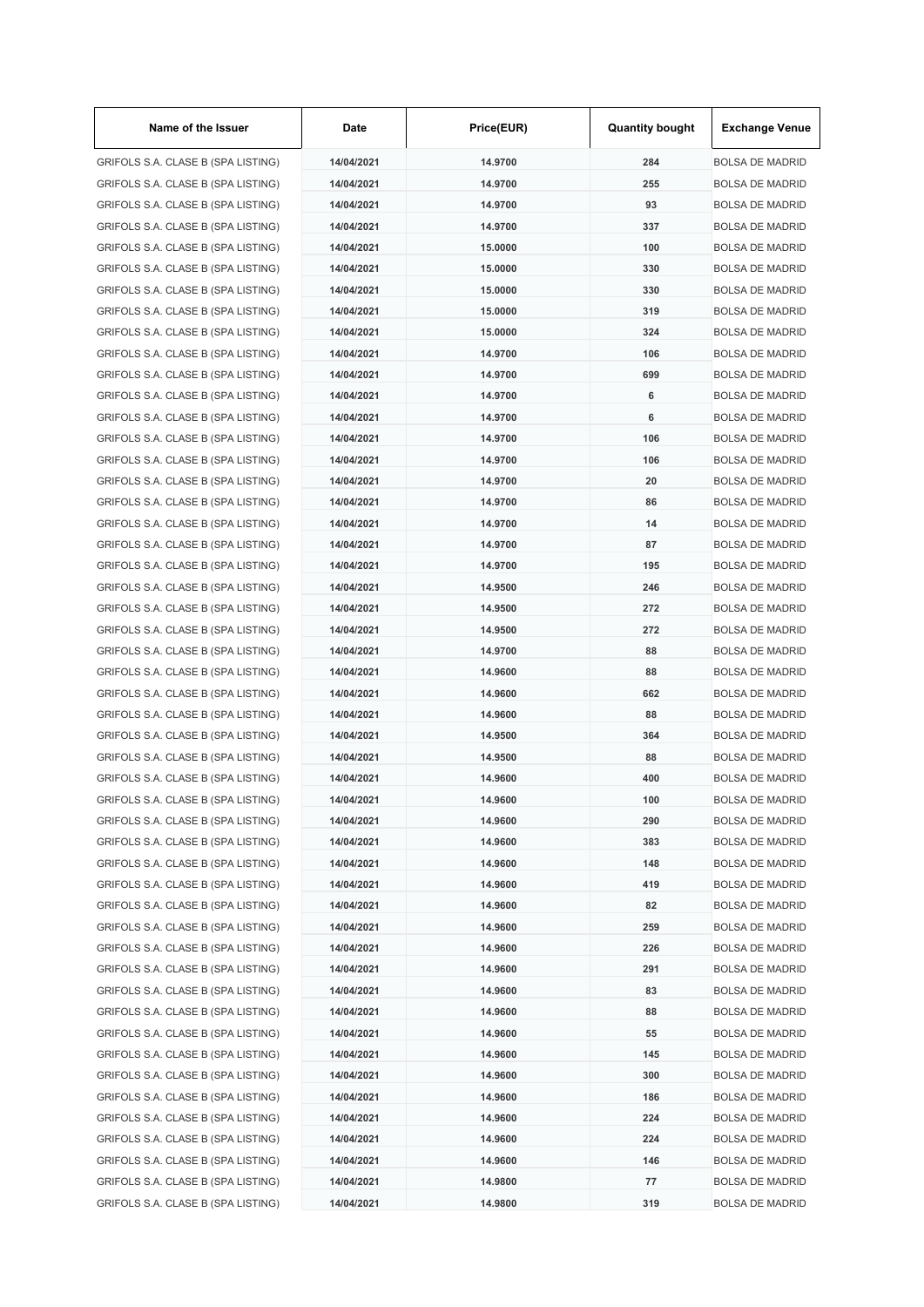| Name of the Issuer                 | Date       | Price(EUR) | <b>Quantity bought</b> | <b>Exchange Venue</b>  |
|------------------------------------|------------|------------|------------------------|------------------------|
| GRIFOLS S.A. CLASE B (SPA LISTING) | 14/04/2021 | 14.9700    | 284                    | <b>BOLSA DE MADRID</b> |
| GRIFOLS S.A. CLASE B (SPA LISTING) | 14/04/2021 | 14.9700    | 255                    | <b>BOLSA DE MADRID</b> |
| GRIFOLS S.A. CLASE B (SPA LISTING) | 14/04/2021 | 14.9700    | 93                     | <b>BOLSA DE MADRID</b> |
| GRIFOLS S.A. CLASE B (SPA LISTING) | 14/04/2021 | 14.9700    | 337                    | <b>BOLSA DE MADRID</b> |
| GRIFOLS S.A. CLASE B (SPA LISTING) | 14/04/2021 | 15.0000    | 100                    | <b>BOLSA DE MADRID</b> |
| GRIFOLS S.A. CLASE B (SPA LISTING) | 14/04/2021 | 15.0000    | 330                    | <b>BOLSA DE MADRID</b> |
| GRIFOLS S.A. CLASE B (SPA LISTING) | 14/04/2021 | 15.0000    | 330                    | <b>BOLSA DE MADRID</b> |
| GRIFOLS S.A. CLASE B (SPA LISTING) | 14/04/2021 | 15.0000    | 319                    | <b>BOLSA DE MADRID</b> |
| GRIFOLS S.A. CLASE B (SPA LISTING) | 14/04/2021 | 15.0000    | 324                    | <b>BOLSA DE MADRID</b> |
| GRIFOLS S.A. CLASE B (SPA LISTING) | 14/04/2021 | 14.9700    | 106                    | <b>BOLSA DE MADRID</b> |
| GRIFOLS S.A. CLASE B (SPA LISTING) | 14/04/2021 | 14.9700    | 699                    | <b>BOLSA DE MADRID</b> |
| GRIFOLS S.A. CLASE B (SPA LISTING) | 14/04/2021 | 14.9700    | 6                      | <b>BOLSA DE MADRID</b> |
| GRIFOLS S.A. CLASE B (SPA LISTING) | 14/04/2021 | 14.9700    | 6                      | <b>BOLSA DE MADRID</b> |
| GRIFOLS S.A. CLASE B (SPA LISTING) | 14/04/2021 | 14.9700    | 106                    | <b>BOLSA DE MADRID</b> |
| GRIFOLS S.A. CLASE B (SPA LISTING) | 14/04/2021 | 14.9700    | 106                    | <b>BOLSA DE MADRID</b> |
| GRIFOLS S.A. CLASE B (SPA LISTING) | 14/04/2021 | 14.9700    | 20                     | <b>BOLSA DE MADRID</b> |
| GRIFOLS S.A. CLASE B (SPA LISTING) | 14/04/2021 | 14.9700    | 86                     | <b>BOLSA DE MADRID</b> |
| GRIFOLS S.A. CLASE B (SPA LISTING) | 14/04/2021 | 14.9700    | 14                     | <b>BOLSA DE MADRID</b> |
| GRIFOLS S.A. CLASE B (SPA LISTING) | 14/04/2021 | 14.9700    | 87                     | <b>BOLSA DE MADRID</b> |
| GRIFOLS S.A. CLASE B (SPA LISTING) | 14/04/2021 | 14.9700    | 195                    | <b>BOLSA DE MADRID</b> |
| GRIFOLS S.A. CLASE B (SPA LISTING) | 14/04/2021 | 14.9500    | 246                    | <b>BOLSA DE MADRID</b> |
| GRIFOLS S.A. CLASE B (SPA LISTING) | 14/04/2021 | 14.9500    | 272                    | <b>BOLSA DE MADRID</b> |
| GRIFOLS S.A. CLASE B (SPA LISTING) | 14/04/2021 | 14.9500    | 272                    | <b>BOLSA DE MADRID</b> |
| GRIFOLS S.A. CLASE B (SPA LISTING) | 14/04/2021 | 14.9700    | 88                     | <b>BOLSA DE MADRID</b> |
| GRIFOLS S.A. CLASE B (SPA LISTING) | 14/04/2021 | 14.9600    | 88                     | <b>BOLSA DE MADRID</b> |
| GRIFOLS S.A. CLASE B (SPA LISTING) | 14/04/2021 | 14.9600    | 662                    | <b>BOLSA DE MADRID</b> |
| GRIFOLS S.A. CLASE B (SPA LISTING) |            | 14.9600    | 88                     | <b>BOLSA DE MADRID</b> |
|                                    | 14/04/2021 |            |                        |                        |
| GRIFOLS S.A. CLASE B (SPA LISTING) | 14/04/2021 | 14.9500    | 364                    | <b>BOLSA DE MADRID</b> |
| GRIFOLS S.A. CLASE B (SPA LISTING) | 14/04/2021 | 14.9500    | 88                     | <b>BOLSA DE MADRID</b> |
| GRIFOLS S.A. CLASE B (SPA LISTING) | 14/04/2021 | 14.9600    | 400                    | <b>BOLSA DE MADRID</b> |
| GRIFOLS S.A. CLASE B (SPA LISTING) | 14/04/2021 | 14.9600    | 100                    | <b>BOLSA DE MADRID</b> |
| GRIFOLS S.A. CLASE B (SPA LISTING) | 14/04/2021 | 14.9600    | 290                    | <b>BOLSA DE MADRID</b> |
| GRIFOLS S.A. CLASE B (SPA LISTING) | 14/04/2021 | 14.9600    | 383                    | <b>BOLSA DE MADRID</b> |
| GRIFOLS S.A. CLASE B (SPA LISTING) | 14/04/2021 | 14.9600    | 148                    | <b>BOLSA DE MADRID</b> |
| GRIFOLS S.A. CLASE B (SPA LISTING) | 14/04/2021 | 14.9600    | 419                    | <b>BOLSA DE MADRID</b> |
| GRIFOLS S.A. CLASE B (SPA LISTING) | 14/04/2021 | 14.9600    | 82                     | <b>BOLSA DE MADRID</b> |
| GRIFOLS S.A. CLASE B (SPA LISTING) | 14/04/2021 | 14.9600    | 259                    | <b>BOLSA DE MADRID</b> |
| GRIFOLS S.A. CLASE B (SPA LISTING) | 14/04/2021 | 14.9600    | 226                    | <b>BOLSA DE MADRID</b> |
| GRIFOLS S.A. CLASE B (SPA LISTING) | 14/04/2021 | 14.9600    | 291                    | <b>BOLSA DE MADRID</b> |
| GRIFOLS S.A. CLASE B (SPA LISTING) | 14/04/2021 | 14.9600    | 83                     | <b>BOLSA DE MADRID</b> |
| GRIFOLS S.A. CLASE B (SPA LISTING) | 14/04/2021 | 14.9600    | 88                     | <b>BOLSA DE MADRID</b> |
| GRIFOLS S.A. CLASE B (SPA LISTING) | 14/04/2021 | 14.9600    | 55                     | <b>BOLSA DE MADRID</b> |
| GRIFOLS S.A. CLASE B (SPA LISTING) | 14/04/2021 | 14.9600    | 145                    | <b>BOLSA DE MADRID</b> |
| GRIFOLS S.A. CLASE B (SPA LISTING) | 14/04/2021 | 14.9600    | 300                    | <b>BOLSA DE MADRID</b> |
| GRIFOLS S.A. CLASE B (SPA LISTING) | 14/04/2021 | 14.9600    | 186                    | <b>BOLSA DE MADRID</b> |
| GRIFOLS S.A. CLASE B (SPA LISTING) | 14/04/2021 | 14.9600    | 224                    | <b>BOLSA DE MADRID</b> |
| GRIFOLS S.A. CLASE B (SPA LISTING) | 14/04/2021 | 14.9600    | 224                    | <b>BOLSA DE MADRID</b> |
| GRIFOLS S.A. CLASE B (SPA LISTING) | 14/04/2021 | 14.9600    | 146                    | <b>BOLSA DE MADRID</b> |
| GRIFOLS S.A. CLASE B (SPA LISTING) | 14/04/2021 | 14.9800    | 77                     | <b>BOLSA DE MADRID</b> |
| GRIFOLS S.A. CLASE B (SPA LISTING) | 14/04/2021 | 14.9800    | 319                    | <b>BOLSA DE MADRID</b> |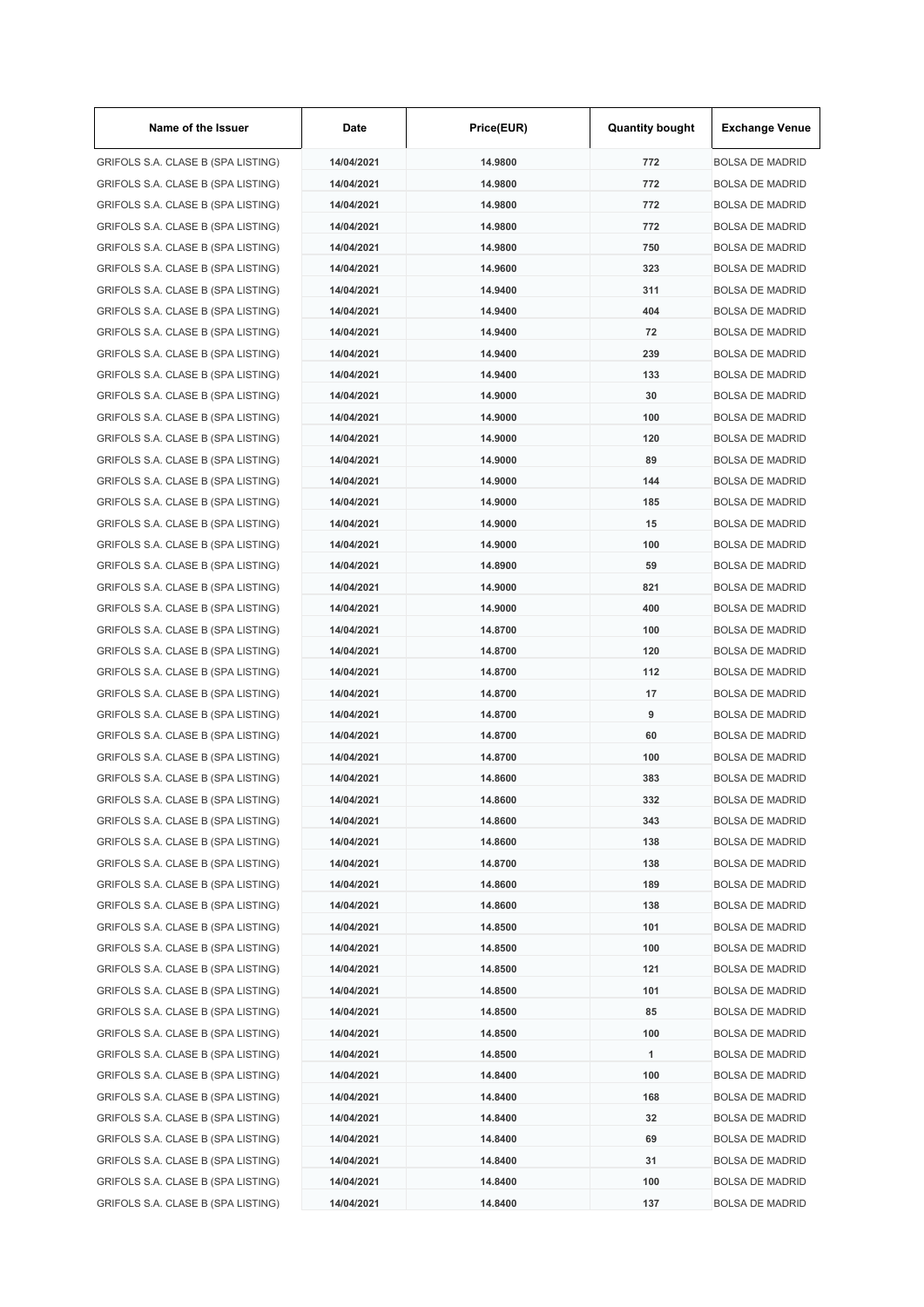| Name of the Issuer                 | Date       | Price(EUR) | <b>Quantity bought</b> | <b>Exchange Venue</b>  |
|------------------------------------|------------|------------|------------------------|------------------------|
| GRIFOLS S.A. CLASE B (SPA LISTING) | 14/04/2021 | 14.9800    | 772                    | <b>BOLSA DE MADRID</b> |
| GRIFOLS S.A. CLASE B (SPA LISTING) | 14/04/2021 | 14.9800    | 772                    | <b>BOLSA DE MADRID</b> |
| GRIFOLS S.A. CLASE B (SPA LISTING) | 14/04/2021 | 14.9800    | 772                    | <b>BOLSA DE MADRID</b> |
| GRIFOLS S.A. CLASE B (SPA LISTING) | 14/04/2021 | 14.9800    | 772                    | <b>BOLSA DE MADRID</b> |
| GRIFOLS S.A. CLASE B (SPA LISTING) | 14/04/2021 | 14.9800    | 750                    | <b>BOLSA DE MADRID</b> |
| GRIFOLS S.A. CLASE B (SPA LISTING) | 14/04/2021 | 14.9600    | 323                    | <b>BOLSA DE MADRID</b> |
| GRIFOLS S.A. CLASE B (SPA LISTING) | 14/04/2021 | 14.9400    | 311                    | <b>BOLSA DE MADRID</b> |
| GRIFOLS S.A. CLASE B (SPA LISTING) | 14/04/2021 | 14.9400    | 404                    | <b>BOLSA DE MADRID</b> |
| GRIFOLS S.A. CLASE B (SPA LISTING) | 14/04/2021 | 14.9400    | 72                     | <b>BOLSA DE MADRID</b> |
| GRIFOLS S.A. CLASE B (SPA LISTING) | 14/04/2021 | 14.9400    | 239                    | <b>BOLSA DE MADRID</b> |
| GRIFOLS S.A. CLASE B (SPA LISTING) | 14/04/2021 | 14.9400    | 133                    | <b>BOLSA DE MADRID</b> |
| GRIFOLS S.A. CLASE B (SPA LISTING) | 14/04/2021 | 14.9000    | 30                     | <b>BOLSA DE MADRID</b> |
| GRIFOLS S.A. CLASE B (SPA LISTING) | 14/04/2021 | 14.9000    | 100                    | <b>BOLSA DE MADRID</b> |
| GRIFOLS S.A. CLASE B (SPA LISTING) | 14/04/2021 | 14.9000    | 120                    | <b>BOLSA DE MADRID</b> |
| GRIFOLS S.A. CLASE B (SPA LISTING) | 14/04/2021 | 14.9000    | 89                     | <b>BOLSA DE MADRID</b> |
| GRIFOLS S.A. CLASE B (SPA LISTING) | 14/04/2021 | 14.9000    | 144                    | <b>BOLSA DE MADRID</b> |
| GRIFOLS S.A. CLASE B (SPA LISTING) | 14/04/2021 | 14.9000    | 185                    | <b>BOLSA DE MADRID</b> |
| GRIFOLS S.A. CLASE B (SPA LISTING) | 14/04/2021 | 14.9000    | 15                     | <b>BOLSA DE MADRID</b> |
| GRIFOLS S.A. CLASE B (SPA LISTING) | 14/04/2021 | 14.9000    | 100                    | <b>BOLSA DE MADRID</b> |
| GRIFOLS S.A. CLASE B (SPA LISTING) | 14/04/2021 | 14.8900    | 59                     | <b>BOLSA DE MADRID</b> |
| GRIFOLS S.A. CLASE B (SPA LISTING) | 14/04/2021 | 14.9000    | 821                    | <b>BOLSA DE MADRID</b> |
| GRIFOLS S.A. CLASE B (SPA LISTING) | 14/04/2021 | 14.9000    | 400                    | <b>BOLSA DE MADRID</b> |
| GRIFOLS S.A. CLASE B (SPA LISTING) | 14/04/2021 | 14.8700    | 100                    | <b>BOLSA DE MADRID</b> |
| GRIFOLS S.A. CLASE B (SPA LISTING) | 14/04/2021 | 14.8700    | 120                    | <b>BOLSA DE MADRID</b> |
| GRIFOLS S.A. CLASE B (SPA LISTING) | 14/04/2021 | 14.8700    | 112                    | <b>BOLSA DE MADRID</b> |
|                                    | 14/04/2021 | 14.8700    | 17                     |                        |
| GRIFOLS S.A. CLASE B (SPA LISTING) |            |            |                        | <b>BOLSA DE MADRID</b> |
| GRIFOLS S.A. CLASE B (SPA LISTING) | 14/04/2021 | 14.8700    | 9                      | <b>BOLSA DE MADRID</b> |
| GRIFOLS S.A. CLASE B (SPA LISTING) | 14/04/2021 | 14.8700    | 60                     | <b>BOLSA DE MADRID</b> |
| GRIFOLS S.A. CLASE B (SPA LISTING) | 14/04/2021 | 14.8700    | 100                    | <b>BOLSA DE MADRID</b> |
| GRIFOLS S.A. CLASE B (SPA LISTING) | 14/04/2021 | 14.8600    | 383                    | <b>BOLSA DE MADRID</b> |
| GRIFOLS S.A. CLASE B (SPA LISTING) | 14/04/2021 | 14.8600    | 332                    | <b>BOLSA DE MADRID</b> |
| GRIFOLS S.A. CLASE B (SPA LISTING) | 14/04/2021 | 14.8600    | 343                    | <b>BOLSA DE MADRID</b> |
| GRIFOLS S.A. CLASE B (SPA LISTING) | 14/04/2021 | 14.8600    | 138                    | <b>BOLSA DE MADRID</b> |
| GRIFOLS S.A. CLASE B (SPA LISTING) | 14/04/2021 | 14.8700    | 138                    | <b>BOLSA DE MADRID</b> |
| GRIFOLS S.A. CLASE B (SPA LISTING) | 14/04/2021 | 14.8600    | 189                    | <b>BOLSA DE MADRID</b> |
| GRIFOLS S.A. CLASE B (SPA LISTING) | 14/04/2021 | 14.8600    | 138                    | <b>BOLSA DE MADRID</b> |
| GRIFOLS S.A. CLASE B (SPA LISTING) | 14/04/2021 | 14.8500    | 101                    | <b>BOLSA DE MADRID</b> |
| GRIFOLS S.A. CLASE B (SPA LISTING) | 14/04/2021 | 14.8500    | 100                    | <b>BOLSA DE MADRID</b> |
| GRIFOLS S.A. CLASE B (SPA LISTING) | 14/04/2021 | 14.8500    | 121                    | <b>BOLSA DE MADRID</b> |
| GRIFOLS S.A. CLASE B (SPA LISTING) | 14/04/2021 | 14.8500    | 101                    | <b>BOLSA DE MADRID</b> |
| GRIFOLS S.A. CLASE B (SPA LISTING) | 14/04/2021 | 14.8500    | 85                     | <b>BOLSA DE MADRID</b> |
| GRIFOLS S.A. CLASE B (SPA LISTING) | 14/04/2021 | 14.8500    | 100                    | <b>BOLSA DE MADRID</b> |
| GRIFOLS S.A. CLASE B (SPA LISTING) | 14/04/2021 | 14.8500    | 1                      | <b>BOLSA DE MADRID</b> |
| GRIFOLS S.A. CLASE B (SPA LISTING) | 14/04/2021 | 14.8400    | 100                    | <b>BOLSA DE MADRID</b> |
| GRIFOLS S.A. CLASE B (SPA LISTING) | 14/04/2021 | 14.8400    | 168                    | <b>BOLSA DE MADRID</b> |
| GRIFOLS S.A. CLASE B (SPA LISTING) | 14/04/2021 | 14.8400    | 32                     | <b>BOLSA DE MADRID</b> |
| GRIFOLS S.A. CLASE B (SPA LISTING) | 14/04/2021 | 14.8400    | 69                     | <b>BOLSA DE MADRID</b> |
| GRIFOLS S.A. CLASE B (SPA LISTING) | 14/04/2021 | 14.8400    | 31                     | <b>BOLSA DE MADRID</b> |
| GRIFOLS S.A. CLASE B (SPA LISTING) | 14/04/2021 | 14.8400    | 100                    | <b>BOLSA DE MADRID</b> |
| GRIFOLS S.A. CLASE B (SPA LISTING) | 14/04/2021 | 14.8400    | 137                    | <b>BOLSA DE MADRID</b> |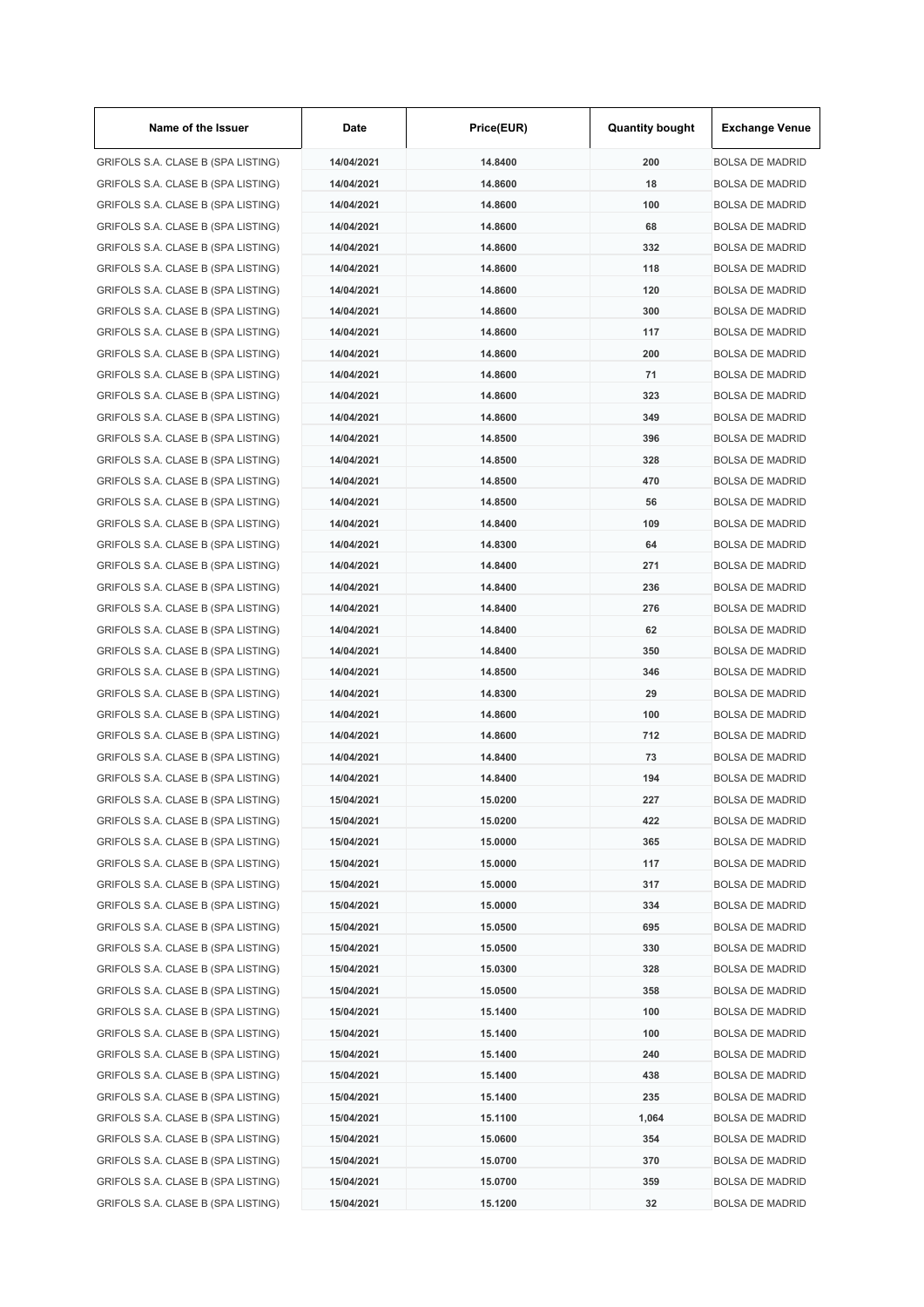| Name of the Issuer                 | Date       | Price(EUR) | <b>Quantity bought</b> | <b>Exchange Venue</b>  |
|------------------------------------|------------|------------|------------------------|------------------------|
| GRIFOLS S.A. CLASE B (SPA LISTING) | 14/04/2021 | 14.8400    | 200                    | <b>BOLSA DE MADRID</b> |
| GRIFOLS S.A. CLASE B (SPA LISTING) | 14/04/2021 | 14.8600    | 18                     | <b>BOLSA DE MADRID</b> |
| GRIFOLS S.A. CLASE B (SPA LISTING) | 14/04/2021 | 14.8600    | 100                    | <b>BOLSA DE MADRID</b> |
| GRIFOLS S.A. CLASE B (SPA LISTING) | 14/04/2021 | 14.8600    | 68                     | <b>BOLSA DE MADRID</b> |
| GRIFOLS S.A. CLASE B (SPA LISTING) | 14/04/2021 | 14.8600    | 332                    | <b>BOLSA DE MADRID</b> |
| GRIFOLS S.A. CLASE B (SPA LISTING) | 14/04/2021 | 14.8600    | 118                    | <b>BOLSA DE MADRID</b> |
| GRIFOLS S.A. CLASE B (SPA LISTING) | 14/04/2021 | 14.8600    | 120                    | <b>BOLSA DE MADRID</b> |
| GRIFOLS S.A. CLASE B (SPA LISTING) | 14/04/2021 | 14.8600    | 300                    | <b>BOLSA DE MADRID</b> |
| GRIFOLS S.A. CLASE B (SPA LISTING) | 14/04/2021 | 14.8600    | 117                    | <b>BOLSA DE MADRID</b> |
| GRIFOLS S.A. CLASE B (SPA LISTING) | 14/04/2021 | 14.8600    | 200                    | <b>BOLSA DE MADRID</b> |
| GRIFOLS S.A. CLASE B (SPA LISTING) | 14/04/2021 | 14.8600    | 71                     | <b>BOLSA DE MADRID</b> |
| GRIFOLS S.A. CLASE B (SPA LISTING) | 14/04/2021 | 14.8600    | 323                    | <b>BOLSA DE MADRID</b> |
| GRIFOLS S.A. CLASE B (SPA LISTING) | 14/04/2021 | 14.8600    | 349                    | <b>BOLSA DE MADRID</b> |
| GRIFOLS S.A. CLASE B (SPA LISTING) | 14/04/2021 | 14.8500    | 396                    | <b>BOLSA DE MADRID</b> |
| GRIFOLS S.A. CLASE B (SPA LISTING) | 14/04/2021 | 14.8500    | 328                    | <b>BOLSA DE MADRID</b> |
| GRIFOLS S.A. CLASE B (SPA LISTING) | 14/04/2021 | 14.8500    | 470                    | <b>BOLSA DE MADRID</b> |
| GRIFOLS S.A. CLASE B (SPA LISTING) | 14/04/2021 | 14.8500    | 56                     | <b>BOLSA DE MADRID</b> |
| GRIFOLS S.A. CLASE B (SPA LISTING) | 14/04/2021 | 14.8400    | 109                    | <b>BOLSA DE MADRID</b> |
| GRIFOLS S.A. CLASE B (SPA LISTING) | 14/04/2021 | 14.8300    | 64                     | <b>BOLSA DE MADRID</b> |
| GRIFOLS S.A. CLASE B (SPA LISTING) | 14/04/2021 | 14.8400    | 271                    | <b>BOLSA DE MADRID</b> |
| GRIFOLS S.A. CLASE B (SPA LISTING) | 14/04/2021 | 14.8400    | 236                    | <b>BOLSA DE MADRID</b> |
| GRIFOLS S.A. CLASE B (SPA LISTING) | 14/04/2021 | 14.8400    | 276                    | <b>BOLSA DE MADRID</b> |
| GRIFOLS S.A. CLASE B (SPA LISTING) | 14/04/2021 | 14.8400    | 62                     | <b>BOLSA DE MADRID</b> |
| GRIFOLS S.A. CLASE B (SPA LISTING) | 14/04/2021 | 14.8400    | 350                    | <b>BOLSA DE MADRID</b> |
|                                    |            |            | 346                    | <b>BOLSA DE MADRID</b> |
| GRIFOLS S.A. CLASE B (SPA LISTING) | 14/04/2021 | 14.8500    |                        |                        |
| GRIFOLS S.A. CLASE B (SPA LISTING) | 14/04/2021 | 14.8300    | 29                     | <b>BOLSA DE MADRID</b> |
| GRIFOLS S.A. CLASE B (SPA LISTING) | 14/04/2021 | 14.8600    | 100                    | <b>BOLSA DE MADRID</b> |
| GRIFOLS S.A. CLASE B (SPA LISTING) | 14/04/2021 | 14.8600    | 712                    | <b>BOLSA DE MADRID</b> |
| GRIFOLS S.A. CLASE B (SPA LISTING) | 14/04/2021 | 14.8400    | 73                     | <b>BOLSA DE MADRID</b> |
| GRIFOLS S.A. CLASE B (SPA LISTING) | 14/04/2021 | 14.8400    | 194                    | <b>BOLSA DE MADRID</b> |
| GRIFOLS S.A. CLASE B (SPA LISTING) | 15/04/2021 | 15.0200    | 227                    | <b>BOLSA DE MADRID</b> |
| GRIFOLS S.A. CLASE B (SPA LISTING) | 15/04/2021 | 15.0200    | 422                    | <b>BOLSA DE MADRID</b> |
| GRIFOLS S.A. CLASE B (SPA LISTING) | 15/04/2021 | 15.0000    | 365                    | <b>BOLSA DE MADRID</b> |
| GRIFOLS S.A. CLASE B (SPA LISTING) | 15/04/2021 | 15.0000    | 117                    | <b>BOLSA DE MADRID</b> |
| GRIFOLS S.A. CLASE B (SPA LISTING) | 15/04/2021 | 15.0000    | 317                    | <b>BOLSA DE MADRID</b> |
| GRIFOLS S.A. CLASE B (SPA LISTING) | 15/04/2021 | 15.0000    | 334                    | <b>BOLSA DE MADRID</b> |
| GRIFOLS S.A. CLASE B (SPA LISTING) | 15/04/2021 | 15.0500    | 695                    | <b>BOLSA DE MADRID</b> |
| GRIFOLS S.A. CLASE B (SPA LISTING) | 15/04/2021 | 15.0500    | 330                    | <b>BOLSA DE MADRID</b> |
| GRIFOLS S.A. CLASE B (SPA LISTING) | 15/04/2021 | 15.0300    | 328                    | <b>BOLSA DE MADRID</b> |
| GRIFOLS S.A. CLASE B (SPA LISTING) | 15/04/2021 | 15.0500    | 358                    | <b>BOLSA DE MADRID</b> |
| GRIFOLS S.A. CLASE B (SPA LISTING) | 15/04/2021 | 15.1400    | 100                    | <b>BOLSA DE MADRID</b> |
| GRIFOLS S.A. CLASE B (SPA LISTING) | 15/04/2021 | 15.1400    | 100                    | <b>BOLSA DE MADRID</b> |
| GRIFOLS S.A. CLASE B (SPA LISTING) | 15/04/2021 | 15.1400    | 240                    | <b>BOLSA DE MADRID</b> |
| GRIFOLS S.A. CLASE B (SPA LISTING) | 15/04/2021 | 15.1400    | 438                    | <b>BOLSA DE MADRID</b> |
| GRIFOLS S.A. CLASE B (SPA LISTING) | 15/04/2021 | 15.1400    | 235                    | <b>BOLSA DE MADRID</b> |
| GRIFOLS S.A. CLASE B (SPA LISTING) | 15/04/2021 | 15.1100    | 1,064                  | <b>BOLSA DE MADRID</b> |
| GRIFOLS S.A. CLASE B (SPA LISTING) | 15/04/2021 | 15.0600    | 354                    | <b>BOLSA DE MADRID</b> |
| GRIFOLS S.A. CLASE B (SPA LISTING) | 15/04/2021 | 15.0700    | 370                    | <b>BOLSA DE MADRID</b> |
| GRIFOLS S.A. CLASE B (SPA LISTING) | 15/04/2021 | 15.0700    | 359                    | <b>BOLSA DE MADRID</b> |
| GRIFOLS S.A. CLASE B (SPA LISTING) | 15/04/2021 | 15.1200    | 32                     | <b>BOLSA DE MADRID</b> |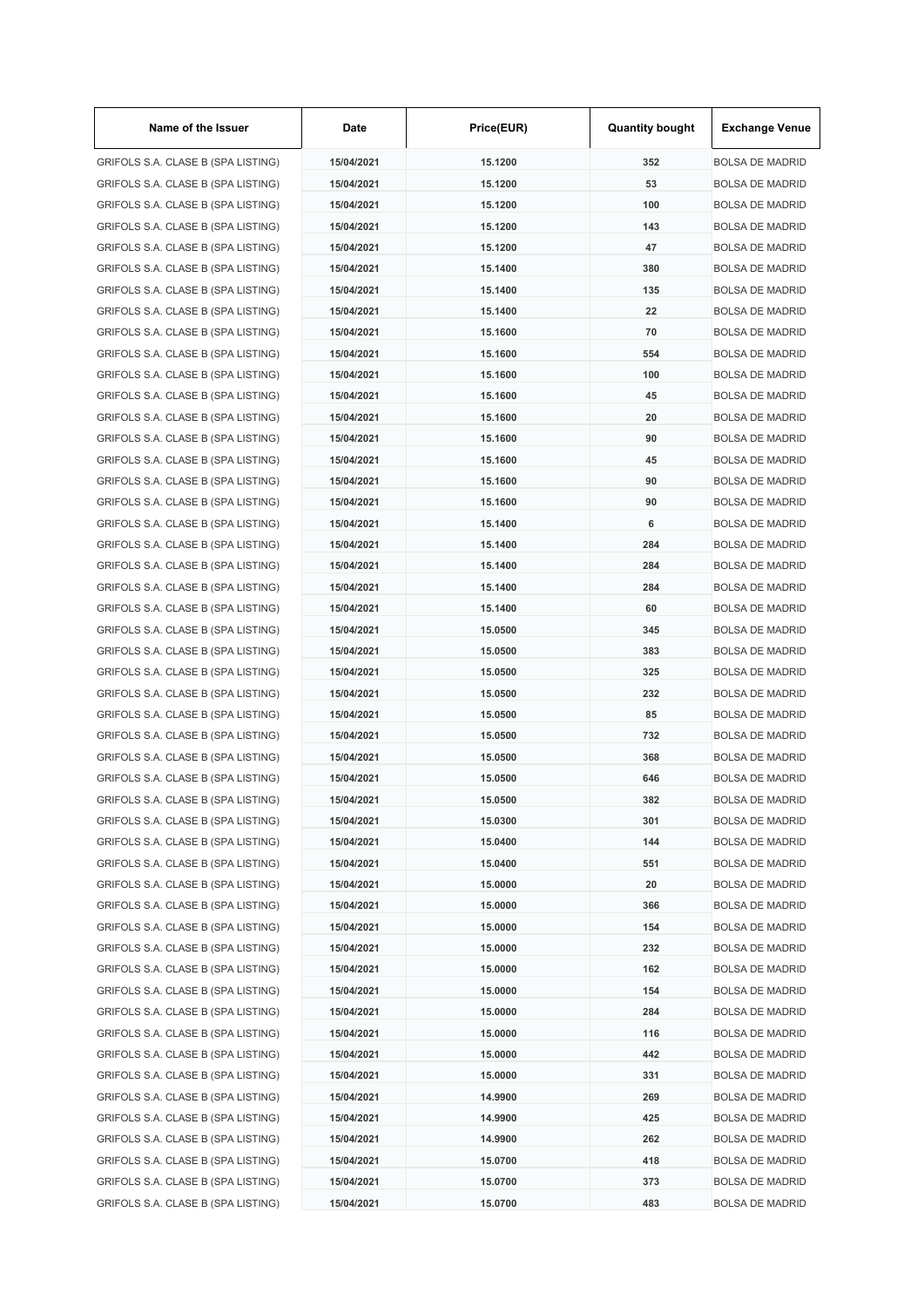| Name of the Issuer                 | Date       | Price(EUR) | <b>Quantity bought</b> | <b>Exchange Venue</b>                            |
|------------------------------------|------------|------------|------------------------|--------------------------------------------------|
| GRIFOLS S.A. CLASE B (SPA LISTING) | 15/04/2021 | 15.1200    | 352                    | <b>BOLSA DE MADRID</b>                           |
| GRIFOLS S.A. CLASE B (SPA LISTING) | 15/04/2021 | 15.1200    | 53                     | <b>BOLSA DE MADRID</b>                           |
| GRIFOLS S.A. CLASE B (SPA LISTING) | 15/04/2021 | 15.1200    | 100                    | <b>BOLSA DE MADRID</b>                           |
| GRIFOLS S.A. CLASE B (SPA LISTING) | 15/04/2021 | 15.1200    | 143                    | <b>BOLSA DE MADRID</b>                           |
| GRIFOLS S.A. CLASE B (SPA LISTING) | 15/04/2021 | 15.1200    | 47                     | <b>BOLSA DE MADRID</b>                           |
| GRIFOLS S.A. CLASE B (SPA LISTING) | 15/04/2021 | 15.1400    | 380                    | <b>BOLSA DE MADRID</b>                           |
| GRIFOLS S.A. CLASE B (SPA LISTING) | 15/04/2021 | 15.1400    | 135                    | <b>BOLSA DE MADRID</b>                           |
| GRIFOLS S.A. CLASE B (SPA LISTING) | 15/04/2021 | 15.1400    | 22                     | <b>BOLSA DE MADRID</b>                           |
| GRIFOLS S.A. CLASE B (SPA LISTING) | 15/04/2021 | 15.1600    | 70                     | <b>BOLSA DE MADRID</b>                           |
| GRIFOLS S.A. CLASE B (SPA LISTING) | 15/04/2021 | 15.1600    | 554                    | <b>BOLSA DE MADRID</b>                           |
| GRIFOLS S.A. CLASE B (SPA LISTING) | 15/04/2021 | 15.1600    | 100                    | <b>BOLSA DE MADRID</b>                           |
| GRIFOLS S.A. CLASE B (SPA LISTING) | 15/04/2021 | 15.1600    | 45                     | <b>BOLSA DE MADRID</b>                           |
| GRIFOLS S.A. CLASE B (SPA LISTING) | 15/04/2021 | 15.1600    | 20                     | <b>BOLSA DE MADRID</b>                           |
| GRIFOLS S.A. CLASE B (SPA LISTING) | 15/04/2021 | 15.1600    | 90                     | <b>BOLSA DE MADRID</b>                           |
| GRIFOLS S.A. CLASE B (SPA LISTING) | 15/04/2021 | 15.1600    | 45                     | <b>BOLSA DE MADRID</b>                           |
| GRIFOLS S.A. CLASE B (SPA LISTING) | 15/04/2021 | 15.1600    | 90                     | <b>BOLSA DE MADRID</b>                           |
| GRIFOLS S.A. CLASE B (SPA LISTING) | 15/04/2021 | 15.1600    | 90                     | <b>BOLSA DE MADRID</b>                           |
| GRIFOLS S.A. CLASE B (SPA LISTING) | 15/04/2021 | 15.1400    | 6                      | <b>BOLSA DE MADRID</b>                           |
| GRIFOLS S.A. CLASE B (SPA LISTING) | 15/04/2021 | 15.1400    | 284                    | <b>BOLSA DE MADRID</b>                           |
| GRIFOLS S.A. CLASE B (SPA LISTING) | 15/04/2021 | 15.1400    | 284                    | <b>BOLSA DE MADRID</b>                           |
| GRIFOLS S.A. CLASE B (SPA LISTING) | 15/04/2021 | 15.1400    | 284                    | <b>BOLSA DE MADRID</b>                           |
| GRIFOLS S.A. CLASE B (SPA LISTING) | 15/04/2021 | 15.1400    | 60                     | <b>BOLSA DE MADRID</b>                           |
| GRIFOLS S.A. CLASE B (SPA LISTING) | 15/04/2021 | 15.0500    | 345                    | <b>BOLSA DE MADRID</b>                           |
| GRIFOLS S.A. CLASE B (SPA LISTING) | 15/04/2021 | 15.0500    | 383                    | <b>BOLSA DE MADRID</b>                           |
| GRIFOLS S.A. CLASE B (SPA LISTING) | 15/04/2021 | 15.0500    | 325                    | <b>BOLSA DE MADRID</b>                           |
|                                    | 15/04/2021 | 15.0500    | 232                    |                                                  |
| GRIFOLS S.A. CLASE B (SPA LISTING) |            |            |                        | <b>BOLSA DE MADRID</b><br><b>BOLSA DE MADRID</b> |
| GRIFOLS S.A. CLASE B (SPA LISTING) | 15/04/2021 | 15.0500    | 85                     |                                                  |
| GRIFOLS S.A. CLASE B (SPA LISTING) | 15/04/2021 | 15,0500    | 732                    | <b>BOLSA DE MADRID</b>                           |
| GRIFOLS S.A. CLASE B (SPA LISTING) | 15/04/2021 | 15.0500    | 368                    | <b>BOLSA DE MADRID</b>                           |
| GRIFOLS S.A. CLASE B (SPA LISTING) | 15/04/2021 | 15.0500    | 646                    | <b>BOLSA DE MADRID</b>                           |
| GRIFOLS S.A. CLASE B (SPA LISTING) | 15/04/2021 | 15.0500    | 382                    | <b>BOLSA DE MADRID</b>                           |
| GRIFOLS S.A. CLASE B (SPA LISTING) | 15/04/2021 | 15.0300    | 301                    | <b>BOLSA DE MADRID</b>                           |
| GRIFOLS S.A. CLASE B (SPA LISTING) | 15/04/2021 | 15.0400    | 144                    | <b>BOLSA DE MADRID</b>                           |
| GRIFOLS S.A. CLASE B (SPA LISTING) | 15/04/2021 | 15.0400    | 551                    | <b>BOLSA DE MADRID</b>                           |
| GRIFOLS S.A. CLASE B (SPA LISTING) | 15/04/2021 | 15.0000    | 20                     | <b>BOLSA DE MADRID</b>                           |
| GRIFOLS S.A. CLASE B (SPA LISTING) | 15/04/2021 | 15.0000    | 366                    | <b>BOLSA DE MADRID</b>                           |
| GRIFOLS S.A. CLASE B (SPA LISTING) | 15/04/2021 | 15.0000    | 154                    | <b>BOLSA DE MADRID</b>                           |
| GRIFOLS S.A. CLASE B (SPA LISTING) | 15/04/2021 | 15.0000    | 232                    | <b>BOLSA DE MADRID</b>                           |
| GRIFOLS S.A. CLASE B (SPA LISTING) | 15/04/2021 | 15.0000    | 162                    | <b>BOLSA DE MADRID</b>                           |
| GRIFOLS S.A. CLASE B (SPA LISTING) | 15/04/2021 | 15.0000    | 154                    | <b>BOLSA DE MADRID</b>                           |
| GRIFOLS S.A. CLASE B (SPA LISTING) | 15/04/2021 | 15.0000    | 284                    | <b>BOLSA DE MADRID</b>                           |
| GRIFOLS S.A. CLASE B (SPA LISTING) | 15/04/2021 | 15.0000    | 116                    | <b>BOLSA DE MADRID</b>                           |
| GRIFOLS S.A. CLASE B (SPA LISTING) | 15/04/2021 | 15.0000    | 442                    | <b>BOLSA DE MADRID</b>                           |
| GRIFOLS S.A. CLASE B (SPA LISTING) | 15/04/2021 | 15.0000    | 331                    | <b>BOLSA DE MADRID</b>                           |
| GRIFOLS S.A. CLASE B (SPA LISTING) | 15/04/2021 | 14.9900    | 269                    | <b>BOLSA DE MADRID</b>                           |
| GRIFOLS S.A. CLASE B (SPA LISTING) | 15/04/2021 | 14.9900    | 425                    | <b>BOLSA DE MADRID</b>                           |
| GRIFOLS S.A. CLASE B (SPA LISTING) | 15/04/2021 | 14.9900    | 262                    | <b>BOLSA DE MADRID</b>                           |
| GRIFOLS S.A. CLASE B (SPA LISTING) | 15/04/2021 | 15.0700    | 418                    | <b>BOLSA DE MADRID</b>                           |
| GRIFOLS S.A. CLASE B (SPA LISTING) | 15/04/2021 | 15.0700    | 373                    | <b>BOLSA DE MADRID</b>                           |
| GRIFOLS S.A. CLASE B (SPA LISTING) | 15/04/2021 | 15.0700    | 483                    | <b>BOLSA DE MADRID</b>                           |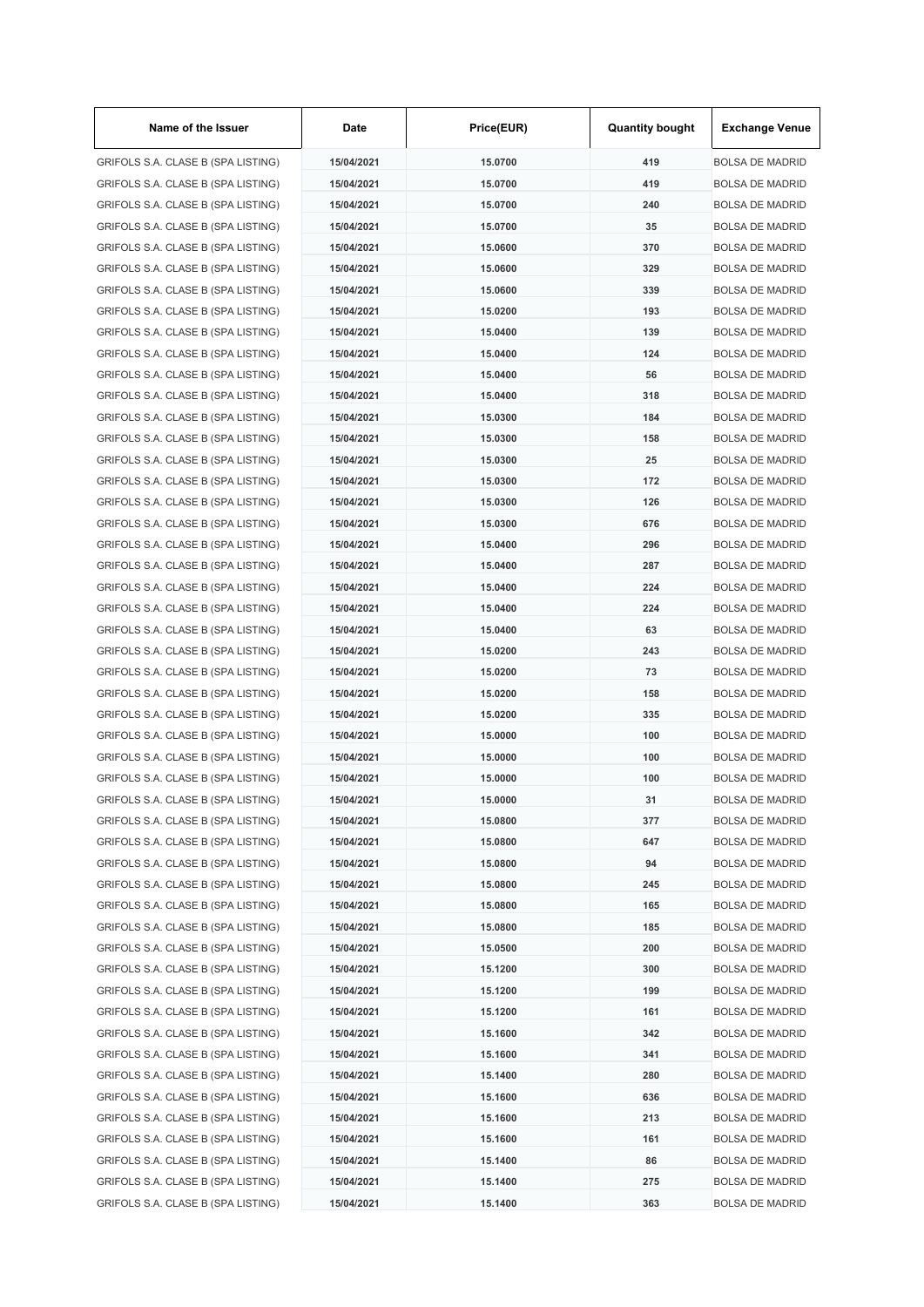| Name of the Issuer                 | Date       | Price(EUR) | <b>Quantity bought</b> | <b>Exchange Venue</b>  |
|------------------------------------|------------|------------|------------------------|------------------------|
| GRIFOLS S.A. CLASE B (SPA LISTING) | 15/04/2021 | 15.0700    | 419                    | <b>BOLSA DE MADRID</b> |
| GRIFOLS S.A. CLASE B (SPA LISTING) | 15/04/2021 | 15.0700    | 419                    | <b>BOLSA DE MADRID</b> |
| GRIFOLS S.A. CLASE B (SPA LISTING) | 15/04/2021 | 15.0700    | 240                    | <b>BOLSA DE MADRID</b> |
| GRIFOLS S.A. CLASE B (SPA LISTING) | 15/04/2021 | 15.0700    | 35                     | <b>BOLSA DE MADRID</b> |
| GRIFOLS S.A. CLASE B (SPA LISTING) | 15/04/2021 | 15.0600    | 370                    | <b>BOLSA DE MADRID</b> |
| GRIFOLS S.A. CLASE B (SPA LISTING) | 15/04/2021 | 15.0600    | 329                    | <b>BOLSA DE MADRID</b> |
| GRIFOLS S.A. CLASE B (SPA LISTING) | 15/04/2021 | 15.0600    | 339                    | <b>BOLSA DE MADRID</b> |
| GRIFOLS S.A. CLASE B (SPA LISTING) | 15/04/2021 | 15.0200    | 193                    | <b>BOLSA DE MADRID</b> |
| GRIFOLS S.A. CLASE B (SPA LISTING) | 15/04/2021 | 15.0400    | 139                    | <b>BOLSA DE MADRID</b> |
| GRIFOLS S.A. CLASE B (SPA LISTING) | 15/04/2021 | 15.0400    | 124                    | <b>BOLSA DE MADRID</b> |
| GRIFOLS S.A. CLASE B (SPA LISTING) | 15/04/2021 | 15.0400    | 56                     | <b>BOLSA DE MADRID</b> |
| GRIFOLS S.A. CLASE B (SPA LISTING) | 15/04/2021 | 15.0400    | 318                    | <b>BOLSA DE MADRID</b> |
| GRIFOLS S.A. CLASE B (SPA LISTING) | 15/04/2021 | 15.0300    | 184                    | <b>BOLSA DE MADRID</b> |
| GRIFOLS S.A. CLASE B (SPA LISTING) | 15/04/2021 | 15.0300    | 158                    | <b>BOLSA DE MADRID</b> |
| GRIFOLS S.A. CLASE B (SPA LISTING) | 15/04/2021 | 15.0300    | 25                     | <b>BOLSA DE MADRID</b> |
| GRIFOLS S.A. CLASE B (SPA LISTING) | 15/04/2021 | 15.0300    | 172                    | <b>BOLSA DE MADRID</b> |
| GRIFOLS S.A. CLASE B (SPA LISTING) | 15/04/2021 | 15.0300    | 126                    | <b>BOLSA DE MADRID</b> |
| GRIFOLS S.A. CLASE B (SPA LISTING) | 15/04/2021 | 15.0300    | 676                    | <b>BOLSA DE MADRID</b> |
| GRIFOLS S.A. CLASE B (SPA LISTING) | 15/04/2021 | 15.0400    | 296                    | <b>BOLSA DE MADRID</b> |
| GRIFOLS S.A. CLASE B (SPA LISTING) | 15/04/2021 | 15.0400    | 287                    | <b>BOLSA DE MADRID</b> |
| GRIFOLS S.A. CLASE B (SPA LISTING) | 15/04/2021 | 15.0400    | 224                    | <b>BOLSA DE MADRID</b> |
| GRIFOLS S.A. CLASE B (SPA LISTING) | 15/04/2021 | 15.0400    | 224                    | <b>BOLSA DE MADRID</b> |
| GRIFOLS S.A. CLASE B (SPA LISTING) | 15/04/2021 | 15.0400    | 63                     | <b>BOLSA DE MADRID</b> |
| GRIFOLS S.A. CLASE B (SPA LISTING) | 15/04/2021 | 15.0200    | 243                    | <b>BOLSA DE MADRID</b> |
|                                    |            |            | 73                     | <b>BOLSA DE MADRID</b> |
| GRIFOLS S.A. CLASE B (SPA LISTING) | 15/04/2021 | 15.0200    |                        |                        |
| GRIFOLS S.A. CLASE B (SPA LISTING) | 15/04/2021 | 15.0200    | 158                    | <b>BOLSA DE MADRID</b> |
| GRIFOLS S.A. CLASE B (SPA LISTING) | 15/04/2021 | 15.0200    | 335                    | <b>BOLSA DE MADRID</b> |
| GRIFOLS S.A. CLASE B (SPA LISTING) | 15/04/2021 | 15.0000    | 100                    | <b>BOLSA DE MADRID</b> |
| GRIFOLS S.A. CLASE B (SPA LISTING) | 15/04/2021 | 15.0000    | 100                    | <b>BOLSA DE MADRID</b> |
| GRIFOLS S.A. CLASE B (SPA LISTING) | 15/04/2021 | 15.0000    | 100                    | <b>BOLSA DE MADRID</b> |
| GRIFOLS S.A. CLASE B (SPA LISTING) | 15/04/2021 | 15.0000    | 31                     | <b>BOLSA DE MADRID</b> |
| GRIFOLS S.A. CLASE B (SPA LISTING) | 15/04/2021 | 15.0800    | 377                    | <b>BOLSA DE MADRID</b> |
| GRIFOLS S.A. CLASE B (SPA LISTING) | 15/04/2021 | 15.0800    | 647                    | <b>BOLSA DE MADRID</b> |
| GRIFOLS S.A. CLASE B (SPA LISTING) | 15/04/2021 | 15.0800    | 94                     | <b>BOLSA DE MADRID</b> |
| GRIFOLS S.A. CLASE B (SPA LISTING) | 15/04/2021 | 15.0800    | 245                    | <b>BOLSA DE MADRID</b> |
| GRIFOLS S.A. CLASE B (SPA LISTING) | 15/04/2021 | 15.0800    | 165                    | <b>BOLSA DE MADRID</b> |
| GRIFOLS S.A. CLASE B (SPA LISTING) | 15/04/2021 | 15.0800    | 185                    | <b>BOLSA DE MADRID</b> |
| GRIFOLS S.A. CLASE B (SPA LISTING) | 15/04/2021 | 15.0500    | 200                    | <b>BOLSA DE MADRID</b> |
| GRIFOLS S.A. CLASE B (SPA LISTING) | 15/04/2021 | 15.1200    | 300                    | <b>BOLSA DE MADRID</b> |
| GRIFOLS S.A. CLASE B (SPA LISTING) | 15/04/2021 | 15.1200    | 199                    | <b>BOLSA DE MADRID</b> |
| GRIFOLS S.A. CLASE B (SPA LISTING) | 15/04/2021 | 15.1200    | 161                    | <b>BOLSA DE MADRID</b> |
| GRIFOLS S.A. CLASE B (SPA LISTING) | 15/04/2021 | 15.1600    | 342                    | <b>BOLSA DE MADRID</b> |
| GRIFOLS S.A. CLASE B (SPA LISTING) | 15/04/2021 | 15.1600    | 341                    | <b>BOLSA DE MADRID</b> |
| GRIFOLS S.A. CLASE B (SPA LISTING) | 15/04/2021 | 15.1400    | 280                    | <b>BOLSA DE MADRID</b> |
| GRIFOLS S.A. CLASE B (SPA LISTING) | 15/04/2021 | 15.1600    | 636                    | <b>BOLSA DE MADRID</b> |
| GRIFOLS S.A. CLASE B (SPA LISTING) | 15/04/2021 | 15.1600    | 213                    | <b>BOLSA DE MADRID</b> |
| GRIFOLS S.A. CLASE B (SPA LISTING) | 15/04/2021 | 15.1600    | 161                    | <b>BOLSA DE MADRID</b> |
| GRIFOLS S.A. CLASE B (SPA LISTING) | 15/04/2021 | 15.1400    | 86                     | <b>BOLSA DE MADRID</b> |
| GRIFOLS S.A. CLASE B (SPA LISTING) | 15/04/2021 | 15.1400    | 275                    | <b>BOLSA DE MADRID</b> |
| GRIFOLS S.A. CLASE B (SPA LISTING) | 15/04/2021 | 15.1400    | 363                    | <b>BOLSA DE MADRID</b> |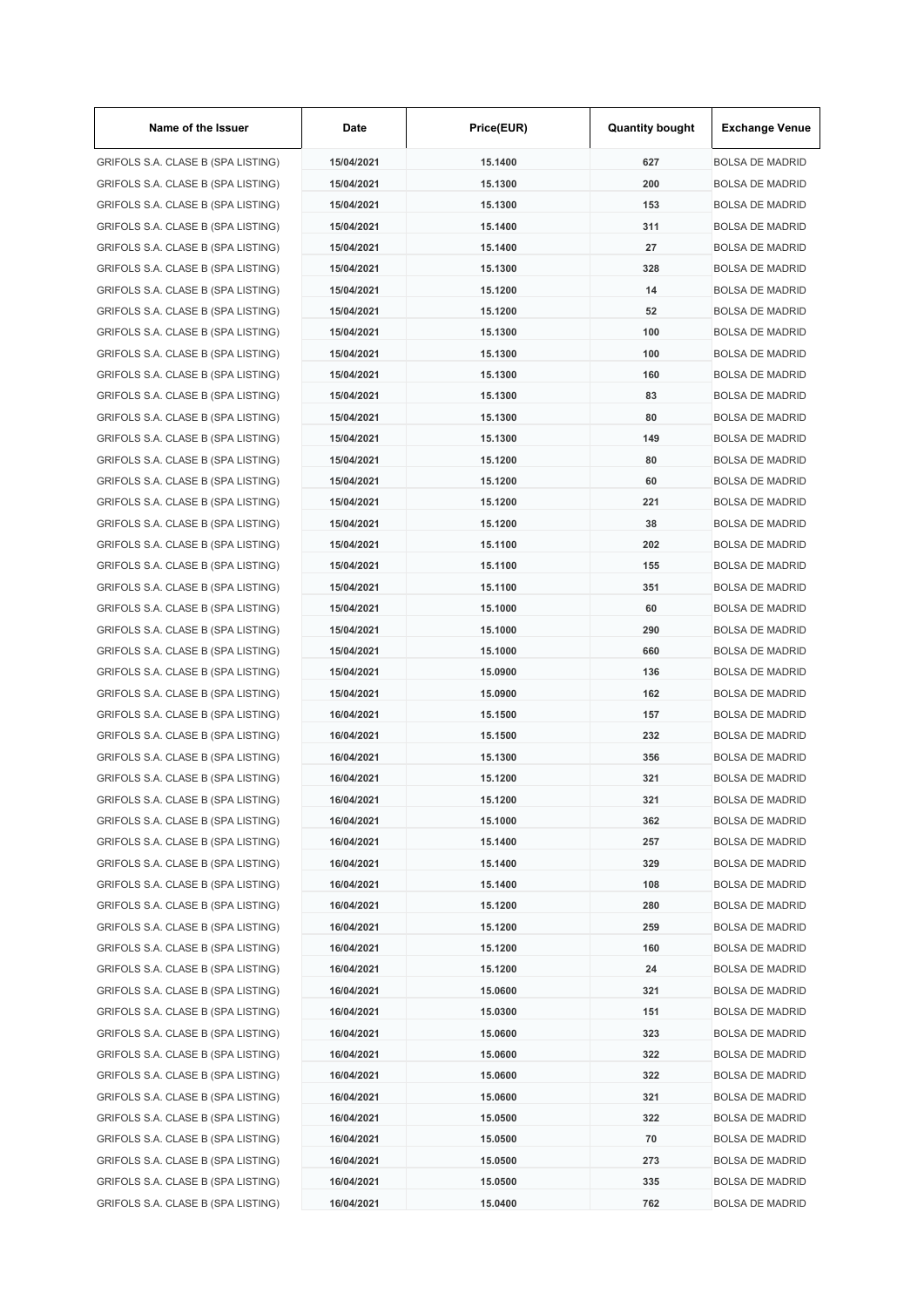| Name of the Issuer                 | Date       | Price(EUR) | <b>Quantity bought</b> | <b>Exchange Venue</b>                            |
|------------------------------------|------------|------------|------------------------|--------------------------------------------------|
| GRIFOLS S.A. CLASE B (SPA LISTING) | 15/04/2021 | 15.1400    | 627                    | <b>BOLSA DE MADRID</b>                           |
| GRIFOLS S.A. CLASE B (SPA LISTING) | 15/04/2021 | 15.1300    | 200                    | <b>BOLSA DE MADRID</b>                           |
| GRIFOLS S.A. CLASE B (SPA LISTING) | 15/04/2021 | 15.1300    | 153                    | <b>BOLSA DE MADRID</b>                           |
| GRIFOLS S.A. CLASE B (SPA LISTING) | 15/04/2021 | 15.1400    | 311                    | <b>BOLSA DE MADRID</b>                           |
| GRIFOLS S.A. CLASE B (SPA LISTING) | 15/04/2021 | 15.1400    | 27                     | <b>BOLSA DE MADRID</b>                           |
| GRIFOLS S.A. CLASE B (SPA LISTING) | 15/04/2021 | 15.1300    | 328                    | <b>BOLSA DE MADRID</b>                           |
| GRIFOLS S.A. CLASE B (SPA LISTING) | 15/04/2021 | 15.1200    | 14                     | <b>BOLSA DE MADRID</b>                           |
| GRIFOLS S.A. CLASE B (SPA LISTING) | 15/04/2021 | 15.1200    | 52                     | <b>BOLSA DE MADRID</b>                           |
| GRIFOLS S.A. CLASE B (SPA LISTING) | 15/04/2021 | 15.1300    | 100                    | <b>BOLSA DE MADRID</b>                           |
| GRIFOLS S.A. CLASE B (SPA LISTING) | 15/04/2021 | 15.1300    | 100                    | <b>BOLSA DE MADRID</b>                           |
| GRIFOLS S.A. CLASE B (SPA LISTING) | 15/04/2021 | 15.1300    | 160                    | <b>BOLSA DE MADRID</b>                           |
| GRIFOLS S.A. CLASE B (SPA LISTING) | 15/04/2021 | 15.1300    | 83                     | <b>BOLSA DE MADRID</b>                           |
| GRIFOLS S.A. CLASE B (SPA LISTING) | 15/04/2021 | 15.1300    | 80                     | <b>BOLSA DE MADRID</b>                           |
| GRIFOLS S.A. CLASE B (SPA LISTING) | 15/04/2021 | 15.1300    | 149                    | <b>BOLSA DE MADRID</b>                           |
| GRIFOLS S.A. CLASE B (SPA LISTING) | 15/04/2021 | 15.1200    | 80                     | <b>BOLSA DE MADRID</b>                           |
| GRIFOLS S.A. CLASE B (SPA LISTING) | 15/04/2021 | 15.1200    | 60                     | <b>BOLSA DE MADRID</b>                           |
| GRIFOLS S.A. CLASE B (SPA LISTING) | 15/04/2021 | 15.1200    | 221                    | <b>BOLSA DE MADRID</b>                           |
| GRIFOLS S.A. CLASE B (SPA LISTING) | 15/04/2021 | 15.1200    | 38                     | <b>BOLSA DE MADRID</b>                           |
| GRIFOLS S.A. CLASE B (SPA LISTING) | 15/04/2021 | 15.1100    | 202                    | <b>BOLSA DE MADRID</b>                           |
| GRIFOLS S.A. CLASE B (SPA LISTING) | 15/04/2021 | 15.1100    | 155                    | <b>BOLSA DE MADRID</b>                           |
| GRIFOLS S.A. CLASE B (SPA LISTING) | 15/04/2021 | 15.1100    | 351                    | <b>BOLSA DE MADRID</b>                           |
| GRIFOLS S.A. CLASE B (SPA LISTING) | 15/04/2021 | 15.1000    | 60                     | <b>BOLSA DE MADRID</b>                           |
| GRIFOLS S.A. CLASE B (SPA LISTING) | 15/04/2021 | 15.1000    | 290                    | <b>BOLSA DE MADRID</b>                           |
| GRIFOLS S.A. CLASE B (SPA LISTING) | 15/04/2021 | 15.1000    | 660                    | <b>BOLSA DE MADRID</b>                           |
| GRIFOLS S.A. CLASE B (SPA LISTING) | 15/04/2021 | 15.0900    | 136                    | <b>BOLSA DE MADRID</b>                           |
|                                    | 15/04/2021 | 15.0900    | 162                    |                                                  |
| GRIFOLS S.A. CLASE B (SPA LISTING) |            | 15.1500    |                        | <b>BOLSA DE MADRID</b><br><b>BOLSA DE MADRID</b> |
| GRIFOLS S.A. CLASE B (SPA LISTING) | 16/04/2021 |            | 157                    |                                                  |
| GRIFOLS S.A. CLASE B (SPA LISTING) | 16/04/2021 | 15.1500    | 232                    | <b>BOLSA DE MADRID</b>                           |
| GRIFOLS S.A. CLASE B (SPA LISTING) | 16/04/2021 | 15.1300    | 356                    | <b>BOLSA DE MADRID</b>                           |
| GRIFOLS S.A. CLASE B (SPA LISTING) | 16/04/2021 | 15.1200    | 321                    | <b>BOLSA DE MADRID</b>                           |
| GRIFOLS S.A. CLASE B (SPA LISTING) | 16/04/2021 | 15.1200    | 321                    | <b>BOLSA DE MADRID</b>                           |
| GRIFOLS S.A. CLASE B (SPA LISTING) | 16/04/2021 | 15.1000    | 362                    | <b>BOLSA DE MADRID</b>                           |
| GRIFOLS S.A. CLASE B (SPA LISTING) | 16/04/2021 | 15.1400    | 257                    | <b>BOLSA DE MADRID</b>                           |
| GRIFOLS S.A. CLASE B (SPA LISTING) | 16/04/2021 | 15.1400    | 329                    | <b>BOLSA DE MADRID</b>                           |
| GRIFOLS S.A. CLASE B (SPA LISTING) | 16/04/2021 | 15.1400    | 108                    | <b>BOLSA DE MADRID</b>                           |
| GRIFOLS S.A. CLASE B (SPA LISTING) | 16/04/2021 | 15.1200    | 280                    | <b>BOLSA DE MADRID</b>                           |
| GRIFOLS S.A. CLASE B (SPA LISTING) | 16/04/2021 | 15.1200    | 259                    | <b>BOLSA DE MADRID</b>                           |
| GRIFOLS S.A. CLASE B (SPA LISTING) | 16/04/2021 | 15.1200    | 160                    | <b>BOLSA DE MADRID</b>                           |
| GRIFOLS S.A. CLASE B (SPA LISTING) | 16/04/2021 | 15.1200    | 24                     | <b>BOLSA DE MADRID</b>                           |
| GRIFOLS S.A. CLASE B (SPA LISTING) | 16/04/2021 | 15.0600    | 321                    | <b>BOLSA DE MADRID</b>                           |
| GRIFOLS S.A. CLASE B (SPA LISTING) | 16/04/2021 | 15.0300    | 151                    | <b>BOLSA DE MADRID</b>                           |
| GRIFOLS S.A. CLASE B (SPA LISTING) | 16/04/2021 | 15.0600    | 323                    | <b>BOLSA DE MADRID</b>                           |
| GRIFOLS S.A. CLASE B (SPA LISTING) | 16/04/2021 | 15.0600    | 322                    | <b>BOLSA DE MADRID</b>                           |
| GRIFOLS S.A. CLASE B (SPA LISTING) | 16/04/2021 | 15.0600    | 322                    | <b>BOLSA DE MADRID</b>                           |
| GRIFOLS S.A. CLASE B (SPA LISTING) | 16/04/2021 | 15.0600    | 321                    | <b>BOLSA DE MADRID</b>                           |
| GRIFOLS S.A. CLASE B (SPA LISTING) | 16/04/2021 | 15.0500    | 322                    | <b>BOLSA DE MADRID</b>                           |
| GRIFOLS S.A. CLASE B (SPA LISTING) | 16/04/2021 | 15.0500    | 70                     | <b>BOLSA DE MADRID</b>                           |
| GRIFOLS S.A. CLASE B (SPA LISTING) | 16/04/2021 | 15.0500    | 273                    | <b>BOLSA DE MADRID</b>                           |
| GRIFOLS S.A. CLASE B (SPA LISTING) | 16/04/2021 | 15.0500    | 335                    | <b>BOLSA DE MADRID</b>                           |
| GRIFOLS S.A. CLASE B (SPA LISTING) | 16/04/2021 | 15.0400    | 762                    | <b>BOLSA DE MADRID</b>                           |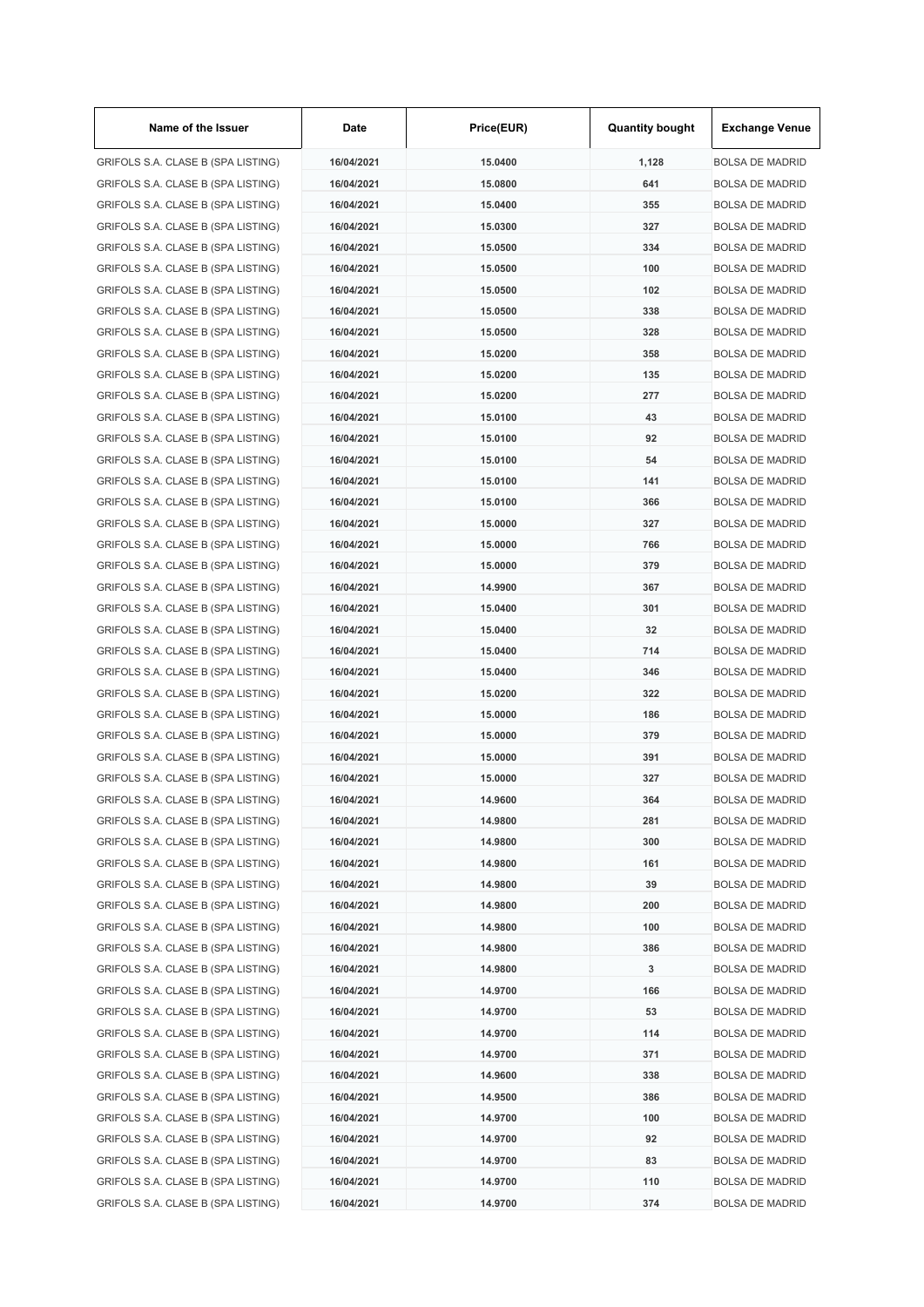| Name of the Issuer                 | Date       | Price(EUR) | <b>Quantity bought</b> | <b>Exchange Venue</b>  |
|------------------------------------|------------|------------|------------------------|------------------------|
| GRIFOLS S.A. CLASE B (SPA LISTING) | 16/04/2021 | 15.0400    | 1,128                  | <b>BOLSA DE MADRID</b> |
| GRIFOLS S.A. CLASE B (SPA LISTING) | 16/04/2021 | 15.0800    | 641                    | <b>BOLSA DE MADRID</b> |
| GRIFOLS S.A. CLASE B (SPA LISTING) | 16/04/2021 | 15.0400    | 355                    | <b>BOLSA DE MADRID</b> |
| GRIFOLS S.A. CLASE B (SPA LISTING) | 16/04/2021 | 15.0300    | 327                    | <b>BOLSA DE MADRID</b> |
| GRIFOLS S.A. CLASE B (SPA LISTING) | 16/04/2021 | 15.0500    | 334                    | <b>BOLSA DE MADRID</b> |
| GRIFOLS S.A. CLASE B (SPA LISTING) | 16/04/2021 | 15.0500    | 100                    | <b>BOLSA DE MADRID</b> |
| GRIFOLS S.A. CLASE B (SPA LISTING) | 16/04/2021 | 15.0500    | 102                    | <b>BOLSA DE MADRID</b> |
| GRIFOLS S.A. CLASE B (SPA LISTING) | 16/04/2021 | 15.0500    | 338                    | <b>BOLSA DE MADRID</b> |
| GRIFOLS S.A. CLASE B (SPA LISTING) | 16/04/2021 | 15.0500    | 328                    | <b>BOLSA DE MADRID</b> |
| GRIFOLS S.A. CLASE B (SPA LISTING) | 16/04/2021 | 15.0200    | 358                    | <b>BOLSA DE MADRID</b> |
| GRIFOLS S.A. CLASE B (SPA LISTING) | 16/04/2021 | 15.0200    | 135                    | <b>BOLSA DE MADRID</b> |
| GRIFOLS S.A. CLASE B (SPA LISTING) | 16/04/2021 | 15.0200    | 277                    | <b>BOLSA DE MADRID</b> |
| GRIFOLS S.A. CLASE B (SPA LISTING) | 16/04/2021 | 15.0100    | 43                     | <b>BOLSA DE MADRID</b> |
| GRIFOLS S.A. CLASE B (SPA LISTING) | 16/04/2021 | 15.0100    | 92                     | <b>BOLSA DE MADRID</b> |
| GRIFOLS S.A. CLASE B (SPA LISTING) | 16/04/2021 | 15.0100    | 54                     | <b>BOLSA DE MADRID</b> |
| GRIFOLS S.A. CLASE B (SPA LISTING) | 16/04/2021 | 15.0100    | 141                    | <b>BOLSA DE MADRID</b> |
| GRIFOLS S.A. CLASE B (SPA LISTING) | 16/04/2021 | 15.0100    | 366                    | <b>BOLSA DE MADRID</b> |
| GRIFOLS S.A. CLASE B (SPA LISTING) | 16/04/2021 | 15.0000    | 327                    | <b>BOLSA DE MADRID</b> |
| GRIFOLS S.A. CLASE B (SPA LISTING) | 16/04/2021 | 15.0000    | 766                    | <b>BOLSA DE MADRID</b> |
| GRIFOLS S.A. CLASE B (SPA LISTING) | 16/04/2021 | 15.0000    | 379                    | <b>BOLSA DE MADRID</b> |
|                                    |            |            |                        |                        |
| GRIFOLS S.A. CLASE B (SPA LISTING) | 16/04/2021 | 14.9900    | 367                    | <b>BOLSA DE MADRID</b> |
| GRIFOLS S.A. CLASE B (SPA LISTING) | 16/04/2021 | 15.0400    | 301                    | <b>BOLSA DE MADRID</b> |
| GRIFOLS S.A. CLASE B (SPA LISTING) | 16/04/2021 | 15.0400    | 32                     | <b>BOLSA DE MADRID</b> |
| GRIFOLS S.A. CLASE B (SPA LISTING) | 16/04/2021 | 15.0400    | 714                    | <b>BOLSA DE MADRID</b> |
| GRIFOLS S.A. CLASE B (SPA LISTING) | 16/04/2021 | 15.0400    | 346                    | <b>BOLSA DE MADRID</b> |
| GRIFOLS S.A. CLASE B (SPA LISTING) | 16/04/2021 | 15.0200    | 322                    | <b>BOLSA DE MADRID</b> |
| GRIFOLS S.A. CLASE B (SPA LISTING) | 16/04/2021 | 15.0000    | 186                    | <b>BOLSA DE MADRID</b> |
| GRIFOLS S.A. CLASE B (SPA LISTING) | 16/04/2021 | 15,0000    | 379                    | <b>BOLSA DE MADRID</b> |
| GRIFOLS S.A. CLASE B (SPA LISTING) | 16/04/2021 | 15.0000    | 391                    | <b>BOLSA DE MADRID</b> |
| GRIFOLS S.A. CLASE B (SPA LISTING) | 16/04/2021 | 15.0000    | 327                    | <b>BOLSA DE MADRID</b> |
| GRIFOLS S.A. CLASE B (SPA LISTING) | 16/04/2021 | 14.9600    | 364                    | <b>BOLSA DE MADRID</b> |
| GRIFOLS S.A. CLASE B (SPA LISTING) | 16/04/2021 | 14.9800    | 281                    | <b>BOLSA DE MADRID</b> |
| GRIFOLS S.A. CLASE B (SPA LISTING) | 16/04/2021 | 14.9800    | 300                    | <b>BOLSA DE MADRID</b> |
| GRIFOLS S.A. CLASE B (SPA LISTING) | 16/04/2021 | 14.9800    | 161                    | <b>BOLSA DE MADRID</b> |
| GRIFOLS S.A. CLASE B (SPA LISTING) | 16/04/2021 | 14.9800    | 39                     | <b>BOLSA DE MADRID</b> |
| GRIFOLS S.A. CLASE B (SPA LISTING) | 16/04/2021 | 14.9800    | 200                    | <b>BOLSA DE MADRID</b> |
| GRIFOLS S.A. CLASE B (SPA LISTING) | 16/04/2021 | 14.9800    | 100                    | <b>BOLSA DE MADRID</b> |
| GRIFOLS S.A. CLASE B (SPA LISTING) | 16/04/2021 | 14.9800    | 386                    | <b>BOLSA DE MADRID</b> |
| GRIFOLS S.A. CLASE B (SPA LISTING) | 16/04/2021 | 14.9800    | 3                      | <b>BOLSA DE MADRID</b> |
| GRIFOLS S.A. CLASE B (SPA LISTING) | 16/04/2021 | 14.9700    | 166                    | <b>BOLSA DE MADRID</b> |
| GRIFOLS S.A. CLASE B (SPA LISTING) | 16/04/2021 | 14.9700    | 53                     | <b>BOLSA DE MADRID</b> |
| GRIFOLS S.A. CLASE B (SPA LISTING) | 16/04/2021 | 14.9700    | 114                    | <b>BOLSA DE MADRID</b> |
| GRIFOLS S.A. CLASE B (SPA LISTING) | 16/04/2021 | 14.9700    | 371                    | <b>BOLSA DE MADRID</b> |
| GRIFOLS S.A. CLASE B (SPA LISTING) | 16/04/2021 | 14.9600    | 338                    | <b>BOLSA DE MADRID</b> |
| GRIFOLS S.A. CLASE B (SPA LISTING) | 16/04/2021 | 14.9500    | 386                    | <b>BOLSA DE MADRID</b> |
| GRIFOLS S.A. CLASE B (SPA LISTING) | 16/04/2021 | 14.9700    | 100                    | <b>BOLSA DE MADRID</b> |
| GRIFOLS S.A. CLASE B (SPA LISTING) | 16/04/2021 | 14.9700    | 92                     | <b>BOLSA DE MADRID</b> |
| GRIFOLS S.A. CLASE B (SPA LISTING) | 16/04/2021 | 14.9700    | 83                     | <b>BOLSA DE MADRID</b> |
| GRIFOLS S.A. CLASE B (SPA LISTING) | 16/04/2021 | 14.9700    | 110                    | <b>BOLSA DE MADRID</b> |
| GRIFOLS S.A. CLASE B (SPA LISTING) | 16/04/2021 | 14.9700    | 374                    | <b>BOLSA DE MADRID</b> |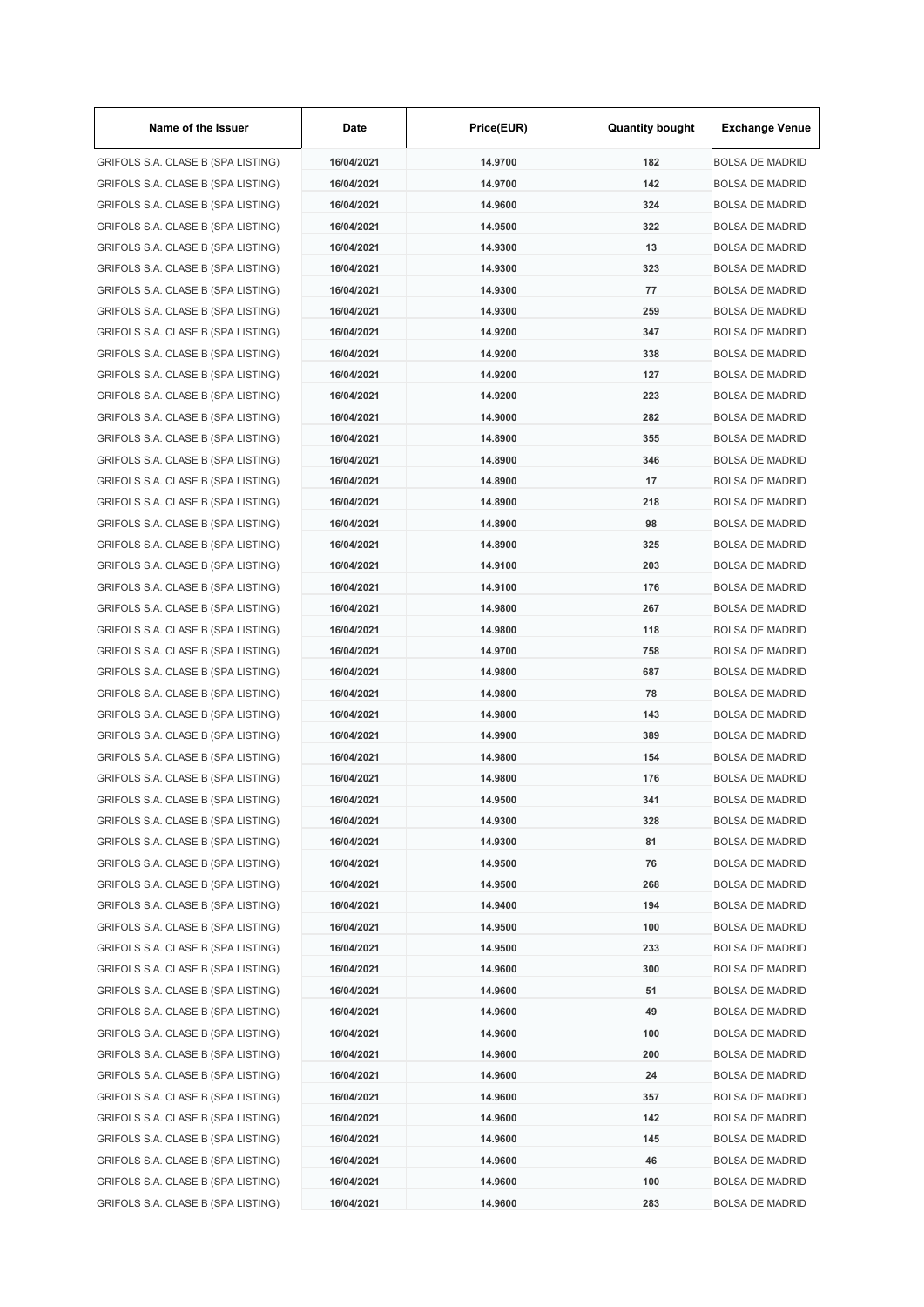| Name of the Issuer                                                       | Date                     | Price(EUR) | <b>Quantity bought</b> | <b>Exchange Venue</b>                            |
|--------------------------------------------------------------------------|--------------------------|------------|------------------------|--------------------------------------------------|
| GRIFOLS S.A. CLASE B (SPA LISTING)                                       | 16/04/2021               | 14.9700    | 182                    | <b>BOLSA DE MADRID</b>                           |
| GRIFOLS S.A. CLASE B (SPA LISTING)                                       | 16/04/2021               | 14.9700    | 142                    | <b>BOLSA DE MADRID</b>                           |
| GRIFOLS S.A. CLASE B (SPA LISTING)                                       | 16/04/2021               | 14.9600    | 324                    | <b>BOLSA DE MADRID</b>                           |
| GRIFOLS S.A. CLASE B (SPA LISTING)                                       | 16/04/2021               | 14.9500    | 322                    | <b>BOLSA DE MADRID</b>                           |
| GRIFOLS S.A. CLASE B (SPA LISTING)                                       | 16/04/2021               | 14.9300    | 13                     | <b>BOLSA DE MADRID</b>                           |
| GRIFOLS S.A. CLASE B (SPA LISTING)                                       | 16/04/2021               | 14.9300    | 323                    | <b>BOLSA DE MADRID</b>                           |
| GRIFOLS S.A. CLASE B (SPA LISTING)                                       | 16/04/2021               | 14.9300    | 77                     | <b>BOLSA DE MADRID</b>                           |
| GRIFOLS S.A. CLASE B (SPA LISTING)                                       | 16/04/2021               | 14.9300    | 259                    | <b>BOLSA DE MADRID</b>                           |
| GRIFOLS S.A. CLASE B (SPA LISTING)                                       | 16/04/2021               | 14.9200    | 347                    | <b>BOLSA DE MADRID</b>                           |
| GRIFOLS S.A. CLASE B (SPA LISTING)                                       | 16/04/2021               | 14.9200    | 338                    | <b>BOLSA DE MADRID</b>                           |
| GRIFOLS S.A. CLASE B (SPA LISTING)                                       | 16/04/2021               | 14.9200    | 127                    | <b>BOLSA DE MADRID</b>                           |
| GRIFOLS S.A. CLASE B (SPA LISTING)                                       | 16/04/2021               | 14.9200    | 223                    | <b>BOLSA DE MADRID</b>                           |
| GRIFOLS S.A. CLASE B (SPA LISTING)                                       | 16/04/2021               | 14.9000    | 282                    | <b>BOLSA DE MADRID</b>                           |
| GRIFOLS S.A. CLASE B (SPA LISTING)                                       | 16/04/2021               | 14.8900    | 355                    | <b>BOLSA DE MADRID</b>                           |
| GRIFOLS S.A. CLASE B (SPA LISTING)                                       | 16/04/2021               | 14.8900    | 346                    | <b>BOLSA DE MADRID</b>                           |
| GRIFOLS S.A. CLASE B (SPA LISTING)                                       | 16/04/2021               | 14.8900    | 17                     | <b>BOLSA DE MADRID</b>                           |
| GRIFOLS S.A. CLASE B (SPA LISTING)                                       | 16/04/2021               | 14.8900    | 218                    | <b>BOLSA DE MADRID</b>                           |
| GRIFOLS S.A. CLASE B (SPA LISTING)                                       | 16/04/2021               | 14.8900    | 98                     | <b>BOLSA DE MADRID</b>                           |
| GRIFOLS S.A. CLASE B (SPA LISTING)                                       | 16/04/2021               | 14.8900    | 325                    | <b>BOLSA DE MADRID</b>                           |
| GRIFOLS S.A. CLASE B (SPA LISTING)                                       | 16/04/2021               | 14.9100    | 203                    | <b>BOLSA DE MADRID</b>                           |
| GRIFOLS S.A. CLASE B (SPA LISTING)                                       | 16/04/2021               | 14.9100    | 176                    | <b>BOLSA DE MADRID</b>                           |
| GRIFOLS S.A. CLASE B (SPA LISTING)                                       | 16/04/2021               | 14.9800    | 267                    | <b>BOLSA DE MADRID</b>                           |
| GRIFOLS S.A. CLASE B (SPA LISTING)                                       | 16/04/2021               | 14.9800    | 118                    | <b>BOLSA DE MADRID</b>                           |
| GRIFOLS S.A. CLASE B (SPA LISTING)                                       | 16/04/2021               | 14.9700    | 758                    | <b>BOLSA DE MADRID</b>                           |
| GRIFOLS S.A. CLASE B (SPA LISTING)                                       | 16/04/2021               | 14.9800    | 687                    | <b>BOLSA DE MADRID</b>                           |
| GRIFOLS S.A. CLASE B (SPA LISTING)                                       | 16/04/2021               | 14.9800    | 78                     | <b>BOLSA DE MADRID</b>                           |
| GRIFOLS S.A. CLASE B (SPA LISTING)                                       | 16/04/2021               | 14.9800    | 143                    | <b>BOLSA DE MADRID</b>                           |
| GRIFOLS S.A. CLASE B (SPA LISTING)                                       | 16/04/2021               | 14.9900    | 389                    | <b>BOLSA DE MADRID</b>                           |
| GRIFOLS S.A. CLASE B (SPA LISTING)                                       | 16/04/2021               | 14.9800    | 154                    | <b>BOLSA DE MADRID</b>                           |
| GRIFOLS S.A. CLASE B (SPA LISTING)                                       | 16/04/2021               | 14.9800    | 176                    | <b>BOLSA DE MADRID</b>                           |
| GRIFOLS S.A. CLASE B (SPA LISTING)                                       | 16/04/2021               | 14.9500    | 341                    | <b>BOLSA DE MADRID</b>                           |
| GRIFOLS S.A. CLASE B (SPA LISTING)                                       | 16/04/2021               | 14.9300    | 328                    | <b>BOLSA DE MADRID</b>                           |
| GRIFOLS S.A. CLASE B (SPA LISTING)                                       |                          | 14.9300    |                        |                                                  |
|                                                                          | 16/04/2021               |            | 81<br>76               | <b>BOLSA DE MADRID</b>                           |
| GRIFOLS S.A. CLASE B (SPA LISTING)                                       | 16/04/2021<br>16/04/2021 | 14.9500    |                        | <b>BOLSA DE MADRID</b>                           |
| GRIFOLS S.A. CLASE B (SPA LISTING)<br>GRIFOLS S.A. CLASE B (SPA LISTING) |                          | 14.9500    | 268                    | <b>BOLSA DE MADRID</b><br><b>BOLSA DE MADRID</b> |
|                                                                          | 16/04/2021               | 14.9400    | 194                    |                                                  |
| GRIFOLS S.A. CLASE B (SPA LISTING)                                       | 16/04/2021               | 14.9500    | 100                    | <b>BOLSA DE MADRID</b>                           |
| GRIFOLS S.A. CLASE B (SPA LISTING)                                       | 16/04/2021               | 14.9500    | 233                    | <b>BOLSA DE MADRID</b>                           |
| GRIFOLS S.A. CLASE B (SPA LISTING)                                       | 16/04/2021               | 14.9600    | 300                    | <b>BOLSA DE MADRID</b>                           |
| GRIFOLS S.A. CLASE B (SPA LISTING)                                       | 16/04/2021               | 14.9600    | 51                     | <b>BOLSA DE MADRID</b>                           |
| GRIFOLS S.A. CLASE B (SPA LISTING)                                       | 16/04/2021               | 14.9600    | 49                     | <b>BOLSA DE MADRID</b>                           |
| GRIFOLS S.A. CLASE B (SPA LISTING)                                       | 16/04/2021               | 14.9600    | 100                    | <b>BOLSA DE MADRID</b>                           |
| GRIFOLS S.A. CLASE B (SPA LISTING)                                       | 16/04/2021               | 14.9600    | 200                    | <b>BOLSA DE MADRID</b>                           |
| GRIFOLS S.A. CLASE B (SPA LISTING)                                       | 16/04/2021               | 14.9600    | 24                     | <b>BOLSA DE MADRID</b>                           |
| GRIFOLS S.A. CLASE B (SPA LISTING)                                       | 16/04/2021               | 14.9600    | 357                    | <b>BOLSA DE MADRID</b>                           |
| GRIFOLS S.A. CLASE B (SPA LISTING)                                       | 16/04/2021               | 14.9600    | 142                    | <b>BOLSA DE MADRID</b>                           |
| GRIFOLS S.A. CLASE B (SPA LISTING)                                       | 16/04/2021               | 14.9600    | 145                    | <b>BOLSA DE MADRID</b>                           |
| GRIFOLS S.A. CLASE B (SPA LISTING)                                       | 16/04/2021               | 14.9600    | 46                     | <b>BOLSA DE MADRID</b>                           |
| GRIFOLS S.A. CLASE B (SPA LISTING)                                       | 16/04/2021               | 14.9600    | 100                    | <b>BOLSA DE MADRID</b>                           |
| GRIFOLS S.A. CLASE B (SPA LISTING)                                       | 16/04/2021               | 14.9600    | 283                    | <b>BOLSA DE MADRID</b>                           |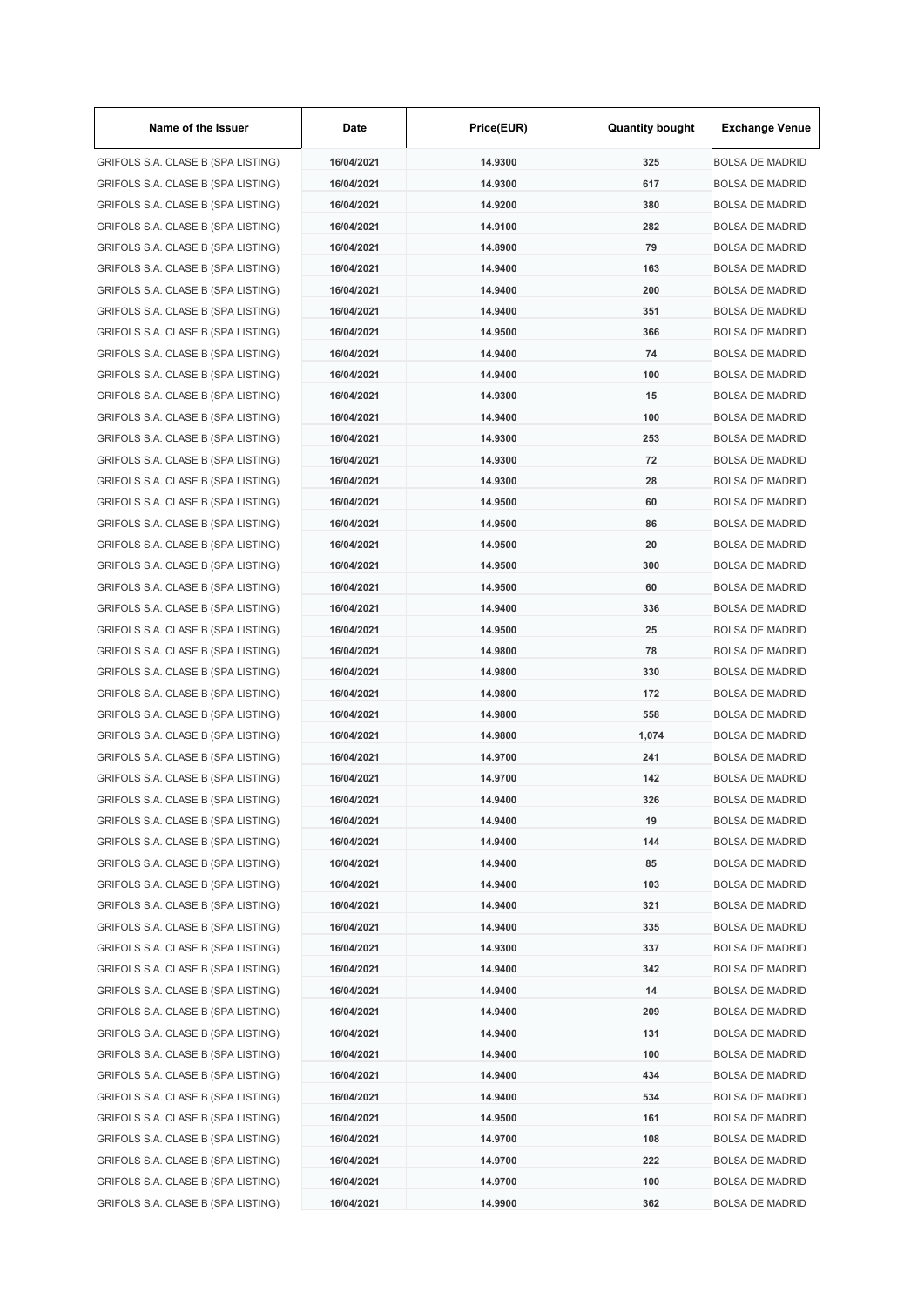| Name of the Issuer                 | Date       | Price(EUR)         | <b>Quantity bought</b> | <b>Exchange Venue</b>  |
|------------------------------------|------------|--------------------|------------------------|------------------------|
| GRIFOLS S.A. CLASE B (SPA LISTING) | 16/04/2021 | 14.9300            | 325                    | <b>BOLSA DE MADRID</b> |
| GRIFOLS S.A. CLASE B (SPA LISTING) | 16/04/2021 | 14.9300            | 617                    | <b>BOLSA DE MADRID</b> |
| GRIFOLS S.A. CLASE B (SPA LISTING) | 16/04/2021 | 14.9200            | 380                    | <b>BOLSA DE MADRID</b> |
| GRIFOLS S.A. CLASE B (SPA LISTING) | 16/04/2021 | 14.9100            | 282                    | <b>BOLSA DE MADRID</b> |
| GRIFOLS S.A. CLASE B (SPA LISTING) | 16/04/2021 | 14.8900            | 79                     | <b>BOLSA DE MADRID</b> |
| GRIFOLS S.A. CLASE B (SPA LISTING) | 16/04/2021 | 14.9400            | 163                    | <b>BOLSA DE MADRID</b> |
| GRIFOLS S.A. CLASE B (SPA LISTING) | 16/04/2021 | 14.9400            | 200                    | <b>BOLSA DE MADRID</b> |
| GRIFOLS S.A. CLASE B (SPA LISTING) | 16/04/2021 | 14.9400            | 351                    | <b>BOLSA DE MADRID</b> |
| GRIFOLS S.A. CLASE B (SPA LISTING) | 16/04/2021 | 14.9500            | 366                    | <b>BOLSA DE MADRID</b> |
| GRIFOLS S.A. CLASE B (SPA LISTING) | 16/04/2021 | 14.9400            | 74                     | <b>BOLSA DE MADRID</b> |
| GRIFOLS S.A. CLASE B (SPA LISTING) | 16/04/2021 | 14.9400            | 100                    | <b>BOLSA DE MADRID</b> |
| GRIFOLS S.A. CLASE B (SPA LISTING) | 16/04/2021 | 14.9300            | 15                     | <b>BOLSA DE MADRID</b> |
| GRIFOLS S.A. CLASE B (SPA LISTING) | 16/04/2021 | 14.9400            | 100                    | <b>BOLSA DE MADRID</b> |
| GRIFOLS S.A. CLASE B (SPA LISTING) | 16/04/2021 | 14.9300            | 253                    | <b>BOLSA DE MADRID</b> |
| GRIFOLS S.A. CLASE B (SPA LISTING) | 16/04/2021 | 14.9300            | 72                     | <b>BOLSA DE MADRID</b> |
| GRIFOLS S.A. CLASE B (SPA LISTING) | 16/04/2021 | 14.9300            | 28                     | <b>BOLSA DE MADRID</b> |
| GRIFOLS S.A. CLASE B (SPA LISTING) | 16/04/2021 | 14.9500            | 60                     | <b>BOLSA DE MADRID</b> |
| GRIFOLS S.A. CLASE B (SPA LISTING) | 16/04/2021 | 14.9500            | 86                     | <b>BOLSA DE MADRID</b> |
| GRIFOLS S.A. CLASE B (SPA LISTING) | 16/04/2021 | 14.9500            | 20                     | <b>BOLSA DE MADRID</b> |
| GRIFOLS S.A. CLASE B (SPA LISTING) | 16/04/2021 | 14.9500            | 300                    | <b>BOLSA DE MADRID</b> |
| GRIFOLS S.A. CLASE B (SPA LISTING) | 16/04/2021 | 14.9500            | 60                     | <b>BOLSA DE MADRID</b> |
| GRIFOLS S.A. CLASE B (SPA LISTING) | 16/04/2021 | 14.9400            | 336                    | <b>BOLSA DE MADRID</b> |
| GRIFOLS S.A. CLASE B (SPA LISTING) | 16/04/2021 | 14.9500            | 25                     | <b>BOLSA DE MADRID</b> |
| GRIFOLS S.A. CLASE B (SPA LISTING) | 16/04/2021 | 14.9800            | 78                     | <b>BOLSA DE MADRID</b> |
| GRIFOLS S.A. CLASE B (SPA LISTING) | 16/04/2021 | 14.9800            | 330                    | <b>BOLSA DE MADRID</b> |
| GRIFOLS S.A. CLASE B (SPA LISTING) | 16/04/2021 | 14.9800            | 172                    | <b>BOLSA DE MADRID</b> |
| GRIFOLS S.A. CLASE B (SPA LISTING) | 16/04/2021 |                    |                        |                        |
|                                    |            | 14.9800<br>14.9800 | 558                    | <b>BOLSA DE MADRID</b> |
| GRIFOLS S.A. CLASE B (SPA LISTING) | 16/04/2021 |                    | 1,074                  | <b>BOLSA DE MADRID</b> |
| GRIFOLS S.A. CLASE B (SPA LISTING) | 16/04/2021 | 14.9700            | 241                    | <b>BOLSA DE MADRID</b> |
| GRIFOLS S.A. CLASE B (SPA LISTING) | 16/04/2021 | 14.9700            | 142                    | <b>BOLSA DE MADRID</b> |
| GRIFOLS S.A. CLASE B (SPA LISTING) | 16/04/2021 | 14.9400            | 326                    | <b>BOLSA DE MADRID</b> |
| GRIFOLS S.A. CLASE B (SPA LISTING) | 16/04/2021 | 14.9400            | 19                     | <b>BOLSA DE MADRID</b> |
| GRIFOLS S.A. CLASE B (SPA LISTING) | 16/04/2021 | 14.9400            | 144                    | <b>BOLSA DE MADRID</b> |
| GRIFOLS S.A. CLASE B (SPA LISTING) | 16/04/2021 | 14.9400            | 85                     | <b>BOLSA DE MADRID</b> |
| GRIFOLS S.A. CLASE B (SPA LISTING) | 16/04/2021 | 14.9400            | 103                    | <b>BOLSA DE MADRID</b> |
| GRIFOLS S.A. CLASE B (SPA LISTING) | 16/04/2021 | 14.9400            | 321                    | <b>BOLSA DE MADRID</b> |
| GRIFOLS S.A. CLASE B (SPA LISTING) | 16/04/2021 | 14.9400            | 335                    | <b>BOLSA DE MADRID</b> |
| GRIFOLS S.A. CLASE B (SPA LISTING) | 16/04/2021 | 14.9300            | 337                    | <b>BOLSA DE MADRID</b> |
| GRIFOLS S.A. CLASE B (SPA LISTING) | 16/04/2021 | 14.9400            | 342                    | <b>BOLSA DE MADRID</b> |
| GRIFOLS S.A. CLASE B (SPA LISTING) | 16/04/2021 | 14.9400            | 14                     | <b>BOLSA DE MADRID</b> |
| GRIFOLS S.A. CLASE B (SPA LISTING) | 16/04/2021 | 14.9400            | 209                    | <b>BOLSA DE MADRID</b> |
| GRIFOLS S.A. CLASE B (SPA LISTING) | 16/04/2021 | 14.9400            | 131                    | <b>BOLSA DE MADRID</b> |
| GRIFOLS S.A. CLASE B (SPA LISTING) | 16/04/2021 | 14.9400            | 100                    | <b>BOLSA DE MADRID</b> |
| GRIFOLS S.A. CLASE B (SPA LISTING) | 16/04/2021 | 14.9400            | 434                    | <b>BOLSA DE MADRID</b> |
| GRIFOLS S.A. CLASE B (SPA LISTING) | 16/04/2021 | 14.9400            | 534                    | <b>BOLSA DE MADRID</b> |
| GRIFOLS S.A. CLASE B (SPA LISTING) | 16/04/2021 | 14.9500            | 161                    | <b>BOLSA DE MADRID</b> |
| GRIFOLS S.A. CLASE B (SPA LISTING) | 16/04/2021 | 14.9700            | 108                    | <b>BOLSA DE MADRID</b> |
| GRIFOLS S.A. CLASE B (SPA LISTING) | 16/04/2021 | 14.9700            | 222                    | <b>BOLSA DE MADRID</b> |
| GRIFOLS S.A. CLASE B (SPA LISTING) | 16/04/2021 | 14.9700            | 100                    | <b>BOLSA DE MADRID</b> |
| GRIFOLS S.A. CLASE B (SPA LISTING) | 16/04/2021 | 14.9900            | 362                    | <b>BOLSA DE MADRID</b> |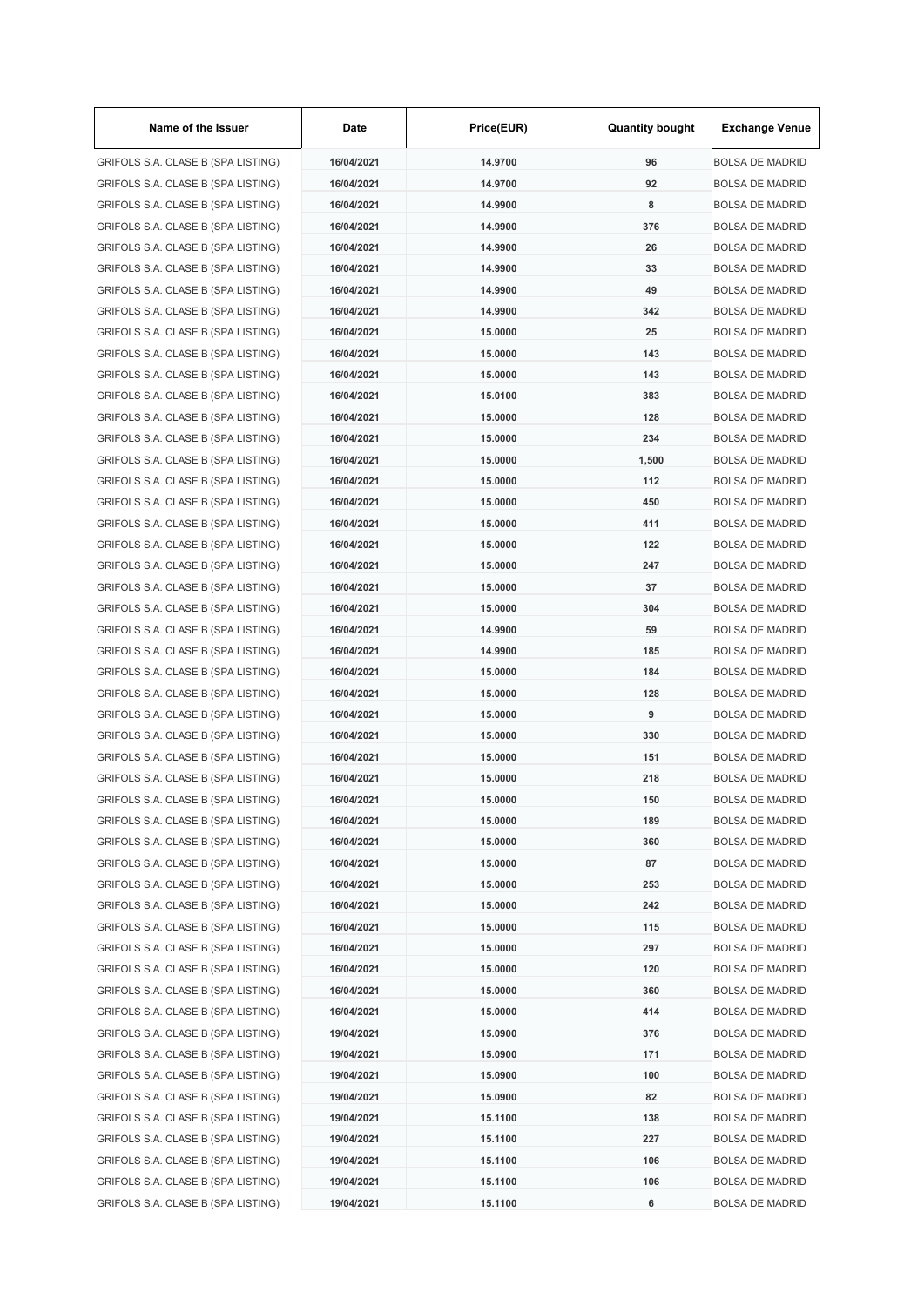| Name of the Issuer                 | Date       | Price(EUR) | <b>Quantity bought</b> | <b>Exchange Venue</b>  |
|------------------------------------|------------|------------|------------------------|------------------------|
| GRIFOLS S.A. CLASE B (SPA LISTING) | 16/04/2021 | 14.9700    | 96                     | <b>BOLSA DE MADRID</b> |
| GRIFOLS S.A. CLASE B (SPA LISTING) | 16/04/2021 | 14.9700    | 92                     | <b>BOLSA DE MADRID</b> |
| GRIFOLS S.A. CLASE B (SPA LISTING) | 16/04/2021 | 14.9900    | 8                      | <b>BOLSA DE MADRID</b> |
| GRIFOLS S.A. CLASE B (SPA LISTING) | 16/04/2021 | 14.9900    | 376                    | <b>BOLSA DE MADRID</b> |
| GRIFOLS S.A. CLASE B (SPA LISTING) | 16/04/2021 | 14.9900    | 26                     | <b>BOLSA DE MADRID</b> |
| GRIFOLS S.A. CLASE B (SPA LISTING) | 16/04/2021 | 14.9900    | 33                     | <b>BOLSA DE MADRID</b> |
| GRIFOLS S.A. CLASE B (SPA LISTING) | 16/04/2021 | 14.9900    | 49                     | <b>BOLSA DE MADRID</b> |
| GRIFOLS S.A. CLASE B (SPA LISTING) | 16/04/2021 | 14.9900    | 342                    | <b>BOLSA DE MADRID</b> |
| GRIFOLS S.A. CLASE B (SPA LISTING) | 16/04/2021 | 15.0000    | 25                     | <b>BOLSA DE MADRID</b> |
| GRIFOLS S.A. CLASE B (SPA LISTING) | 16/04/2021 | 15.0000    | 143                    | <b>BOLSA DE MADRID</b> |
| GRIFOLS S.A. CLASE B (SPA LISTING) | 16/04/2021 | 15.0000    | 143                    | <b>BOLSA DE MADRID</b> |
| GRIFOLS S.A. CLASE B (SPA LISTING) | 16/04/2021 | 15.0100    | 383                    | <b>BOLSA DE MADRID</b> |
| GRIFOLS S.A. CLASE B (SPA LISTING) | 16/04/2021 | 15.0000    | 128                    | <b>BOLSA DE MADRID</b> |
| GRIFOLS S.A. CLASE B (SPA LISTING) | 16/04/2021 | 15,0000    | 234                    | <b>BOLSA DE MADRID</b> |
| GRIFOLS S.A. CLASE B (SPA LISTING) | 16/04/2021 | 15.0000    | 1,500                  | <b>BOLSA DE MADRID</b> |
| GRIFOLS S.A. CLASE B (SPA LISTING) | 16/04/2021 | 15.0000    | 112                    | <b>BOLSA DE MADRID</b> |
| GRIFOLS S.A. CLASE B (SPA LISTING) | 16/04/2021 | 15.0000    | 450                    | <b>BOLSA DE MADRID</b> |
| GRIFOLS S.A. CLASE B (SPA LISTING) | 16/04/2021 | 15.0000    | 411                    | <b>BOLSA DE MADRID</b> |
|                                    |            |            | 122                    |                        |
| GRIFOLS S.A. CLASE B (SPA LISTING) | 16/04/2021 | 15.0000    |                        | <b>BOLSA DE MADRID</b> |
| GRIFOLS S.A. CLASE B (SPA LISTING) | 16/04/2021 | 15.0000    | 247                    | <b>BOLSA DE MADRID</b> |
| GRIFOLS S.A. CLASE B (SPA LISTING) | 16/04/2021 | 15.0000    | 37                     | <b>BOLSA DE MADRID</b> |
| GRIFOLS S.A. CLASE B (SPA LISTING) | 16/04/2021 | 15.0000    | 304                    | <b>BOLSA DE MADRID</b> |
| GRIFOLS S.A. CLASE B (SPA LISTING) | 16/04/2021 | 14.9900    | 59                     | <b>BOLSA DE MADRID</b> |
| GRIFOLS S.A. CLASE B (SPA LISTING) | 16/04/2021 | 14.9900    | 185                    | <b>BOLSA DE MADRID</b> |
| GRIFOLS S.A. CLASE B (SPA LISTING) | 16/04/2021 | 15.0000    | 184                    | <b>BOLSA DE MADRID</b> |
| GRIFOLS S.A. CLASE B (SPA LISTING) | 16/04/2021 | 15.0000    | 128                    | <b>BOLSA DE MADRID</b> |
| GRIFOLS S.A. CLASE B (SPA LISTING) | 16/04/2021 | 15.0000    | 9                      | <b>BOLSA DE MADRID</b> |
| GRIFOLS S.A. CLASE B (SPA LISTING) | 16/04/2021 | 15.0000    | 330                    | <b>BOLSA DE MADRID</b> |
| GRIFOLS S.A. CLASE B (SPA LISTING) | 16/04/2021 | 15.0000    | 151                    | <b>BOLSA DE MADRID</b> |
| GRIFOLS S.A. CLASE B (SPA LISTING) | 16/04/2021 | 15.0000    | 218                    | <b>BOLSA DE MADRID</b> |
| GRIFOLS S.A. CLASE B (SPA LISTING) | 16/04/2021 | 15.0000    | 150                    | <b>BOLSA DE MADRID</b> |
| GRIFOLS S.A. CLASE B (SPA LISTING) | 16/04/2021 | 15.0000    | 189                    | <b>BOLSA DE MADRID</b> |
| GRIFOLS S.A. CLASE B (SPA LISTING) | 16/04/2021 | 15.0000    | 360                    | <b>BOLSA DE MADRID</b> |
| GRIFOLS S.A. CLASE B (SPA LISTING) | 16/04/2021 | 15.0000    | 87                     | <b>BOLSA DE MADRID</b> |
| GRIFOLS S.A. CLASE B (SPA LISTING) | 16/04/2021 | 15.0000    | 253                    | <b>BOLSA DE MADRID</b> |
| GRIFOLS S.A. CLASE B (SPA LISTING) | 16/04/2021 | 15.0000    | 242                    | <b>BOLSA DE MADRID</b> |
| GRIFOLS S.A. CLASE B (SPA LISTING) | 16/04/2021 | 15.0000    | 115                    | <b>BOLSA DE MADRID</b> |
| GRIFOLS S.A. CLASE B (SPA LISTING) | 16/04/2021 | 15.0000    | 297                    | <b>BOLSA DE MADRID</b> |
| GRIFOLS S.A. CLASE B (SPA LISTING) | 16/04/2021 | 15.0000    | 120                    | <b>BOLSA DE MADRID</b> |
| GRIFOLS S.A. CLASE B (SPA LISTING) | 16/04/2021 | 15.0000    | 360                    | <b>BOLSA DE MADRID</b> |
| GRIFOLS S.A. CLASE B (SPA LISTING) | 16/04/2021 | 15.0000    | 414                    | <b>BOLSA DE MADRID</b> |
| GRIFOLS S.A. CLASE B (SPA LISTING) | 19/04/2021 | 15.0900    | 376                    | <b>BOLSA DE MADRID</b> |
| GRIFOLS S.A. CLASE B (SPA LISTING) | 19/04/2021 | 15.0900    | 171                    | <b>BOLSA DE MADRID</b> |
| GRIFOLS S.A. CLASE B (SPA LISTING) | 19/04/2021 | 15.0900    | 100                    | <b>BOLSA DE MADRID</b> |
| GRIFOLS S.A. CLASE B (SPA LISTING) | 19/04/2021 | 15.0900    | 82                     | <b>BOLSA DE MADRID</b> |
| GRIFOLS S.A. CLASE B (SPA LISTING) | 19/04/2021 | 15.1100    | 138                    | <b>BOLSA DE MADRID</b> |
| GRIFOLS S.A. CLASE B (SPA LISTING) | 19/04/2021 | 15.1100    | 227                    | <b>BOLSA DE MADRID</b> |
| GRIFOLS S.A. CLASE B (SPA LISTING) | 19/04/2021 | 15.1100    | 106                    | <b>BOLSA DE MADRID</b> |
| GRIFOLS S.A. CLASE B (SPA LISTING) | 19/04/2021 | 15.1100    | 106                    | <b>BOLSA DE MADRID</b> |
| GRIFOLS S.A. CLASE B (SPA LISTING) | 19/04/2021 | 15.1100    | 6                      | <b>BOLSA DE MADRID</b> |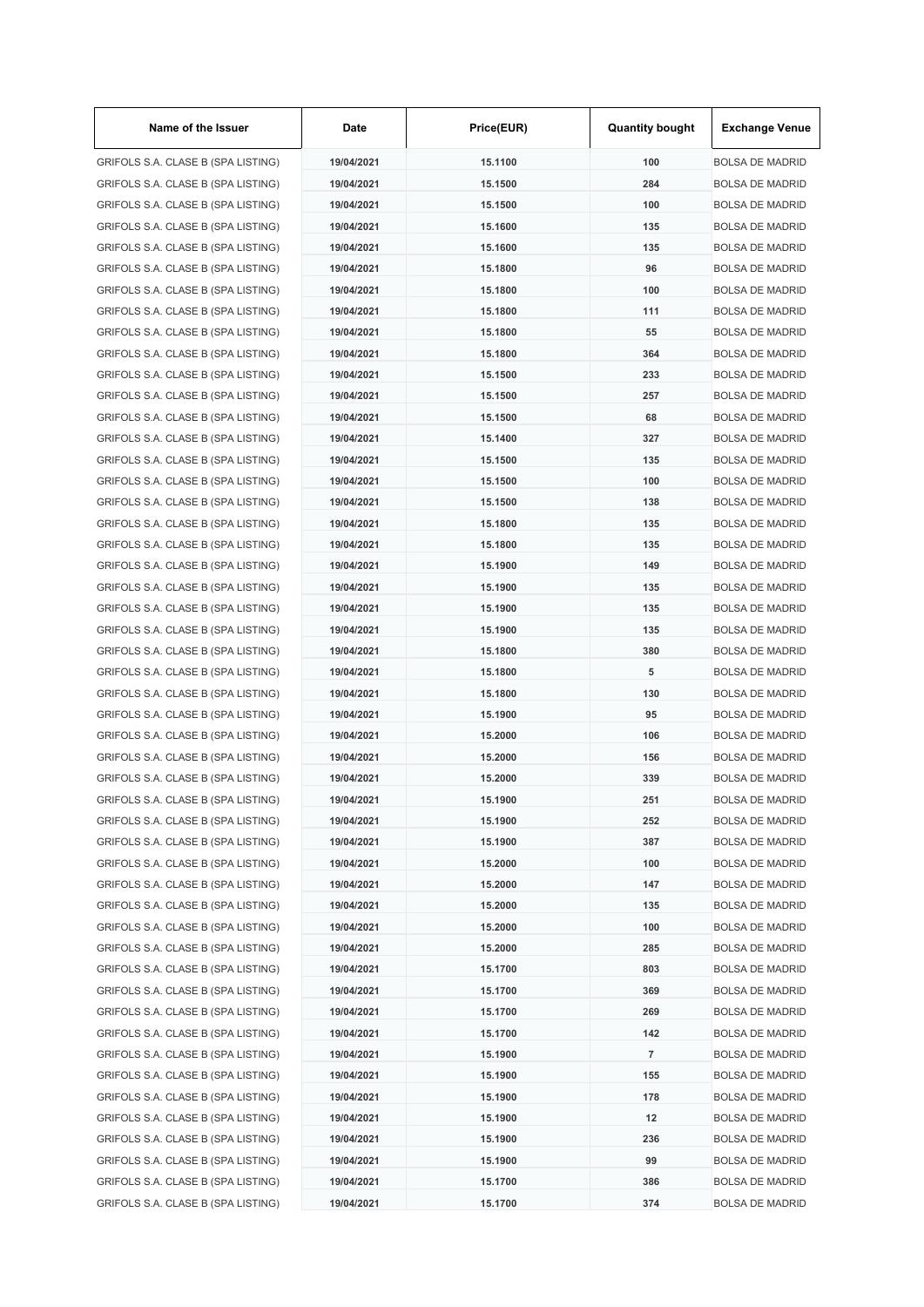| Name of the Issuer                 | Date       | Price(EUR) | <b>Quantity bought</b> | <b>Exchange Venue</b>  |
|------------------------------------|------------|------------|------------------------|------------------------|
| GRIFOLS S.A. CLASE B (SPA LISTING) | 19/04/2021 | 15.1100    | 100                    | <b>BOLSA DE MADRID</b> |
| GRIFOLS S.A. CLASE B (SPA LISTING) | 19/04/2021 | 15.1500    | 284                    | <b>BOLSA DE MADRID</b> |
| GRIFOLS S.A. CLASE B (SPA LISTING) | 19/04/2021 | 15.1500    | 100                    | <b>BOLSA DE MADRID</b> |
| GRIFOLS S.A. CLASE B (SPA LISTING) | 19/04/2021 | 15.1600    | 135                    | <b>BOLSA DE MADRID</b> |
| GRIFOLS S.A. CLASE B (SPA LISTING) | 19/04/2021 | 15.1600    | 135                    | <b>BOLSA DE MADRID</b> |
| GRIFOLS S.A. CLASE B (SPA LISTING) | 19/04/2021 | 15.1800    | 96                     | <b>BOLSA DE MADRID</b> |
| GRIFOLS S.A. CLASE B (SPA LISTING) | 19/04/2021 | 15.1800    | 100                    | <b>BOLSA DE MADRID</b> |
| GRIFOLS S.A. CLASE B (SPA LISTING) | 19/04/2021 | 15.1800    | 111                    | <b>BOLSA DE MADRID</b> |
| GRIFOLS S.A. CLASE B (SPA LISTING) | 19/04/2021 | 15.1800    | 55                     | <b>BOLSA DE MADRID</b> |
| GRIFOLS S.A. CLASE B (SPA LISTING) | 19/04/2021 | 15.1800    | 364                    | <b>BOLSA DE MADRID</b> |
| GRIFOLS S.A. CLASE B (SPA LISTING) | 19/04/2021 | 15.1500    | 233                    | <b>BOLSA DE MADRID</b> |
| GRIFOLS S.A. CLASE B (SPA LISTING) | 19/04/2021 | 15.1500    | 257                    | <b>BOLSA DE MADRID</b> |
| GRIFOLS S.A. CLASE B (SPA LISTING) | 19/04/2021 | 15.1500    | 68                     | <b>BOLSA DE MADRID</b> |
| GRIFOLS S.A. CLASE B (SPA LISTING) | 19/04/2021 | 15.1400    | 327                    | <b>BOLSA DE MADRID</b> |
| GRIFOLS S.A. CLASE B (SPA LISTING) | 19/04/2021 | 15.1500    | 135                    | <b>BOLSA DE MADRID</b> |
| GRIFOLS S.A. CLASE B (SPA LISTING) | 19/04/2021 | 15.1500    | 100                    | <b>BOLSA DE MADRID</b> |
| GRIFOLS S.A. CLASE B (SPA LISTING) | 19/04/2021 | 15.1500    | 138                    | <b>BOLSA DE MADRID</b> |
| GRIFOLS S.A. CLASE B (SPA LISTING) | 19/04/2021 | 15.1800    | 135                    | <b>BOLSA DE MADRID</b> |
| GRIFOLS S.A. CLASE B (SPA LISTING) | 19/04/2021 | 15.1800    | 135                    |                        |
|                                    |            |            |                        | <b>BOLSA DE MADRID</b> |
| GRIFOLS S.A. CLASE B (SPA LISTING) | 19/04/2021 | 15.1900    | 149                    | <b>BOLSA DE MADRID</b> |
| GRIFOLS S.A. CLASE B (SPA LISTING) | 19/04/2021 | 15.1900    | 135                    | <b>BOLSA DE MADRID</b> |
| GRIFOLS S.A. CLASE B (SPA LISTING) | 19/04/2021 | 15.1900    | 135                    | <b>BOLSA DE MADRID</b> |
| GRIFOLS S.A. CLASE B (SPA LISTING) | 19/04/2021 | 15.1900    | 135                    | <b>BOLSA DE MADRID</b> |
| GRIFOLS S.A. CLASE B (SPA LISTING) | 19/04/2021 | 15.1800    | 380                    | <b>BOLSA DE MADRID</b> |
| GRIFOLS S.A. CLASE B (SPA LISTING) | 19/04/2021 | 15.1800    | 5                      | <b>BOLSA DE MADRID</b> |
| GRIFOLS S.A. CLASE B (SPA LISTING) | 19/04/2021 | 15.1800    | 130                    | <b>BOLSA DE MADRID</b> |
| GRIFOLS S.A. CLASE B (SPA LISTING) | 19/04/2021 | 15.1900    | 95                     | <b>BOLSA DE MADRID</b> |
| GRIFOLS S.A. CLASE B (SPA LISTING) | 19/04/2021 | 15.2000    | 106                    | <b>BOLSA DE MADRID</b> |
| GRIFOLS S.A. CLASE B (SPA LISTING) | 19/04/2021 | 15.2000    | 156                    | <b>BOLSA DE MADRID</b> |
| GRIFOLS S.A. CLASE B (SPA LISTING) | 19/04/2021 | 15.2000    | 339                    | <b>BOLSA DE MADRID</b> |
| GRIFOLS S.A. CLASE B (SPA LISTING) | 19/04/2021 | 15.1900    | 251                    | <b>BOLSA DE MADRID</b> |
| GRIFOLS S.A. CLASE B (SPA LISTING) | 19/04/2021 | 15.1900    | 252                    | <b>BOLSA DE MADRID</b> |
| GRIFOLS S.A. CLASE B (SPA LISTING) | 19/04/2021 | 15.1900    | 387                    | <b>BOLSA DE MADRID</b> |
| GRIFOLS S.A. CLASE B (SPA LISTING) | 19/04/2021 | 15.2000    | 100                    | <b>BOLSA DE MADRID</b> |
| GRIFOLS S.A. CLASE B (SPA LISTING) | 19/04/2021 | 15.2000    | 147                    | <b>BOLSA DE MADRID</b> |
| GRIFOLS S.A. CLASE B (SPA LISTING) | 19/04/2021 | 15.2000    | 135                    | <b>BOLSA DE MADRID</b> |
| GRIFOLS S.A. CLASE B (SPA LISTING) | 19/04/2021 | 15.2000    | 100                    | <b>BOLSA DE MADRID</b> |
| GRIFOLS S.A. CLASE B (SPA LISTING) | 19/04/2021 | 15.2000    | 285                    | <b>BOLSA DE MADRID</b> |
| GRIFOLS S.A. CLASE B (SPA LISTING) | 19/04/2021 | 15.1700    | 803                    | <b>BOLSA DE MADRID</b> |
| GRIFOLS S.A. CLASE B (SPA LISTING) | 19/04/2021 | 15.1700    | 369                    | <b>BOLSA DE MADRID</b> |
| GRIFOLS S.A. CLASE B (SPA LISTING) | 19/04/2021 | 15.1700    | 269                    | <b>BOLSA DE MADRID</b> |
| GRIFOLS S.A. CLASE B (SPA LISTING) | 19/04/2021 | 15.1700    | 142                    | <b>BOLSA DE MADRID</b> |
| GRIFOLS S.A. CLASE B (SPA LISTING) | 19/04/2021 | 15.1900    | 7                      | <b>BOLSA DE MADRID</b> |
| GRIFOLS S.A. CLASE B (SPA LISTING) | 19/04/2021 | 15.1900    | 155                    | <b>BOLSA DE MADRID</b> |
| GRIFOLS S.A. CLASE B (SPA LISTING) | 19/04/2021 | 15.1900    | 178                    | <b>BOLSA DE MADRID</b> |
| GRIFOLS S.A. CLASE B (SPA LISTING) | 19/04/2021 | 15.1900    | 12                     | <b>BOLSA DE MADRID</b> |
| GRIFOLS S.A. CLASE B (SPA LISTING) | 19/04/2021 | 15.1900    | 236                    | <b>BOLSA DE MADRID</b> |
| GRIFOLS S.A. CLASE B (SPA LISTING) | 19/04/2021 | 15.1900    | 99                     | <b>BOLSA DE MADRID</b> |
| GRIFOLS S.A. CLASE B (SPA LISTING) | 19/04/2021 | 15.1700    | 386                    | <b>BOLSA DE MADRID</b> |
| GRIFOLS S.A. CLASE B (SPA LISTING) | 19/04/2021 | 15.1700    | 374                    | <b>BOLSA DE MADRID</b> |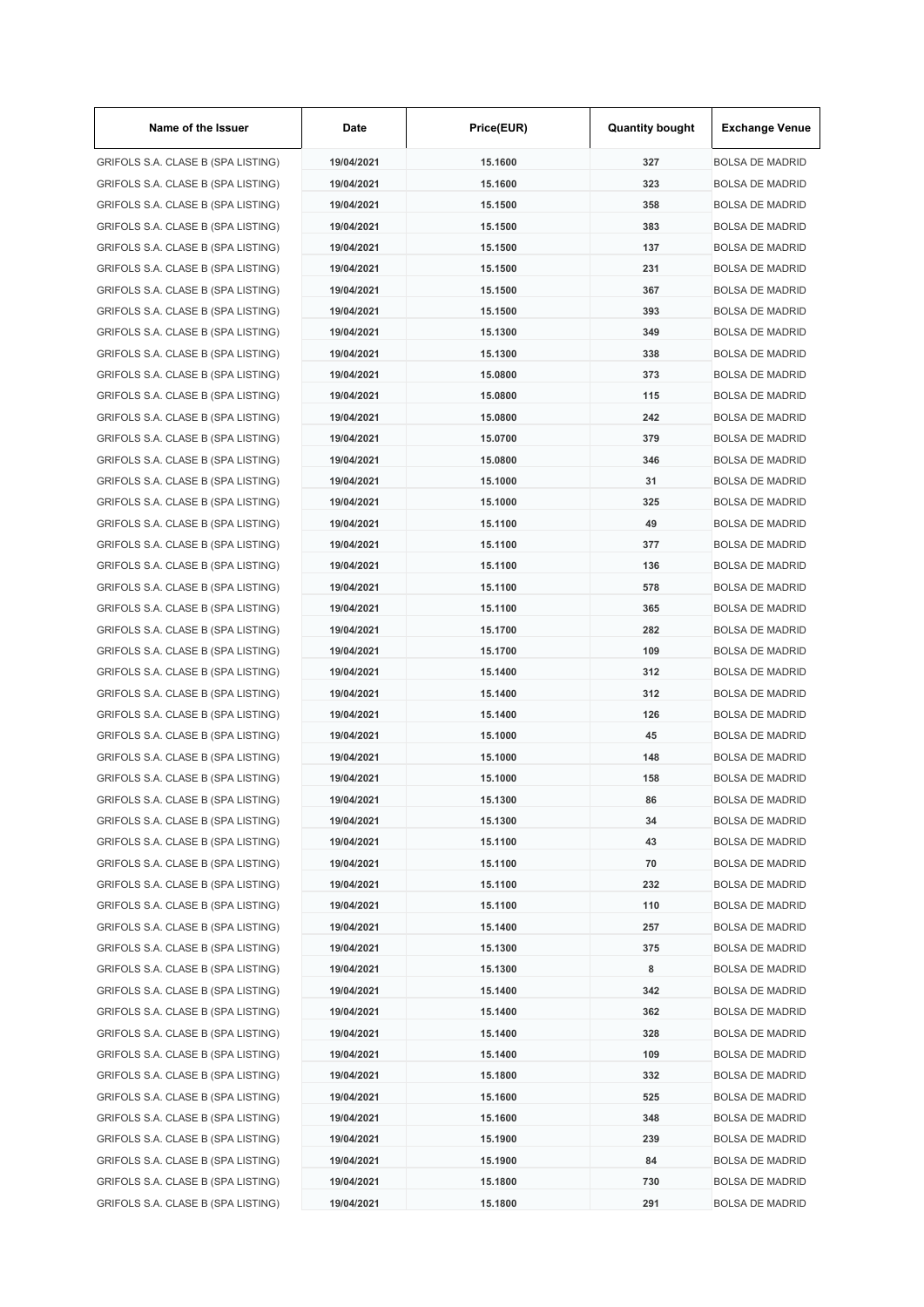| Name of the Issuer                 | Date       | Price(EUR) | <b>Quantity bought</b> | <b>Exchange Venue</b>  |
|------------------------------------|------------|------------|------------------------|------------------------|
| GRIFOLS S.A. CLASE B (SPA LISTING) | 19/04/2021 | 15.1600    | 327                    | <b>BOLSA DE MADRID</b> |
| GRIFOLS S.A. CLASE B (SPA LISTING) | 19/04/2021 | 15.1600    | 323                    | <b>BOLSA DE MADRID</b> |
| GRIFOLS S.A. CLASE B (SPA LISTING) | 19/04/2021 | 15.1500    | 358                    | <b>BOLSA DE MADRID</b> |
| GRIFOLS S.A. CLASE B (SPA LISTING) | 19/04/2021 | 15.1500    | 383                    | <b>BOLSA DE MADRID</b> |
| GRIFOLS S.A. CLASE B (SPA LISTING) | 19/04/2021 | 15.1500    | 137                    | <b>BOLSA DE MADRID</b> |
| GRIFOLS S.A. CLASE B (SPA LISTING) | 19/04/2021 | 15.1500    | 231                    | <b>BOLSA DE MADRID</b> |
| GRIFOLS S.A. CLASE B (SPA LISTING) | 19/04/2021 | 15.1500    | 367                    | <b>BOLSA DE MADRID</b> |
| GRIFOLS S.A. CLASE B (SPA LISTING) | 19/04/2021 | 15.1500    | 393                    | <b>BOLSA DE MADRID</b> |
| GRIFOLS S.A. CLASE B (SPA LISTING) | 19/04/2021 | 15.1300    | 349                    | <b>BOLSA DE MADRID</b> |
| GRIFOLS S.A. CLASE B (SPA LISTING) | 19/04/2021 | 15.1300    | 338                    | <b>BOLSA DE MADRID</b> |
| GRIFOLS S.A. CLASE B (SPA LISTING) | 19/04/2021 | 15.0800    | 373                    | <b>BOLSA DE MADRID</b> |
| GRIFOLS S.A. CLASE B (SPA LISTING) | 19/04/2021 | 15.0800    | 115                    | <b>BOLSA DE MADRID</b> |
| GRIFOLS S.A. CLASE B (SPA LISTING) | 19/04/2021 | 15.0800    | 242                    | <b>BOLSA DE MADRID</b> |
| GRIFOLS S.A. CLASE B (SPA LISTING) | 19/04/2021 | 15.0700    | 379                    | <b>BOLSA DE MADRID</b> |
| GRIFOLS S.A. CLASE B (SPA LISTING) | 19/04/2021 | 15.0800    | 346                    | <b>BOLSA DE MADRID</b> |
| GRIFOLS S.A. CLASE B (SPA LISTING) | 19/04/2021 | 15.1000    | 31                     | <b>BOLSA DE MADRID</b> |
| GRIFOLS S.A. CLASE B (SPA LISTING) | 19/04/2021 | 15.1000    | 325                    | <b>BOLSA DE MADRID</b> |
| GRIFOLS S.A. CLASE B (SPA LISTING) | 19/04/2021 | 15.1100    | 49                     | <b>BOLSA DE MADRID</b> |
|                                    | 19/04/2021 | 15.1100    | 377                    |                        |
| GRIFOLS S.A. CLASE B (SPA LISTING) |            |            |                        | <b>BOLSA DE MADRID</b> |
| GRIFOLS S.A. CLASE B (SPA LISTING) | 19/04/2021 | 15.1100    | 136                    | <b>BOLSA DE MADRID</b> |
| GRIFOLS S.A. CLASE B (SPA LISTING) | 19/04/2021 | 15.1100    | 578                    | <b>BOLSA DE MADRID</b> |
| GRIFOLS S.A. CLASE B (SPA LISTING) | 19/04/2021 | 15.1100    | 365                    | <b>BOLSA DE MADRID</b> |
| GRIFOLS S.A. CLASE B (SPA LISTING) | 19/04/2021 | 15.1700    | 282                    | <b>BOLSA DE MADRID</b> |
| GRIFOLS S.A. CLASE B (SPA LISTING) | 19/04/2021 | 15.1700    | 109                    | <b>BOLSA DE MADRID</b> |
| GRIFOLS S.A. CLASE B (SPA LISTING) | 19/04/2021 | 15.1400    | 312                    | <b>BOLSA DE MADRID</b> |
| GRIFOLS S.A. CLASE B (SPA LISTING) | 19/04/2021 | 15.1400    | 312                    | <b>BOLSA DE MADRID</b> |
| GRIFOLS S.A. CLASE B (SPA LISTING) | 19/04/2021 | 15.1400    | 126                    | <b>BOLSA DE MADRID</b> |
| GRIFOLS S.A. CLASE B (SPA LISTING) | 19/04/2021 | 15.1000    | 45                     | <b>BOLSA DE MADRID</b> |
| GRIFOLS S.A. CLASE B (SPA LISTING) | 19/04/2021 | 15.1000    | 148                    | <b>BOLSA DE MADRID</b> |
| GRIFOLS S.A. CLASE B (SPA LISTING) | 19/04/2021 | 15.1000    | 158                    | <b>BOLSA DE MADRID</b> |
| GRIFOLS S.A. CLASE B (SPA LISTING) | 19/04/2021 | 15.1300    | 86                     | <b>BOLSA DE MADRID</b> |
| GRIFOLS S.A. CLASE B (SPA LISTING) | 19/04/2021 | 15.1300    | 34                     | <b>BOLSA DE MADRID</b> |
| GRIFOLS S.A. CLASE B (SPA LISTING) | 19/04/2021 | 15.1100    | 43                     | <b>BOLSA DE MADRID</b> |
| GRIFOLS S.A. CLASE B (SPA LISTING) | 19/04/2021 | 15.1100    | 70                     | <b>BOLSA DE MADRID</b> |
| GRIFOLS S.A. CLASE B (SPA LISTING) | 19/04/2021 | 15.1100    | 232                    | <b>BOLSA DE MADRID</b> |
| GRIFOLS S.A. CLASE B (SPA LISTING) | 19/04/2021 | 15.1100    | 110                    | <b>BOLSA DE MADRID</b> |
| GRIFOLS S.A. CLASE B (SPA LISTING) | 19/04/2021 | 15.1400    | 257                    | <b>BOLSA DE MADRID</b> |
| GRIFOLS S.A. CLASE B (SPA LISTING) | 19/04/2021 | 15.1300    | 375                    | <b>BOLSA DE MADRID</b> |
| GRIFOLS S.A. CLASE B (SPA LISTING) | 19/04/2021 | 15.1300    | 8                      | <b>BOLSA DE MADRID</b> |
| GRIFOLS S.A. CLASE B (SPA LISTING) | 19/04/2021 | 15.1400    | 342                    | <b>BOLSA DE MADRID</b> |
| GRIFOLS S.A. CLASE B (SPA LISTING) | 19/04/2021 | 15.1400    | 362                    | <b>BOLSA DE MADRID</b> |
| GRIFOLS S.A. CLASE B (SPA LISTING) | 19/04/2021 | 15.1400    | 328                    | <b>BOLSA DE MADRID</b> |
| GRIFOLS S.A. CLASE B (SPA LISTING) | 19/04/2021 | 15.1400    | 109                    | <b>BOLSA DE MADRID</b> |
| GRIFOLS S.A. CLASE B (SPA LISTING) | 19/04/2021 | 15.1800    | 332                    | <b>BOLSA DE MADRID</b> |
| GRIFOLS S.A. CLASE B (SPA LISTING) | 19/04/2021 | 15.1600    | 525                    | <b>BOLSA DE MADRID</b> |
| GRIFOLS S.A. CLASE B (SPA LISTING) | 19/04/2021 | 15.1600    | 348                    | <b>BOLSA DE MADRID</b> |
| GRIFOLS S.A. CLASE B (SPA LISTING) | 19/04/2021 | 15.1900    | 239                    | <b>BOLSA DE MADRID</b> |
| GRIFOLS S.A. CLASE B (SPA LISTING) | 19/04/2021 | 15.1900    | 84                     | <b>BOLSA DE MADRID</b> |
| GRIFOLS S.A. CLASE B (SPA LISTING) | 19/04/2021 | 15.1800    | 730                    | <b>BOLSA DE MADRID</b> |
| GRIFOLS S.A. CLASE B (SPA LISTING) | 19/04/2021 | 15.1800    | 291                    | <b>BOLSA DE MADRID</b> |